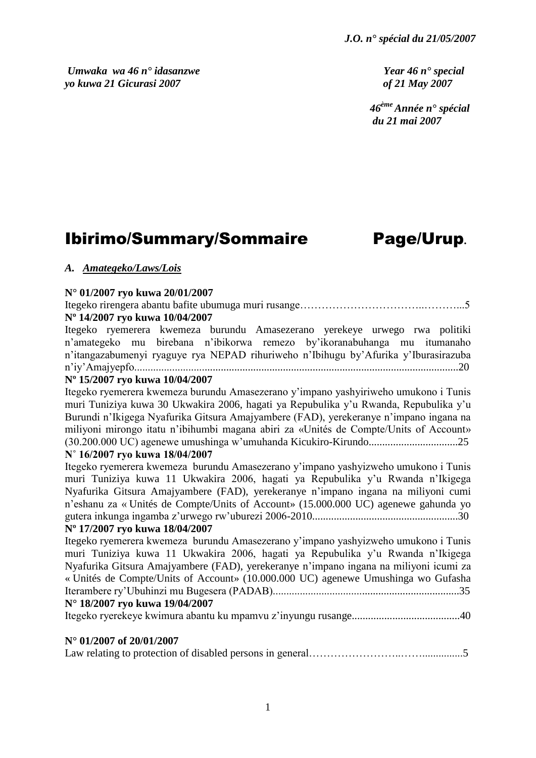*Umwaka wa 46 n° idasanzwe Year 46 n° special yo kuwa 21 Gicurasi 2007 of 21 May 2007*

 *46ème Année n° spécial du 21 mai 2007*

# Ibirimo/Summary/Sommaire Page/Urup**.**

# *A. Amategeko/Laws/Lois*

# **N° 01/2007 ryo kuwa 20/01/2007**

Itegeko rirengera abantu bafite ubumuga muri rusange……………………………..………...5 **Nº 14/2007 ryo kuwa 10/04/2007**

Itegeko ryemerera kwemeza burundu Amasezerano yerekeye urwego rwa politiki n"amategeko mu birebana n"ibikorwa remezo by"ikoranabuhanga mu itumanaho n"itangazabumenyi ryaguye rya NEPAD rihuriweho n"Ibihugu by"Afurika y"Iburasirazuba n"iy"Amajyepfo........................................................................................................................20

# **Nº 15/2007 ryo kuwa 10/04/2007**

Itegeko ryemerera kwemeza burundu Amasezerano y"impano yashyiriweho umukono i Tunis muri Tuniziya kuwa 30 Ukwakira 2006, hagati ya Repubulika y"u Rwanda, Repubulika y"u Burundi n"Ikigega Nyafurika Gitsura Amajyambere (FAD), yerekeranye n"impano ingana na miliyoni mirongo itatu n"ibihumbi magana abiri za «Unités de Compte/Units of Account» (30.200.000 UC) agenewe umushinga w"umuhanda Kicukiro-Kirundo.................................25

# **N˚ 16/2007 ryo kuwa 18/04/2007**

Itegeko ryemerera kwemeza burundu Amasezerano y"impano yashyizweho umukono i Tunis muri Tuniziya kuwa 11 Ukwakira 2006, hagati ya Repubulika y"u Rwanda n"Ikigega Nyafurika Gitsura Amajyambere (FAD), yerekeranye n"impano ingana na miliyoni cumi n"eshanu za « Unités de Compte/Units of Account» (15.000.000 UC) agenewe gahunda yo gutera inkunga ingamba z"urwego rw"uburezi 2006-2010......................................................30

# **Nº 17/2007 ryo kuwa 18/04/2007**

Itegeko ryemerera kwemeza burundu Amasezerano y"impano yashyizweho umukono i Tunis muri Tuniziya kuwa 11 Ukwakira 2006, hagati ya Repubulika y"u Rwanda n"Ikigega Nyafurika Gitsura Amajyambere (FAD), yerekeranye n"impano ingana na miliyoni icumi za « Unités de Compte/Units of Account» (10.000.000 UC) agenewe Umushinga wo Gufasha Iterambere ry"Ubuhinzi mu Bugesera (PADAB).....................................................................35 **N° 18/2007 ryo kuwa 19/04/2007**

Itegeko ryerekeye kwimura abantu ku mpamvu z"inyungu rusange........................................40

# **N° 01/2007 of 20/01/2007**

|--|--|--|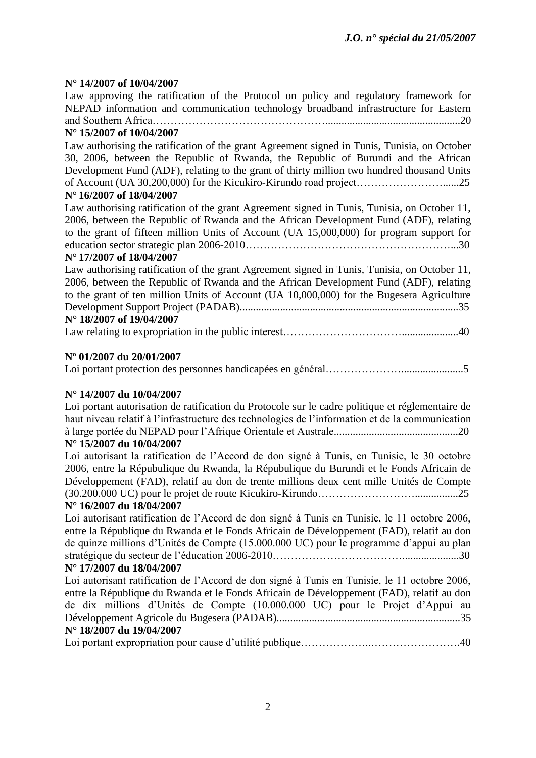# **N° 14/2007 of 10/04/2007**

Law approving the ratification of the Protocol on policy and regulatory framework for NEPAD information and communication technology broadband infrastructure for Eastern and Southern Africa…………………………………………..................................................20

# **N° 15/2007 of 10/04/2007**

Law authorising the ratification of the grant Agreement signed in Tunis, Tunisia, on October 30, 2006, between the Republic of Rwanda, the Republic of Burundi and the African Development Fund (ADF), relating to the grant of thirty million two hundred thousand Units of Account (UA 30,200,000) for the Kicukiro-Kirundo road project……………………......25

# **N° 16/2007 of 18/04/2007**

Law authorising ratification of the grant Agreement signed in Tunis, Tunisia, on October 11, 2006, between the Republic of Rwanda and the African Development Fund (ADF), relating to the grant of fifteen million Units of Account (UA 15,000,000) for program support for education sector strategic plan 2006-2010…………………………………………………...30

# **N° 17/2007 of 18/04/2007**

| Law authorising ratification of the grant Agreement signed in Tunis, Tunisia, on October 11, |
|----------------------------------------------------------------------------------------------|
| 2006, between the Republic of Rwanda and the African Development Fund (ADF), relating        |
| to the grant of ten million Units of Account (UA 10,000,000) for the Bugesera Agriculture    |
|                                                                                              |
| N° 18/2007 of 19/04/2007                                                                     |
|                                                                                              |

# **Nº 01/2007 du 20/01/2007**

Loi portant protection des personnes handicapées en général………………….......................5

# **N° 14/2007 du 10/04/2007**

Loi portant autorisation de ratification du Protocole sur le cadre politique et réglementaire de haut niveau relatif à l"infrastructure des technologies de l"information et de la communication à large portée du NEPAD pour l"Afrique Orientale et Australe..............................................20 **N° 15/2007 du 10/04/2007**

Loi autorisant la ratification de l"Accord de don signé à Tunis, en Tunisie, le 30 octobre 2006, entre la Répubulique du Rwanda, la Répubulique du Burundi et le Fonds Africain de Développement (FAD), relatif au don de trente millions deux cent mille Unités de Compte (30.200.000 UC) pour le projet de route Kicukiro-Kirundo………………………................25

# **N° 16/2007 du 18/04/2007**

Loi autorisant ratification de l"Accord de don signé à Tunis en Tunisie, le 11 octobre 2006, entre la République du Rwanda et le Fonds Africain de Développement (FAD), relatif au don de quinze millions d"Unités de Compte (15.000.000 UC) pour le programme d"appui au plan stratégique du secteur de l"éducation 2006-2010……………………………….....................30

# **N° 17/2007 du 18/04/2007**

Loi autorisant ratification de l"Accord de don signé à Tunis en Tunisie, le 11 octobre 2006, entre la République du Rwanda et le Fonds Africain de Développement (FAD), relatif au don de dix millions d"Unités de Compte (10.000.000 UC) pour le Projet d"Appui au Développement Agricole du Bugesera (PADAB)....................................................................35 **N° 18/2007 du 19/04/2007**

|--|--|--|--|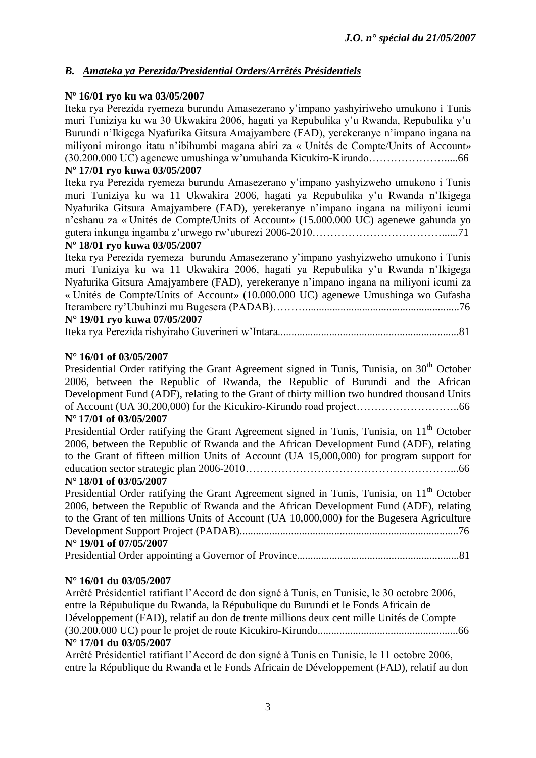# *B. Amateka ya Perezida/Presidential Orders/Arrêtés Présidentiels*

# **Nº 16/01 ryo ku wa 03/05/2007**

Iteka rya Perezida ryemeza burundu Amasezerano y"impano yashyiriweho umukono i Tunis muri Tuniziya ku wa 30 Ukwakira 2006, hagati ya Repubulika y"u Rwanda, Repubulika y"u Burundi n"Ikigega Nyafurika Gitsura Amajyambere (FAD), yerekeranye n"impano ingana na miliyoni mirongo itatu n"ibihumbi magana abiri za « Unités de Compte/Units of Account» (30.200.000 UC) agenewe umushinga w"umuhanda Kicukiro-Kirundo………………….....66

# **Nº 17/01 ryo kuwa 03/05/2007**

Iteka rya Perezida ryemeza burundu Amasezerano y"impano yashyizweho umukono i Tunis muri Tuniziya ku wa 11 Ukwakira 2006, hagati ya Repubulika y"u Rwanda n"Ikigega Nyafurika Gitsura Amajyambere (FAD), yerekeranye n"impano ingana na miliyoni icumi n"eshanu za « Unités de Compte/Units of Account» (15.000.000 UC) agenewe gahunda yo gutera inkunga ingamba z"urwego rw"uburezi 2006-2010………………………………......71

# **Nº 18/01 ryo kuwa 03/05/2007**

Iteka rya Perezida ryemeza burundu Amasezerano y"impano yashyizweho umukono i Tunis muri Tuniziya ku wa 11 Ukwakira 2006, hagati ya Repubulika y"u Rwanda n"Ikigega Nyafurika Gitsura Amajyambere (FAD), yerekeranye n"impano ingana na miliyoni icumi za « Unités de Compte/Units of Account» (10.000.000 UC) agenewe Umushinga wo Gufasha Iterambere ry"Ubuhinzi mu Bugesera (PADAB)……….........................................................76 **N° 19/01 ryo kuwa 07/05/2007**

# Iteka rya Perezida rishyiraho Guverineri w"Intara...................................................................81

# **N° 16/01 of 03/05/2007**

Presidential Order ratifying the Grant Agreement signed in Tunis, Tunisia, on 30<sup>th</sup> October 2006, between the Republic of Rwanda, the Republic of Burundi and the African Development Fund (ADF), relating to the Grant of thirty million two hundred thousand Units of Account (UA 30,200,000) for the Kicukiro-Kirundo road project………………………..66

# **N° 17/01 of 03/05/2007**

Presidential Order ratifying the Grant Agreement signed in Tunis, Tunisia, on 11<sup>th</sup> October 2006, between the Republic of Rwanda and the African Development Fund (ADF), relating to the Grant of fifteen million Units of Account (UA 15,000,000) for program support for education sector strategic plan 2006-2010…………………………………………………...66

# **N° 18/01 of 03/05/2007**

| Presidential Order ratifying the Grant Agreement signed in Tunis, Tunisia, on 11 <sup>th</sup> October |
|--------------------------------------------------------------------------------------------------------|
| 2006, between the Republic of Rwanda and the African Development Fund (ADF), relating                  |
| to the Grant of ten millions Units of Account (UA 10,000,000) for the Bugesera Agriculture             |
|                                                                                                        |
| N° 19/01 of 07/05/2007                                                                                 |
|                                                                                                        |

# **N° 16/01 du 03/05/2007**

Arrêté Présidentiel ratifiant l"Accord de don signé à Tunis, en Tunisie, le 30 octobre 2006, entre la Répubulique du Rwanda, la Répubulique du Burundi et le Fonds Africain de Développement (FAD), relatif au don de trente millions deux cent mille Unités de Compte (30.200.000 UC) pour le projet de route Kicukiro-Kirundo....................................................66 **N° 17/01 du 03/05/2007**

Arrêté Présidentiel ratifiant l"Accord de don signé à Tunis en Tunisie, le 11 octobre 2006, entre la République du Rwanda et le Fonds Africain de Développement (FAD), relatif au don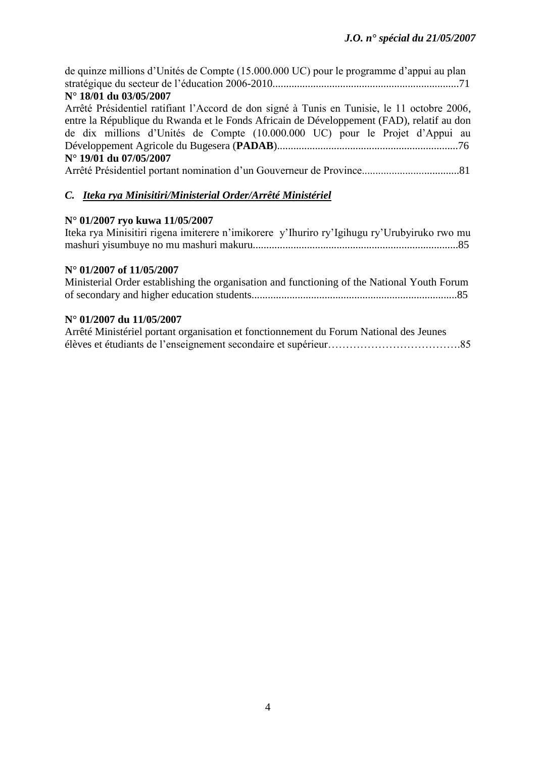| de quinze millions d'Unités de Compte (15.000.000 UC) pour le programme d'appui au plan<br>N° 18/01 du 03/05/2007 |
|-------------------------------------------------------------------------------------------------------------------|
| Arrêté Présidentiel ratifiant l'Accord de don signé à Tunis en Tunisie, le 11 octobre 2006,                       |
|                                                                                                                   |
| entre la République du Rwanda et le Fonds Africain de Développement (FAD), relatif au don                         |
| de dix millions d'Unités de Compte (10.000.000 UC) pour le Projet d'Appui au                                      |
|                                                                                                                   |
| N° 19/01 du 07/05/2007                                                                                            |
|                                                                                                                   |
|                                                                                                                   |
| C. Iteka rya Minisitiri/Ministerial Order/Arrêté Ministériel                                                      |

# **N° 01/2007 ryo kuwa 11/05/2007**

| Iteka rya Minisitiri rigena imiterere n'imikorere y'Ihuriro ry'Igihugu ry'Urubyiruko rwo mu |  |
|---------------------------------------------------------------------------------------------|--|
|                                                                                             |  |

# **N° 01/2007 of 11/05/2007**

| Ministerial Order establishing the organisation and functioning of the National Youth Forum |  |
|---------------------------------------------------------------------------------------------|--|
|                                                                                             |  |

# **N° 01/2007 du 11/05/2007**

| Arrêté Ministériel portant organisation et fonctionnement du Forum National des Jeunes |  |
|----------------------------------------------------------------------------------------|--|
|                                                                                        |  |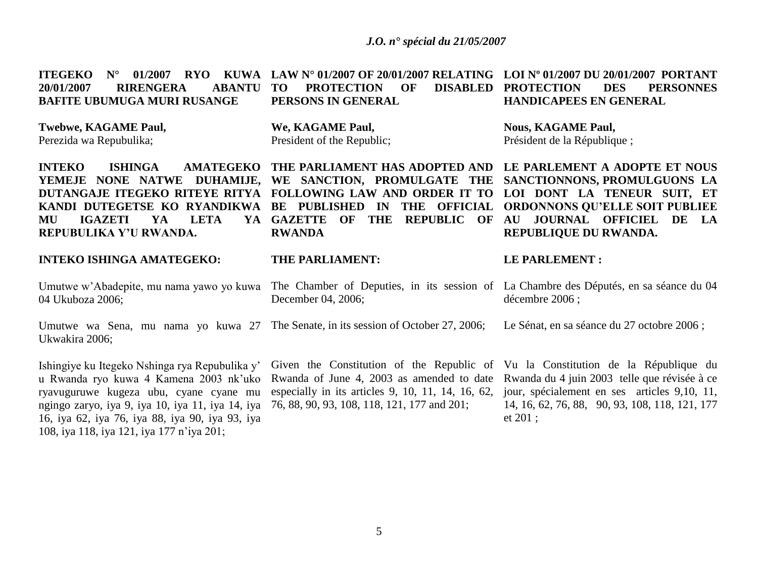**ITEGEKO N° 01/2007 RYO KUWA LAW N° 01/2007 OF 20/01/2007 RELATING LOI Nº 01/2007 DU 20/01/2007 PORTANT 20/01/2007 RIRENGERA ABANTU BAFITE UBUMUGA MURI RUSANGE PROTECTION OF PERSONS IN GENERAL PROTECTION DES PERSONNES HANDICAPEES EN GENERAL** 

**Twebwe, KAGAME Paul,**

Perezida wa Repubulika;

**INTEKO** ISHINGA AMATEGEKO THE PARLIAMENT HAS ADOPTED AND LE PARLEMENT A ADOPTE ET NOUS **YEMEJE NONE NATWE DUHAMIJE, WE SANCTION, PROMULGATE THE SANCTIONNONS, PROMULGUONS LA DUTANGAJE ITEGEKO RITEYE RITYA FOLLOWING LAW AND ORDER IT TO LOI DONT LA TENEUR SUIT, ET KANDI DUTEGETSE KO RYANDIKWA BE PUBLISHED IN THE OFFICIAL ORDONNONS QU'ELLE SOIT PUBLIEE MU IGAZETI YA LETA YA REPUBULIKA Y'U RWANDA.**

# **INTEKO ISHINGA AMATEGEKO:**

Umutwe w"Abadepite, mu nama yawo yo kuwa 04 Ukuboza 2006;

Ukwakira 2006;

Ishingiye ku Itegeko Nshinga rya Repubulika y" u Rwanda ryo kuwa 4 Kamena 2003 nk"uko ryavuguruwe kugeza ubu, cyane cyane mu ngingo zaryo, iya 9, iya 10, iya 11, iya 14, iya 16, iya 62, iya 76, iya 88, iya 90, iya 93, iya 108, iya 118, iya 121, iya 177 n"iya 201;

**We, KAGAME Paul,** President of the Republic;

**RWANDA**

# **THE PARLIAMENT:**

December 04, 2006;

Umutwe wa Sena, mu nama yo kuwa 27 The Senate, in its session of October 27, 2006;

Rwanda of June 4, 2003 as amended to date especially in its articles 9, 10, 11, 14, 16, 62, 76, 88, 90, 93, 108, 118, 121, 177 and 201;

**Nous, KAGAME Paul,** Président de la République ;

**GAZETTE OF THE REPUBLIC OF AU JOURNAL OFFICIEL DE LA REPUBLIQUE DU RWANDA.**

#### **LE PARLEMENT :**

The Chamber of Deputies, in its session of La Chambre des Députés, en sa séance du 04 décembre 2006 ;

Le Sénat, en sa séance du 27 octobre 2006 ;

Given the Constitution of the Republic of Vu la Constitution de la République du Rwanda du 4 juin 2003 telle que révisée à ce jour, spécialement en ses articles 9,10, 11, 14, 16, 62, 76, 88, 90, 93, 108, 118, 121, 177 et 201 ;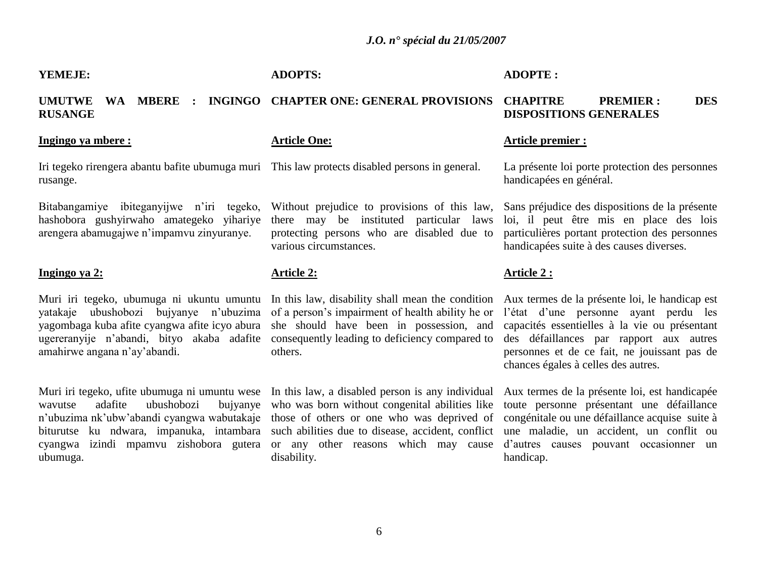# **YEMEJE:**

# **ADOPTS:**

**Article One:**

# **ADOPTE :**

#### **UMUTWE WA MBERE : INGINGO CHAPTER ONE: GENERAL PROVISIONS CHAPITRE PREMIER : DES RUSANGE DISPOSITIONS GENERALES**

# **Ingingo ya mbere :**

Iri tegeko rirengera abantu bafite ubumuga muri This law protects disabled persons in general. rusange.

Bitabangamiye ibiteganyijwe n'iri tegeko, hashobora gushyirwaho amategeko yihariye arengera abamugajwe n"impamvu zinyuranye.

# **Ingingo ya 2:**

Muri iri tegeko, ubumuga ni ukuntu umuntu yatakaje ubushobozi bujyanye n"ubuzima of a person"s impairment of health ability he or yagombaga kuba afite cyangwa afite icyo abura ugereranyije n"abandi, bityo akaba adafite amahirwe angana n"ay"abandi.

Muri iri tegeko, ufite ubumuga ni umuntu wese wavutse adafite ubushobozi bujyanye n"ubuzima nk"ubw"abandi cyangwa wabutakaje biturutse ku ndwara, impanuka, intambara cyangwa izindi mpamvu zishobora gutera or any other reasons which may cause d"autres causes pouvant occasionner un ubumuga.

Without prejudice to provisions of this law, there may be instituted particular laws protecting persons who are disabled due to various circumstances.

# **Article 2:**

In this law, disability shall mean the condition she should have been in possession, and consequently leading to deficiency compared to others.

In this law, a disabled person is any individual who was born without congenital abilities like those of others or one who was deprived of such abilities due to disease, accident, conflict disability.

#### **Article premier :**

La présente loi porte protection des personnes handicapées en général.

Sans préjudice des dispositions de la présente loi, il peut être mis en place des lois particulières portant protection des personnes handicapées suite à des causes diverses.

# **Article 2 :**

Aux termes de la présente loi, le handicap est l"état d"une personne ayant perdu les capacités essentielles à la vie ou présentant des défaillances par rapport aux autres personnes et de ce fait, ne jouissant pas de chances égales à celles des autres.

Aux termes de la présente loi, est handicapée toute personne présentant une défaillance congénitale ou une défaillance acquise suite à une maladie, un accident, un conflit ou handicap.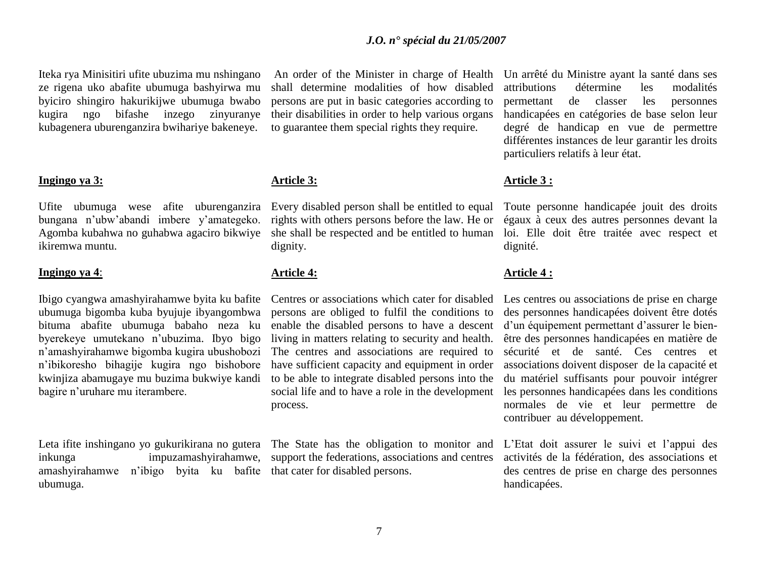Iteka rya Minisitiri ufite ubuzima mu nshingano ze rigena uko abafite ubumuga bashyirwa mu byiciro shingiro hakurikijwe ubumuga bwabo kugira ngo bifashe inzego zinyuranye kubagenera uburenganzira bwihariye bakeneye.

#### **Ingingo ya 3:**

Ufite ubumuga wese afite uburenganzira bungana n"ubw"abandi imbere y"amategeko. Agomba kubahwa no guhabwa agaciro bikwiye ikiremwa muntu.

#### **Ingingo ya 4**:

Ibigo cyangwa amashyirahamwe byita ku bafite ubumuga bigomba kuba byujuje ibyangombwa bituma abafite ubumuga babaho neza ku byerekeye umutekano n"ubuzima. Ibyo bigo n"amashyirahamwe bigomba kugira ubushobozi n"ibikoresho bihagije kugira ngo bishobore kwinjiza abamugaye mu buzima bukwiye kandi bagire n"uruhare mu iterambere.

Leta ifite inshingano yo gukurikirana no gutera inkunga impuzamashyirahamwe, amashyirahamwe n"ibigo byita ku bafite ubumuga.

An order of the Minister in charge of Health shall determine modalities of how disabled persons are put in basic categories according to their disabilities in order to help various organs to guarantee them special rights they require.

# **Article 3:**

Every disabled person shall be entitled to equal rights with others persons before the law. He or she shall be respected and be entitled to human dignity.

# **Article 4:**

Centres or associations which cater for disabled persons are obliged to fulfil the conditions to enable the disabled persons to have a descent living in matters relating to security and health. The centres and associations are required to have sufficient capacity and equipment in order to be able to integrate disabled persons into the social life and to have a role in the development process.

The State has the obligation to monitor and support the federations, associations and centres that cater for disabled persons.

Un arrêté du Ministre ayant la santé dans ses attributions détermine les modalités permettant de classer les personnes handicapées en catégories de base selon leur degré de handicap en vue de permettre différentes instances de leur garantir les droits particuliers relatifs à leur état.

#### **Article 3 :**

Toute personne handicapée jouit des droits égaux à ceux des autres personnes devant la loi. Elle doit être traitée avec respect et dignité.

#### **Article 4 :**

Les centres ou associations de prise en charge des personnes handicapées doivent être dotés d"un équipement permettant d"assurer le bienêtre des personnes handicapées en matière de sécurité et de santé. Ces centres et associations doivent disposer de la capacité et du matériel suffisants pour pouvoir intégrer les personnes handicapées dans les conditions normales de vie et leur permettre de contribuer au développement.

L"Etat doit assurer le suivi et l"appui des activités de la fédération, des associations et des centres de prise en charge des personnes handicapées.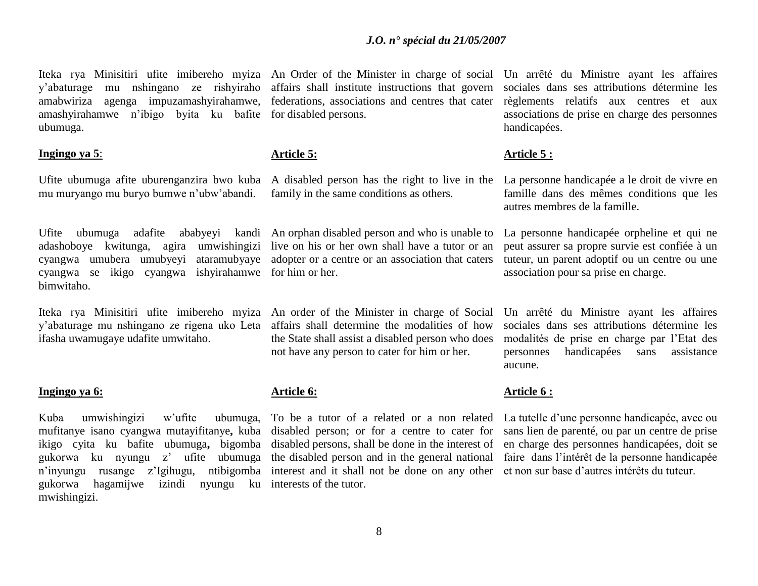y"abaturage mu nshingano ze rishyiraho amabwiriza agenga impuzamashyirahamwe, federations, associations and centres that cater amashyirahamwe n"ibigo byita ku bafite for disabled persons. ubumuga.

# **Ingingo ya 5**:

Ufite ubumuga afite uburenganzira bwo kuba A disabled person has the right to live in the La personne handicapée a le droit de vivre en mu muryango mu buryo bumwe n"ubw"abandi.

adashoboye kwitunga, agira umwishingizi live on his or her own shall have a tutor or an cyangwa umubera umubyeyi ataramubyaye adopter or a centre or an association that caters cyangwa se ikigo cyangwa ishyirahamwe for him or her. bimwitaho.

Iteka rya Minisitiri ufite imibereho myiza An order of the Minister in charge of Social y"abaturage mu nshingano ze rigena uko Leta ifasha uwamugaye udafite umwitaho.

#### **Ingingo ya 6:**

Kuba umwishingizi w'ufite gukorwa ku nyungu z" ufite ubumuga n"inyungu rusange z"Igihugu, ntibigomba gukorwa hagamijwe izindi nyungu ku interests of the tutor. mwishingizi.

affairs shall institute instructions that govern

# **Article 5:**

family in the same conditions as others.

Ufite ubumuga adafite ababyeyi kandi An orphan disabled person and who is unable to

affairs shall determine the modalities of how the State shall assist a disabled person who does not have any person to cater for him or her.

# **Article 6:**

mufitanye isano cyangwa mutayifitanye**,** kuba disabled person; or for a centre to cater for ikigo cyita ku bafite ubumuga**,** bigomba disabled persons, shall be done in the interest of To be a tutor of a related or a non related the disabled person and in the general national faire dans l"intérêt de la personne handicapée interest and it shall not be done on any other et non sur base d"autres intérêts du tuteur.

Iteka rya Minisitiri ufite imibereho myiza An Order of the Minister in charge of social Un arrêté du Ministre ayant les affaires sociales dans ses attributions détermine les règlements relatifs aux centres et aux associations de prise en charge des personnes handicapées.

# **Article 5 :**

famille dans des mêmes conditions que les autres membres de la famille.

La personne handicapée orpheline et qui ne peut assurer sa propre survie est confiée à un tuteur, un parent adoptif ou un centre ou une association pour sa prise en charge.

Un arrêté du Ministre ayant les affaires sociales dans ses attributions détermine les modalités de prise en charge par l"Etat des personnes handicapées sans assistance aucune.

## **Article 6 :**

La tutelle d"une personne handicapée, avec ou sans lien de parenté, ou par un centre de prise en charge des personnes handicapées, doit se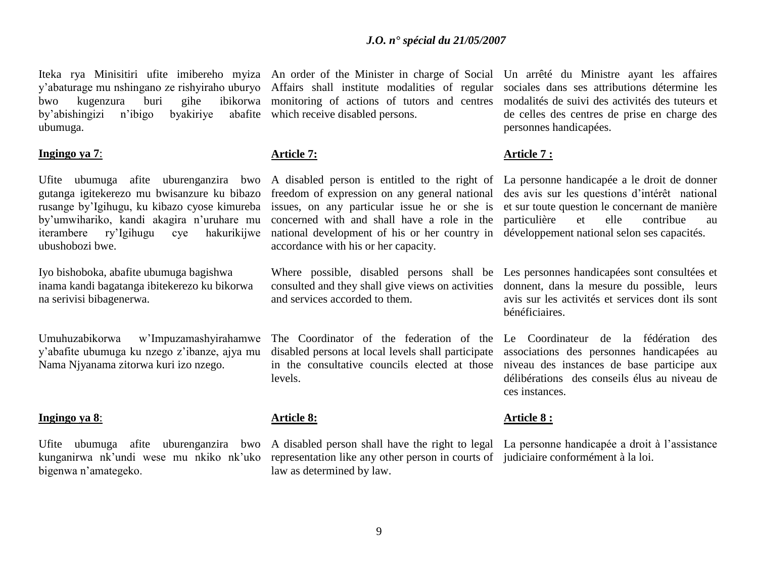y"abaturage mu nshingano ze rishyiraho uburyo Affairs shall institute modalities of regular bwo kugenzura buri gihe by'abishingizi n'ibigo ubumuga.

# **Ingingo ya 7**:

Ufite ubumuga afite uburenganzira bwo gutanga igitekerezo mu bwisanzure ku bibazo rusange by"Igihugu, ku kibazo cyose kimureba by"umwihariko, kandi akagira n"uruhare mu iterambere ry"Igihugu cye hakurikijwe ubushobozi bwe.

Iyo bishoboka, abafite ubumuga bagishwa inama kandi bagatanga ibitekerezo ku bikorwa na serivisi bibagenerwa.

Umuhuzabikorwa w"Impuzamashyirahamwe y"abafite ubumuga ku nzego z"ibanze, ajya mu Nama Njyanama zitorwa kuri izo nzego.

#### **Ingingo ya 8**:

kunganirwa nk"undi wese mu nkiko nk"uko bigenwa n"amategeko.

Iteka rya Minisitiri ufite imibereho myiza An order of the Minister in charge of Social Un arrêté du Ministre ayant les affaires monitoring of actions of tutors and centres by a bafite which receive disabled persons.

#### **Article 7:**

A disabled person is entitled to the right of La personne handicapée a le droit de donner freedom of expression on any general national des avis sur les questions d'intérêt national issues, on any particular issue he or she is concerned with and shall have a role in the national development of his or her country in développement national selon ses capacités. accordance with his or her capacity.

consulted and they shall give views on activities and services accorded to them.

The Coordinator of the federation of the Le Coordinateur de la fédération des disabled persons at local levels shall participate in the consultative councils elected at those levels.

# **Article 8:**

representation like any other person in courts of judiciaire conformément à la loi.law as determined by law.

sociales dans ses attributions détermine les modalités de suivi des activités des tuteurs et de celles des centres de prise en charge des personnes handicapées.

#### **Article 7 :**

et sur toute question le concernant de manière particulière et elle contribue au

Where possible, disabled persons shall be Les personnes handicapées sont consultées et donnent, dans la mesure du possible, leurs avis sur les activités et services dont ils sont bénéficiaires.

> associations des personnes handicapées au niveau des instances de base participe aux délibérations des conseils élus au niveau de ces instances.

#### **Article 8 :**

Ufite ubumuga afite uburenganzira bwo A disabled person shall have the right to legal La personne handicapée a droit à l'assistance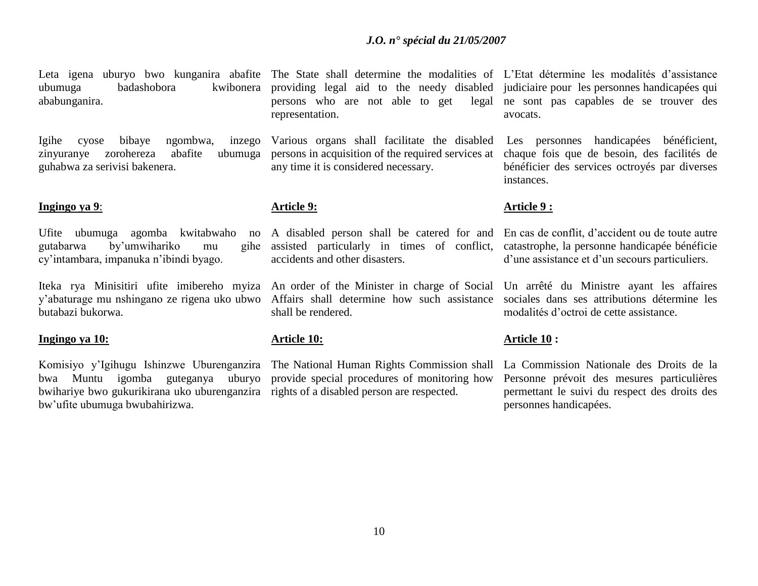Leta igena uburyo bwo kunganira abafite The State shall determine the modalities of L'Etat détermine les modalités d'assistance ababunganira.

Igihe cyose bibaye ngombwa, inzego zinyuranye zorohereza abafite ubumuga guhabwa za serivisi bakenera.

# **Ingingo ya 9**:

Ufite ubumuga agomba kwitabwaho no gutabarwa by"umwihariko mu gihe cy"intambara, impanuka n"ibindi byago.

Iteka rya Minisitiri ufite imibereho myiza An order of the Minister in charge of Social Un arrêté du Ministre ayant les affaires y"abaturage mu nshingano ze rigena uko ubwo Affairs shall determine how such assistance butabazi bukorwa.

#### **Ingingo ya 10:**

Komisiyo y"Igihugu Ishinzwe Uburenganzira The National Human Rights Commission shall bwihariye bwo gukurikirana uko uburenganzira rights of a disabled person are respected. bw"ufite ubumuga bwubahirizwa.

ubumuga badashobora kwibonera providing legal aid to the needy disabled judiciaire pour les personnes handicapées qui persons who are not able to get legal ne sont pas capables de se trouver des representation.

> Various organs shall facilitate the disabled persons in acquisition of the required services at any time it is considered necessary.

# **Article 9:**

A disabled person shall be catered for and assisted particularly in times of conflict, accidents and other disasters.

shall be rendered.

# **Article 10:**

bwa Muntu igomba guteganya uburyo provide special procedures of monitoring how

avocats.

Les personnes handicapées bénéficient, chaque fois que de besoin, des facilités de bénéficier des services octroyés par diverses instances.

# **Article 9 :**

En cas de conflit, d"accident ou de toute autre catastrophe, la personne handicapée bénéficie d'une assistance et d'un secours particuliers.

sociales dans ses attributions détermine les modalités d"octroi de cette assistance.

# **Article 10 :**

La Commission Nationale des Droits de la Personne prévoit des mesures particulières permettant le suivi du respect des droits des personnes handicapées.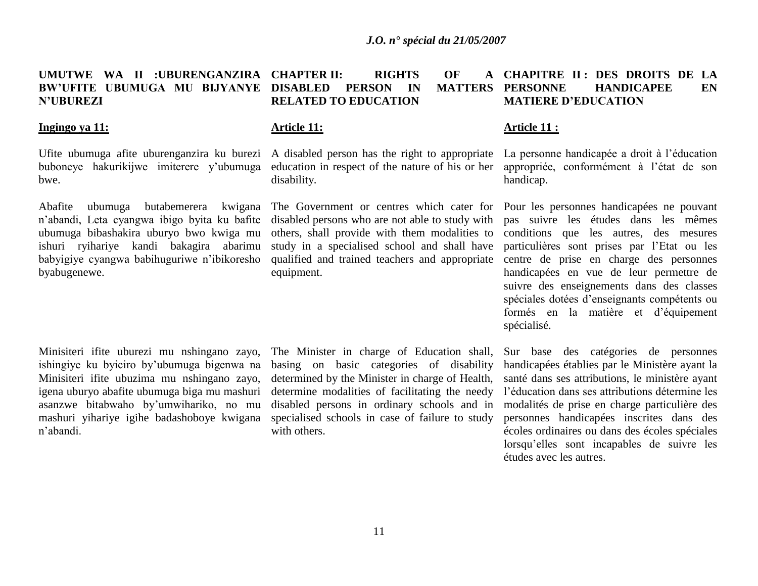#### **UMUTWE WA II :UBURENGANZIRA CHAPTER II: RIGHTS OF A BW'UFITE UBUMUGA MU BIJYANYE DISABLED PERSON IN MATTERS N'UBUREZI RELATED TO EDUCATION CHAPITRE II : DES DROITS DE LA MATTERS PERSONNE HANDICAPEE EN MATIERE D'EDUCATION**

## **Ingingo ya 11:**

buboneye hakurikijwe imiterere y"ubumuga bwe.

Abafite ubumuga butabemerera kwigana n"abandi, Leta cyangwa ibigo byita ku bafite ubumuga bibashakira uburyo bwo kwiga mu ishuri ryihariye kandi bakagira abarimu babyigiye cyangwa babihuguriwe n"ibikoresho byabugenewe.

Minisiteri ifite uburezi mu nshingano zayo, ishingiye ku byiciro by"ubumuga bigenwa na Minisiteri ifite ubuzima mu nshingano zayo, igena uburyo abafite ubumuga biga mu mashuri asanzwe bitabwaho by"umwihariko, no mu mashuri yihariye igihe badashoboye kwigana n"abandi.

# **Article 11:**

Ufite ubumuga afite uburenganzira ku burezi A disabled person has the right to appropriate education in respect of the nature of his or her disability.

> The Government or centres which cater for disabled persons who are not able to study with others, shall provide with them modalities to study in a specialised school and shall have qualified and trained teachers and appropriate equipment.

> The Minister in charge of Education shall, basing on basic categories of disability determined by the Minister in charge of Health, determine modalities of facilitating the needy disabled persons in ordinary schools and in specialised schools in case of failure to study with others.

#### **Article 11 :**

La personne handicapée a droit à l'éducation appropriée, conformément à l"état de son handicap.

Pour les personnes handicapées ne pouvant pas suivre les études dans les mêmes conditions que les autres, des mesures particulières sont prises par l"Etat ou les centre de prise en charge des personnes handicapées en vue de leur permettre de suivre des enseignements dans des classes spéciales dotées d"enseignants compétents ou formés en la matière et d"équipement spécialisé.

Sur base des catégories de personnes handicapées établies par le Ministère ayant la santé dans ses attributions, le ministère ayant l"éducation dans ses attributions détermine les modalités de prise en charge particulière des personnes handicapées inscrites dans des écoles ordinaires ou dans des écoles spéciales lorsqu"elles sont incapables de suivre les études avec les autres.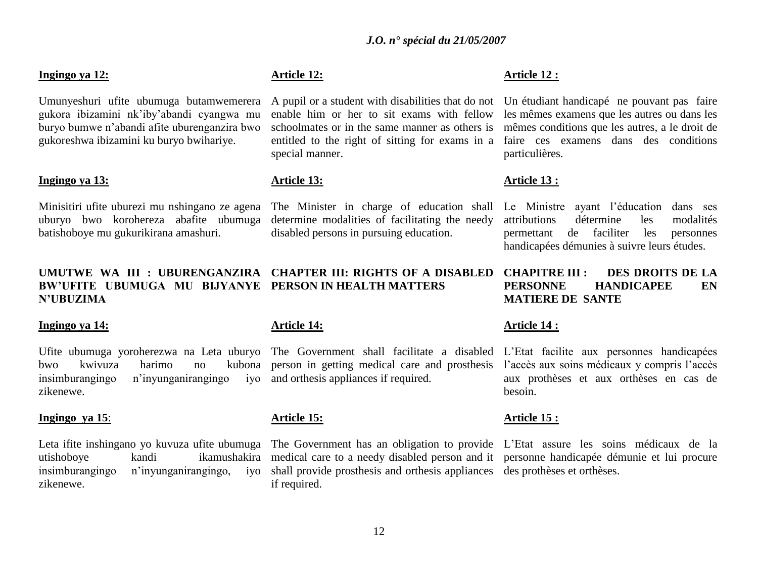# **Ingingo ya 12:**

Umunyeshuri ufite ubumuga butamwemerera gukora ibizamini nk"iby"abandi cyangwa mu buryo bumwe n"abandi afite uburenganzira bwo gukoreshwa ibizamini ku buryo bwihariye.

#### **Ingingo ya 13:**

Minisitiri ufite uburezi mu nshingano ze agena uburyo bwo korohereza abafite ubumuga batishoboye mu gukurikirana amashuri.

# **N'UBUZIMA**

#### **Ingingo ya 14:**

Ufite ubumuga yoroherezwa na Leta uburyo The Government shall facilitate a disabled L"Etat facilite aux personnes handicapées bwo kwivuza harimo no kubona person in getting medical care and prosthesis l"accès aux soins médicaux y compris l"accès insimburangingo n"inyunganirangingo iyo zikenewe.

#### **Ingingo ya 15**:

utishoboye kandi ikamushakira insimburangingo n"inyunganirangingo, iyo zikenewe.

# **Article 12:**

A pupil or a student with disabilities that do not enable him or her to sit exams with fellow schoolmates or in the same manner as others is entitled to the right of sitting for exams in a special manner.

# **Article 13:**

The Minister in charge of education shall determine modalities of facilitating the needy disabled persons in pursuing education.

# **UMUTWE WA III : UBURENGANZIRA CHAPTER III: RIGHTS OF A DISABLED BW'UFITE UBUMUGA MU BIJYANYE PERSON IN HEALTH MATTERS**

# **Article 14:**

and orthesis appliances if required.

#### **Article 15:**

medical care to a needy disabled person and it personne handicapée démunie et lui procure shall provide prosthesis and orthesis appliances des prothèses et orthèses. if required.

# **Article 12 :**

Un étudiant handicapé ne pouvant pas faire les mêmes examens que les autres ou dans les mêmes conditions que les autres, a le droit de faire ces examens dans des conditions particulières.

#### **Article 13 :**

Le Ministre ayant l"éducation dans ses attributions détermine les modalités permettant de faciliter les personnes handicapées démunies à suivre leurs études.

# **CHAPITRE III : DES DROITS DE LA PERSONNE HANDICAPEE EN MATIERE DE SANTE**

# **Article 14 :**

aux prothèses et aux orthèses en cas de besoin.

#### **Article 15 :**

Leta ifite inshingano yo kuvuza ufite ubumuga The Government has an obligation to provide L'Etat assure les soins médicaux de la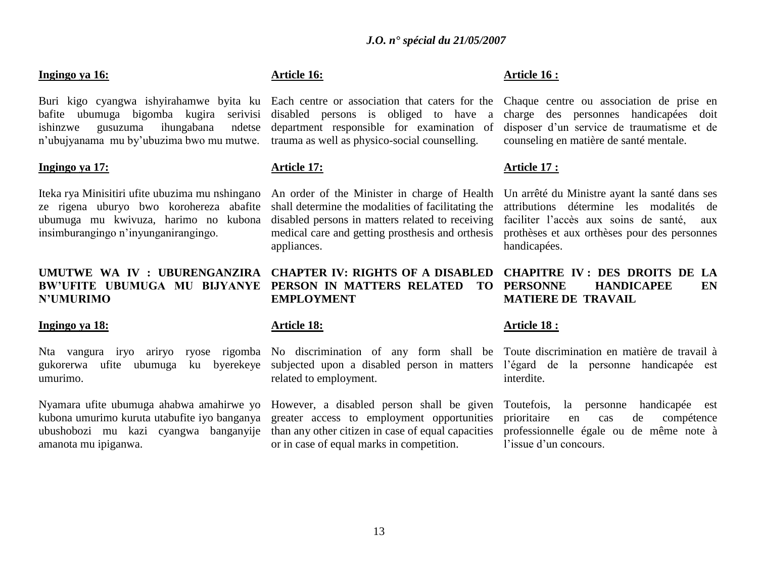# **Ingingo ya 16:**

Buri kigo cyangwa ishyirahamwe byita ku Each centre or association that caters for the Chaque centre ou association de prise en bafite ubumuga bigomba kugira serivisi disabled persons is obliged to have a ishinzwe gusuzuma ihungabana ndetse n"ubujyanama mu by"ubuzima bwo mu mutwe. trauma as well as physico-social counselling.

#### **Ingingo ya 17:**

Iteka rya Minisitiri ufite ubuzima mu nshingano ze rigena uburyo bwo korohereza abafite ubumuga mu kwivuza, harimo no kubona insimburangingo n"inyunganirangingo.

# **UMUTWE WA IV : UBURENGANZIRA CHAPTER IV: RIGHTS OF A DISABLED N'UMURIMO**

#### **Ingingo ya 18:**

gukorerwa ufite ubumuga ku byerekeye subjected upon a disabled person in matters l"égard de la personne handicapée est umurimo.

Nyamara ufite ubumuga ahabwa amahirwe yo kubona umurimo kuruta utabufite iyo banganya ubushobozi mu kazi cyangwa banganyije amanota mu ipiganwa.

# **Article 16:**

department responsible for examination of

# **Article 17:**

An order of the Minister in charge of Health shall determine the modalities of facilitating the disabled persons in matters related to receiving medical care and getting prosthesis and orthesis appliances.

# **BW'UFITE UBUMUGA MU BIJYANYE PERSON IN MATTERS RELATED TO EMPLOYMENT**

# **Article 18:**

related to employment.

However, a disabled person shall be given greater access to employment opportunities than any other citizen in case of equal capacities or in case of equal marks in competition.

# **Article 16 :**

charge des personnes handicapées doit disposer d"un service de traumatisme et de counseling en matière de santé mentale.

#### **Article 17 :**

Un arrêté du Ministre ayant la santé dans ses attributions détermine les modalités de faciliter l"accès aux soins de santé, aux prothèses et aux orthèses pour des personnes handicapées.

# **CHAPITRE IV : DES DROITS DE LA FEARL ENGINEE ENGINEES MATIERE DE TRAVAIL**

# **Article 18 :**

Nta vangura iryo ariryo ryose rigomba No discrimination of any form shall be Toute-discrimination en-matière de-travail à interdite.

> Toutefois, la personne handicapée est prioritaire en cas de compétence professionnelle égale ou de même note à l'issue d'un concours.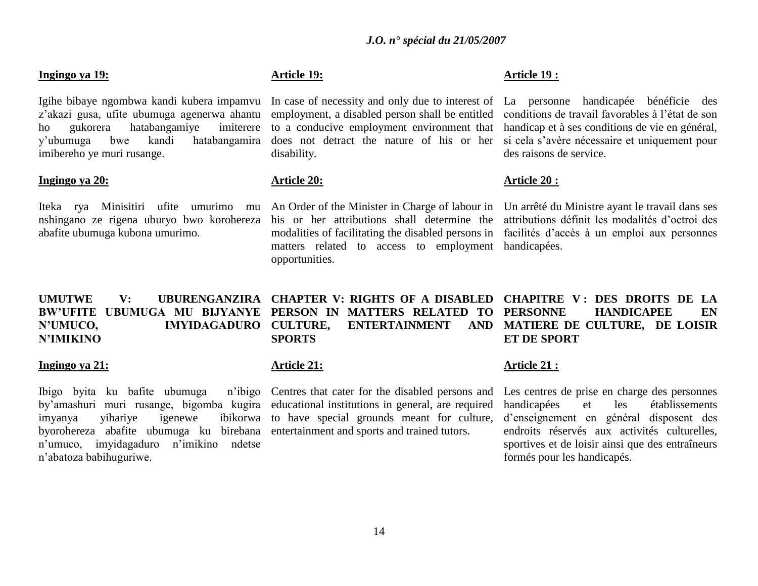#### **Ingingo ya 19:**

Igihe bibaye ngombwa kandi kubera impamvu z"akazi gusa, ufite ubumuga agenerwa ahantu ho gukorera hatabangamiye imiterere y"ubumuga bwe kandi hatabangamira imibereho ye muri rusange.

#### **Ingingo ya 20:**

Iteka rya Minisitiri ufite umurimo mu abafite ubumuga kubona umurimo.

# **Article 19:**

employment, a disabled person shall be entitled to a conducive employment environment that does not detract the nature of his or her disability.

# **Article 20:**

nshingano ze rigena uburyo bwo korohereza his or her attributions shall determine the attributions définit les modalités d"octroi des An Order of the Minister in Charge of labour in Un arrêté du Ministre ayant le travail dans ses modalities of facilitating the disabled persons in facilités d"accès à un emploi aux personnes matters related to access to employment handicapées. opportunities.

# **Article 19 :**

In case of necessity and only due to interest of La personne handicapée bénéficie des conditions de travail favorables à l"état de son handicap et à ses conditions de vie en général, si cela s"avère nécessaire et uniquement pour des raisons de service.

# **Article 20 :**

**UMUTWE V: UBURENGANZIRA CHAPTER V: RIGHTS OF A DISABLED CHAPITRE V : DES DROITS DE LA BW'UFITE UBUMUGA MU BIJYANYE PERSON IN MATTERS RELATED TO N'UMUCO, IMYIDAGADURO N'IMIKINO CULTURE, ENTERTAINMENT AND SPORTS ET DE SPORT**

#### **Ingingo ya 21:**

Ibigo byita ku bafite ubumuga by"amashuri muri rusange, bigomba kugira educational institutions in general, are required imyanya yihariye igenewe ibikorwa to have special grounds meant for culture, byorohereza abafite ubumuga ku birebana entertainment and sports and trained tutors. n"umuco, imyidagaduro n"imikino ndetse n"abatoza babihuguriwe.

#### **Article 21:**

n'ibigo Centres that cater for the disabled persons and

# **FEARL ENGINEE ENGINEES MATIERE DE CULTURE, DE LOISIR**

#### **Article 21 :**

Les centres de prise en charge des personnes handicapées et les établissements d"enseignement en général disposent des endroits réservés aux activités culturelles, sportives et de loisir ainsi que des entraîneurs formés pour les handicapés.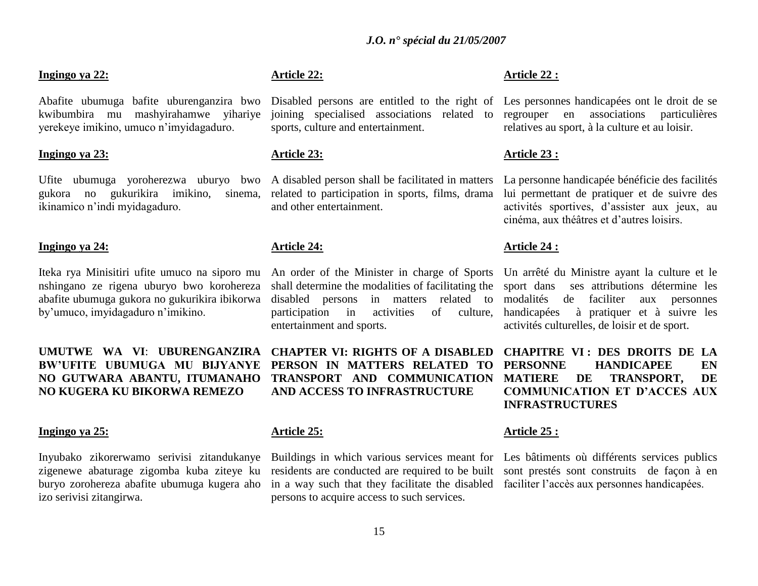# **Ingingo ya 22:**

Abafite ubumuga bafite uburenganzira bwo kwibumbira mu mashyirahamwe yihariye yerekeye imikino, umuco n"imyidagaduro.

#### **Ingingo ya 23:**

gukora no gukurikira imikino, sinema, ikinamico n"indi myidagaduro.

#### **Ingingo ya 24:**

Iteka rya Minisitiri ufite umuco na siporo mu nshingano ze rigena uburyo bwo korohereza abafite ubumuga gukora no gukurikira ibikorwa by"umuco, imyidagaduro n"imikino.

# **UMUTWE WA VI**: **UBURENGANZIRA NO GUTWARA ABANTU, ITUMANAHO NO KUGERA KU BIKORWA REMEZO**

#### **Ingingo ya 25:**

Inyubako zikorerwamo serivisi zitandukanye zigenewe abaturage zigomba kuba ziteye ku buryo zorohereza abafite ubumuga kugera aho izo serivisi zitangirwa.

# **Article 22:**

joining specialised associations related to sports, culture and entertainment.

#### **Article 23:**

Ufite ubumuga yoroherezwa uburyo bwo A disabled person shall be facilitated in matters related to participation in sports, films, drama and other entertainment.

#### **Article 24:**

shall determine the modalities of facilitating the disabled persons in matters related to participation in activities of culture, entertainment and sports.

**BW'UFITE UBUMUGA MU BIJYANYE PERSON IN MATTERS RELATED TO CHAPTER VI: RIGHTS OF A DISABLED TRANSPORT AND COMMUNICATION AND ACCESS TO INFRASTRUCTURE**

# **Article 25:**

residents are conducted are required to be built in a way such that they facilitate the disabled faciliter l"accès aux personnes handicapées. persons to acquire access to such services.

# **Article 22 :**

Disabled persons are entitled to the right of Les personnes handicapées ont le droit de se regrouper en associations particulières relatives au sport, à la culture et au loisir.

#### **Article 23 :**

La personne handicapée bénéficie des facilités lui permettant de pratiquer et de suivre des activités sportives, d"assister aux jeux, au cinéma, aux théâtres et d"autres loisirs.

#### **Article 24 :**

An order of the Minister in charge of Sports Un arrêté du Ministre ayant la culture et le sport dans ses attributions détermine les modalités de faciliter aux personnes handicapées à pratiquer et à suivre les activités culturelles, de loisir et de sport.

> **CHAPITRE VI : DES DROITS DE LA FEARL ENEXAGEE MATIERE DE TRANSPORT, DE COMMUNICATION ET D'ACCES AUX INFRASTRUCTURES**

#### **Article 25 :**

Buildings in which various services meant for Les bâtiments où différents services publics sont prestés sont construits de façon à en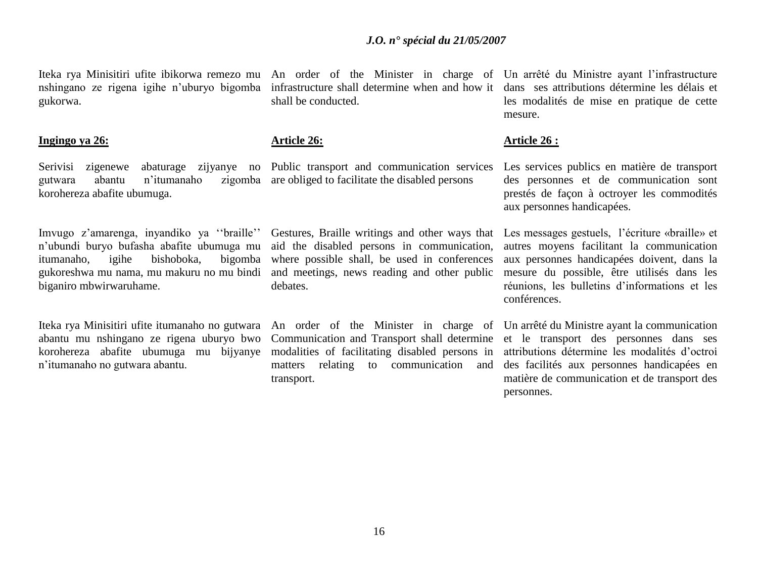Iteka rya Minisitiri ufite ibikorwa remezo mu An order of the Minister in charge of Un arrêté du Ministre ayant l'infrastructure gukorwa.

#### **Ingingo ya 26:**

Serivisi zigenewe abaturage zijyanye no Public transport and communication services gutwara abantu n'itumanaho korohereza abafite ubumuga.

Imvugo z'amarenga, inyandiko ya "braille" n"ubundi buryo bufasha abafite ubumuga mu itumanaho, igihe bishoboka, bigomba gukoreshwa mu nama, mu makuru no mu bindi and meetings, news reading and other public biganiro mbwirwaruhame.

Iteka rya Minisitiri ufite itumanaho no gutwara abantu mu nshingano ze rigena uburyo bwo korohereza abafite ubumuga mu bijyanye n"itumanaho no gutwara abantu.

nshingano ze rigena igihe n"uburyo bigomba infrastructure shall determine when and how it shall be conducted.

#### **Article 26:**

zigomba are obliged to facilitate the disabled persons

Gestures, Braille writings and other ways that aid the disabled persons in communication, where possible shall, be used in conferences debates.

An order of the Minister in charge of Communication and Transport shall determine modalities of facilitating disabled persons in matters relating to communication and transport.

dans ses attributions détermine les délais et les modalités de mise en pratique de cette mesure.

#### **Article 26 :**

Les services publics en matière de transport des personnes et de communication sont prestés de façon à octroyer les commodités aux personnes handicapées.

Les messages gestuels, l"écriture «braille» et autres moyens facilitant la communication aux personnes handicapées doivent, dans la mesure du possible, être utilisés dans les réunions, les bulletins d"informations et les conférences.

Un arrêté du Ministre ayant la communication et le transport des personnes dans ses attributions détermine les modalités d"octroi des facilités aux personnes handicapées en matière de communication et de transport des personnes.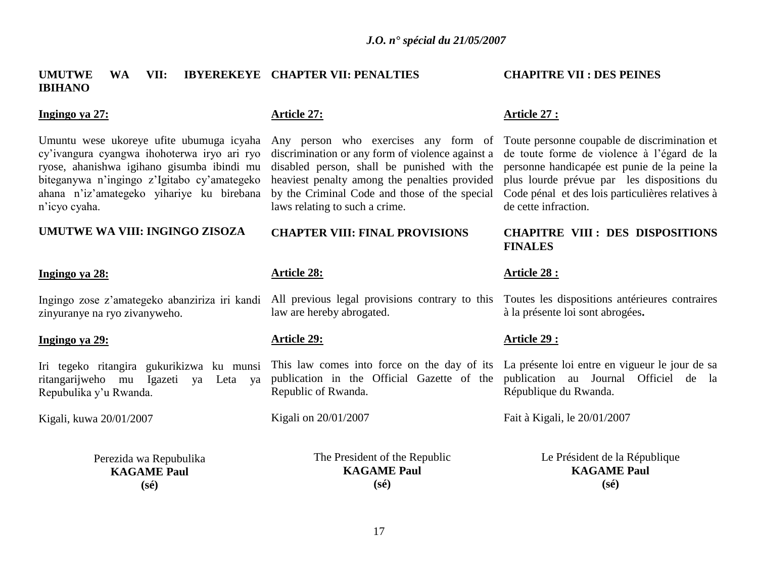# **UMUTWE WA VII: IBYEREKEYE CHAPTER VII: PENALTIES IBIHANO**

# **Ingingo ya 27:**

Umuntu wese ukoreye ufite ubumuga icyaha cy"ivangura cyangwa ihohoterwa iryo ari ryo ryose, ahanishwa igihano gisumba ibindi mu biteganywa n"ingingo z"Igitabo cy"amategeko ahana n"iz"amategeko yihariye ku birebana n"icyo cyaha.

#### **UMUTWE WA VIII: INGINGO ZISOZA**

#### **Ingingo ya 28:**

Ingingo zose z"amategeko abanziriza iri kandi zinyuranye na ryo zivanyweho.

#### **Ingingo ya 29:**

Iri tegeko ritangira gukurikizwa ku munsi ritangarijweho mu Igazeti ya Leta ya Repubulika y"u Rwanda.

Kigali, kuwa 20/01/2007

Perezida wa Repubulika **KAGAME Paul (sé)**

## **Article 27:**

discrimination or any form of violence against a disabled person, shall be punished with the heaviest penalty among the penalties provided by the Criminal Code and those of the special laws relating to such a crime.

#### **CHAPTER VIII: FINAL PROVISIONS**

# **Article 28:**

All previous legal provisions contrary to this law are hereby abrogated.

# **Article 29:**

This law comes into force on the day of its La présente loi entre en vigueur le jour de sa publication in the Official Gazette of the publication au Journal Officiel de la Republic of Rwanda.

Kigali on 20/01/2007

The President of the Republic **KAGAME Paul (sé)**

# **CHAPITRE VII : DES PEINES**

#### **Article 27 :**

Any person who exercises any form of Toute personne coupable de discrimination et de toute forme de violence à l"égard de la personne handicapée est punie de la peine la plus lourde prévue par les dispositions du Code pénal et des lois particulières relatives à de cette infraction.

# **CHAPITRE VIII : DES DISPOSITIONS FINALES**

#### **Article 28 :**

Toutes les dispositions antérieures contraires à la présente loi sont abrogées**.** 

# **Article 29 :**

République du Rwanda.

Fait à Kigali, le 20/01/2007

Le Président de la République **KAGAME Paul (sé)**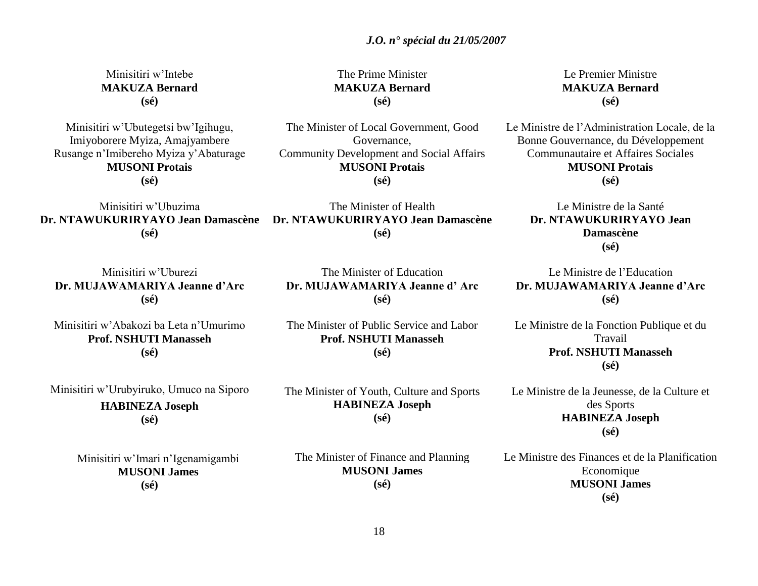Minisitiri w"Intebe **MAKUZA Bernard (sé)**

Minisitiri w"Ubutegetsi bw"Igihugu, Imiyoborere Myiza, Amajyambere Rusange n"Imibereho Myiza y"Abaturage **MUSONI Protais (sé)**

Minisitiri w"Ubuzima **(sé)**

Minisitiri w"Uburezi **Dr. MUJAWAMARIYA Jeanne d'Arc (sé)**

Minisitiri w"Abakozi ba Leta n"Umurimo **Prof. NSHUTI Manasseh (sé)**

Minisitiri w"Urubyiruko, Umuco na Siporo **HABINEZA Joseph**

**(sé)**

Minisitiri w"Imari n"Igenamigambi **MUSONI James (sé)**

**MAKUZA Bernard (sé)** The Minister of Local Government, Good

The Prime Minister

Governance, Community Development and Social Affairs **MUSONI Protais (sé)**

**Dr. NTAWUKURIRYAYO Jean Damascène Dr. NTAWUKURIRYAYO Jean Damascène** The Minister of Health **(sé)**

> The Minister of Education **Dr. MUJAWAMARIYA Jeanne d' Arc (sé)**

The Minister of Public Service and Labor **Prof. NSHUTI Manasseh (sé)**

The Minister of Youth, Culture and Sports **HABINEZA Joseph (sé)**

The Minister of Finance and Planning **MUSONI James (sé)**

Le Premier Ministre **MAKUZA Bernard (sé)**

Le Ministre de l"Administration Locale, de la Bonne Gouvernance, du Développement Communautaire et Affaires Sociales **MUSONI Protais (sé)**

> Le Ministre de la Santé **Dr. NTAWUKURIRYAYO Jean Damascène (sé)**

Le Ministre de l"Education **Dr. MUJAWAMARIYA Jeanne d'Arc (sé)**

Le Ministre de la Fonction Publique et du Travail **Prof. NSHUTI Manasseh (sé)**

Le Ministre de la Jeunesse, de la Culture et des Sports **HABINEZA Joseph (sé)**

Le Ministre des Finances et de la Planification Economique **MUSONI James (sé)**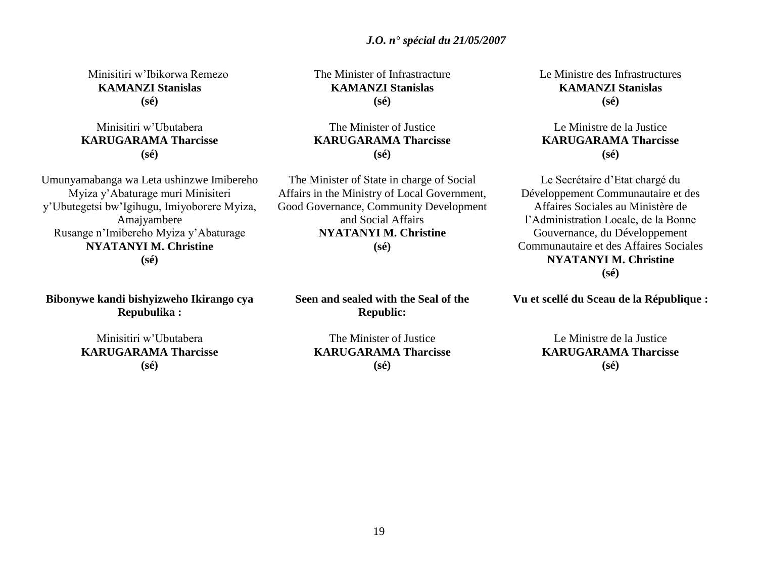19

# *J.O. n° spécial du 21/05/2007*

Minisitiri w"Ibikorwa Remezo **KAMANZI Stanislas (sé)**

# Minisitiri w"Ubutabera **KARUGARAMA Tharcisse (sé)**

Umunyamabanga wa Leta ushinzwe Imibereho Myiza y"Abaturage muri Minisiteri y"Ubutegetsi bw"Igihugu, Imiyoborere Myiza, Amajyambere Rusange n"Imibereho Myiza y"Abaturage **NYATANYI M. Christine (sé)**

**Bibonywe kandi bishyizweho Ikirango cya Repubulika :**

> Minisitiri w"Ubutabera **KARUGARAMA Tharcisse (sé)**

The Minister of Infrastracture **KAMANZI Stanislas (sé)**

The Minister of Justice **KARUGARAMA Tharcisse (sé)**

The Minister of State in charge of Social Affairs in the Ministry of Local Government, Good Governance, Community Development and Social Affairs **NYATANYI M. Christine (sé)**

**Seen and sealed with the Seal of the Republic:**

Le Ministre des Infrastructures **KAMANZI Stanislas (sé)**

# Le Ministre de la Justice **KARUGARAMA Tharcisse (sé)**

Le Secrétaire d"Etat chargé du Développement Communautaire et des Affaires Sociales au Ministère de l"Administration Locale, de la Bonne Gouvernance, du Développement Communautaire et des Affaires Sociales **NYATANYI M. Christine (sé)**

**Vu et scellé du Sceau de la République :**

Le Ministre de la Justice **KARUGARAMA Tharcisse (sé)**

The Minister of Justice **KARUGARAMA Tharcisse (sé)**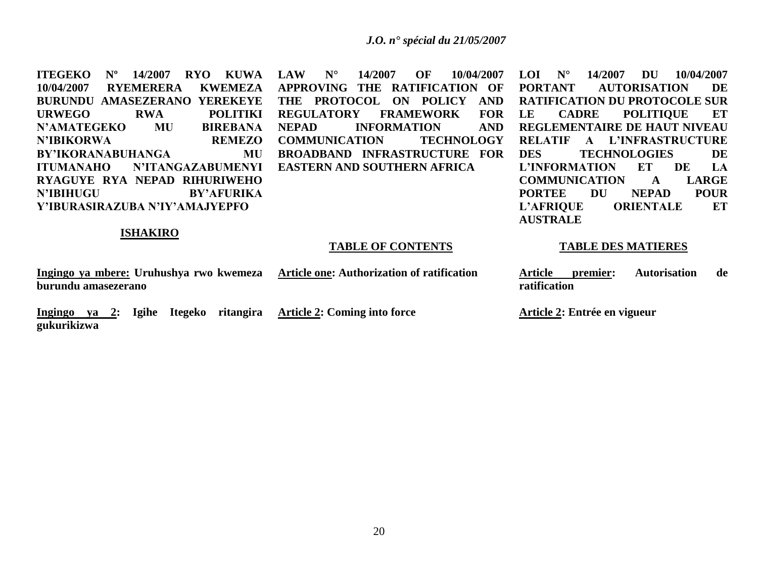**ITEGEKO Nº 14/2007 RYO KUWA 10/04/2007 RYEMERERA KWEMEZA BURUNDU AMASEZERANO YEREKEYE URWEGO RWA POLITIKI N'AMATEGEKO MU BIREBANA N'IBIKORWA REMEZO BY'IKORANABUHANGA MU ITUMANAHO N'ITANGAZABUMENYI RYAGUYE RYA NEPAD RIHURIWEHO N'IBIHUGU BY'AFURIKA Y'IBURASIRAZUBA N'IY'AMAJYEPFO**

**LAW N° 14/2007 OF 10/04/2007 APPROVING THE RATIFICATION OF THE PROTOCOL ON POLICY AND REGULATORY FRAMEWORK FOR NEPAD INFORMATION AND COMMUNICATION TECHNOLOGY BROADBAND INFRASTRUCTURE FOR EASTERN AND SOUTHERN AFRICA**

**LOI N° 14/2007 DU 10/04/2007 PORTANT AUTORISATION DE RATIFICATION DU PROTOCOLE SUR LE CADRE POLITIQUE ET REGLEMENTAIRE DE HAUT NIVEAU RELATIF A L'INFRASTRUCTURE DES TECHNOLOGIES DE L'INFORMATION ET DE LA COMMUNICATION A LARGE PORTEE DU NEPAD POUR L'AFRIQUE ORIENTALE ET AUSTRALE**

# **ISHAKIRO**

#### **TABLE OF CONTENTS**

**Ingingo ya mbere: Uruhushya rwo kwemeza burundu amasezerano Article one: Authorization of ratification**

**Ingingo ya 2: Igihe Itegeko ritangira Article 2: Coming into force gukurikizwa**

**ratification**

**TABLE DES MATIERES**

**Article premier: Autorisation de** 

**Article 2: Entrée en vigueur**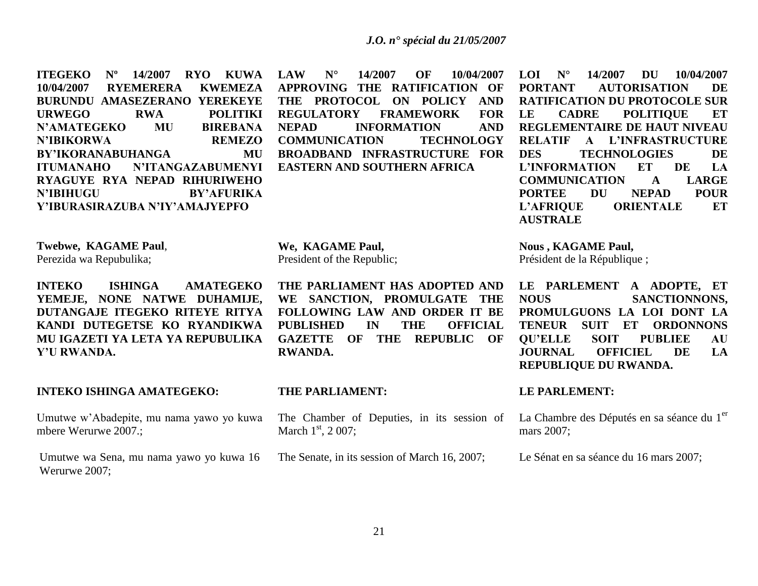**ITEGEKO Nº 14/2007 RYO KUWA 10/04/2007 RYEMERERA KWEMEZA BURUNDU AMASEZERANO YEREKEYE URWEGO RWA POLITIKI N'AMATEGEKO MU BIREBANA N'IBIKORWA REMEZO BY'IKORANABUHANGA MU ITUMANAHO N'ITANGAZABUMENYI RYAGUYE RYA NEPAD RIHURIWEHO N'IBIHUGU BY'AFURIKA Y'IBURASIRAZUBA N'IY'AMAJYEPFO**

**LAW N° 14/2007 OF 10/04/2007 APPROVING THE RATIFICATION OF THE PROTOCOL ON POLICY AND REGULATORY FRAMEWORK FOR NEPAD INFORMATION AND COMMUNICATION TECHNOLOGY BROADBAND INFRASTRUCTURE FOR EASTERN AND SOUTHERN AFRICA**

**LOI N° 14/2007 DU 10/04/2007 PORTANT AUTORISATION DE RATIFICATION DU PROTOCOLE SUR LE CADRE POLITIQUE ET REGLEMENTAIRE DE HAUT NIVEAU RELATIF A L'INFRASTRUCTURE DES TECHNOLOGIES DE L'INFORMATION ET DE LA COMMUNICATION A LARGE PORTEE DU NEPAD POUR L'AFRIQUE ORIENTALE ET AUSTRALE**

**Twebwe, KAGAME Paul**,

Perezida wa Repubulika;

**INTEKO ISHINGA AMATEGEKO YEMEJE, NONE NATWE DUHAMIJE, DUTANGAJE ITEGEKO RITEYE RITYA KANDI DUTEGETSE KO RYANDIKWA MU IGAZETI YA LETA YA REPUBULIKA Y'U RWANDA.**

#### **INTEKO ISHINGA AMATEGEKO:**

Umutwe w"Abadepite, mu nama yawo yo kuwa mbere Werurwe 2007.;

Umutwe wa Sena, mu nama yawo yo kuwa 16 Werurwe 2007;

**We, KAGAME Paul,** President of the Republic;

**THE PARLIAMENT HAS ADOPTED AND WE SANCTION, PROMULGATE THE FOLLOWING LAW AND ORDER IT BE PUBLISHED IN THE OFFICIAL GAZETTE OF THE REPUBLIC OF RWANDA.**

#### **THE PARLIAMENT:**

The Chamber of Deputies, in its session of March  $1<sup>st</sup>$ , 2 007;

The Senate, in its session of March 16, 2007;

**Nous , KAGAME Paul,**

Président de la République ;

**LE PARLEMENT A ADOPTE, ET NOUS SANCTIONNONS, PROMULGUONS LA LOI DONT LA TENEUR SUIT ET ORDONNONS QU'ELLE SOIT PUBLIEE AU JOURNAL OFFICIEL DE LA REPUBLIQUE DU RWANDA.**

## **LE PARLEMENT:**

La Chambre des Députés en sa séance du 1<sup>er</sup> mars 2007;

Le Sénat en sa séance du 16 mars 2007;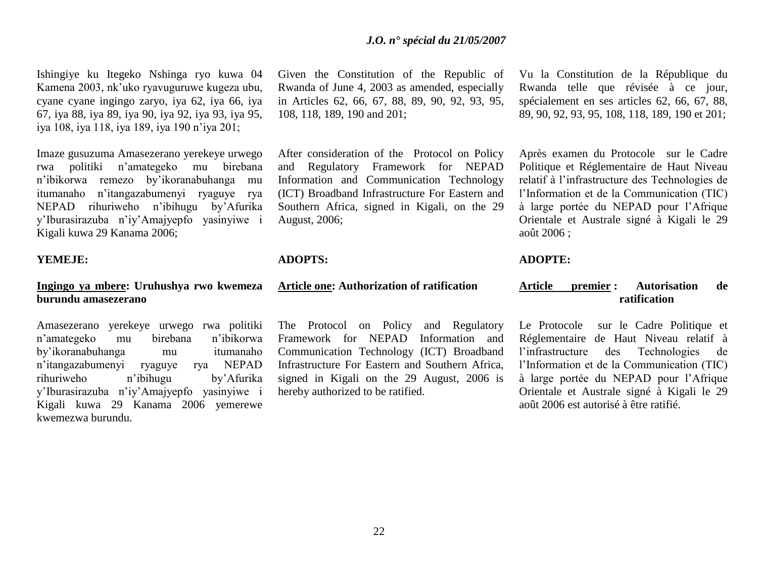Ishingiye ku Itegeko Nshinga ryo kuwa 04 Kamena 2003, nk"uko ryavuguruwe kugeza ubu, cyane cyane ingingo zaryo, iya 62, iya 66, iya 67, iya 88, iya 89, iya 90, iya 92, iya 93, iya 95, iya 108, iya 118, iya 189, iya 190 n"iya 201;

Imaze gusuzuma Amasezerano yerekeye urwego rwa politiki n"amategeko mu birebana n"ibikorwa remezo by"ikoranabuhanga mu itumanaho n"itangazabumenyi ryaguye rya NEPAD rihuriweho n"ibihugu by"Afurika y"Iburasirazuba n"iy"Amajyepfo yasinyiwe i Kigali kuwa 29 Kanama 2006;

#### **YEMEJE:**

# **Ingingo ya mbere: Uruhushya rwo kwemeza burundu amasezerano**

Amasezerano yerekeye urwego rwa politiki n"amategeko mu birebana n"ibikorwa by"ikoranabuhanga mu itumanaho n"itangazabumenyi ryaguye rya NEPAD rihuriweho n"ibihugu by"Afurika y"Iburasirazuba n"iy"Amajyepfo yasinyiwe i Kigali kuwa 29 Kanama 2006 yemerewe kwemezwa burundu.

Given the Constitution of the Republic of Rwanda of June 4, 2003 as amended, especially in Articles 62, 66, 67, 88, 89, 90, 92, 93, 95, 108, 118, 189, 190 and 201;

After consideration of the Protocol on Policy and Regulatory Framework for NEPAD Information and Communication Technology (ICT) Broadband Infrastructure For Eastern and Southern Africa, signed in Kigali, on the 29 August, 2006;

#### **ADOPTS:**

# **Article one: Authorization of ratification**

The Protocol on Policy and Regulatory Framework for NEPAD Information and Communication Technology (ICT) Broadband Infrastructure For Eastern and Southern Africa, signed in Kigali on the 29 August, 2006 is hereby authorized to be ratified.

Vu la Constitution de la République du Rwanda telle que révisée à ce jour, spécialement en ses articles 62, 66, 67, 88, 89, 90, 92, 93, 95, 108, 118, 189, 190 et 201;

Après examen du Protocole sur le Cadre Politique et Réglementaire de Haut Niveau relatif à l"infrastructure des Technologies de l"Information et de la Communication (TIC) à large portée du NEPAD pour l"Afrique Orientale et Australe signé à Kigali le 29 août 2006 ;

# **ADOPTE:**

# **Article premier : Autorisation de ratification**

Le Protocole sur le Cadre Politique et Réglementaire de Haut Niveau relatif à l"infrastructure des Technologies de l"Information et de la Communication (TIC) à large portée du NEPAD pour l"Afrique Orientale et Australe signé à Kigali le 29 août 2006 est autorisé à être ratifié.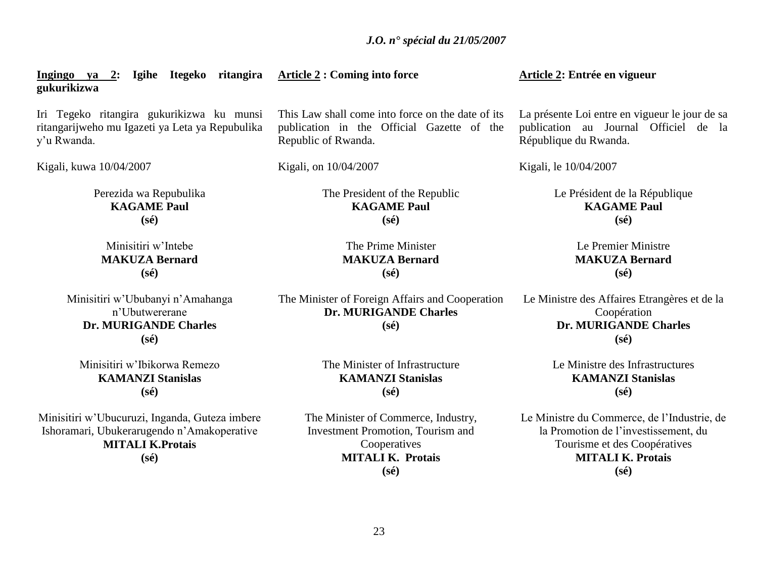**gukurikizwa** Iri Tegeko ritangira gukurikizwa ku munsi ritangarijweho mu Igazeti ya Leta ya Repubulika y"u Rwanda. Kigali, kuwa 10/04/2007 Perezida wa Repubulika **KAGAME Paul (sé)** Minisitiri w"Intebe **MAKUZA Bernard (sé)** Minisitiri w"Ububanyi n"Amahanga This Law shall come into force on the date of its publication in the Official Gazette of the Republic of Rwanda. Kigali, on 10/04/2007 The President of the Republic **KAGAME Paul (sé)** The Prime Minister **MAKUZA Bernard (sé)** The Minister of Foreign Affairs and Cooperation

**Article 2 : Coming into force**

n"Ubutwererane **Dr. MURIGANDE Charles (sé)**

**Ingingo ya 2: Igihe Itegeko ritangira** 

Minisitiri w"Ibikorwa Remezo **KAMANZI Stanislas (sé)**

Minisitiri w"Ubucuruzi, Inganda, Guteza imbere Ishoramari, Ubukerarugendo n"Amakoperative **MITALI K.Protais (sé)**

**Dr. MURIGANDE Charles (sé)**

> The Minister of Infrastructure **KAMANZI Stanislas (sé)**

The Minister of Commerce, Industry, Investment Promotion, Tourism and **Cooperatives MITALI K. Protais (sé)**

**Article 2: Entrée en vigueur**

La présente Loi entre en vigueur le jour de sa publication au Journal Officiel de la République du Rwanda.

Kigali, le 10/04/2007

Le Président de la République **KAGAME Paul (sé)**

> Le Premier Ministre **MAKUZA Bernard (sé)**

Le Ministre des Affaires Etrangères et de la Coopération **Dr. MURIGANDE Charles (sé)**

> Le Ministre des Infrastructures **KAMANZI Stanislas (sé)**

Le Ministre du Commerce, de l"Industrie, de la Promotion de l"investissement, du Tourisme et des Coopératives **MITALI K. Protais (sé)**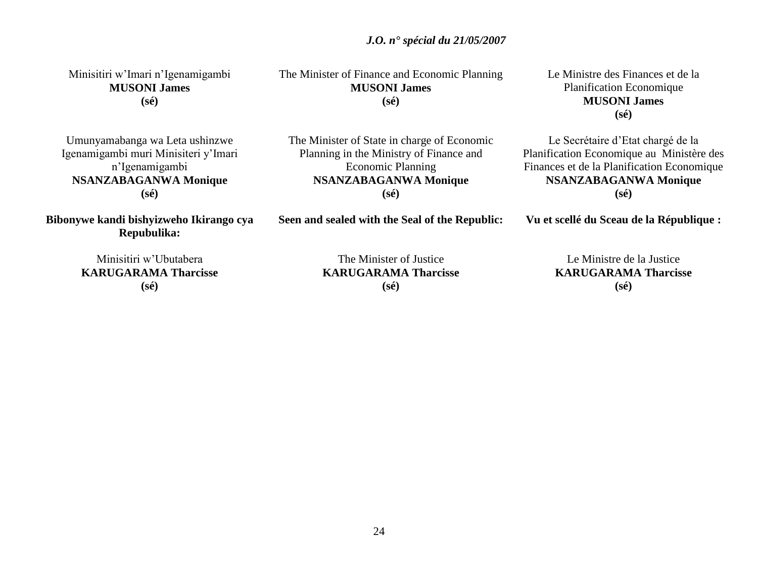Minisitiri w"Imari n"Igenamigambi **MUSONI James (sé)**

Umunyamabanga wa Leta ushinzwe Igenamigambi muri Minisiteri y"Imari n"Igenamigambi **NSANZABAGANWA Monique (sé)**

**Bibonywe kandi bishyizweho Ikirango cya Repubulika:**

The Minister of Justice **KARUGARAMA Tharcisse**

**(sé)**

Le Ministre de la Justice **KARUGARAMA Tharcisse (sé)**

Le Ministre des Finances et de la Planification Economique **MUSONI James (sé)**

Le Secrétaire d"Etat chargé de la Planification Economique au Ministère des Finances et de la Planification Economique **NSANZABAGANWA Monique (sé)**

**Vu et scellé du Sceau de la République :**

Minisitiri w"Ubutabera **KARUGARAMA Tharcisse (sé)**

**Seen and sealed with the Seal of the Republic:**

**MUSONI James (sé)**

The Minister of State in charge of Economic Planning in the Ministry of Finance and Economic Planning **NSANZABAGANWA Monique (sé)**

The Minister of Finance and Economic Planning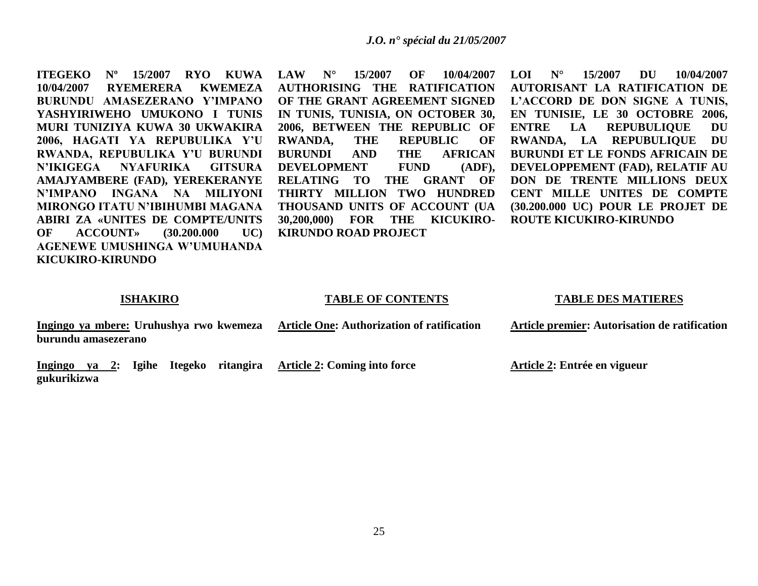**ITEGEKO Nº 15/2007 RYO KUWA LAW N° 15/2007 OF 10/04/2007 10/04/2007 RYEMERERA KWEMEZA BURUNDU AMASEZERANO Y'IMPANO YASHYIRIWEHO UMUKONO I TUNIS MURI TUNIZIYA KUWA 30 UKWAKIRA 2006, HAGATI YA REPUBULIKA Y'U RWANDA, REPUBULIKA Y'U BURUNDI N'IKIGEGA NYAFURIKA GITSURA AMAJYAMBERE (FAD), YEREKERANYE N'IMPANO INGANA NA MILIYONI MIRONGO ITATU N'IBIHUMBI MAGANA ABIRI ZA «UNITES DE COMPTE/UNITS OF ACCOUNT» (30.200.000 UC) AGENEWE UMUSHINGA W'UMUHANDA KICUKIRO-KIRUNDO**

**AUTHORISING THE RATIFICATION OF THE GRANT AGREEMENT SIGNED IN TUNIS, TUNISIA, ON OCTOBER 30, 2006, BETWEEN THE REPUBLIC OF RWANDA, THE REPUBLIC OF BURUNDI AND THE AFRICAN DEVELOPMENT FUND (ADF), RELATING TO THE GRANT OF THIRTY MILLION TWO HUNDRED THOUSAND UNITS OF ACCOUNT (UA 30,200,000) FOR THE KICUKIRO-KIRUNDO ROAD PROJECT**

**LOI N° 15/2007 DU 10/04/2007 AUTORISANT LA RATIFICATION DE L'ACCORD DE DON SIGNE A TUNIS, EN TUNISIE, LE 30 OCTOBRE 2006, ENTRE LA REPUBULIQUE DU RWANDA, LA REPUBULIQUE DU BURUNDI ET LE FONDS AFRICAIN DE DEVELOPPEMENT (FAD), RELATIF AU DON DE TRENTE MILLIONS DEUX CENT MILLE UNITES DE COMPTE (30.200.000 UC) POUR LE PROJET DE ROUTE KICUKIRO-KIRUNDO**

#### **ISHAKIRO**

#### **TABLE OF CONTENTS**

#### **TABLE DES MATIERES**

| Ingingo ya mbere: Uruhushya rwo kwemeza | <b>Article One: Authorization of ratification</b> | Article premier: Autorisation de ratification |
|-----------------------------------------|---------------------------------------------------|-----------------------------------------------|
| burundu amasezerano                     |                                                   |                                               |
|                                         |                                                   |                                               |

**Ingingo ya 2: Igihe Itegeko ritangira Article 2: Coming into force gukurikizwa**

**Article 2: Entrée en vigueur**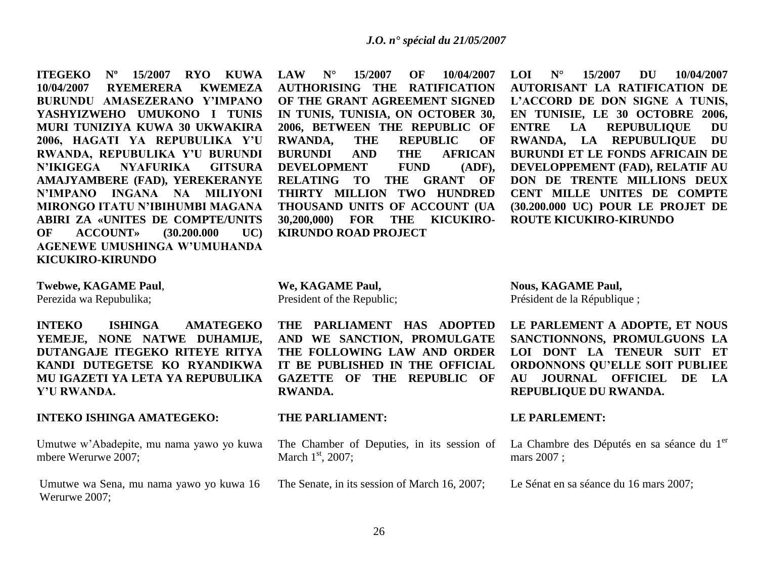**ITEGEKO Nº 15/2007 RYO KUWA LAW N° 15/2007 OF 10/04/2007 10/04/2007 RYEMERERA KWEMEZA BURUNDU AMASEZERANO Y'IMPANO YASHYIZWEHO UMUKONO I TUNIS MURI TUNIZIYA KUWA 30 UKWAKIRA 2006, HAGATI YA REPUBULIKA Y'U RWANDA, REPUBULIKA Y'U BURUNDI N'IKIGEGA NYAFURIKA GITSURA AMAJYAMBERE (FAD), YEREKERANYE N'IMPANO INGANA NA MILIYONI MIRONGO ITATU N'IBIHUMBI MAGANA ABIRI ZA «UNITES DE COMPTE/UNITS OF ACCOUNT» (30.200.000 UC) AGENEWE UMUSHINGA W'UMUHANDA KICUKIRO-KIRUNDO**

**Twebwe, KAGAME Paul**, Perezida wa Repubulika;

**INTEKO ISHINGA AMATEGEKO YEMEJE, NONE NATWE DUHAMIJE, DUTANGAJE ITEGEKO RITEYE RITYA KANDI DUTEGETSE KO RYANDIKWA MU IGAZETI YA LETA YA REPUBULIKA Y'U RWANDA.**

# **INTEKO ISHINGA AMATEGEKO:**

Umutwe w"Abadepite, mu nama yawo yo kuwa mbere Werurwe 2007;

Umutwe wa Sena, mu nama yawo yo kuwa 16 Werurwe 2007;

**AUTHORISING THE RATIFICATION OF THE GRANT AGREEMENT SIGNED IN TUNIS, TUNISIA, ON OCTOBER 30, 2006, BETWEEN THE REPUBLIC OF RWANDA, THE REPUBLIC OF BURUNDI AND THE AFRICAN DEVELOPMENT FUND (ADF), RELATING TO THE GRANT OF THIRTY MILLION TWO HUNDRED THOUSAND UNITS OF ACCOUNT (UA 30,200,000) FOR THE KICUKIRO-KIRUNDO ROAD PROJECT**

**LOI N° 15/2007 DU 10/04/2007 AUTORISANT LA RATIFICATION DE L'ACCORD DE DON SIGNE A TUNIS, EN TUNISIE, LE 30 OCTOBRE 2006, ENTRE LA REPUBULIQUE DU RWANDA, LA REPUBULIQUE DU BURUNDI ET LE FONDS AFRICAIN DE DEVELOPPEMENT (FAD), RELATIF AU DON DE TRENTE MILLIONS DEUX CENT MILLE UNITES DE COMPTE (30.200.000 UC) POUR LE PROJET DE ROUTE KICUKIRO-KIRUNDO**

**We, KAGAME Paul,** President of the Republic;

**THE PARLIAMENT HAS ADOPTED AND WE SANCTION, PROMULGATE THE FOLLOWING LAW AND ORDER IT BE PUBLISHED IN THE OFFICIAL GAZETTE OF THE REPUBLIC OF RWANDA.**

# **THE PARLIAMENT:**

The Chamber of Deputies, in its session of March  $1<sup>st</sup>$ , 2007;

The Senate, in its session of March 16, 2007;

**Nous, KAGAME Paul,** Président de la République ;

**LE PARLEMENT A ADOPTE, ET NOUS SANCTIONNONS, PROMULGUONS LA LOI DONT LA TENEUR SUIT ET ORDONNONS QU'ELLE SOIT PUBLIEE AU JOURNAL OFFICIEL DE LA REPUBLIQUE DU RWANDA.**

# **LE PARLEMENT:**

La Chambre des Députés en sa séance du 1<sup>er</sup> mars 2007 ;

Le Sénat en sa séance du 16 mars 2007;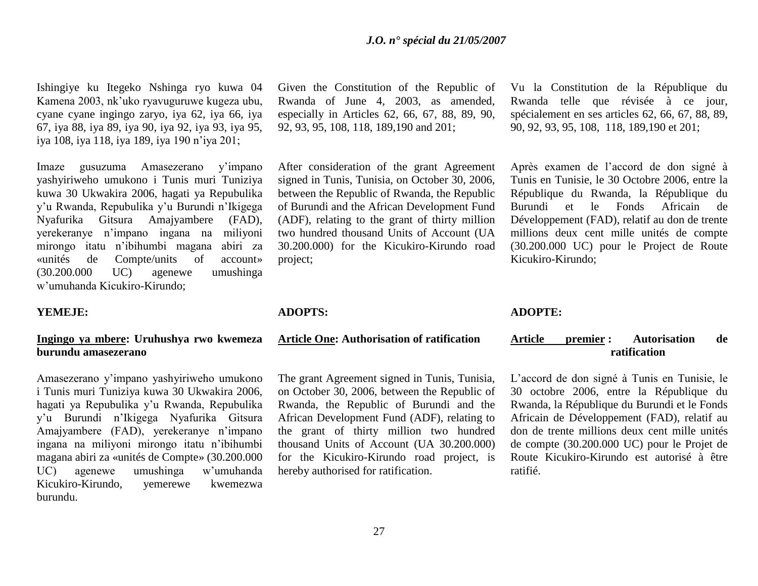Ishingiye ku Itegeko Nshinga ryo kuwa 04 Kamena 2003, nk"uko ryavuguruwe kugeza ubu, cyane cyane ingingo zaryo, iya 62, iya 66, iya 67, iya 88, iya 89, iya 90, iya 92, iya 93, iya 95, iya 108, iya 118, iya 189, iya 190 n"iya 201;

Imaze gusuzuma Amasezerano y"impano yashyiriweho umukono i Tunis muri Tuniziya kuwa 30 Ukwakira 2006, hagati ya Repubulika y"u Rwanda, Repubulika y"u Burundi n"Ikigega Nyafurika Gitsura Amajyambere (FAD), yerekeranye n"impano ingana na miliyoni mirongo itatu n"ibihumbi magana abiri za «unités de Compte/units of account» (30.200.000 UC) agenewe umushinga w"umuhanda Kicukiro-Kirundo;

# **YEMEJE:**

# **Ingingo ya mbere: Uruhushya rwo kwemeza burundu amasezerano**

Amasezerano y"impano yashyiriweho umukono i Tunis muri Tuniziya kuwa 30 Ukwakira 2006, hagati ya Repubulika y"u Rwanda, Repubulika y"u Burundi n"Ikigega Nyafurika Gitsura Amajyambere (FAD), yerekeranye n"impano ingana na miliyoni mirongo itatu n"ibihumbi magana abiri za «unités de Compte» (30.200.000 UC) agenewe umushinga w"umuhanda Kicukiro-Kirundo, yemerewe kwemezwa burundu.

Given the Constitution of the Republic of Rwanda of June 4, 2003, as amended, especially in Articles 62, 66, 67, 88, 89, 90, 92, 93, 95, 108, 118, 189,190 and 201;

After consideration of the grant Agreement signed in Tunis, Tunisia, on October 30, 2006, between the Republic of Rwanda, the Republic of Burundi and the African Development Fund (ADF), relating to the grant of thirty million two hundred thousand Units of Account (UA 30.200.000) for the Kicukiro-Kirundo road project;

#### **ADOPTS:**

#### **Article One: Authorisation of ratification**

The grant Agreement signed in Tunis, Tunisia, on October 30, 2006, between the Republic of Rwanda, the Republic of Burundi and the African Development Fund (ADF), relating to the grant of thirty million two hundred thousand Units of Account (UA 30.200.000) for the Kicukiro-Kirundo road project, is hereby authorised for ratification.

Vu la Constitution de la République du Rwanda telle que révisée à ce jour, spécialement en ses articles 62, 66, 67, 88, 89, 90, 92, 93, 95, 108, 118, 189,190 et 201;

Après examen de l"accord de don signé à Tunis en Tunisie, le 30 Octobre 2006, entre la République du Rwanda, la République du Burundi et le Fonds Africain de Développement (FAD), relatif au don de trente millions deux cent mille unités de compte (30.200.000 UC) pour le Project de Route Kicukiro-Kirundo;

# **ADOPTE:**

# **Article premier : Autorisation de ratification**

L"accord de don signé à Tunis en Tunisie, le 30 octobre 2006, entre la République du Rwanda, la République du Burundi et le Fonds Africain de Développement (FAD), relatif au don de trente millions deux cent mille unités de compte (30.200.000 UC) pour le Projet de Route Kicukiro-Kirundo est autorisé à être ratifié.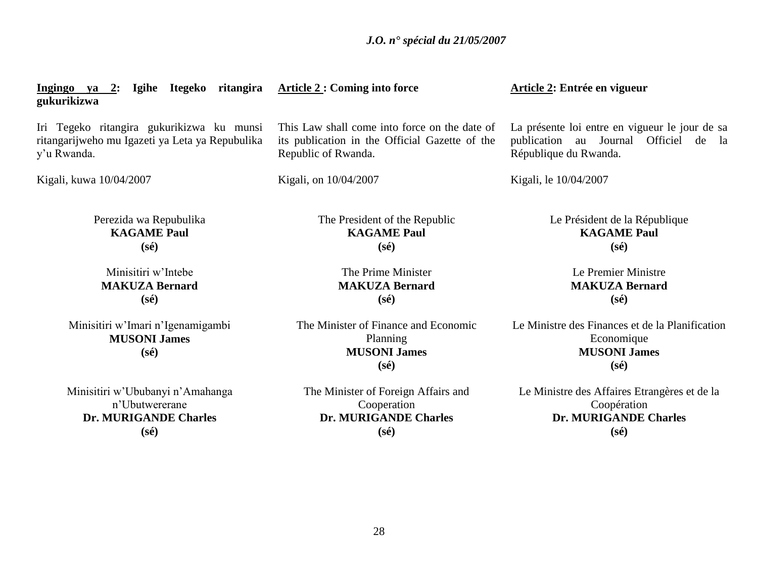| Ingingo ya 2: Igihe Itegeko ritangira<br>gukurikizwa                                                        | <b>Article 2: Coming into force</b>                                                                                    | Article 2: Entrée en vigueur                                                                                     |
|-------------------------------------------------------------------------------------------------------------|------------------------------------------------------------------------------------------------------------------------|------------------------------------------------------------------------------------------------------------------|
| Iri Tegeko ritangira gukurikizwa ku munsi<br>ritangarijweho mu Igazeti ya Leta ya Repubulika<br>y'u Rwanda. | This Law shall come into force on the date of<br>its publication in the Official Gazette of the<br>Republic of Rwanda. | La présente loi entre en vigueur le jour de sa<br>publication au Journal Officiel de la<br>République du Rwanda. |
| Kigali, kuwa 10/04/2007                                                                                     | Kigali, on 10/04/2007                                                                                                  | Kigali, le 10/04/2007                                                                                            |
| Perezida wa Repubulika<br><b>KAGAME Paul</b><br>$(s\acute{e})$                                              | The President of the Republic<br><b>KAGAME Paul</b><br>$(s\acute{e})$                                                  | Le Président de la République<br><b>KAGAME Paul</b><br>$(s\acute{e})$                                            |
| Minisitiri w'Intebe<br><b>MAKUZA Bernard</b><br>$(s\acute{e})$                                              | The Prime Minister<br><b>MAKUZA Bernard</b><br>$(s\acute{e})$                                                          | Le Premier Ministre<br><b>MAKUZA Bernard</b><br>$(s\acute{e})$                                                   |
| Minisitiri w'Imari n'Igenamigambi<br><b>MUSONI James</b><br>$(s\acute{e})$                                  | The Minister of Finance and Economic<br>Planning<br><b>MUSONI James</b><br>$(s\acute{e})$                              | Le Ministre des Finances et de la Planification<br>Economique<br><b>MUSONI James</b><br>$(s\acute{e})$           |
| Minisitiri w'Ububanyi n'Amahanga<br>n'Ubutwererane<br><b>Dr. MURIGANDE Charles</b><br>$(s\acute{e})$        | The Minister of Foreign Affairs and<br>Cooperation<br><b>Dr. MURIGANDE Charles</b><br>$(s\acute{e})$                   | Le Ministre des Affaires Etrangères et de la<br>Coopération<br><b>Dr. MURIGANDE Charles</b><br>$(s\acute{e})$    |
|                                                                                                             |                                                                                                                        |                                                                                                                  |
|                                                                                                             |                                                                                                                        |                                                                                                                  |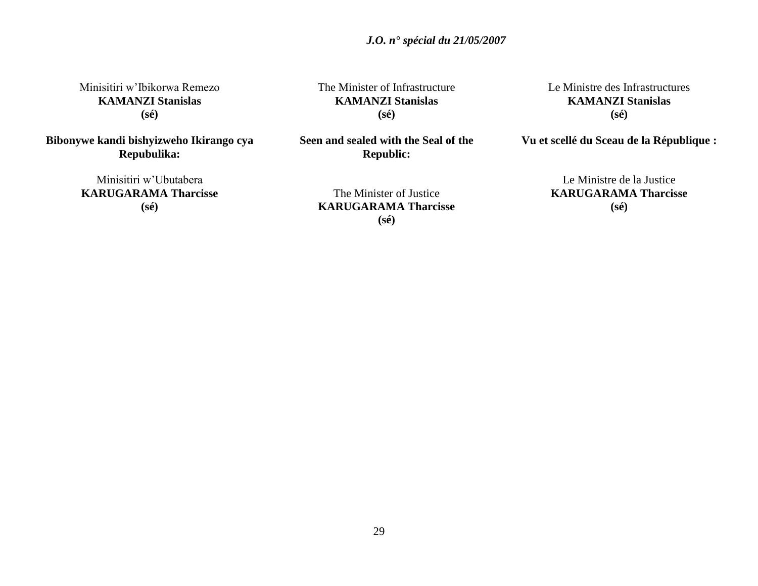Minisitiri w"Ibikorwa Remezo **KAMANZI Stanislas (sé)**

**Bibonywe kandi bishyizweho Ikirango cya Repubulika:**

> Minisitiri w"Ubutabera **KARUGARAMA Tharcisse (sé)**

The Minister of Infrastructure **KAMANZI Stanislas (sé)**

**Seen and sealed with the Seal of the Republic:**

> The Minister of Justice **KARUGARAMA Tharcisse (sé)**

Le Ministre des Infrastructures **KAMANZI Stanislas (sé)**

**Vu et scellé du Sceau de la République :**

Le Ministre de la Justice **KARUGARAMA Tharcisse (sé)**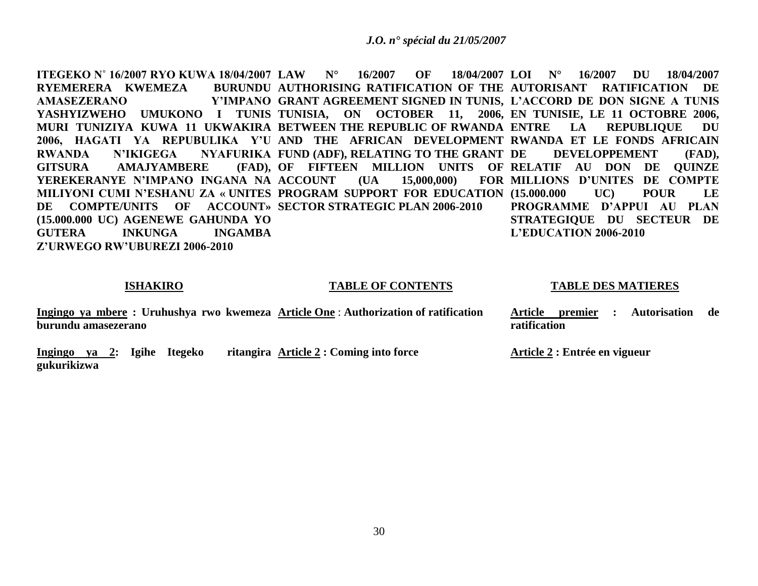**ITEGEKO N˚ 16/2007 RYO KUWA 18/04/2007 LAW N° 16/2007 OF 18/04/2007 RYEMERERA KWEMEZA** AMASEZERANO **YASHYIZWEHO UMUKONO I TUNIS TUNISIA, ON OCTOBER 11, 2006, EN TUNISIE, LE 11 OCTOBRE 2006, MURI TUNIZIYA KUWA 11 UKWAKIRA BETWEEN THE REPUBLIC OF RWANDA**  2006, HAGATI YA REPUBULIKA Y'U AND THE AFRICAN DEVELOPMENT RWANDA ET LE FONDS AFRICAIN **RWANDA N'IKIGEGA NYAFURIKA FUND (ADF), RELATING TO THE GRANT GITSURA AMAJYAMBERE YEREKERANYE N'IMPANO INGANA NA MILIYONI CUMI N'ESHANU ZA « UNITES PROGRAM SUPPORT FOR EDUCATION (15.000.000 UC) POUR LE DE COMPTE/UNITS OF ACCOUNT» SECTOR STRATEGIC PLAN 2006-2010 (15.000.000 UC) AGENEWE GAHUNDA YO GUTERA INKUNGA INGAMBA Z'URWEGO RW'UBUREZI 2006-2010 AUTHORISING RATIFICATION OF THE AUTORISANT RATIFICATION DE GRANT AGREEMENT SIGNED IN TUNIS, L'ACCORD DE DON SIGNE A TUNIS**  OF FIFTEEN MILLION UNITS OF RELATIF AU DON DE QUINZE  $(UA \t 15,000,000)$ **LOI N° 16/2007 DU 18/04/2007**  LA REPUBLIQUE DU **DE DEVELOPPEMENT (FAD), MILLIONS D'UNITES DE COMPTE PROGRAMME D'APPUI AU PLAN STRATEGIQUE DU SECTEUR DE L'EDUCATION 2006-2010**

## **ISHAKIRO**

#### **TABLE OF CONTENTS**

#### **TABLE DES MATIERES**

**Ingingo ya mbere : Uruhushya rwo kwemeza Article One** : **Authorization of ratification burundu amasezerano Article premier : Autorisation de ratification** 

Ingingo ya 2: Igihe Itegeko **gukurikizwa Article 2 : Coming into force Article 2 : Entrée en vigueur**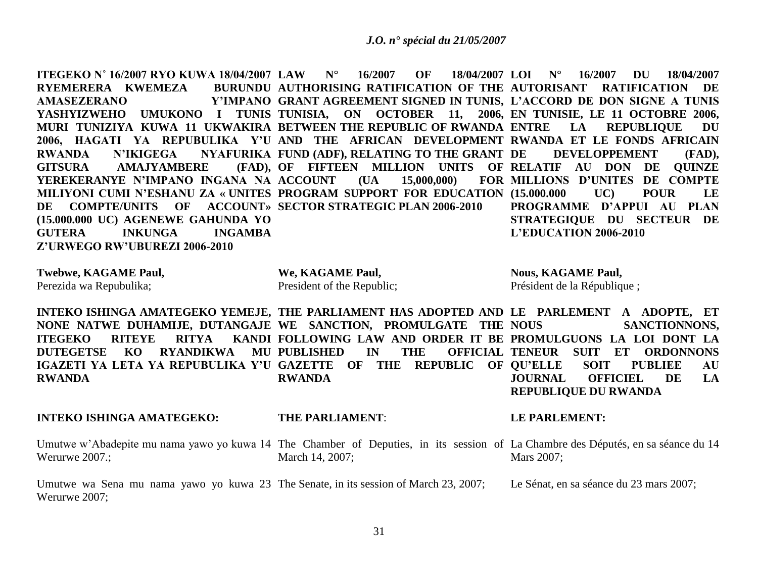**ITEGEKO N˚ 16/2007 RYO KUWA 18/04/2007 LAW N° 16/2007 OF 18/04/2007 RYEMERERA KWEMEZA** AMASEZERANO **YASHYIZWEHO UMUKONO I TUNIS TUNISIA, ON OCTOBER 11, 2006, EN TUNISIE, LE 11 OCTOBRE 2006, MURI TUNIZIYA KUWA 11 UKWAKIRA BETWEEN THE REPUBLIC OF RWANDA**  2006, HAGATI YA REPUBULIKA Y'U AND THE AFRICAN DEVELOPMENT RWANDA ET LE FONDS AFRICAIN **RWANDA N'IKIGEGA NYAFURIKA FUND (ADF), RELATING TO THE GRANT GITSURA AMAJYAMBERE YEREKERANYE N'IMPANO INGANA NA MILIYONI CUMI N'ESHANU ZA « UNITES PROGRAM SUPPORT FOR EDUCATION (15.000.000 UC) POUR LE DE COMPTE/UNITS OF ACCOUNT» SECTOR STRATEGIC PLAN 2006-2010 (15.000.000 UC) AGENEWE GAHUNDA YO GUTERA INKUNGA INGAMBA Z'URWEGO RW'UBUREZI 2006-2010 AUTHORISING RATIFICATION OF THE AUTORISANT RATIFICATION DE GRANT AGREEMENT SIGNED IN TUNIS, L'ACCORD DE DON SIGNE A TUNIS**  OF FIFTEEN MILLION UNITS OF RELATIF AU DON DE QUINZE  $(UA \t 15,000,000)$ **LOI N° 16/2007 DU 18/04/2007 EXTREPUBLIQUE DU DE DEVELOPPEMENT (FAD), MILLIONS D'UNITES DE COMPTE PROGRAMME D'APPUI AU PLAN STRATEGIQUE DU SECTEUR DE L'EDUCATION 2006-2010**

**Twebwe, KAGAME Paul,** Perezida wa Repubulika;

**We, KAGAME Paul,** President of the Republic; **Nous, KAGAME Paul,** Président de la République ;

**INTEKO ISHINGA AMATEGEKO YEMEJE, THE PARLIAMENT HAS ADOPTED AND LE PARLEMENT A ADOPTE, ET NONE NATWE DUHAMIJE, DUTANGAJE WE SANCTION, PROMULGATE THE ITEGEKO RITEYE RITYA DUTEGETSE KO RYANDIKWA MU PUBLISHED IN THE OFFICIAL IGAZETI YA LETA YA REPUBULIKA Y'U GAZETTE OF THE REPUBLIC OF QU'ELLE SOIT PUBLIEE AU RWANDA FOLLOWING LAW AND ORDER IT BE PROMULGUONS LA LOI DONT LA RWANDA SANCTIONNONS. OFFICIAL TENEUR SUIT ET ORDONNONS JOURNAL OFFICIEL DE LA** 

**REPUBLIQUE DU RWANDA**

# **INTEKO ISHINGA AMATEGEKO:**

# **THE PARLIAMENT**:

# **LE PARLEMENT:**

Umutwe w'Abadepite mu nama yawo yo kuwa 14 The Chamber of Deputies, in its session of La Chambre des Députés, en sa séance du 14 Werurwe 2007.; March 14, 2007; Mars 2007;

Umutwe wa Sena mu nama yawo yo kuwa 23 The Senate, in its session of March 23, 2007; Werurwe 2007; Le Sénat, en sa séance du 23 mars 2007;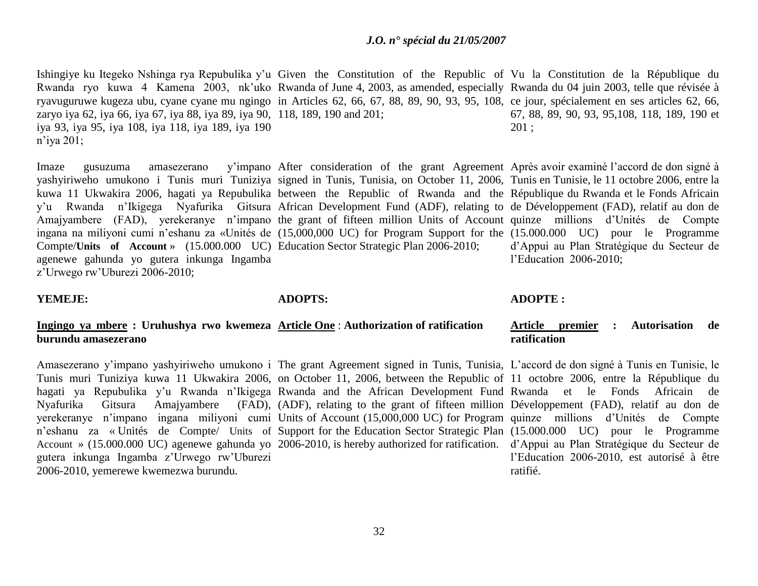Ishingiye ku Itegeko Nshinga rya Repubulika y'u Given the Constitution of the Republic of Vu la Constitution de la République du Rwanda ryo kuwa 4 Kamena 2003, nk"uko Rwanda of June 4, 2003, as amended, especially Rwanda du 04 juin 2003, telle que révisée à ryavuguruwe kugeza ubu, cyane cyane mu ngingo in Articles 62, 66, 67, 88, 89, 90, 93, 95, 108, ce jour, spécialement en ses articles 62, 66, zaryo iya 62, iya 66, iya 67, iya 88, iya 89, iya 90, 118, 189, 190 and 201; iya 93, iya 95, iya 108, iya 118, iya 189, iya 190 n"iya 201; 67, 88, 89, 90, 93, 95,108, 118, 189, 190 et 201 ;

Imaze gusuzuma amasezerano yashyiriweho umukono i Tunis muri Tuniziya signed in Tunis, Tunisia, on October 11, 2006, Tunis en Tunisie, le 11 octobre 2006, entre la kuwa 11 Ukwakira 2006, hagati ya Repubulika between the Republic of Rwanda and the République du Rwanda et le Fonds Africain y"u Rwanda n"Ikigega Nyafurika Gitsura African Development Fund (ADF), relating to de Développement (FAD), relatif au don de Amajyambere (FAD), yerekeranye n'impano the grant of fifteen million Units of Account quinze millions d'Unités de Compte ingana na miliyoni cumi n"eshanu za «Unités de (15,000,000 UC) for Program Support for the (15.000.000 UC) pour le Programme Compte/**Units of Account** » (15.000.000 UC) Education Sector Strategic Plan 2006-2010; agenewe gahunda yo gutera inkunga Ingamba After consideration of the grant Agreement Après avoir examiné l'accord de don signé à

z"Urwego rw"Uburezi 2006-2010;

#### **YEMEJE:**

# **ADOPTS:**

# **Ingingo ya mbere : Uruhushya rwo kwemeza Article One** : **Authorization of ratification burundu amasezerano**

Tunis muri Tuniziya kuwa 11 Ukwakira 2006, on October 11, 2006, between the Republic of 11 octobre 2006, entre la République du hagati ya Repubulika y'u Rwanda n'Ikigega Rwanda and the African Development Fund Rwanda et le Fonds Africain de Nyafurika Gitsura Amajyambere (FAD), (ADF), relating to the grant of fifteen million Développement (FAD), relatif au don de yerekeranye n'impano ingana miliyoni cumi Units of Account (15,000,000 UC) for Program quinze millions d'Unités de Compte n"eshanu za « Unités de Compte/ Units of Support for the Education Sector Strategic Plan (15.000.000 UC) pour le Programme Account » (15.000.000 UC) agenewe gahunda yo 2006-2010, is hereby authorized for ratification. d"Appui au Plan Stratégique du Secteur de gutera inkunga Ingamba z"Urwego rw"Uburezi 2006-2010, yemerewe kwemezwa burundu.

#### **ADOPTE :**

l"Education 2006-2010;

# **Article premier : Autorisation de ratification**

d"Appui au Plan Stratégique du Secteur de

Amasezerano y'impano yashyiriweho umukono i The grant Agreement signed in Tunis, Tunisia, L'accord de don signé à Tunis en Tunisie, le l"Education 2006-2010, est autorisé à être ratifié.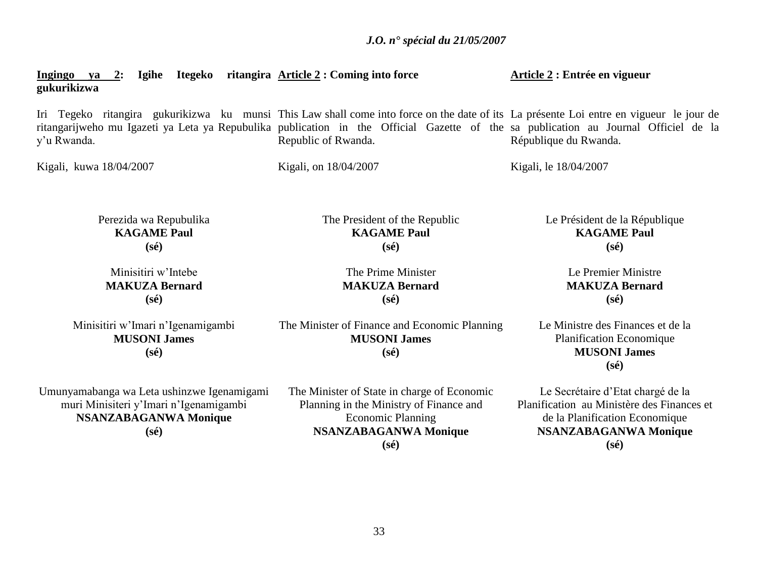| <u>Ingingo ya 2:</u> Igihe Itegeko ritangira Article 2: Coming into force<br>gukurikizwa                                                                                                                                                                                                      |                                                                                                                                                                      | Article 2 : Entrée en vigueur                                                                                                                                       |
|-----------------------------------------------------------------------------------------------------------------------------------------------------------------------------------------------------------------------------------------------------------------------------------------------|----------------------------------------------------------------------------------------------------------------------------------------------------------------------|---------------------------------------------------------------------------------------------------------------------------------------------------------------------|
| Iri Tegeko ritangira gukurikizwa ku munsi This Law shall come into force on the date of its La présente Loi entre en vigueur le jour de<br>ritangarijweho mu Igazeti ya Leta ya Repubulika publication in the Official Gazette of the sa publication au Journal Officiel de la<br>y'u Rwanda. | Republic of Rwanda.                                                                                                                                                  | République du Rwanda.                                                                                                                                               |
| Kigali, kuwa 18/04/2007                                                                                                                                                                                                                                                                       | Kigali, on 18/04/2007                                                                                                                                                | Kigali, le 18/04/2007                                                                                                                                               |
| Perezida wa Repubulika<br><b>KAGAME Paul</b><br>$(s\acute{e})$                                                                                                                                                                                                                                | The President of the Republic<br><b>KAGAME Paul</b><br>$(s\acute{e})$                                                                                                | Le Président de la République<br><b>KAGAME Paul</b><br>$(s\acute{e})$                                                                                               |
| Minisitiri w'Intebe<br><b>MAKUZA Bernard</b><br>$(s\acute{e})$                                                                                                                                                                                                                                | The Prime Minister<br><b>MAKUZA Bernard</b><br>$(s\acute{e})$                                                                                                        | Le Premier Ministre<br><b>MAKUZA Bernard</b><br>$(s\acute{e})$                                                                                                      |
| Minisitiri w'Imari n'Igenamigambi<br><b>MUSONI James</b><br>$(s\acute{e})$                                                                                                                                                                                                                    | The Minister of Finance and Economic Planning<br><b>MUSONI James</b><br>$(s\acute{e})$                                                                               | Le Ministre des Finances et de la<br>Planification Economique<br><b>MUSONI James</b><br>$(s\acute{e})$                                                              |
| Umunyamabanga wa Leta ushinzwe Igenamigami<br>muri Minisiteri y'Imari n'Igenamigambi<br><b>NSANZABAGANWA Monique</b><br>$(s\acute{e})$                                                                                                                                                        | The Minister of State in charge of Economic<br>Planning in the Ministry of Finance and<br><b>Economic Planning</b><br><b>NSANZABAGANWA Monique</b><br>$(s\acute{e})$ | Le Secrétaire d'Etat chargé de la<br>Planification au Ministère des Finances et<br>de la Planification Economique<br><b>NSANZABAGANWA Monique</b><br>$(s\acute{e})$ |
|                                                                                                                                                                                                                                                                                               |                                                                                                                                                                      |                                                                                                                                                                     |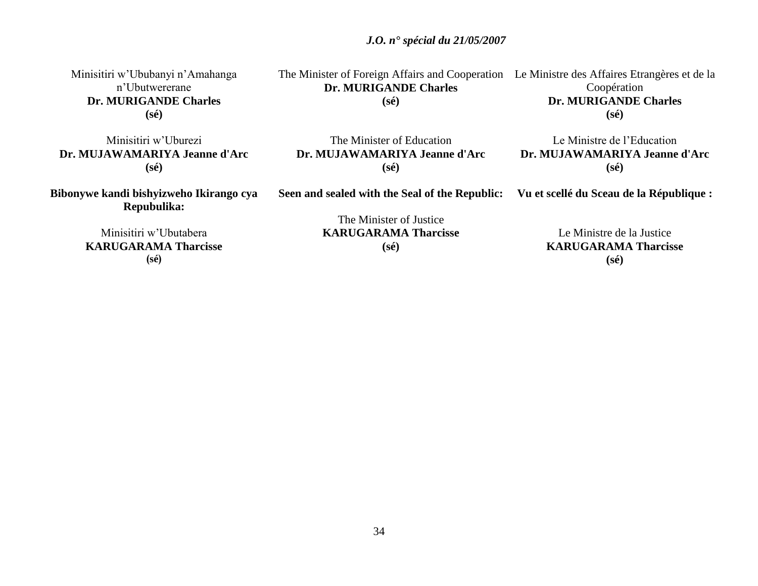34

 *J.O. n° spécial du 21/05/2007*

Minisitiri w"Ububanyi n"Amahanga n"Ubutwererane **Dr. MURIGANDE Charles (sé)**

Minisitiri w"Uburezi **Dr. MUJAWAMARIYA Jeanne d'Arc (sé)**

**Bibonywe kandi bishyizweho Ikirango cya Repubulika:**

> Minisitiri w"Ubutabera **KARUGARAMA Tharcisse (sé)**

The Minister of Foreign Affairs and Cooperation Le Ministre des Affaires Etrangères et de la **Dr. MURIGANDE Charles (sé)**

Coopération **Dr. MURIGANDE Charles (sé)**

The Minister of Education **Dr. MUJAWAMARIYA Jeanne d'Arc (sé)**

**Seen and sealed with the Seal of the Republic:**

Le Ministre de l"Education **Dr. MUJAWAMARIYA Jeanne d'Arc (sé)**

**Vu et scellé du Sceau de la République :**

The Minister of Justice **KARUGARAMA Tharcisse (sé)**

Le Ministre de la Justice **KARUGARAMA Tharcisse (sé)**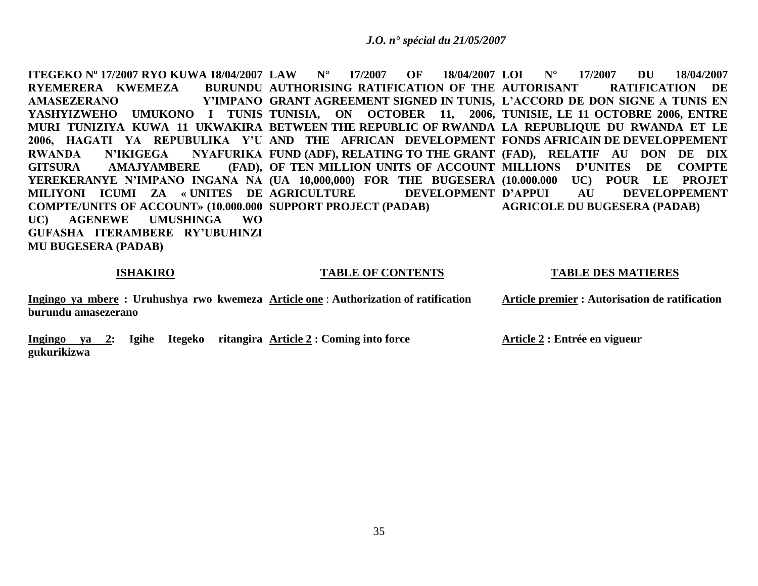**ITEGEKO Nº 17/2007 RYO KUWA 18/04/2007 LAW N° 17/2007 OF 18/04/2007 RYEMERERA KWEMEZA** AMASEZERANO **YASHYIZWEHO UMUKONO I TUNIS TUNISIA, ON OCTOBER 11, 2006, TUNISIE, LE 11 OCTOBRE 2006, ENTRE MURI TUNIZIYA KUWA 11 UKWAKIRA BETWEEN THE REPUBLIC OF RWANDA LA REPUBLIQUE DU RWANDA ET LE**  2006, HAGATI YA REPUBULIKA Y'U AND THE AFRICAN DEVELOPMENT FONDSAFRICAIN DE DEVELOPPEMENT RWANDA N'IKIGEGA NYAFURIKA FUND (ADF), RELATING TO THE GRANT (FAD), RELATIF AU DON DE DIX **GITSURA AMAJYAMBERE YEREKERANYE N'IMPANO INGANA NA (UA 10,000,000) FOR THE BUGESERA (10.000.000 UC) POUR LE PROJET MILIYONI ICUMI ZA « UNITES DE COMPTE/UNITS OF ACCOUNT» (10.000.000 SUPPORT PROJECT (PADAB) UC) AGENEWE UMUSHINGA WO GUFASHA ITERAMBERE RY'UBUHINZI MU BUGESERA (PADAB)** BURUNDU AUTHORISING RATIFICATION OF THE AUTORISANT **GRANT AGREEMENT SIGNED IN TUNIS, L'ACCORD DE DON SIGNE A TUNIS EN OF TEN MILLION UNITS OF ACCOUNT MILLIONS D'UNITES DE COMPTE DEVELOPMENT D'APPUI LOI N° 17/2007 DU 18/04/2007 RATIFICATION DE AU DEVELOPPEMENT AGRICOLE DU BUGESERA (PADAB)**

#### **ISHAKIRO**

#### **TABLE OF CONTENTS**

#### **TABLE DES MATIERES**

**Ingingo ya mbere : Uruhushya rwo kwemeza Article one** : **Authorization of ratification burundu amasezerano Article premier : Autorisation de ratification** 

**Ingingo ya 2: Igihe Itegeko ritangira Article 2 : Coming into force gukurikizwa Article 2 : Entrée en vigueur**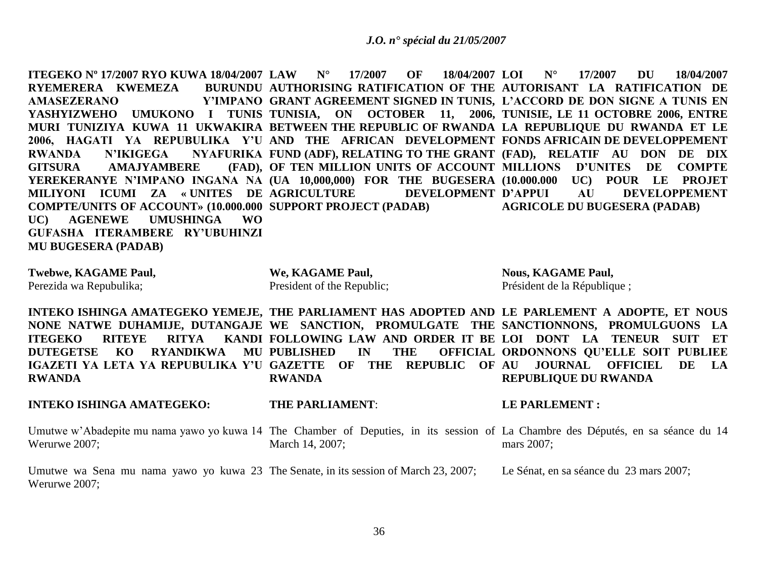**ITEGEKO Nº 17/2007 RYO KUWA 18/04/2007 LAW N° 17/2007 OF 18/04/2007 RYEMERERA KWEMEZA** AMASEZERANO **YASHYIZWEHO UMUKONO I TUNIS TUNISIA, ON OCTOBER 11, 2006, TUNISIE, LE 11 OCTOBRE 2006, ENTRE MURI TUNIZIYA KUWA 11 UKWAKIRA BETWEEN THE REPUBLIC OF RWANDA LA REPUBLIQUE DU RWANDA ET LE**  2006, HAGATI YA REPUBULIKA Y'U AND THE AFRICAN DEVELOPMENT FONDSAFRICAIN DE DEVELOPPEMENT RWANDA N'IKIGEGA NYAFURIKA FUND (ADF), RELATING TO THE GRANT (FAD), RELATIF AU DON DE DIX **GITSURA AMAJYAMBERE YEREKERANYE N'IMPANO INGANA NA (UA 10,000,000) FOR THE BUGESERA (10.000.000 UC) POUR LE PROJET MILIYONI ICUMI ZA « UNITES DE COMPTE/UNITS OF ACCOUNT» (10.000.000 SUPPORT PROJECT (PADAB) UC) AGENEWE UMUSHINGA WO GUFASHA ITERAMBERE RY'UBUHINZI MU BUGESERA (PADAB) AUTHORISING RATIFICATION OF THE AUTORISANT LA RATIFICATION DE GRANT AGREEMENT SIGNED IN TUNIS, L'ACCORD DE DON SIGNE A TUNIS EN OF TEN MILLION UNITS OF ACCOUNT MILLIONS D'UNITES DE COMPTE DEVELOPMENT D'APPUI LOI N° 17/2007 DU 18/04/2007 AU DEVELOPPEMENT AGRICOLE DU BUGESERA (PADAB)**

**Twebwe, KAGAME Paul,** Perezida wa Repubulika;

**We, KAGAME Paul,** President of the Republic; **Nous, KAGAME Paul,** Président de la République ;

**INTEKO ISHINGA AMATEGEKO YEMEJE, THE PARLIAMENT HAS ADOPTED AND LE PARLEMENT A ADOPTE, ET NOUS NONE NATWE DUHAMIJE, DUTANGAJE WE SANCTION, PROMULGATE THE SANCTIONNONS, PROMULGUONS LA ITEGEKO RITEYE RITYA DUTEGETSE KO RYANDIKWA MU PUBLISHED IN THE OFFICIAL IGAZETI YA LETA YA REPUBULIKA Y'U GAZETTE OF THE REPUBLIC OF AU JOURNAL OFFICIEL DE LA RWANDA FOLLOWING LAW AND ORDER IT BE LOI DONT LA TENEUR SUIT ET RWANDA ORDONNONS QU'ELLE SOIT PUBLIEE REPUBLIQUE DU RWANDA**

# **INTEKO ISHINGA AMATEGEKO:**

**THE PARLIAMENT**:

#### **LE PARLEMENT :**

Umutwe w'Abadepite mu nama yawo yo kuwa 14 The Chamber of Deputies, in its session of La Chambre des Députés, en sa séance du 14 Werurwe 2007; March 14, 2007; mars 2007:

Umutwe wa Sena mu nama yawo yo kuwa 23 The Senate, in its session of March 23, 2007; Werurwe 2007; Le Sénat, en sa séance du 23 mars 2007;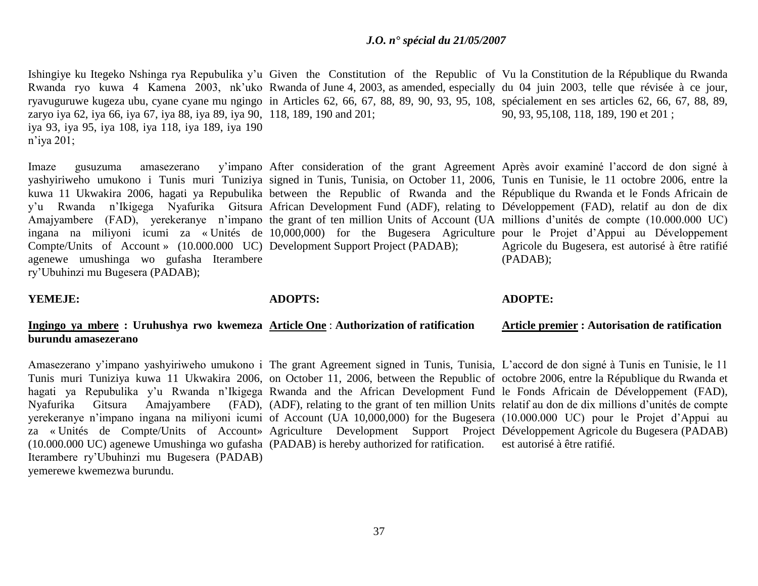Ishingiye ku Itegeko Nshinga rya Repubulika y'u Given the Constitution of the Republic of Vu la Constitution de la République du Rwanda Rwanda ryo kuwa 4 Kamena 2003, nk'uko Rwanda of June 4, 2003, as amended, especially du 04 juin 2003, telle que révisée à ce jour, ryavuguruwe kugeza ubu, cyane cyane mu ngingo in Articles 62, 66, 67, 88, 89, 90, 93, 95, 108, spécialement en ses articles 62, 66, 67, 88, 89, zaryo iya 62, iya 66, iya 67, iya 88, iya 89, iya 90, 118, 189, 190 and 201; iya 93, iya 95, iya 108, iya 118, iya 189, iya 190 n"iya 201; 90, 93, 95,108, 118, 189, 190 et 201 ;

Imaze gusuzuma amasezerano yashyiriweho umukono i Tunis muri Tuniziya signed in Tunis, Tunisia, on October 11, 2006, Tunis en Tunisie, le 11 octobre 2006, entre la kuwa 11 Ukwakira 2006, hagati ya Repubulika between the Republic of Rwanda and the République du Rwanda et le Fonds Africain de y"u Rwanda n"Ikigega Nyafurika Gitsura African Development Fund (ADF), relating to Développement (FAD), relatif au don de dix Amajyambere (FAD), yerekeranye n'impano the grant of ten million Units of Account (UA millions d'unités de compte (10.000.000 UC) ingana na miliyoni icumi za « Unités de 10,000,000) for the Bugesera Agriculture pour le Projet d"Appui au Développement Compte/Units of Account » (10.000.000 UC) Development Support Project (PADAB); agenewe umushinga wo gufasha Iterambere ry"Ubuhinzi mu Bugesera (PADAB);

After consideration of the grant Agreement Après avoir examiné l"accord de don signé à Agricole du Bugesera, est autorisé à être ratifié (PADAB);

### **YEMEJE:**

**ADOPTS:**

### **ADOPTE:**

#### **Ingingo ya mbere : Uruhushya rwo kwemeza Article One** : **Authorization of ratification burundu amasezerano Article premier : Autorisation de ratification**

Amasezerano y'impano yashyiriweho umukono i The grant Agreement signed in Tunis, Tunisia, L'accord de don signé à Tunis en Tunisie, le 11 Tunis muri Tuniziya kuwa 11 Ukwakira 2006, on October 11, 2006, between the Republic of octobre 2006, entre la République du Rwanda et hagati ya Repubulika y'u Rwanda n'Ikigega Rwanda and the African Development Fund le Fonds Africain de Développement (FAD), Nyafurika Gitsura Amajyambere (FAD), (ADF), relating to the grant of ten million Units relatif au don de dix millions d"unités de compte yerekeranye n"impano ingana na miliyoni icumi of Account (UA 10,000,000) for the Bugesera (10.000.000 UC) pour le Projet d"Appui au za « Unités de Compte/Units of Account» Agriculture Development Support Project Développement Agricole du Bugesera (PADAB) (10.000.000 UC) agenewe Umushinga wo gufasha (PADAB) is hereby authorized for ratification. est autorisé à être ratifié. Iterambere ry"Ubuhinzi mu Bugesera (PADAB) yemerewe kwemezwa burundu.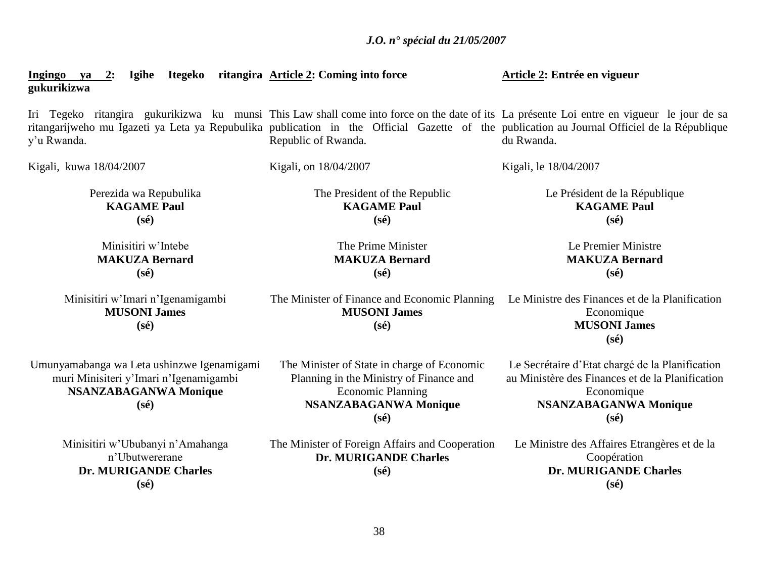**Ingingo ya 2: Igihe Itegeko ritangira Article 2: Coming into force gukurikizwa Article 2: Entrée en vigueur**

Kigali, on 18/04/2007

Iri Tegeko ritangira gukurikizwa ku munsi This Law shall come into force on the date of its La présente Loi entre en vigueur le jour de sa ritangarijweho mu Igazeti ya Leta ya Repubulika publication in the Official Gazette of the publication au Journal Officiel de la République y"u Rwanda. Republic of Rwanda. du Rwanda.

Kigali, kuwa 18/04/2007

Perezida wa Repubulika **KAGAME Paul (sé)**

Minisitiri w"Intebe **MAKUZA Bernard (sé)**

Minisitiri w"Imari n"Igenamigambi **MUSONI James (sé)**

Umunyamabanga wa Leta ushinzwe Igenamigami muri Minisiteri y"Imari n"Igenamigambi **NSANZABAGANWA Monique (sé)**

> Minisitiri w"Ububanyi n"Amahanga n"Ubutwererane **Dr. MURIGANDE Charles (sé)**

The President of the Republic **KAGAME Paul (sé)**

> The Prime Minister **MAKUZA Bernard (sé)**

The Minister of Finance and Economic Planning **MUSONI James (sé)**

The Minister of State in charge of Economic Planning in the Ministry of Finance and Economic Planning **NSANZABAGANWA Monique (sé)**

The Minister of Foreign Affairs and Cooperation **Dr. MURIGANDE Charles (sé)**

Le Président de la République **KAGAME Paul (sé)**

Kigali, le 18/04/2007

Le Premier Ministre **MAKUZA Bernard (sé)**

Le Ministre des Finances et de la Planification Economique **MUSONI James (sé)**

Le Secrétaire d"Etat chargé de la Planification au Ministère des Finances et de la Planification Economique **NSANZABAGANWA Monique (sé)**

Le Ministre des Affaires Etrangères et de la Coopération **Dr. MURIGANDE Charles (sé)**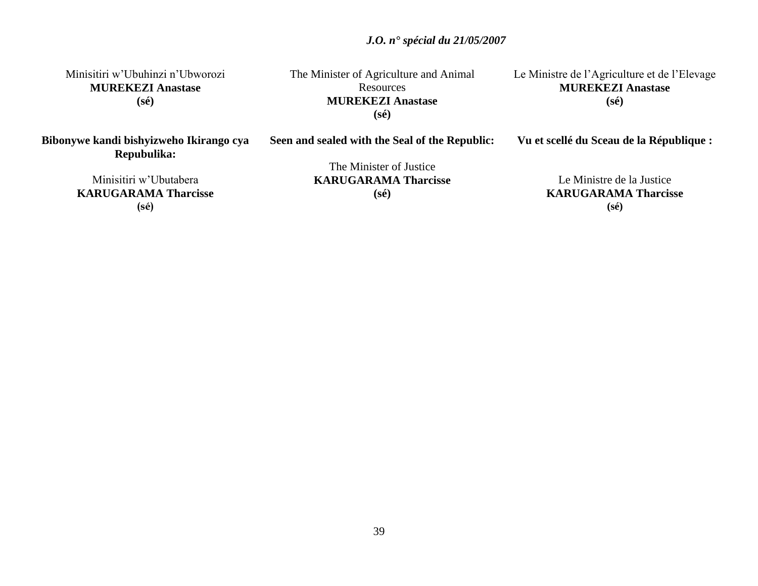Minisitiri w"Ubuhinzi n"Ubworozi **MUREKEZI Anastase (sé)**

The Minister of Agriculture and Animal Resources **MUREKEZI Anastase (sé)**

Le Ministre de l"Agriculture et de l"Elevage **MUREKEZI Anastase (sé)**

**Vu et scellé du Sceau de la République :**

**Bibonywe kandi bishyizweho Ikirango cya Repubulika:**

**Seen and sealed with the Seal of the Republic:**

The Minister of Justice **KARUGARAMA Tharcisse (sé)**

Le Ministre de la Justice **KARUGARAMA Tharcisse (sé)**

Minisitiri w"Ubutabera **KARUGARAMA Tharcisse (sé)**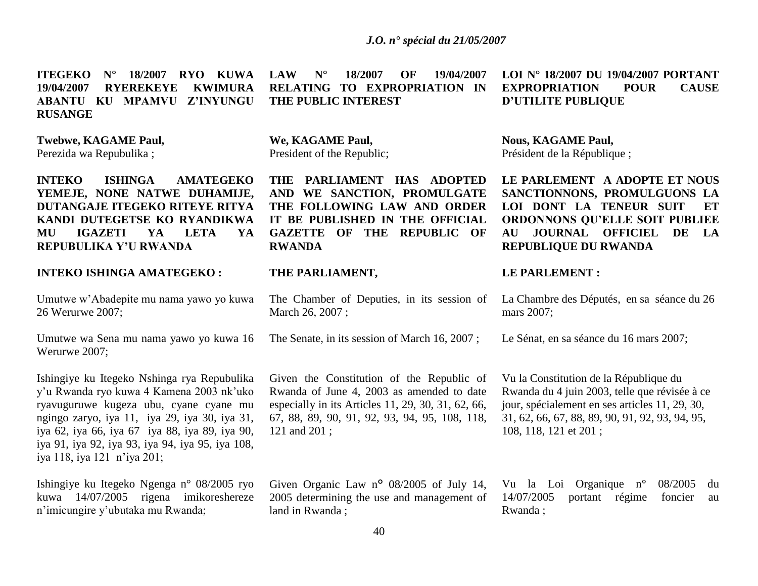**ITEGEKO N° 18/2007 RYO KUWA 19/04/2007 RYEREKEYE KWIMURA ABANTU KU MPAMVU Z'INYUNGU RUSANGE**

**Twebwe, KAGAME Paul,**

Perezida wa Repubulika ;

**INTEKO ISHINGA AMATEGEKO YEMEJE, NONE NATWE DUHAMIJE, DUTANGAJE ITEGEKO RITEYE RITYA KANDI DUTEGETSE KO RYANDIKWA MU IGAZETI YA LETA YA REPUBULIKA Y'U RWANDA**

# **INTEKO ISHINGA AMATEGEKO :**

Umutwe w"Abadepite mu nama yawo yo kuwa 26 Werurwe 2007;

Umutwe wa Sena mu nama yawo yo kuwa 16 Werurwe 2007;

Ishingiye ku Itegeko Nshinga rya Repubulika y"u Rwanda ryo kuwa 4 Kamena 2003 nk"uko ryavuguruwe kugeza ubu, cyane cyane mu ngingo zaryo, iya 11, iya 29, iya 30, iya 31, iya 62, iya 66, iya 67 iya 88, iya 89, iya 90, iya 91, iya 92, iya 93, iya 94, iya 95, iya 108, iya 118, iya 121 n"iya 201;

Ishingiye ku Itegeko Ngenga n° 08/2005 ryo kuwa 14/07/2005 rigena imikoreshereze n"imicungire y"ubutaka mu Rwanda;

**LAW N° 18/2007 OF 19/04/2007 RELATING TO EXPROPRIATION IN THE PUBLIC INTEREST**

**We, KAGAME Paul,** President of the Republic;

**THE PARLIAMENT HAS ADOPTED AND WE SANCTION, PROMULGATE THE FOLLOWING LAW AND ORDER IT BE PUBLISHED IN THE OFFICIAL GAZETTE OF THE REPUBLIC OF RWANDA**

#### **THE PARLIAMENT,**

The Chamber of Deputies, in its session of March 26, 2007 ;

The Senate, in its session of March 16, 2007 ;

Given the Constitution of the Republic of Rwanda of June 4, 2003 as amended to date especially in its Articles 11, 29, 30, 31, 62, 66, 67, 88, 89, 90, 91, 92, 93, 94, 95, 108, 118, 121 and 201 ;

Given Organic Law n<sup>o</sup> 08/2005 of July 14, 2005 determining the use and management of land in Rwanda ;

# **LOI N° 18/2007 DU 19/04/2007 PORTANT EXPROPRIATION POUR CAUSE D'UTILITE PUBLIQUE**

**Nous, KAGAME Paul,** Président de la République ;

**LE PARLEMENT A ADOPTE ET NOUS SANCTIONNONS, PROMULGUONS LA LOI DONT LA TENEUR SUIT ET ORDONNONS QU'ELLE SOIT PUBLIEE AU JOURNAL OFFICIEL DE LA REPUBLIQUE DU RWANDA**

#### **LE PARLEMENT :**

La Chambre des Députés, en sa séance du 26 mars 2007;

Le Sénat, en sa séance du 16 mars 2007;

Vu la Constitution de la République du Rwanda du 4 juin 2003, telle que révisée à ce jour, spécialement en ses articles 11, 29, 30, 31, 62, 66, 67, 88, 89, 90, 91, 92, 93, 94, 95, 108, 118, 121 et 201 ;

Vu la Loi Organique n° 08/2005 du 14/07/2005 portant régime foncier au Rwanda ;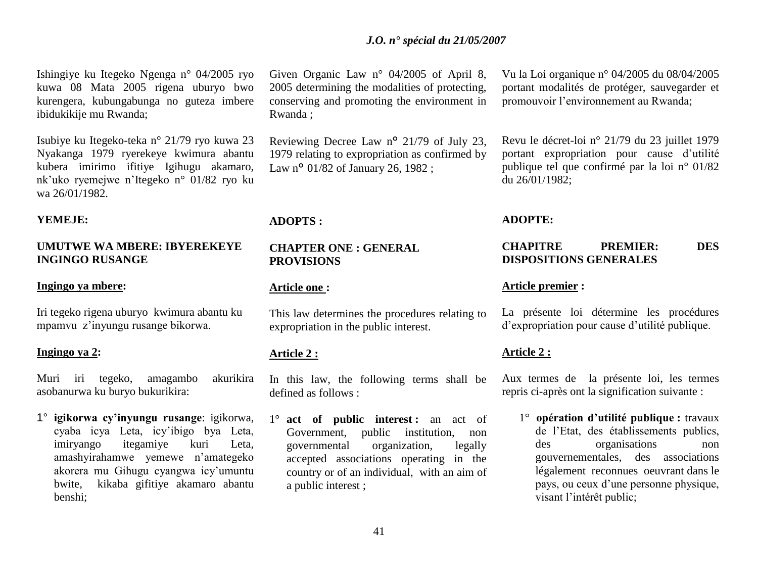Ishingiye ku Itegeko Ngenga n° 04/2005 ryo kuwa 08 Mata 2005 rigena uburyo bwo kurengera, kubungabunga no guteza imbere ibidukikije mu Rwanda;

Isubiye ku Itegeko-teka n° 21/79 ryo kuwa 23 Nyakanga 1979 ryerekeye kwimura abantu kubera imirimo ifitiye Igihugu akamaro, nk"uko ryemejwe n"Itegeko n° 01/82 ryo ku wa 26/01/1982.

### **YEMEJE:**

# **UMUTWE WA MBERE: IBYEREKEYE INGINGO RUSANGE**

#### **Ingingo ya mbere:**

Iri tegeko rigena uburyo kwimura abantu ku mpamvu z"inyungu rusange bikorwa.

### **Ingingo ya 2:**

Muri iri tegeko, amagambo akurikira asobanurwa ku buryo bukurikira:

1° **igikorwa cy'inyungu rusange**: igikorwa, cyaba icya Leta, icy"ibigo bya Leta, imiryango itegamiye kuri Leta, amashyirahamwe yemewe n"amategeko akorera mu Gihugu cyangwa icy"umuntu bwite, kikaba gifitiye akamaro abantu benshi;

Given Organic Law n° 04/2005 of April 8, 2005 determining the modalities of protecting, conserving and promoting the environment in Rwanda ;

Reviewing Decree Law n° 21/79 of July 23, 1979 relating to expropriation as confirmed by Law n<sup>o</sup> 01/82 of January 26, 1982 :

#### **ADOPTS :**

#### **CHAPTER ONE : GENERAL PROVISIONS**

#### **Article one :**

This law determines the procedures relating to expropriation in the public interest.

# **Article 2 :**

In this law, the following terms shall be defined as follows :

1° **act of public interest :** an act of Government, public institution, non governmental organization, legally accepted associations operating in the country or of an individual, with an aim of a public interest ;

Vu la Loi organique n° 04/2005 du 08/04/2005 portant modalités de protéger, sauvegarder et promouvoir l"environnement au Rwanda;

Revu le décret-loi n° 21/79 du 23 juillet 1979 portant expropriation pour cause d"utilité publique tel que confirmé par la loi n° 01/82 du 26/01/1982;

#### **ADOPTE:**

### **CHAPITRE PREMIER: DES DISPOSITIONS GENERALES**

### **Article premier :**

La présente loi détermine les procédures d"expropriation pour cause d"utilité publique.

### **Article 2 :**

Aux termes de la présente loi, les termes repris ci-après ont la signification suivante :

1° **opération d'utilité publique :** travaux de l"Etat, des établissements publics, des organisations non gouvernementales, des associations légalement reconnues oeuvrant dans le pays, ou ceux d"une personne physique, visant l"intérêt public;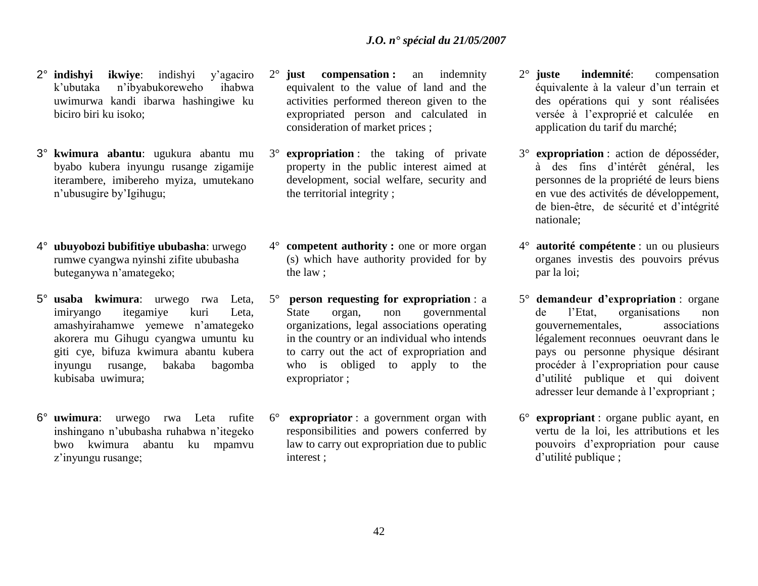- 2° **indishyi ikwiye**: indishyi y"agaciro k"ubutaka n"ibyabukoreweho ihabwa uwimurwa kandi ibarwa hashingiwe ku biciro biri ku isoko;
- 3° **kwimura abantu**: ugukura abantu mu byabo kubera inyungu rusange zigamije iterambere, imibereho myiza, umutekano n"ubusugire by"Igihugu;
- 4° **ubuyobozi bubifitiye ububasha**: urwego rumwe cyangwa nyinshi zifite ububasha buteganywa n"amategeko;
- 5° **usaba kwimura**: urwego rwa Leta, imiryango itegamiye kuri Leta, amashyirahamwe yemewe n"amategeko akorera mu Gihugu cyangwa umuntu ku giti cye, bifuza kwimura abantu kubera inyungu rusange, bakaba bagomba kubisaba uwimura;
- 6° **uwimura**: urwego rwa Leta rufite inshingano n"ububasha ruhabwa n"itegeko bwo kwimura abantu ku mpamvu z"inyungu rusange;
- 2° **just compensation :** an indemnity equivalent to the value of land and the activities performed thereon given to the expropriated person and calculated in consideration of market prices ;
- 3° **expropriation** : the taking of private property in the public interest aimed at development, social welfare, security and the territorial integrity ;
- 4° **competent authority :** one or more organ (s) which have authority provided for by the law ;
- 5° **person requesting for expropriation** : a State organ, non governmental organizations, legal associations operating in the country or an individual who intends to carry out the act of expropriation and who is obliged to apply to the expropriator ;
- 6° **expropriator** : a government organ with responsibilities and powers conferred by law to carry out expropriation due to public interest ;
- 2° **juste indemnité**: compensation équivalente à la valeur d"un terrain et des opérations qui y sont réalisées versée à l"exproprié et calculée en application du tarif du marché;
- 3° **expropriation** : action de déposséder, à des fins d"intérêt général, les personnes de la propriété de leurs biens en vue des activités de développement, de bien-être, de sécurité et d"intégrité nationale;
- 4° **autorité compétente** : un ou plusieurs organes investis des pouvoirs prévus par la loi;
- 5° **demandeur d'expropriation** : organe de l"Etat, organisations non gouvernementales, associations légalement reconnues oeuvrant dans le pays ou personne physique désirant procéder à l"expropriation pour cause d"utilité publique et qui doivent adresser leur demande à l"expropriant ;
- 6° **expropriant** : organe public ayant, en vertu de la loi, les attributions et les pouvoirs d"expropriation pour cause d'utilité publique ;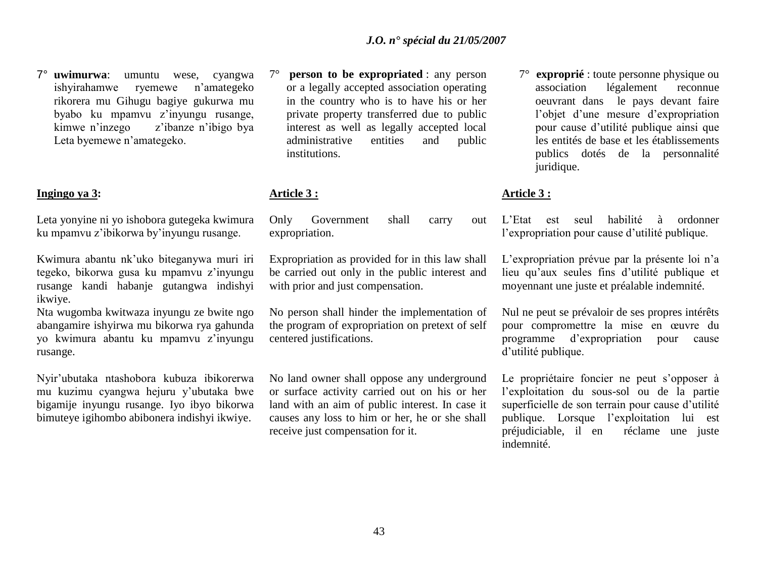7° **uwimurwa**: umuntu wese, cyangwa ishyirahamwe ryemewe n"amategeko rikorera mu Gihugu bagiye gukurwa mu byabo ku mpamvu z"inyungu rusange, kimwe n"inzego z"ibanze n"ibigo bya Leta byemewe n"amategeko.

### **Ingingo ya 3:**

Leta yonyine ni yo ishobora gutegeka kwimura ku mpamvu z"ibikorwa by"inyungu rusange.

Kwimura abantu nk"uko biteganywa muri iri tegeko, bikorwa gusa ku mpamvu z"inyungu rusange kandi habanje gutangwa indishyi ikwiye.

Nta wugomba kwitwaza inyungu ze bwite ngo abangamire ishyirwa mu bikorwa rya gahunda yo kwimura abantu ku mpamvu z"inyungu rusange.

Nyir"ubutaka ntashobora kubuza ibikorerwa mu kuzimu cyangwa hejuru y"ubutaka bwe bigamije inyungu rusange. Iyo ibyo bikorwa bimuteye igihombo abibonera indishyi ikwiye.

7° **person to be expropriated** : any person or a legally accepted association operating in the country who is to have his or her private property transferred due to public interest as well as legally accepted local administrative entities and public institutions.

# **Article 3 :**

Only Government shall carry out expropriation.

Expropriation as provided for in this law shall be carried out only in the public interest and with prior and just compensation.

No person shall hinder the implementation of the program of expropriation on pretext of self centered justifications.

No land owner shall oppose any underground or surface activity carried out on his or her land with an aim of public interest. In case it causes any loss to him or her, he or she shall receive just compensation for it.

7° **exproprié** : toute personne physique ou association légalement reconnue oeuvrant dans le pays devant faire l"objet d"une mesure d"expropriation pour cause d"utilité publique ainsi que les entités de base et les établissements publics dotés de la personnalité juridique.

# **Article 3 :**

L"Etat est seul habilité à ordonner l"expropriation pour cause d"utilité publique.

L"expropriation prévue par la présente loi n"a lieu qu"aux seules fins d"utilité publique et moyennant une juste et préalable indemnité.

Nul ne peut se prévaloir de ses propres intérêts pour compromettre la mise en œuvre du programme d"expropriation pour cause d"utilité publique.

Le propriétaire foncier ne peut s'opposer à l"exploitation du sous-sol ou de la partie superficielle de son terrain pour cause d'utilité publique. Lorsque l"exploitation lui est préjudiciable, il en réclame une juste indemnité.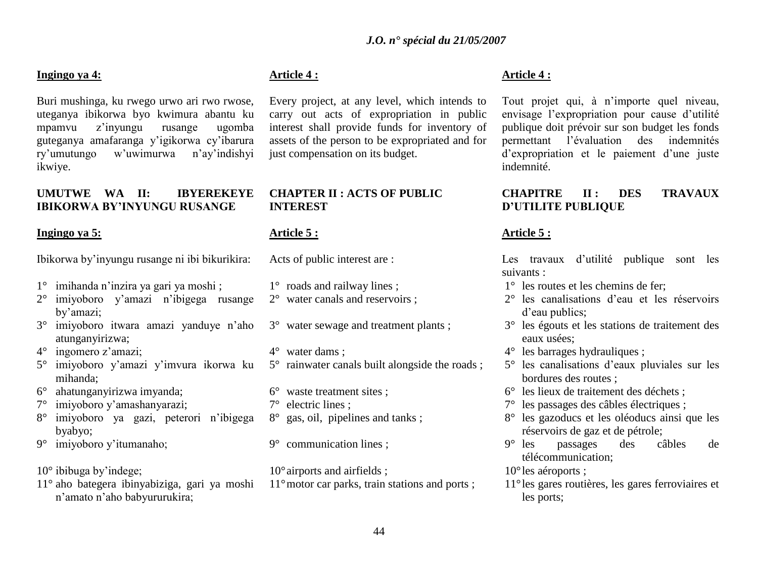### **Ingingo ya 4:**

Buri mushinga, ku rwego urwo ari rwo rwose, uteganya ibikorwa byo kwimura abantu ku mpamvu z"inyungu rusange ugomba guteganya amafaranga y"igikorwa cy"ibarura ry"umutungo w"uwimurwa n"ay"indishyi ikwiye.

# **UMUTWE WA II: IBYEREKEYE IBIKORWA BY'INYUNGU RUSANGE**

# **Ingingo ya 5:**

Ibikorwa by"inyungu rusange ni ibi bikurikira:

- 1° imihanda n"inzira ya gari ya moshi ;
- 2° imiyoboro y"amazi n"ibigega rusange by"amazi;
- 3° imiyoboro itwara amazi yanduye n"aho atunganyirizwa;
- 4° ingomero z"amazi;
- 5° imiyoboro y"amazi y"imvura ikorwa ku mihanda;
- 6° ahatunganyirizwa imyanda;
- 7° imiyoboro y"amashanyarazi;
- 8° imiyoboro ya gazi, peterori n"ibigega byabyo;
- 9° imiyoboro y"itumanaho;

 $10^{\circ}$  ibibuga by'indege;

11° aho bategera ibinyabiziga, gari ya moshi n"amato n"aho babyururukira;

# **Article 4 :**

Every project, at any level, which intends to carry out acts of expropriation in public interest shall provide funds for inventory of assets of the person to be expropriated and for just compensation on its budget.

# **CHAPTER II : ACTS OF PUBLIC INTEREST**

# **Article 5 :**

Acts of public interest are :

- 1° roads and railway lines ;
- 2° water canals and reservoirs ;
- 3° water sewage and treatment plants ;
- 4° water dams ;
- 5° rainwater canals built alongside the roads ;
- 6° waste treatment sites ; 7° electric lines ;
- 8° gas, oil, pipelines and tanks ;
- 9° communication lines ;
- 10°airports and airfields ;
- 11° motor car parks, train stations and ports ;

# **Article 4 :**

Tout projet qui, à n"importe quel niveau, envisage l"expropriation pour cause d"utilité publique doit prévoir sur son budget les fonds permettant l"évaluation des indemnités d'expropriation et le paiement d'une juste indemnité.

# **CHAPITRE II : DES TRAVAUX D'UTILITE PUBLIQUE**

# **Article 5 :**

Les travaux d'utilité publique sont les suivants :

- 1° les routes et les chemins de fer;
- 2° les canalisations d"eau et les réservoirs d'eau publics:
- 3° les égouts et les stations de traitement des eaux usées;
- 4° les barrages hydrauliques ;
- 5° les canalisations d"eaux pluviales sur les bordures des routes ;
- 6° les lieux de traitement des déchets ;
- 7° les passages des câbles électriques ;
- 8° les gazoducs et les oléoducs ainsi que les réservoirs de gaz et de pétrole;
- 9° les passages des câbles de télécommunication;
- 10°les aéroports ;
- 11°les gares routières, les gares ferroviaires et les ports;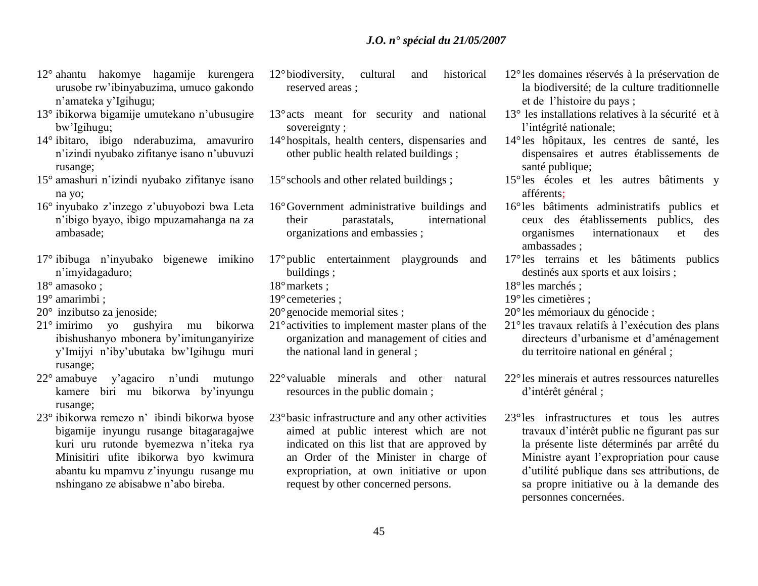- 12° ahantu hakomye hagamije kurengera urusobe rw"ibinyabuzima, umuco gakondo n"amateka y"Igihugu;
- 13° ibikorwa bigamije umutekano n"ubusugire bw"Igihugu;
- 14° ibitaro, ibigo nderabuzima, amavuriro n"izindi nyubako zifitanye isano n"ubuvuzi rusange;
- 15° amashuri n"izindi nyubako zifitanye isano na yo;
- 16° inyubako z"inzego z"ubuyobozi bwa Leta n"ibigo byayo, ibigo mpuzamahanga na za ambasade;
- 17° ibibuga n"inyubako bigenewe imikino n"imyidagaduro;
- 18° amasoko ;
- 19° amarimbi ;
- 20° inzibutso za jenoside;
- 21° imirimo yo gushyira mu bikorwa ibishushanyo mbonera by"imitunganyirize y"Imijyi n"iby"ubutaka bw"Igihugu muri rusange;
- 22° amabuye y"agaciro n"undi mutungo kamere biri mu bikorwa by"inyungu rusange;
- 23° ibikorwa remezo n" ibindi bikorwa byose bigamije inyungu rusange bitagaragajwe kuri uru rutonde byemezwa n"iteka rya Minisitiri ufite ibikorwa byo kwimura abantu ku mpamvu z"inyungu rusange mu nshingano ze abisabwe n"abo bireba.
- 12°biodiversity, cultural and historical reserved areas ;
- 13°acts meant for security and national sovereignty ;
- 14°hospitals, health centers, dispensaries and other public health related buildings ;

15°schools and other related buildings ;

- 16°Government administrative buildings and their parastatals, international organizations and embassies ;
- 17°public entertainment playgrounds and buildings ;
- 18°markets ;
- 19°cemeteries ;
- 20°genocide memorial sites ;
- 21°activities to implement master plans of the organization and management of cities and the national land in general ;
- 22°valuable minerals and other natural resources in the public domain ;
- 23°basic infrastructure and any other activities aimed at public interest which are not indicated on this list that are approved by an Order of the Minister in charge of expropriation, at own initiative or upon request by other concerned persons.
- 12°les domaines réservés à la préservation de la biodiversité; de la culture traditionnelle et de l"histoire du pays ;
- 13° les installations relatives à la sécurité et à l'intégrité nationale;
- 14°les hôpitaux, les centres de santé, les dispensaires et autres établissements de santé publique;
- 15°les écoles et les autres bâtiments y afférents;
- 16°les bâtiments administratifs publics et ceux des établissements publics, des organismes internationaux et des ambassades ;
- 17°les terrains et les bâtiments publics destinés aux sports et aux loisirs ;
- 18°les marchés ;
- 19°les cimetières ;
- 20°les mémoriaux du génocide ;
- 21°les travaux relatifs à l"exécution des plans directeurs d"urbanisme et d"aménagement du territoire national en général ;
- 22°les minerais et autres ressources naturelles d"intérêt général ;
- 23°les infrastructures et tous les autres travaux d"intérêt public ne figurant pas sur la présente liste déterminés par arrêté du Ministre ayant l"expropriation pour cause d"utilité publique dans ses attributions, de sa propre initiative ou à la demande des personnes concernées.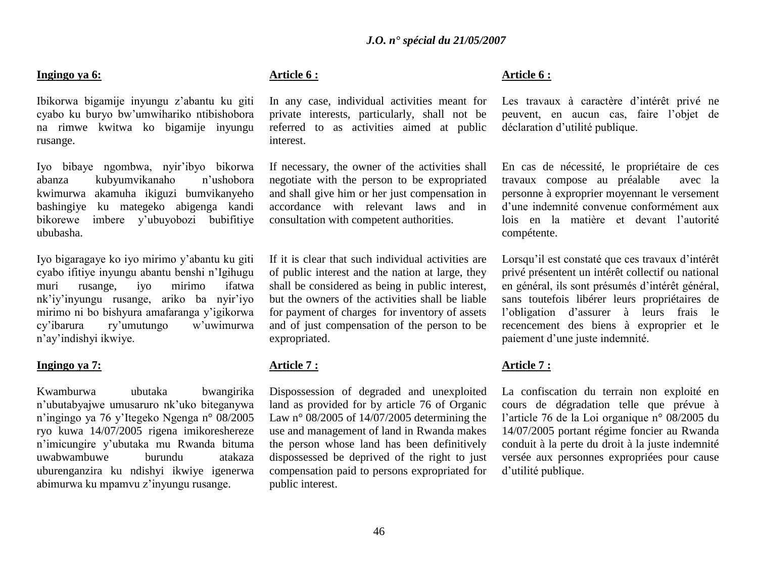# **Ingingo ya 6:**

Ibikorwa bigamije inyungu z"abantu ku giti cyabo ku buryo bw"umwihariko ntibishobora na rimwe kwitwa ko bigamije inyungu rusange.

Iyo bibaye ngombwa, nyir"ibyo bikorwa abanza kubyumvikanaho n"ushobora kwimurwa akamuha ikiguzi bumvikanyeho bashingiye ku mategeko abigenga kandi bikorewe imbere y"ubuyobozi bubifitiye ububasha.

Iyo bigaragaye ko iyo mirimo y"abantu ku giti cyabo ifitiye inyungu abantu benshi n"Igihugu muri rusange, iyo mirimo ifatwa nk"iy"inyungu rusange, ariko ba nyir"iyo mirimo ni bo bishyura amafaranga y"igikorwa cy"ibarura ry"umutungo w"uwimurwa n"ay"indishyi ikwiye.

### **Ingingo ya 7:**

Kwamburwa ubutaka bwangirika n"ubutabyajwe umusaruro nk"uko biteganywa n"ingingo ya 76 y"Itegeko Ngenga n° 08/2005 ryo kuwa 14/07/2005 rigena imikoreshereze n"imicungire y"ubutaka mu Rwanda bituma uwabwambuwe burundu atakaza uburenganzira ku ndishyi ikwiye igenerwa abimurwa ku mpamvu z"inyungu rusange.

# **Article 6 :**

In any case, individual activities meant for private interests, particularly, shall not be referred to as activities aimed at public interest.

If necessary, the owner of the activities shall negotiate with the person to be expropriated and shall give him or her just compensation in accordance with relevant laws and in consultation with competent authorities.

If it is clear that such individual activities are of public interest and the nation at large, they shall be considered as being in public interest, but the owners of the activities shall be liable for payment of charges for inventory of assets and of just compensation of the person to be expropriated.

# **Article 7 :**

Dispossession of degraded and unexploited land as provided for by article 76 of Organic Law n° 08/2005 of 14/07/2005 determining the use and management of land in Rwanda makes the person whose land has been definitively dispossessed be deprived of the right to just compensation paid to persons expropriated for public interest.

### **Article 6 :**

Les travaux à caractère d"intérêt privé ne peuvent, en aucun cas, faire l"objet de déclaration d"utilité publique.

En cas de nécessité, le propriétaire de ces travaux compose au préalable avec la personne à exproprier moyennant le versement d"une indemnité convenue conformément aux lois en la matière et devant l"autorité compétente.

Lorsqu'il est constaté que ces travaux d'intérêt privé présentent un intérêt collectif ou national en général, ils sont présumés d"intérêt général, sans toutefois libérer leurs propriétaires de l"obligation d"assurer à leurs frais le recencement des biens à exproprier et le paiement d"une juste indemnité.

# **Article 7 :**

La confiscation du terrain non exploité en cours de dégradation telle que prévue à l"article 76 de la Loi organique n° 08/2005 du 14/07/2005 portant régime foncier au Rwanda conduit à la perte du droit à la juste indemnité versée aux personnes expropriées pour cause d"utilité publique.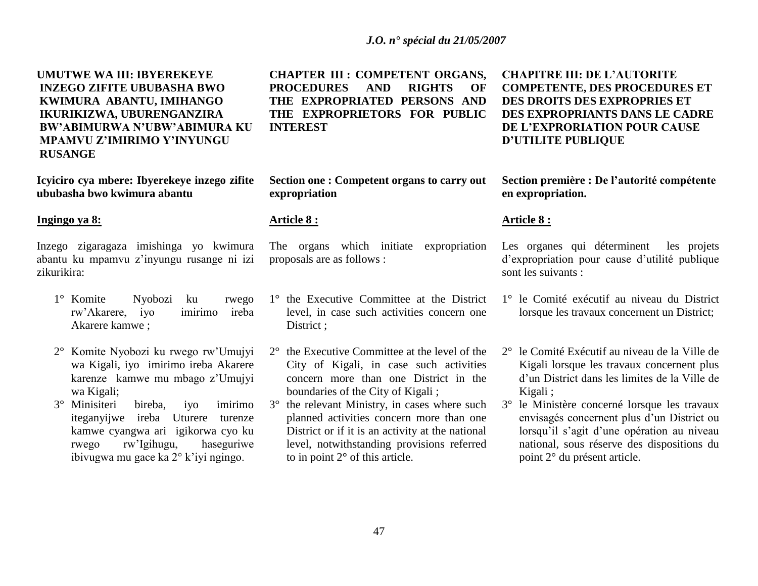**UMUTWE WA III: IBYEREKEYE INZEGO ZIFITE UBUBASHA BWO KWIMURA ABANTU, IMIHANGO IKURIKIZWA, UBURENGANZIRA BW'ABIMURWA N'UBW'ABIMURA KU MPAMVU Z'IMIRIMO Y'INYUNGU RUSANGE** 

**Icyiciro cya mbere: Ibyerekeye inzego zifite ububasha bwo kwimura abantu**

### **Ingingo ya 8:**

Inzego zigaragaza imishinga yo kwimura abantu ku mpamvu z"inyungu rusange ni izi zikurikira:

- 1° Komite Nyobozi ku rwego rw"Akarere, iyo imirimo ireba Akarere kamwe ;
- 2° Komite Nyobozi ku rwego rw"Umujyi wa Kigali, iyo imirimo ireba Akarere karenze kamwe mu mbago z"Umujyi wa Kigali;
- 3° Minisiteri bireba, iyo imirimo iteganyijwe ireba Uturere turenze kamwe cyangwa ari igikorwa cyo ku rwego rw"Igihugu, haseguriwe ibivugwa mu gace ka 2° k'iyi ngingo.

**CHAPTER III : COMPETENT ORGANS, PROCEDURES AND RIGHTS OF THE EXPROPRIATED PERSONS AND THE EXPROPRIETORS FOR PUBLIC INTEREST**

**Section one : Competent organs to carry out expropriation**

### **Article 8 :**

The organs which initiate expropriation proposals are as follows :

- 1° the Executive Committee at the District level, in case such activities concern one District :
- 2° the Executive Committee at the level of the City of Kigali, in case such activities concern more than one District in the boundaries of the City of Kigali ;
- 3° the relevant Ministry, in cases where such planned activities concern more than one District or if it is an activity at the national level, notwithstanding provisions referred to in point 2**°** of this article.

**CHAPITRE III: DE L'AUTORITE COMPETENTE, DES PROCEDURES ET DES DROITS DES EXPROPRIES ET DES EXPROPRIANTS DANS LE CADRE DE L'EXPRORIATION POUR CAUSE D'UTILITE PUBLIQUE** 

**Section première : De l'autorité compétente en expropriation.** 

### **Article 8 :**

Les organes qui déterminent les projets d"expropriation pour cause d"utilité publique sont les suivants :

- 1° le Comité exécutif au niveau du District lorsque les travaux concernent un District;
- 2° le Comité Exécutif au niveau de la Ville de Kigali lorsque les travaux concernent plus d"un District dans les limites de la Ville de Kigali ;
- 3° le Ministère concerné lorsque les travaux envisagés concernent plus d"un District ou lorsqu'il s'agit d'une opération au niveau national, sous réserve des dispositions du point 2° du présent article.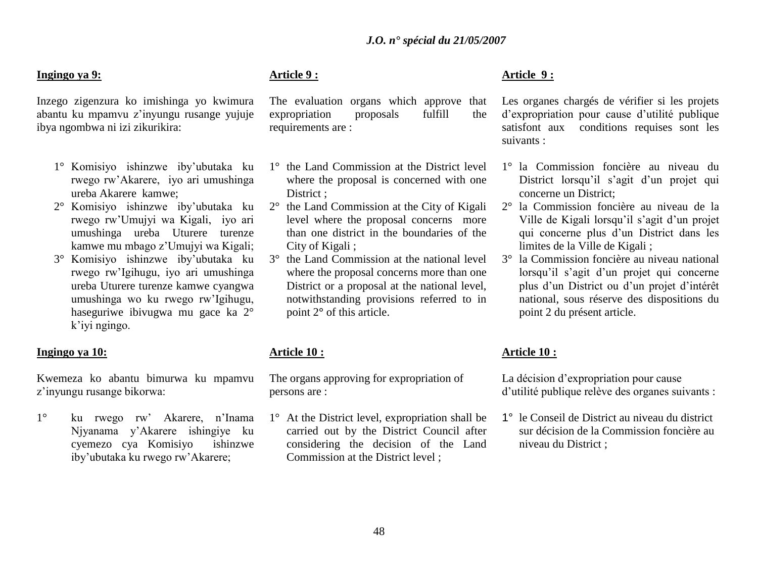# **Ingingo ya 9:**

Inzego zigenzura ko imishinga yo kwimura abantu ku mpamvu z"inyungu rusange yujuje ibya ngombwa ni izi zikurikira:

- 1° Komisiyo ishinzwe iby"ubutaka ku rwego rw"Akarere, iyo ari umushinga ureba Akarere kamwe;
- 2° Komisiyo ishinzwe iby"ubutaka ku rwego rw"Umujyi wa Kigali, iyo ari umushinga ureba Uturere turenze kamwe mu mbago z"Umujyi wa Kigali;
- 3° Komisiyo ishinzwe iby"ubutaka ku rwego rw"Igihugu, iyo ari umushinga ureba Uturere turenze kamwe cyangwa umushinga wo ku rwego rw"Igihugu, haseguriwe ibivugwa mu gace ka 2° k"iyi ngingo.

#### **Ingingo ya 10:**

Kwemeza ko abantu bimurwa ku mpamvu z"inyungu rusange bikorwa:

1° ku rwego rw" Akarere, n"Inama Njyanama y"Akarere ishingiye ku cyemezo cya Komisiyo ishinzwe iby"ubutaka ku rwego rw"Akarere;

# **Article 9 :**

The evaluation organs which approve that expropriation proposals fulfill the requirements are :

- 1° the Land Commission at the District level where the proposal is concerned with one District :
- 2° the Land Commission at the City of Kigali level where the proposal concerns more than one district in the boundaries of the City of Kigali ;
- 3° the Land Commission at the national level where the proposal concerns more than one District or a proposal at the national level, notwithstanding provisions referred to in point 2**°** of this article.

# **Article 10 :**

The organs approving for expropriation of persons are :

1° At the District level, expropriation shall be carried out by the District Council after considering the decision of the Land Commission at the District level ;

# **Article 9 :**

Les organes chargés de vérifier si les projets d"expropriation pour cause d"utilité publique satisfont aux conditions requises sont les suivants :

- 1° la Commission foncière au niveau du District lorsqu'il s'agit d'un projet qui concerne un District;
- 2° la Commission foncière au niveau de la Ville de Kigali lorsqu"il s"agit d"un projet qui concerne plus d"un District dans les limites de la Ville de Kigali ;
- 3° la Commission foncière au niveau national lorsqu'il s'agit d'un projet qui concerne plus d"un District ou d"un projet d"intérêt national, sous réserve des dispositions du point 2 du présent article.

### **Article 10 :**

La décision d"expropriation pour cause d"utilité publique relève des organes suivants :

1° le Conseil de District au niveau du district sur décision de la Commission foncière au niveau du District ;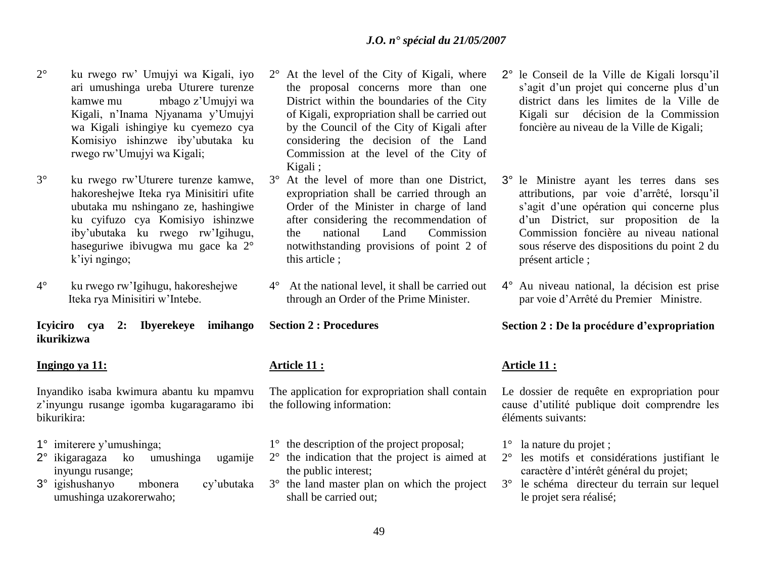- 2° ku rwego rw" Umujyi wa Kigali, iyo ari umushinga ureba Uturere turenze kamwe mu mbago z"Umujyi wa Kigali, n"Inama Njyanama y"Umujyi wa Kigali ishingiye ku cyemezo cya Komisiyo ishinzwe iby"ubutaka ku rwego rw"Umujyi wa Kigali;
- 3° ku rwego rw"Uturere turenze kamwe, hakoreshejwe Iteka rya Minisitiri ufite ubutaka mu nshingano ze, hashingiwe ku cyifuzo cya Komisiyo ishinzwe iby"ubutaka ku rwego rw"Igihugu, haseguriwe ibivugwa mu gace ka 2° k"iyi ngingo;
- 4° ku rwego rw"Igihugu, hakoreshejwe Iteka rya Minisitiri w"Intebe.

**Icyiciro cya 2: Ibyerekeye imihango ikurikizwa**

### **Ingingo ya 11:**

Inyandiko isaba kwimura abantu ku mpamvu z"inyungu rusange igomba kugaragaramo ibi bikurikira:

- 1° imiterere y"umushinga;
- 2° ikigaragaza ko umushinga ugamije inyungu rusange;
- 3° igishushanyo mbonera cy"ubutaka umushinga uzakorerwaho;
- 2° At the level of the City of Kigali, where the proposal concerns more than one District within the boundaries of the City of Kigali, expropriation shall be carried out by the Council of the City of Kigali after considering the decision of the Land Commission at the level of the City of Kigali ;
- 3° At the level of more than one District, expropriation shall be carried through an Order of the Minister in charge of land after considering the recommendation of the national Land Commission notwithstanding provisions of point 2 of this article ;
- 4° At the national level, it shall be carried out through an Order of the Prime Minister.

**Section 2 : Procedures**

# **Article 11 :**

The application for expropriation shall contain the following information:

- 1° the description of the project proposal;
- 2° the indication that the project is aimed at the public interest;
- 3° the land master plan on which the project shall be carried out;
- 2° le Conseil de la Ville de Kigali lorsqu"il s'agit d'un projet qui concerne plus d'un district dans les limites de la Ville de Kigali sur décision de la Commission foncière au niveau de la Ville de Kigali;
- 3° le Ministre ayant les terres dans ses attributions, par voie d"arrêté, lorsqu"il s'agit d'une opération qui concerne plus d"un District, sur proposition de la Commission foncière au niveau national sous réserve des dispositions du point 2 du présent article ;
- 4° Au niveau national, la décision est prise par voie d"Arrêté du Premier Ministre.

# **Section 2 : De la procédure d'expropriation**

# **Article 11 :**

Le dossier de requête en expropriation pour cause d"utilité publique doit comprendre les éléments suivants:

- 1° la nature du projet ;
- 2° les motifs et considérations justifiant le caractère d"intérêt général du projet;
- 3° le schéma directeur du terrain sur lequel le projet sera réalisé;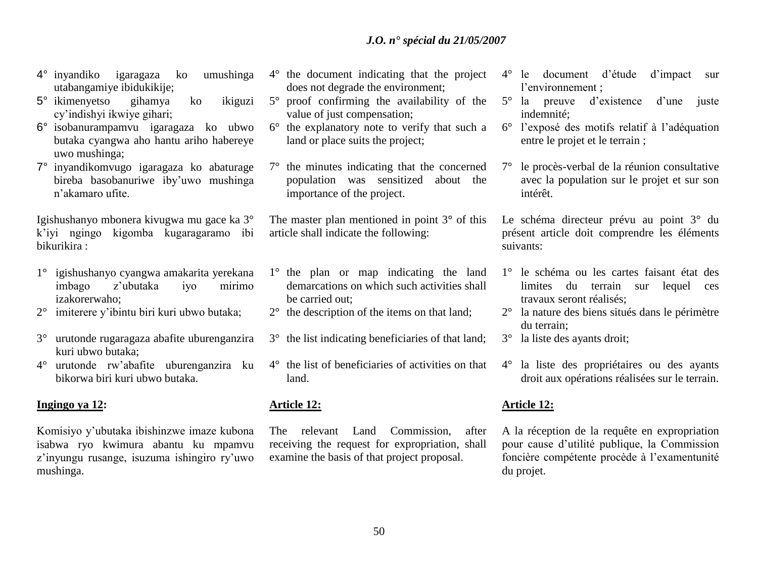- 4° inyandiko igaragaza ko umushinga utabangamiye ibidukikije;
- 5° ikimenyetso gihamya ko ikiguzi cy"indishyi ikwiye gihari;
- 6° isobanurampamvu igaragaza ko ubwo butaka cyangwa aho hantu ariho habereye uwo mushinga;
- 7° inyandikomvugo igaragaza ko abaturage bireba basobanuriwe iby"uwo mushinga n"akamaro ufite.

Igishushanyo mbonera kivugwa mu gace ka 3° k"iyi ngingo kigomba kugaragaramo ibi bikurikira :

- 1° igishushanyo cyangwa amakarita yerekana imbago z"ubutaka iyo mirimo izakorerwaho;
- 2° imiterere y"ibintu biri kuri ubwo butaka;
- 3° urutonde rugaragaza abafite uburenganzira kuri ubwo butaka;
- 4° urutonde rw"abafite uburenganzira ku bikorwa biri kuri ubwo butaka.

# **Ingingo ya 12:**

Komisiyo y"ubutaka ibishinzwe imaze kubona isabwa ryo kwimura abantu ku mpamvu z"inyungu rusange, isuzuma ishingiro ry"uwo mushinga.

- 4° the document indicating that the project does not degrade the environment;
- 5° proof confirming the availability of the value of just compensation;
- 6° the explanatory note to verify that such a land or place suits the project;
- 7° the minutes indicating that the concerned population was sensitized about the importance of the project.

The master plan mentioned in point 3**°** of this article shall indicate the following:

- 1° the plan or map indicating the land demarcations on which such activities shall be carried out;
- 2° the description of the items on that land;
- 3° the list indicating beneficiaries of that land;
- 4° the list of beneficiaries of activities on that land.

# **Article 12:**

The relevant Land Commission, after receiving the request for expropriation, shall examine the basis of that project proposal.

- 4° le document d"étude d"impact sur l"environnement ;
- 5° la preuve d"existence d"une juste indemnité;
- 6° l"exposé des motifs relatif à l"adéquation entre le projet et le terrain ;
- 7° le procès-verbal de la réunion consultative avec la population sur le projet et sur son intérêt.

Le schéma directeur prévu au point 3° du présent article doit comprendre les éléments suivants:

- 1° le schéma ou les cartes faisant état des limites du terrain sur lequel ces travaux seront réalisés;
- 2° la nature des biens situés dans le périmètre du terrain;
- 3° la liste des ayants droit;
- 4° la liste des propriétaires ou des ayants droit aux opérations réalisées sur le terrain.

# **Article 12:**

A la réception de la requête en expropriation pour cause d"utilité publique, la Commission foncière compétente procède à l"examentunité du projet.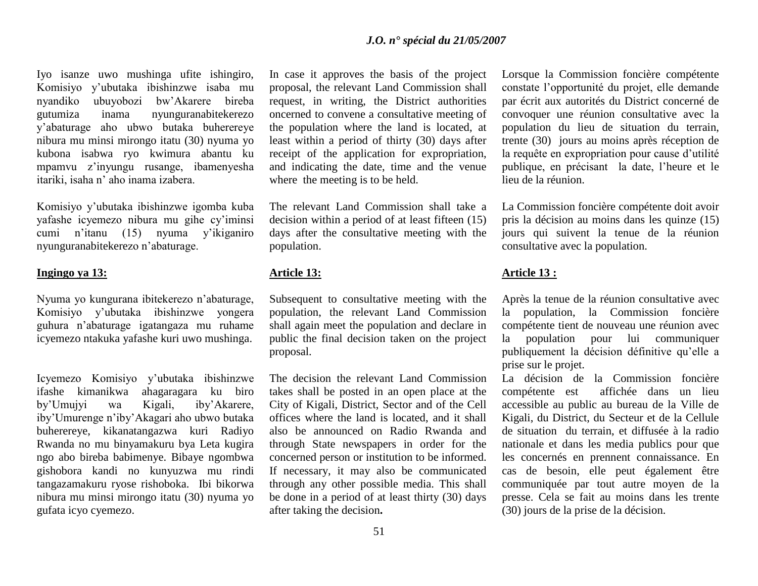Iyo isanze uwo mushinga ufite ishingiro, Komisiyo y"ubutaka ibishinzwe isaba mu nyandiko ubuyobozi bw"Akarere bireba gutumiza inama nyunguranabitekerezo y"abaturage aho ubwo butaka buherereye nibura mu minsi mirongo itatu (30) nyuma yo kubona isabwa ryo kwimura abantu ku mpamvu z"inyungu rusange, ibamenyesha itariki, isaha n" aho inama izabera.

Komisiyo y"ubutaka ibishinzwe igomba kuba yafashe icyemezo nibura mu gihe cy"iminsi cumi n'itanu (15) nyuma y'ikiganiro nyunguranabitekerezo n"abaturage.

### **Ingingo ya 13:**

Nyuma yo kungurana ibitekerezo n"abaturage, Komisiyo y"ubutaka ibishinzwe yongera guhura n"abaturage igatangaza mu ruhame icyemezo ntakuka yafashe kuri uwo mushinga.

Icyemezo Komisiyo y"ubutaka ibishinzwe ifashe kimanikwa ahagaragara ku biro by"Umujyi wa Kigali, iby"Akarere, iby"Umurenge n"iby"Akagari aho ubwo butaka buherereye, kikanatangazwa kuri Radiyo Rwanda no mu binyamakuru bya Leta kugira ngo abo bireba babimenye. Bibaye ngombwa gishobora kandi no kunyuzwa mu rindi tangazamakuru ryose rishoboka. Ibi bikorwa nibura mu minsi mirongo itatu (30) nyuma yo gufata icyo cyemezo.

In case it approves the basis of the project proposal, the relevant Land Commission shall request, in writing, the District authorities oncerned to convene a consultative meeting of the population where the land is located, at least within a period of thirty (30) days after receipt of the application for expropriation, and indicating the date, time and the venue where the meeting is to be held.

The relevant Land Commission shall take a decision within a period of at least fifteen (15) days after the consultative meeting with the population.

### **Article 13:**

Subsequent to consultative meeting with the population, the relevant Land Commission shall again meet the population and declare in public the final decision taken on the project proposal.

The decision the relevant Land Commission takes shall be posted in an open place at the City of Kigali, District, Sector and of the Cell offices where the land is located, and it shall also be announced on Radio Rwanda and through State newspapers in order for the concerned person or institution to be informed. If necessary, it may also be communicated through any other possible media. This shall be done in a period of at least thirty (30) days after taking the decision**.**

Lorsque la Commission foncière compétente constate l"opportunité du projet, elle demande par écrit aux autorités du District concerné de convoquer une réunion consultative avec la population du lieu de situation du terrain, trente (30) jours au moins après réception de la requête en expropriation pour cause d'utilité publique, en précisant la date, l"heure et le lieu de la réunion.

La Commission foncière compétente doit avoir pris la décision au moins dans les quinze (15) jours qui suivent la tenue de la réunion consultative avec la population.

# **Article 13 :**

Après la tenue de la réunion consultative avec la population, la Commission foncière compétente tient de nouveau une réunion avec la population pour lui communiquer publiquement la décision définitive qu"elle a prise sur le projet.

La décision de la Commission foncière compétente est affichée dans un lieu accessible au public au bureau de la Ville de Kigali, du District, du Secteur et de la Cellule de situation du terrain, et diffusée à la radio nationale et dans les media publics pour que les concernés en prennent connaissance. En cas de besoin, elle peut également être communiquée par tout autre moyen de la presse. Cela se fait au moins dans les trente (30) jours de la prise de la décision.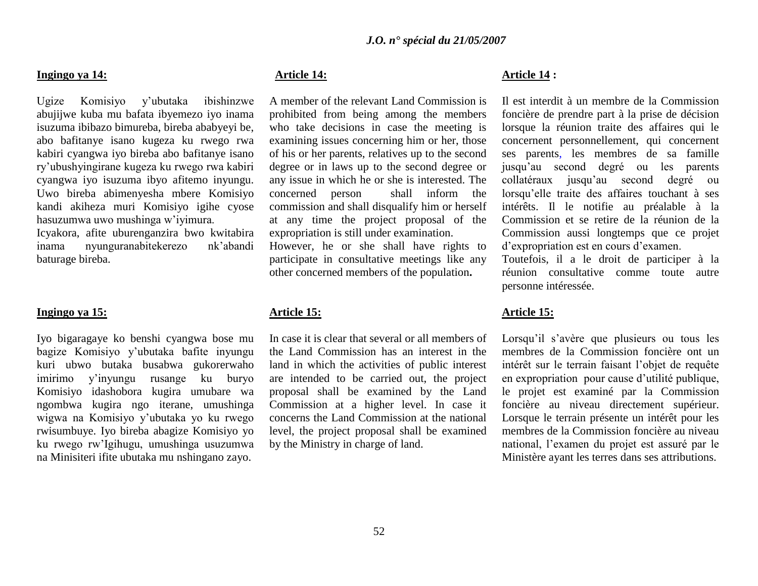### **Ingingo ya 14:**

Ugize Komisiyo y"ubutaka ibishinzwe abujijwe kuba mu bafata ibyemezo iyo inama isuzuma ibibazo bimureba, bireba ababyeyi be, abo bafitanye isano kugeza ku rwego rwa kabiri cyangwa iyo bireba abo bafitanye isano ry"ubushyingirane kugeza ku rwego rwa kabiri cyangwa iyo isuzuma ibyo afitemo inyungu. Uwo bireba abimenyesha mbere Komisiyo kandi akiheza muri Komisiyo igihe cyose hasuzumwa uwo mushinga w"iyimura.

Icyakora, afite uburenganzira bwo kwitabira inama nyunguranabitekerezo nk"abandi baturage bireba.

# **Ingingo ya 15:**

Iyo bigaragaye ko benshi cyangwa bose mu bagize Komisiyo y"ubutaka bafite inyungu kuri ubwo butaka busabwa gukorerwaho imirimo y"inyungu rusange ku buryo Komisiyo idashobora kugira umubare wa ngombwa kugira ngo iterane, umushinga wigwa na Komisiyo y"ubutaka yo ku rwego rwisumbuye. Iyo bireba abagize Komisiyo yo ku rwego rw"Igihugu, umushinga usuzumwa na Minisiteri ifite ubutaka mu nshingano zayo.

# **Article 14:**

A member of the relevant Land Commission is prohibited from being among the members who take decisions in case the meeting is examining issues concerning him or her, those of his or her parents, relatives up to the second degree or in laws up to the second degree or any issue in which he or she is interested. The concerned person shall inform the commission and shall disqualify him or herself at any time the project proposal of the expropriation is still under examination.

However, he or she shall have rights to participate in consultative meetings like any other concerned members of the population**.**

### **Article 15:**

In case it is clear that several or all members of the Land Commission has an interest in the land in which the activities of public interest are intended to be carried out, the project proposal shall be examined by the Land Commission at a higher level. In case it concerns the Land Commission at the national level, the project proposal shall be examined by the Ministry in charge of land.

### **Article 14 :**

Il est interdit à un membre de la Commission foncière de prendre part à la prise de décision lorsque la réunion traite des affaires qui le concernent personnellement, qui concernent ses parents, les membres de sa famille jusqu"au second degré ou les parents collatéraux jusqu"au second degré ou lorsqu"elle traite des affaires touchant à ses intérêts. Il le notifie au préalable à la Commission et se retire de la réunion de la Commission aussi longtemps que ce projet d"expropriation est en cours d"examen.

Toutefois, il a le droit de participer à la réunion consultative comme toute autre personne intéressée.

### **Article 15:**

Lorsqu'il s'avère que plusieurs ou tous les membres de la Commission foncière ont un intérêt sur le terrain faisant l"objet de requête en expropriation pour cause d"utilité publique, le projet est examiné par la Commission foncière au niveau directement supérieur. Lorsque le terrain présente un intérêt pour les membres de la Commission foncière au niveau national, l"examen du projet est assuré par le Ministère ayant les terres dans ses attributions.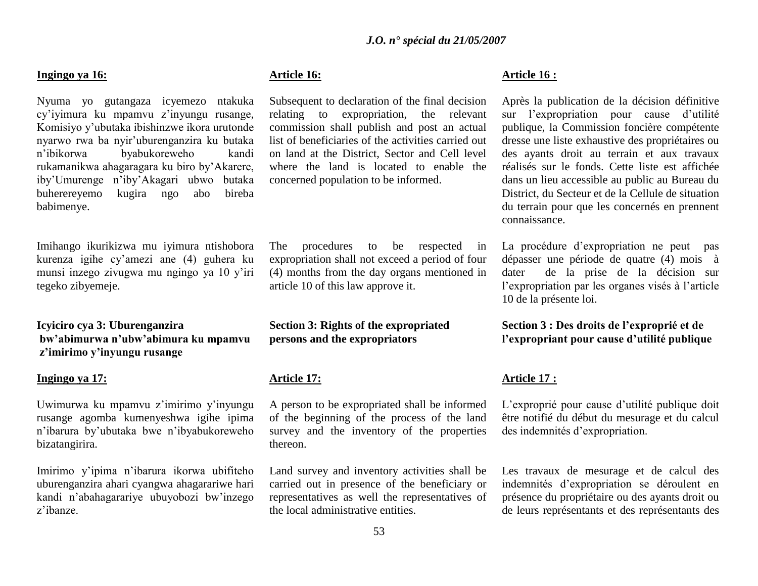### **Ingingo ya 16:**

Nyuma yo gutangaza icyemezo ntakuka cy"iyimura ku mpamvu z"inyungu rusange, Komisiyo y"ubutaka ibishinzwe ikora urutonde nyarwo rwa ba nyir"uburenganzira ku butaka n"ibikorwa byabukoreweho kandi rukamanikwa ahagaragara ku biro by"Akarere, iby"Umurenge n"iby"Akagari ubwo butaka buherereyemo kugira ngo abo bireba babimenye.

Imihango ikurikizwa mu iyimura ntishobora kurenza igihe cy"amezi ane (4) guhera ku munsi inzego zivugwa mu ngingo ya 10 y"iri tegeko zibyemeje.

**Icyiciro cya 3: Uburenganzira bw'abimurwa n'ubw'abimura ku mpamvu z'imirimo y'inyungu rusange**

#### **Ingingo ya 17:**

Uwimurwa ku mpamvu z"imirimo y"inyungu rusange agomba kumenyeshwa igihe ipima n"ibarura by"ubutaka bwe n"ibyabukoreweho bizatangirira.

Imirimo y"ipima n"ibarura ikorwa ubifiteho uburenganzira ahari cyangwa ahagarariwe hari kandi n"abahagarariye ubuyobozi bw"inzego z"ibanze.

# **Article 16:**

Subsequent to declaration of the final decision relating to expropriation, the relevant commission shall publish and post an actual list of beneficiaries of the activities carried out on land at the District, Sector and Cell level where the land is located to enable the concerned population to be informed.

The procedures to be respected in expropriation shall not exceed a period of four (4) months from the day organs mentioned in article 10 of this law approve it.

# **Section 3: Rights of the expropriated persons and the expropriators**

# **Article 17:**

A person to be expropriated shall be informed of the beginning of the process of the land survey and the inventory of the properties thereon.

Land survey and inventory activities shall be carried out in presence of the beneficiary or representatives as well the representatives of the local administrative entities.

### **Article 16 :**

Après la publication de la décision définitive sur l'expropriation pour cause d'utilité publique, la Commission foncière compétente dresse une liste exhaustive des propriétaires ou des ayants droit au terrain et aux travaux réalisés sur le fonds. Cette liste est affichée dans un lieu accessible au public au Bureau du District, du Secteur et de la Cellule de situation du terrain pour que les concernés en prennent connaissance.

La procédure d"expropriation ne peut pas dépasser une période de quatre (4) mois à dater de la prise de la décision sur l"expropriation par les organes visés à l"article 10 de la présente loi.

**Section 3 : Des droits de l'exproprié et de l'expropriant pour cause d'utilité publique**

### **Article 17 :**

L"exproprié pour cause d"utilité publique doit être notifié du début du mesurage et du calcul des indemnités d"expropriation.

Les travaux de mesurage et de calcul des indemnités d"expropriation se déroulent en présence du propriétaire ou des ayants droit ou de leurs représentants et des représentants des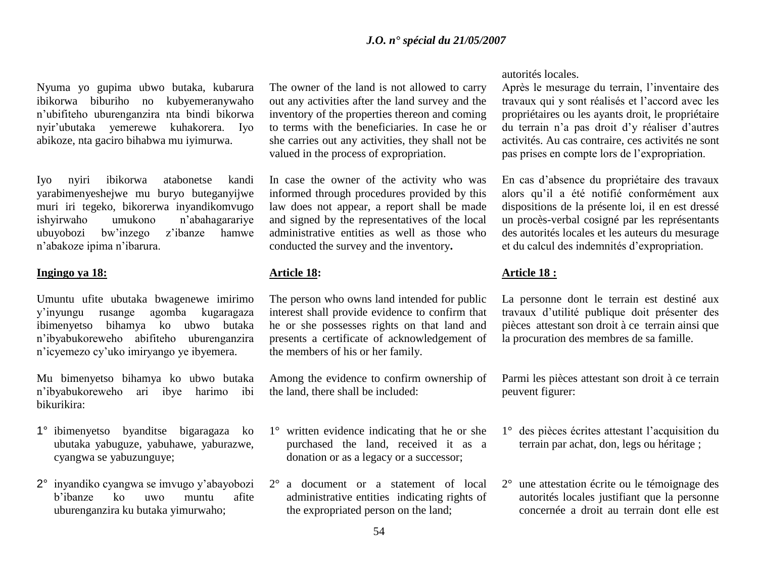Nyuma yo gupima ubwo butaka, kubarura ibikorwa biburiho no kubyemeranywaho n"ubifiteho uburenganzira nta bindi bikorwa nyir"ubutaka yemerewe kuhakorera. Iyo abikoze, nta gaciro bihabwa mu iyimurwa.

Iyo nyiri ibikorwa atabonetse kandi yarabimenyeshejwe mu buryo buteganyijwe muri iri tegeko, bikorerwa inyandikomvugo ishyirwaho umukono n"abahagarariye ubuyobozi bw"inzego z"ibanze hamwe n"abakoze ipima n"ibarura.

### **Ingingo ya 18:**

Umuntu ufite ubutaka bwagenewe imirimo y"inyungu rusange agomba kugaragaza ibimenyetso bihamya ko ubwo butaka n"ibyabukoreweho abifiteho uburenganzira n"icyemezo cy"uko imiryango ye ibyemera.

Mu bimenyetso bihamya ko ubwo butaka n"ibyabukoreweho ari ibye harimo ibi bikurikira:

- 1° ibimenyetso byanditse bigaragaza ko ubutaka yabuguze, yabuhawe, yaburazwe, cyangwa se yabuzunguye;
- 2° inyandiko cyangwa se imvugo y"abayobozi b"ibanze ko uwo muntu afite uburenganzira ku butaka yimurwaho;

The owner of the land is not allowed to carry out any activities after the land survey and the inventory of the properties thereon and coming to terms with the beneficiaries. In case he or she carries out any activities, they shall not be valued in the process of expropriation.

In case the owner of the activity who was informed through procedures provided by this law does not appear, a report shall be made and signed by the representatives of the local administrative entities as well as those who conducted the survey and the inventory**.**

### **Article 18:**

The person who owns land intended for public interest shall provide evidence to confirm that he or she possesses rights on that land and presents a certificate of acknowledgement of the members of his or her family.

Among the evidence to confirm ownership of the land, there shall be included:

- 1° written evidence indicating that he or she purchased the land, received it as a donation or as a legacy or a successor;
- 2° a document or a statement of local administrative entities indicating rights of the expropriated person on the land;

autorités locales.

Après le mesurage du terrain, l"inventaire des travaux qui y sont réalisés et l"accord avec les propriétaires ou les ayants droit, le propriétaire du terrain n"a pas droit d"y réaliser d"autres activités. Au cas contraire, ces activités ne sont pas prises en compte lors de l"expropriation.

En cas d"absence du propriétaire des travaux alors qu"il a été notifié conformément aux dispositions de la présente loi, il en est dressé un procès-verbal cosigné par les représentants des autorités locales et les auteurs du mesurage et du calcul des indemnités d"expropriation.

# **Article 18 :**

La personne dont le terrain est destiné aux travaux d"utilité publique doit présenter des pièces attestant son droit à ce terrain ainsi que la procuration des membres de sa famille.

Parmi les pièces attestant son droit à ce terrain peuvent figurer:

- 1° des pièces écrites attestant l"acquisition du terrain par achat, don, legs ou héritage ;
- 2° une attestation écrite ou le témoignage des autorités locales justifiant que la personne concernée a droit au terrain dont elle est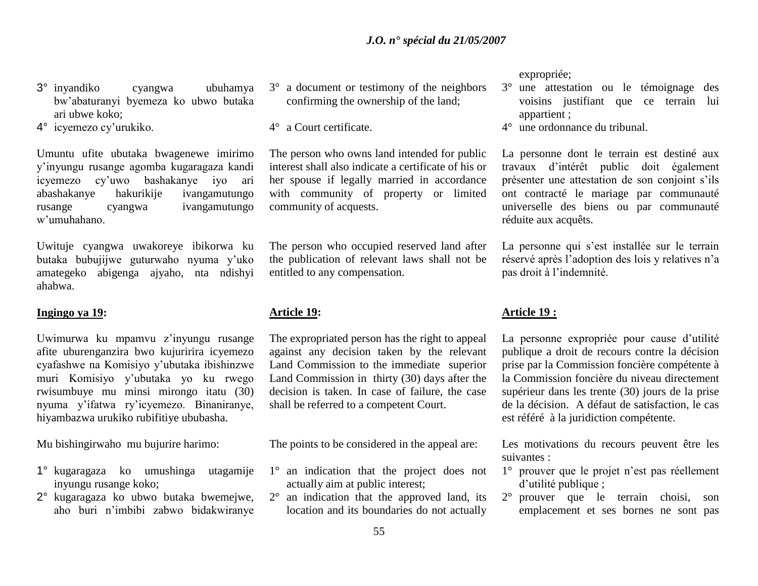- 3° inyandiko cyangwa ubuhamya bw"abaturanyi byemeza ko ubwo butaka ari ubwe koko;
- 4° icyemezo cy"urukiko.

Umuntu ufite ubutaka bwagenewe imirimo y"inyungu rusange agomba kugaragaza kandi icyemezo cy"uwo bashakanye iyo ari abashakanye hakurikije ivangamutungo rusange cyangwa ivangamutungo w"umuhahano.

Uwituje cyangwa uwakoreye ibikorwa ku butaka bubujijwe guturwaho nyuma y"uko amategeko abigenga ajyaho, nta ndishyi ahabwa.

### **Ingingo ya 19:**

Uwimurwa ku mpamvu z"inyungu rusange afite uburenganzira bwo kujuririra icyemezo cyafashwe na Komisiyo y"ubutaka ibishinzwe muri Komisiyo y"ubutaka yo ku rwego rwisumbuye mu minsi mirongo itatu (30) nyuma y"ifatwa ry"icyemezo. Binaniranye, hiyambazwa urukiko rubifitiye ububasha.

Mu bishingirwaho mu bujurire harimo:

- 1° kugaragaza ko umushinga utagamije inyungu rusange koko;
- 2° kugaragaza ko ubwo butaka bwemejwe, aho buri n"imbibi zabwo bidakwiranye

3° a document or testimony of the neighbors confirming the ownership of the land;

4° a Court certificate.

The person who owns land intended for public interest shall also indicate a certificate of his or her spouse if legally married in accordance with community of property or limited community of acquests.

The person who occupied reserved land after the publication of relevant laws shall not be entitled to any compensation.

### **Article 19:**

The expropriated person has the right to appeal against any decision taken by the relevant Land Commission to the immediate superior Land Commission in thirty (30) days after the decision is taken. In case of failure, the case shall be referred to a competent Court.

The points to be considered in the appeal are:

- 1° an indication that the project does not actually aim at public interest;
- 2° an indication that the approved land, its location and its boundaries do not actually

expropriée;

- 3° une attestation ou le témoignage des voisins justifiant que ce terrain lui appartient ;
- 4° une ordonnance du tribunal.

La personne dont le terrain est destiné aux travaux d"intérêt public doit également présenter une attestation de son conjoint s"ils ont contracté le mariage par communauté universelle des biens ou par communauté réduite aux acquêts.

La personne qui s'est installée sur le terrain réservé après l"adoption des lois y relatives n"a pas droit à l"indemnité.

### **Article 19 :**

La personne expropriée pour cause d'utilité publique a droit de recours contre la décision prise par la Commission foncière compétente à la Commission foncière du niveau directement supérieur dans les trente (30) jours de la prise de la décision. A défaut de satisfaction, le cas est référé à la juridiction compétente.

Les motivations du recours peuvent être les suivantes :

- 1° prouver que le projet n"est pas réellement d"utilité publique ;
- 2° prouver que le terrain choisi, son emplacement et ses bornes ne sont pas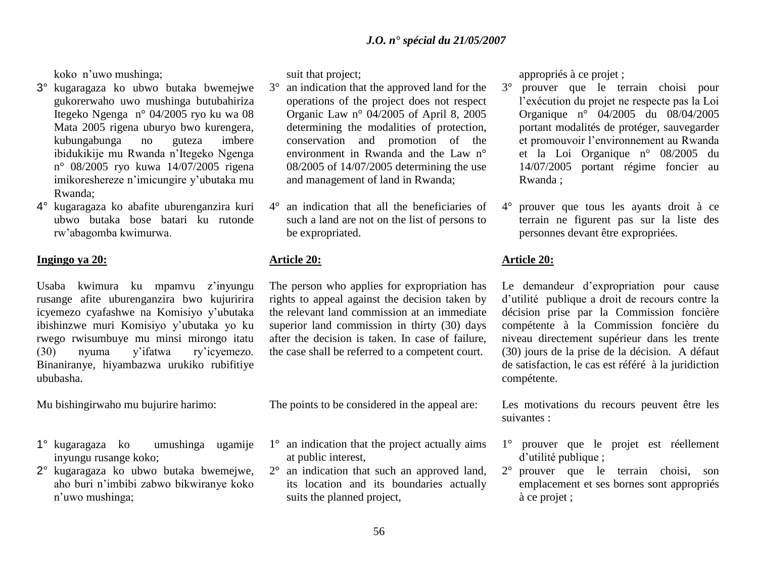koko n"uwo mushinga;

- 3° kugaragaza ko ubwo butaka bwemejwe gukorerwaho uwo mushinga butubahiriza Itegeko Ngenga n° 04/2005 ryo ku wa 08 Mata 2005 rigena uburyo bwo kurengera, kubungabunga no guteza imbere ibidukikije mu Rwanda n"Itegeko Ngenga n° 08/2005 ryo kuwa 14/07/2005 rigena imikoreshereze n"imicungire y"ubutaka mu Rwanda;
- 4° kugaragaza ko abafite uburenganzira kuri ubwo butaka bose batari ku rutonde rw"abagomba kwimurwa.

### **Ingingo ya 20:**

Usaba kwimura ku mpamvu z"inyungu rusange afite uburenganzira bwo kujuririra icyemezo cyafashwe na Komisiyo y"ubutaka ibishinzwe muri Komisiyo y"ubutaka yo ku rwego rwisumbuye mu minsi mirongo itatu (30) nyuma y"ifatwa ry"icyemezo. Binaniranye, hiyambazwa urukiko rubifitiye ububasha.

Mu bishingirwaho mu bujurire harimo:

- 1° kugaragaza ko umushinga ugamije inyungu rusange koko;
- 2° kugaragaza ko ubwo butaka bwemejwe, aho buri n"imbibi zabwo bikwiranye koko n"uwo mushinga;

suit that project;

- 3° an indication that the approved land for the operations of the project does not respect Organic Law n° 04/2005 of April 8, 2005 determining the modalities of protection, conservation and promotion of the environment in Rwanda and the Law n° 08/2005 of 14/07/2005 determining the use and management of land in Rwanda;
- an indication that all the beneficiaries of such a land are not on the list of persons to be expropriated.

# **Article 20:**

The person who applies for expropriation has rights to appeal against the decision taken by the relevant land commission at an immediate superior land commission in thirty (30) days after the decision is taken. In case of failure, the case shall be referred to a competent court.

The points to be considered in the appeal are:

- 1° an indication that the project actually aims at public interest,
- 2° an indication that such an approved land, its location and its boundaries actually suits the planned project,

appropriés à ce projet ;

- 3° prouver que le terrain choisi pour l"exécution du projet ne respecte pas la Loi Organique n° 04/2005 du 08/04/2005 portant modalités de protéger, sauvegarder et promouvoir l"environnement au Rwanda et la Loi Organique n° 08/2005 du 14/07/2005 portant régime foncier au Rwanda ;
- 4° prouver que tous les ayants droit à ce terrain ne figurent pas sur la liste des personnes devant être expropriées.

# **Article 20:**

Le demandeur d"expropriation pour cause d"utilité publique a droit de recours contre la décision prise par la Commission foncière compétente à la Commission foncière du niveau directement supérieur dans les trente (30) jours de la prise de la décision. A défaut de satisfaction, le cas est référé à la juridiction compétente.

Les motivations du recours peuvent être les suivantes :

- 1° prouver que le projet est réellement d'utilité publique ;
- 2° prouver que le terrain choisi, son emplacement et ses bornes sont appropriés à ce projet ;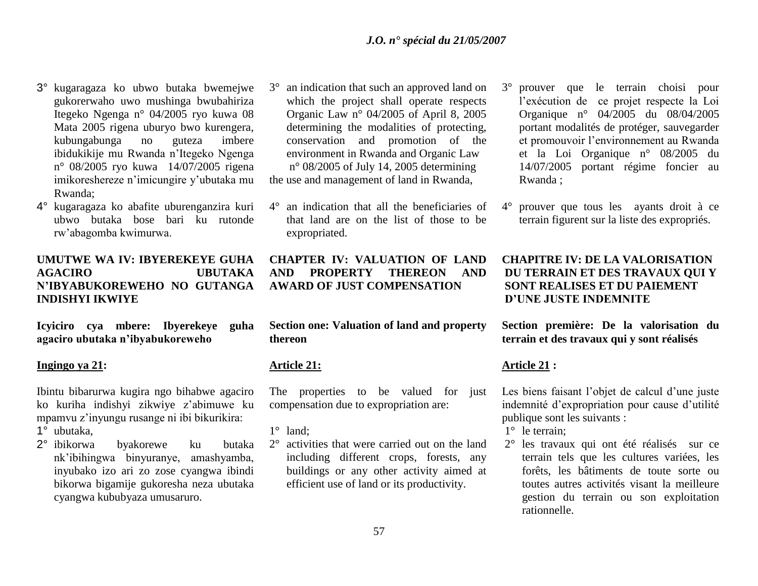- 3° kugaragaza ko ubwo butaka bwemejwe gukorerwaho uwo mushinga bwubahiriza Itegeko Ngenga n° 04/2005 ryo kuwa 08 Mata 2005 rigena uburyo bwo kurengera, kubungabunga no guteza imbere ibidukikije mu Rwanda n"Itegeko Ngenga n° 08/2005 ryo kuwa 14/07/2005 rigena imikoreshereze n"imicungire y"ubutaka mu Rwanda;
- 4° kugaragaza ko abafite uburenganzira kuri ubwo butaka bose bari ku rutonde rw"abagomba kwimurwa.

# **UMUTWE WA IV: IBYEREKEYE GUHA AGACIRO UBUTAKA N'IBYABUKOREWEHO NO GUTANGA INDISHYI IKWIYE**

**Icyiciro cya mbere: Ibyerekeye guha agaciro ubutaka n'ibyabukoreweho**

### **Ingingo ya 21:**

Ibintu bibarurwa kugira ngo bihabwe agaciro ko kuriha indishyi zikwiye z"abimuwe ku mpamvu z"inyungu rusange ni ibi bikurikira:

- 1° ubutaka,
- 2° ibikorwa byakorewe ku butaka nk"ibihingwa binyuranye, amashyamba, inyubako izo ari zo zose cyangwa ibindi bikorwa bigamije gukoresha neza ubutaka cyangwa kububyaza umusaruro.
- an indication that such an approved land on which the project shall operate respects Organic Law n° 04/2005 of April 8, 2005 determining the modalities of protecting, conservation and promotion of the environment in Rwanda and Organic Law n° 08/2005 of July 14, 2005 determining the use and management of land in Rwanda,
- 4° an indication that all the beneficiaries of that land are on the list of those to be expropriated.

**CHAPTER IV: VALUATION OF LAND AND PROPERTY THEREON AND AWARD OF JUST COMPENSATION** 

**Section one: Valuation of land and property thereon** 

# **Article 21:**

The properties to be valued for just compensation due to expropriation are:

1° land;

2° activities that were carried out on the land including different crops, forests, any buildings or any other activity aimed at efficient use of land or its productivity.

- 3° prouver que le terrain choisi pour l"exécution de ce projet respecte la Loi Organique n° 04/2005 du 08/04/2005 portant modalités de protéger, sauvegarder et promouvoir l"environnement au Rwanda et la Loi Organique n° 08/2005 du 14/07/2005 portant régime foncier au Rwanda ;
- 4° prouver que tous les ayants droit à ce terrain figurent sur la liste des expropriés.

# **CHAPITRE IV: DE LA VALORISATION DU TERRAIN ET DES TRAVAUX QUI Y SONT REALISES ET DU PAIEMENT D'UNE JUSTE INDEMNITE**

**Section première: De la valorisation du terrain et des travaux qui y sont réalisés** 

# **Article 21 :**

Les biens faisant l'objet de calcul d'une juste indemnité d"expropriation pour cause d"utilité publique sont les suivants :

- 1° le terrain;
- 2° les travaux qui ont été réalisés sur ce terrain tels que les cultures variées, les forêts, les bâtiments de toute sorte ou toutes autres activités visant la meilleure gestion du terrain ou son exploitation rationnelle.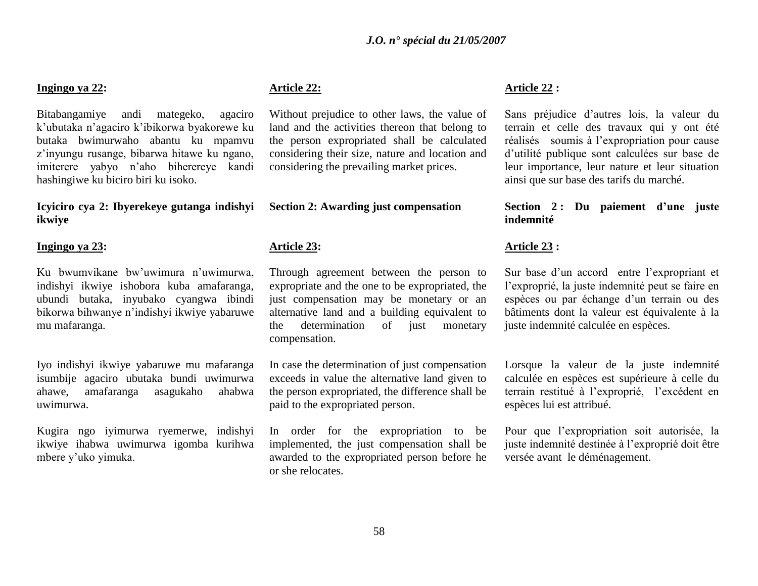### **Ingingo ya 22:**

Bitabangamiye andi mategeko, agaciro k"ubutaka n"agaciro k"ibikorwa byakorewe ku butaka bwimurwaho abantu ku mpamvu z"inyungu rusange, bibarwa hitawe ku ngano, imiterere yabyo n"aho biherereye kandi hashingiwe ku biciro biri ku isoko.

**Icyiciro cya 2: Ibyerekeye gutanga indishyi ikwiye** 

### **Ingingo ya 23:**

Ku bwumvikane bw"uwimura n"uwimurwa, indishyi ikwiye ishobora kuba amafaranga, ubundi butaka, inyubako cyangwa ibindi bikorwa bihwanye n"indishyi ikwiye yabaruwe mu mafaranga.

Iyo indishyi ikwiye yabaruwe mu mafaranga isumbije agaciro ubutaka bundi uwimurwa ahawe, amafaranga asagukaho ahabwa uwimurwa.

Kugira ngo iyimurwa ryemerwe, indishyi ikwiye ihabwa uwimurwa igomba kurihwa mbere y"uko yimuka.

# **Article 22:**

Without prejudice to other laws, the value of land and the activities thereon that belong to the person expropriated shall be calculated considering their size, nature and location and considering the prevailing market prices.

### **Section 2: Awarding just compensation**

#### **Article 23:**

Through agreement between the person to expropriate and the one to be expropriated, the just compensation may be monetary or an alternative land and a building equivalent to the determination of just monetary compensation.

In case the determination of just compensation exceeds in value the alternative land given to the person expropriated, the difference shall be paid to the expropriated person.

In order for the expropriation to be implemented, the just compensation shall be awarded to the expropriated person before he or she relocates.

#### **Article 22 :**

Sans préjudice d"autres lois, la valeur du terrain et celle des travaux qui y ont été réalisés soumis à l"expropriation pour cause d"utilité publique sont calculées sur base de leur importance, leur nature et leur situation ainsi que sur base des tarifs du marché.

# **Section 2 : Du paiement d'une juste indemnité**

### **Article 23 :**

Sur base d"un accord entre l"expropriant et l"exproprié, la juste indemnité peut se faire en espèces ou par échange d'un terrain ou des bâtiments dont la valeur est équivalente à la juste indemnité calculée en espèces.

Lorsque la valeur de la juste indemnité calculée en espèces est supérieure à celle du terrain restitué à l"exproprié, l"excédent en espèces lui est attribué.

Pour que l"expropriation soit autorisée, la juste indemnité destinée à l"exproprié doit être versée avant le déménagement.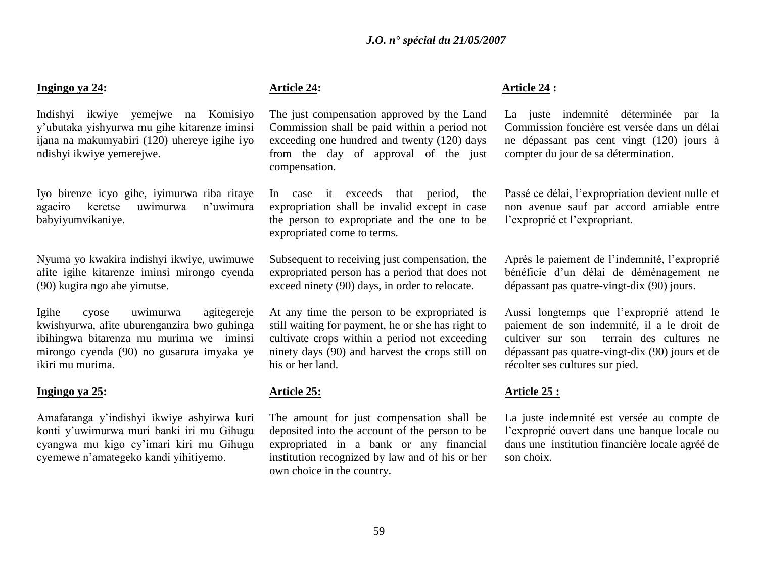### **Ingingo ya 24:**

Indishyi ikwiye yemejwe na Komisiyo y"ubutaka yishyurwa mu gihe kitarenze iminsi ijana na makumyabiri (120) uhereye igihe iyo ndishyi ikwiye yemerejwe.

Iyo birenze icyo gihe, iyimurwa riba ritaye agaciro keretse uwimurwa n"uwimura babyiyumvikaniye.

Nyuma yo kwakira indishyi ikwiye, uwimuwe afite igihe kitarenze iminsi mirongo cyenda (90) kugira ngo abe yimutse.

Igihe cyose uwimurwa agitegereje kwishyurwa, afite uburenganzira bwo guhinga ibihingwa bitarenza mu murima we iminsi mirongo cyenda (90) no gusarura imyaka ye ikiri mu murima.

### **Ingingo ya 25:**

Amafaranga y"indishyi ikwiye ashyirwa kuri konti y"uwimurwa muri banki iri mu Gihugu cyangwa mu kigo cy"imari kiri mu Gihugu cyemewe n"amategeko kandi yihitiyemo.

# **Article 24:**

The just compensation approved by the Land Commission shall be paid within a period not exceeding one hundred and twenty (120) days from the day of approval of the just compensation.

In case it exceeds that period, the expropriation shall be invalid except in case the person to expropriate and the one to be expropriated come to terms.

Subsequent to receiving just compensation, the expropriated person has a period that does not exceed ninety (90) days, in order to relocate.

At any time the person to be expropriated is still waiting for payment, he or she has right to cultivate crops within a period not exceeding ninety days (90) and harvest the crops still on his or her land.

# **Article 25:**

The amount for just compensation shall be deposited into the account of the person to be expropriated in a bank or any financial institution recognized by law and of his or her own choice in the country.

### **Article 24 :**

La juste indemnité déterminée par la Commission foncière est versée dans un délai ne dépassant pas cent vingt (120) jours à compter du jour de sa détermination.

Passé ce délai, l"expropriation devient nulle et non avenue sauf par accord amiable entre l"exproprié et l"expropriant.

Après le paiement de l"indemnité, l"exproprié bénéficie d"un délai de déménagement ne dépassant pas quatre-vingt-dix (90) jours.

Aussi longtemps que l"exproprié attend le paiement de son indemnité, il a le droit de cultiver sur son terrain des cultures ne dépassant pas quatre-vingt-dix (90) jours et de récolter ses cultures sur pied.

# **Article 25 :**

La juste indemnité est versée au compte de l"exproprié ouvert dans une banque locale ou dans une institution financière locale agréé de son choix.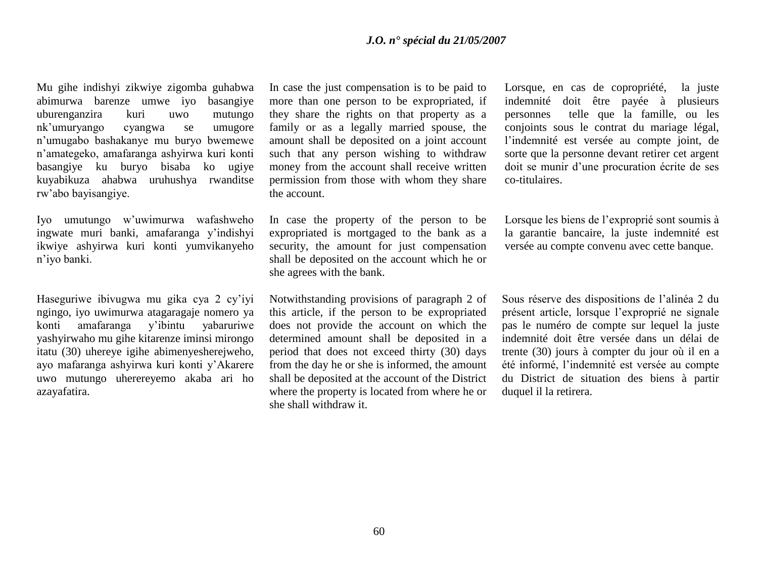Mu gihe indishyi zikwiye zigomba guhabwa abimurwa barenze umwe iyo basangiye uburenganzira kuri uwo mutungo nk"umuryango cyangwa se umugore n"umugabo bashakanye mu buryo bwemewe n"amategeko, amafaranga ashyirwa kuri konti basangiye ku buryo bisaba ko ugiye kuyabikuza ahabwa uruhushya rwanditse rw"abo bayisangiye.

Iyo umutungo w"uwimurwa wafashweho ingwate muri banki, amafaranga y"indishyi ikwiye ashyirwa kuri konti yumvikanyeho n"iyo banki.

Haseguriwe ibivugwa mu gika cya 2 cy"iyi ngingo, iyo uwimurwa atagaragaje nomero ya konti amafaranga y"ibintu yabaruriwe yashyirwaho mu gihe kitarenze iminsi mirongo itatu (30) uhereye igihe abimenyesherejweho, ayo mafaranga ashyirwa kuri konti y"Akarere uwo mutungo uherereyemo akaba ari ho azayafatira.

In case the just compensation is to be paid to more than one person to be expropriated, if they share the rights on that property as a family or as a legally married spouse, the amount shall be deposited on a joint account such that any person wishing to withdraw money from the account shall receive written permission from those with whom they share the account.

In case the property of the person to be expropriated is mortgaged to the bank as a security, the amount for just compensation shall be deposited on the account which he or she agrees with the bank.

Notwithstanding provisions of paragraph 2 of this article, if the person to be expropriated does not provide the account on which the determined amount shall be deposited in a period that does not exceed thirty (30) days from the day he or she is informed, the amount shall be deposited at the account of the District where the property is located from where he or she shall withdraw it.

Lorsque, en cas de copropriété, la juste indemnité doit être payée à plusieurs personnes telle que la famille, ou les conjoints sous le contrat du mariage légal, l"indemnité est versée au compte joint, de sorte que la personne devant retirer cet argent doit se munir d"une procuration écrite de ses co-titulaires.

Lorsque les biens de l"exproprié sont soumis à la garantie bancaire, la juste indemnité est versée au compte convenu avec cette banque.

Sous réserve des dispositions de l"alinéa 2 du présent article, lorsque l"exproprié ne signale pas le numéro de compte sur lequel la juste indemnité doit être versée dans un délai de trente (30) jours à compter du jour où il en a été informé, l"indemnité est versée au compte du District de situation des biens à partir duquel il la retirera.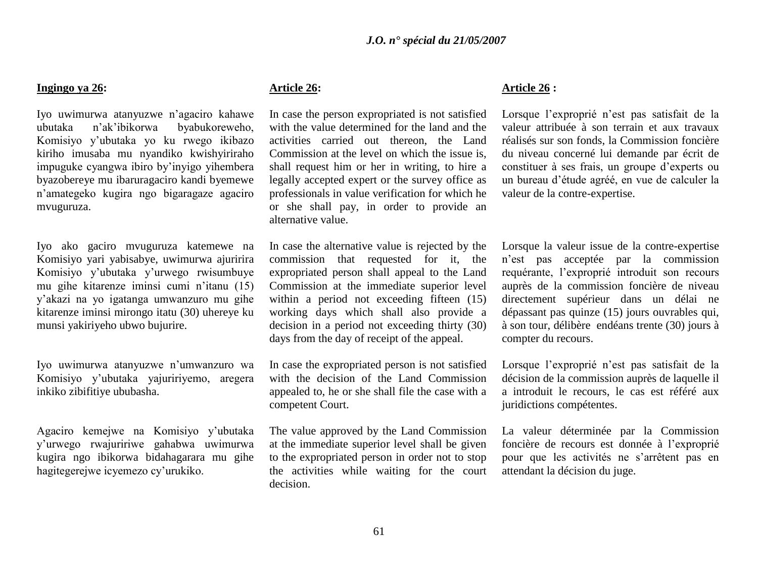#### **Ingingo ya 26:**

Iyo uwimurwa atanyuzwe n"agaciro kahawe ubutaka n"ak"ibikorwa byabukoreweho, Komisiyo y"ubutaka yo ku rwego ikibazo kiriho imusaba mu nyandiko kwishyiriraho impuguke cyangwa ibiro by"inyigo yihembera byazobereye mu ibaruragaciro kandi byemewe n"amategeko kugira ngo bigaragaze agaciro mvuguruza.

Iyo ako gaciro mvuguruza katemewe na Komisiyo yari yabisabye, uwimurwa ajuririra Komisiyo y"ubutaka y"urwego rwisumbuye mu gihe kitarenze iminsi cumi n"itanu (15) y"akazi na yo igatanga umwanzuro mu gihe kitarenze iminsi mirongo itatu (30) uhereye ku munsi yakiriyeho ubwo bujurire.

Iyo uwimurwa atanyuzwe n"umwanzuro wa Komisiyo y"ubutaka yajuririyemo, aregera inkiko zibifitiye ububasha.

Agaciro kemejwe na Komisiyo y"ubutaka y"urwego rwajuririwe gahabwa uwimurwa kugira ngo ibikorwa bidahagarara mu gihe hagitegerejwe icyemezo cy"urukiko.

# **Article 26:**

In case the person expropriated is not satisfied with the value determined for the land and the activities carried out thereon, the Land Commission at the level on which the issue is, shall request him or her in writing, to hire a legally accepted expert or the survey office as professionals in value verification for which he or she shall pay, in order to provide an alternative value.

In case the alternative value is rejected by the commission that requested for it, the expropriated person shall appeal to the Land Commission at the immediate superior level within a period not exceeding fifteen  $(15)$ working days which shall also provide a decision in a period not exceeding thirty (30) days from the day of receipt of the appeal.

In case the expropriated person is not satisfied with the decision of the Land Commission appealed to, he or she shall file the case with a competent Court.

The value approved by the Land Commission at the immediate superior level shall be given to the expropriated person in order not to stop the activities while waiting for the court decision.

# **Article 26 :**

Lorsque l'exproprié n'est pas satisfait de la valeur attribuée à son terrain et aux travaux réalisés sur son fonds, la Commission foncière du niveau concerné lui demande par écrit de constituer à ses frais, un groupe d"experts ou un bureau d"étude agréé, en vue de calculer la valeur de la contre-expertise.

Lorsque la valeur issue de la contre-expertise n"est pas acceptée par la commission requérante, l"exproprié introduit son recours auprès de la commission foncière de niveau directement supérieur dans un délai ne dépassant pas quinze (15) jours ouvrables qui, à son tour, délibère endéans trente (30) jours à compter du recours.

Lorsque l"exproprié n"est pas satisfait de la décision de la commission auprès de laquelle il a introduit le recours, le cas est référé aux juridictions compétentes.

La valeur déterminée par la Commission foncière de recours est donnée à l"exproprié pour que les activités ne s"arrêtent pas en attendant la décision du juge.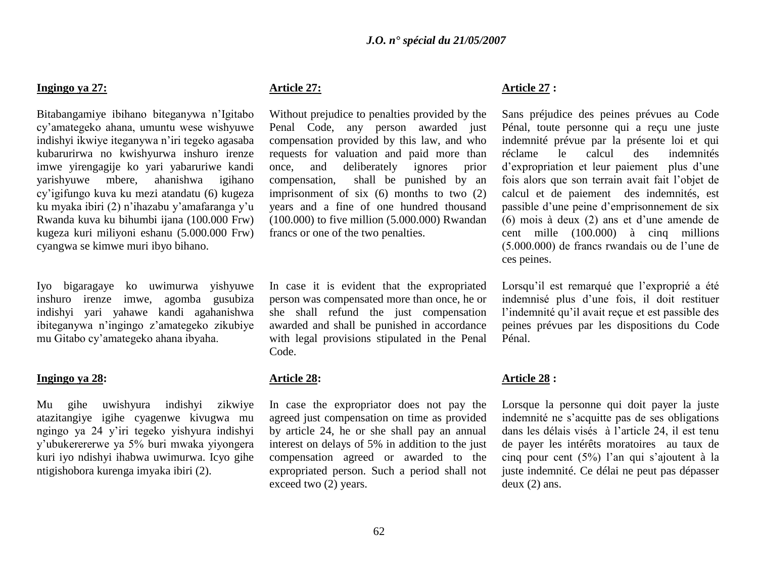### **Ingingo ya 27:**

Bitabangamiye ibihano biteganywa n"Igitabo cy"amategeko ahana, umuntu wese wishyuwe indishyi ikwiye iteganywa n"iri tegeko agasaba kubarurirwa no kwishyurwa inshuro irenze imwe yirengagije ko yari yabaruriwe kandi yarishyuwe mbere, ahanishwa igihano cy"igifungo kuva ku mezi atandatu (6) kugeza ku myaka ibiri (2) n"ihazabu y"amafaranga y"u Rwanda kuva ku bihumbi ijana (100.000 Frw) kugeza kuri miliyoni eshanu (5.000.000 Frw) cyangwa se kimwe muri ibyo bihano.

Iyo bigaragaye ko uwimurwa yishyuwe inshuro irenze imwe, agomba gusubiza indishyi yari yahawe kandi agahanishwa ibiteganywa n"ingingo z"amategeko zikubiye mu Gitabo cy"amategeko ahana ibyaha.

# **Ingingo ya 28:**

Mu gihe uwishyura indishyi zikwiye atazitangiye igihe cyagenwe kivugwa mu ngingo ya 24 y"iri tegeko yishyura indishyi y"ubukerererwe ya 5% buri mwaka yiyongera kuri iyo ndishyi ihabwa uwimurwa. Icyo gihe ntigishobora kurenga imyaka ibiri (2).

# **Article 27:**

Without prejudice to penalties provided by the Penal Code, any person awarded just compensation provided by this law, and who requests for valuation and paid more than once, and deliberately ignores prior compensation, shall be punished by an imprisonment of six (6) months to two (2) years and a fine of one hundred thousand (100.000) to five million (5.000.000) Rwandan francs or one of the two penalties.

In case it is evident that the expropriated person was compensated more than once, he or she shall refund the just compensation awarded and shall be punished in accordance with legal provisions stipulated in the Penal Code.

# **Article 28:**

In case the expropriator does not pay the agreed just compensation on time as provided by article 24, he or she shall pay an annual interest on delays of 5% in addition to the just compensation agreed or awarded to the expropriated person. Such a period shall not exceed two (2) years.

# **Article 27 :**

Sans préjudice des peines prévues au Code Pénal, toute personne qui a reçu une juste indemnité prévue par la présente loi et qui réclame le calcul des indemnités d"expropriation et leur paiement plus d"une fois alors que son terrain avait fait l"objet de calcul et de paiement des indemnités, est passible d"une peine d"emprisonnement de six (6) mois à deux (2) ans et d"une amende de cent mille (100.000) à cinq millions (5.000.000) de francs rwandais ou de l"une de ces peines.

Lorsqu'il est remarqué que l'exproprié a été indemnisé plus d"une fois, il doit restituer l"indemnité qu"il avait reçue et est passible des peines prévues par les dispositions du Code Pénal.

# **Article 28 :**

Lorsque la personne qui doit payer la juste indemnité ne s"acquitte pas de ses obligations dans les délais visés à l"article 24, il est tenu de payer les intérêts moratoires au taux de cinq pour cent (5%) l"an qui s"ajoutent à la juste indemnité. Ce délai ne peut pas dépasser deux (2) ans.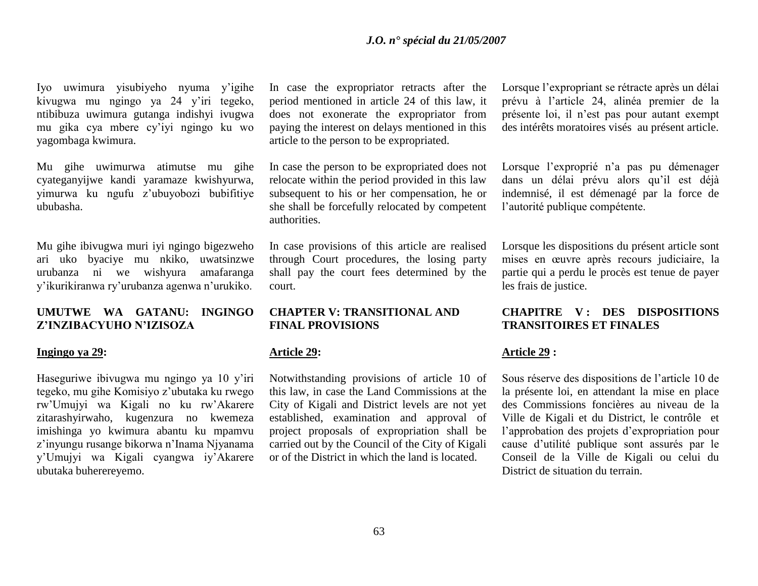Iyo uwimura yisubiyeho nyuma y"igihe kivugwa mu ngingo ya 24 y"iri tegeko, ntibibuza uwimura gutanga indishyi ivugwa mu gika cya mbere cy"iyi ngingo ku wo yagombaga kwimura.

Mu gihe uwimurwa atimutse mu gihe cyateganyijwe kandi yaramaze kwishyurwa, yimurwa ku ngufu z"ubuyobozi bubifitiye ububasha.

Mu gihe ibivugwa muri iyi ngingo bigezweho ari uko byaciye mu nkiko, uwatsinzwe urubanza ni we wishyura amafaranga y"ikurikiranwa ry"urubanza agenwa n"urukiko.

### **UMUTWE WA GATANU: INGINGO Z'INZIBACYUHO N'IZISOZA**

#### **Ingingo ya 29:**

Haseguriwe ibivugwa mu ngingo ya 10 y'iri tegeko, mu gihe Komisiyo z"ubutaka ku rwego rw"Umujyi wa Kigali no ku rw"Akarere zitarashyirwaho, kugenzura no kwemeza imishinga yo kwimura abantu ku mpamvu z"inyungu rusange bikorwa n"Inama Njyanama y"Umujyi wa Kigali cyangwa iy"Akarere ubutaka buherereyemo.

In case the expropriator retracts after the period mentioned in article 24 of this law, it does not exonerate the expropriator from paying the interest on delays mentioned in this article to the person to be expropriated.

In case the person to be expropriated does not relocate within the period provided in this law subsequent to his or her compensation, he or she shall be forcefully relocated by competent authorities.

In case provisions of this article are realised through Court procedures, the losing party shall pay the court fees determined by the court.

### **CHAPTER V: TRANSITIONAL AND FINAL PROVISIONS**

### **Article 29:**

Notwithstanding provisions of article 10 of this law, in case the Land Commissions at the City of Kigali and District levels are not yet established, examination and approval of project proposals of expropriation shall be carried out by the Council of the City of Kigali or of the District in which the land is located.

Lorsque l"expropriant se rétracte après un délai prévu à l"article 24, alinéa premier de la présente loi, il n"est pas pour autant exempt des intérêts moratoires visés au présent article.

Lorsque l'exproprié n'a pas pu démenager dans un délai prévu alors qu"il est déjà indemnisé, il est démenagé par la force de l"autorité publique compétente.

Lorsque les dispositions du présent article sont mises en œuvre après recours judiciaire, la partie qui a perdu le procès est tenue de payer les frais de justice.

# **CHAPITRE V : DES DISPOSITIONS TRANSITOIRES ET FINALES**

### **Article 29 :**

Sous réserve des dispositions de l"article 10 de la présente loi, en attendant la mise en place des Commissions foncières au niveau de la Ville de Kigali et du District, le contrôle et l"approbation des projets d"expropriation pour cause d"utilité publique sont assurés par le Conseil de la Ville de Kigali ou celui du District de situation du terrain.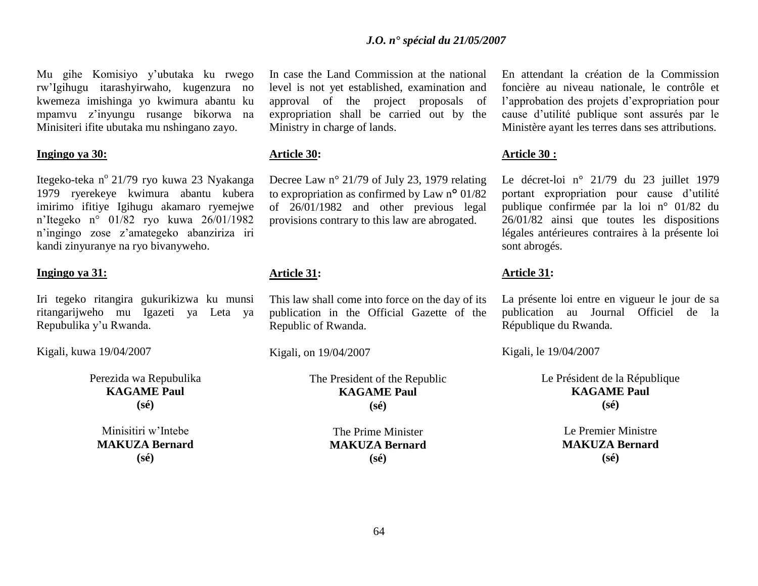Mu gihe Komisiyo y"ubutaka ku rwego rw"Igihugu itarashyirwaho, kugenzura no kwemeza imishinga yo kwimura abantu ku mpamvu z"inyungu rusange bikorwa na Minisiteri ifite ubutaka mu nshingano zayo.

### **Ingingo ya 30:**

Itegeko-teka n<sup>o</sup> 21/79 ryo kuwa 23 Nyakanga 1979 ryerekeye kwimura abantu kubera imirimo ifitiye Igihugu akamaro ryemejwe n"Itegeko n° 01/82 ryo kuwa 26/01/1982 n"ingingo zose z"amategeko abanziriza iri kandi zinyuranye na ryo bivanyweho.

### **Ingingo ya 31:**

Iri tegeko ritangira gukurikizwa ku munsi ritangarijweho mu Igazeti ya Leta ya Repubulika y"u Rwanda.

Kigali, kuwa 19/04/2007

Perezida wa Repubulika **KAGAME Paul (sé)**

Minisitiri w"Intebe **MAKUZA Bernard (sé)**

In case the Land Commission at the national level is not yet established, examination and approval of the project proposals of expropriation shall be carried out by the Ministry in charge of lands.

### **Article 30:**

Decree Law n° 21/79 of July 23, 1979 relating to expropriation as confirmed by Law n° 01/82 of 26/01/1982 and other previous legal provisions contrary to this law are abrogated.

# **Article 31:**

This law shall come into force on the day of its publication in the Official Gazette of the Republic of Rwanda.

Kigali, on 19/04/2007

The President of the Republic **KAGAME Paul (sé)**

> The Prime Minister **MAKUZA Bernard (sé)**

En attendant la création de la Commission foncière au niveau nationale, le contrôle et l"approbation des projets d"expropriation pour cause d"utilité publique sont assurés par le Ministère ayant les terres dans ses attributions.

### **Article 30 :**

Le décret-loi n° 21/79 du 23 juillet 1979 portant expropriation pour cause d"utilité publique confirmée par la loi n° 01/82 du 26/01/82 ainsi que toutes les dispositions légales antérieures contraires à la présente loi sont abrogés.

### **Article 31:**

La présente loi entre en vigueur le jour de sa publication au Journal Officiel de la République du Rwanda.

Kigali, le 19/04/2007

Le Président de la République **KAGAME Paul (sé)**

> Le Premier Ministre **MAKUZA Bernard (sé)**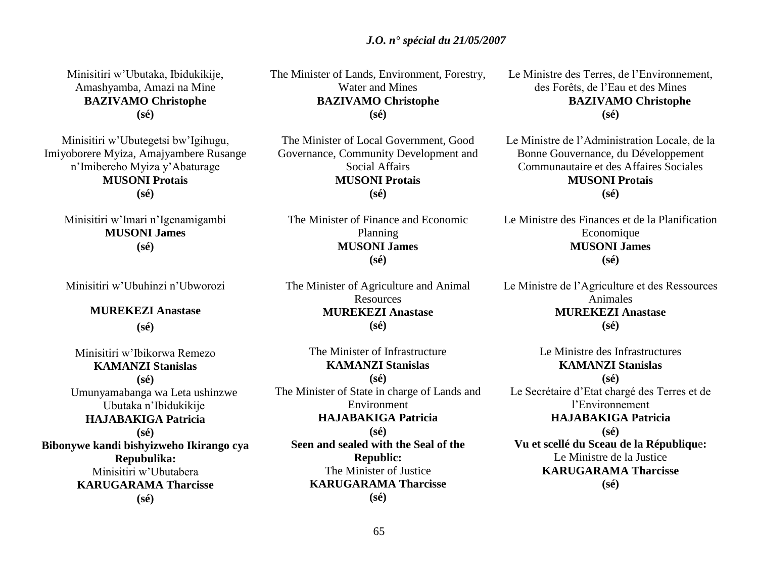Minisitiri w"Ubutaka, Ibidukikije, Amashyamba, Amazi na Mine **BAZIVAMO Christophe (sé)**

Minisitiri w"Ubutegetsi bw"Igihugu, Imiyoborere Myiza, Amajyambere Rusange n"Imibereho Myiza y"Abaturage **MUSONI Protais (sé)**

Minisitiri w"Imari n"Igenamigambi **MUSONI James (sé)**

Minisitiri w"Ubuhinzi n"Ubworozi

**MUREKEZI Anastase**

**(sé)**

Minisitiri w"Ibikorwa Remezo **KAMANZI Stanislas (sé)** Umunyamabanga wa Leta ushinzwe Ubutaka n"Ibidukikije **HAJABAKIGA Patricia (sé) Bibonywe kandi bishyizweho Ikirango cya Repubulika:** Minisitiri w"Ubutabera **KARUGARAMA Tharcisse (sé)**

The Minister of Lands, Environment, Forestry, Water and Mines **BAZIVAMO Christophe (sé)**

The Minister of Local Government, Good Governance, Community Development and Social Affairs **MUSONI Protais (sé)**

The Minister of Finance and Economic Planning **MUSONI James (sé)**

The Minister of Agriculture and Animal Resources **MUREKEZI Anastase (sé)**

The Minister of Infrastructure **KAMANZI Stanislas (sé)** The Minister of State in charge of Lands and Environment **HAJABAKIGA Patricia (sé) Seen and sealed with the Seal of the Republic:** The Minister of Justice **KARUGARAMA Tharcisse**

**(sé)**

Le Ministre des Terres, de l"Environnement, des Forêts, de l"Eau et des Mines **BAZIVAMO Christophe (sé)**

Le Ministre de l"Administration Locale, de la Bonne Gouvernance, du Développement Communautaire et des Affaires Sociales **MUSONI Protais (sé)**

Le Ministre des Finances et de la Planification Economique **MUSONI James (sé)**

Le Ministre de l"Agriculture et des Ressources Animales **MUREKEZI Anastase (sé)**

Le Ministre des Infrastructures **KAMANZI Stanislas (sé)** Le Secrétaire d"Etat chargé des Terres et de l"Environnement **HAJABAKIGA Patricia (sé) Vu et scellé du Sceau de la Républiqu**e**:** Le Ministre de la Justice **KARUGARAMA Tharcisse (sé)**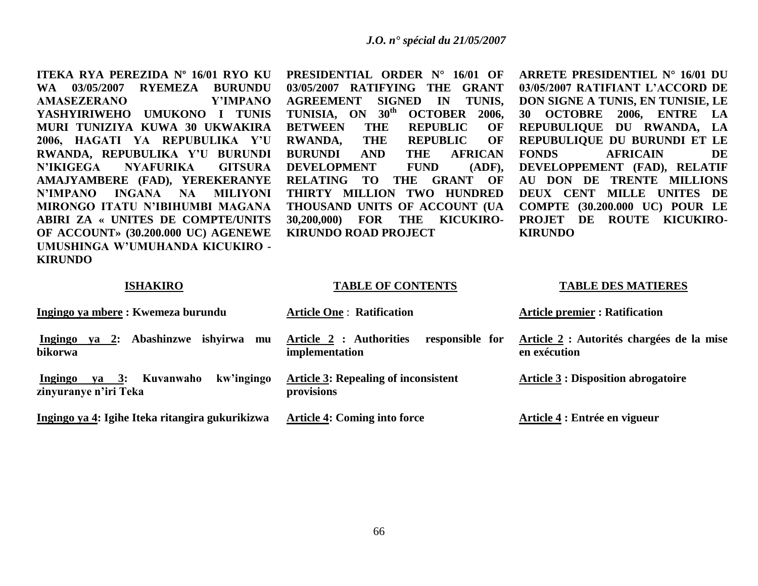**ITEKA RYA PEREZIDA Nº 16/01 RYO KU WA 03/05/2007 RYEMEZA BURUNDU AMASEZERANO Y'IMPANO YASHYIRIWEHO UMUKONO I TUNIS MURI TUNIZIYA KUWA 30 UKWAKIRA 2006, HAGATI YA REPUBULIKA Y'U RWANDA, REPUBULIKA Y'U BURUNDI N'IKIGEGA NYAFURIKA GITSURA AMAJYAMBERE (FAD), YEREKERANYE N'IMPANO INGANA NA MILIYONI MIRONGO ITATU N'IBIHUMBI MAGANA ABIRI ZA « UNITES DE COMPTE/UNITS OF ACCOUNT» (30.200.000 UC) AGENEWE UMUSHINGA W'UMUHANDA KICUKIRO - KIRUNDO**

**PRESIDENTIAL ORDER N° 16/01 OF 03/05/2007 RATIFYING THE GRANT AGREEMENT SIGNED IN TUNIS, TUNISIA, ON 30th OCTOBER 2006, BETWEEN THE REPUBLIC OF RWANDA, THE REPUBLIC OF BURUNDI AND THE AFRICAN DEVELOPMENT FUND (ADF), RELATING TO THE GRANT OF THIRTY MILLION TWO HUNDRED THOUSAND UNITS OF ACCOUNT (UA 30,200,000) FOR THE KICUKIRO-KIRUNDO ROAD PROJECT**

**ARRETE PRESIDENTIEL N° 16/01 DU 03/05/2007 RATIFIANT L'ACCORD DE DON SIGNE A TUNIS, EN TUNISIE, LE 30 OCTOBRE 2006, ENTRE LA REPUBULIQUE DU RWANDA, LA REPUBULIQUE DU BURUNDI ET LE FONDS AFRICAIN DE DEVELOPPEMENT (FAD), RELATIF AU DON DE TRENTE MILLIONS DEUX CENT MILLE UNITES DE COMPTE (30.200.000 UC) POUR LE PROJET DE ROUTE KICUKIRO-KIRUNDO**

#### **ISHAKIRO**

#### **TABLE OF CONTENTS**

#### **TABLE DES MATIERES**

| Ingingo ya mbere : Kwemeza burundu                                           | <b>Article One: Ratification</b>                             | <b>Article premier: Ratification</b>                      |
|------------------------------------------------------------------------------|--------------------------------------------------------------|-----------------------------------------------------------|
| Abashinzwe<br>ishvirwa<br>Ingingo<br><b>2:</b><br>va<br>mu<br>bikorwa        | Article 2 : Authorities<br>responsible for<br>implementation | Article 2 : Autorités chargées de la mise<br>en exécution |
| kw'ingingo<br>Kuvanwaho<br>$ya \quad 3:$<br>Ingingo<br>zinyuranye n'iri Teka | <b>Article 3: Repealing of inconsistent</b><br>provisions    | <b>Article 3 : Disposition abrogatoire</b>                |
| Ingingo ya 4: Igihe Iteka ritangira gukurikizwa                              | <b>Article 4: Coming into force</b>                          | Article 4 : Entrée en vigueur                             |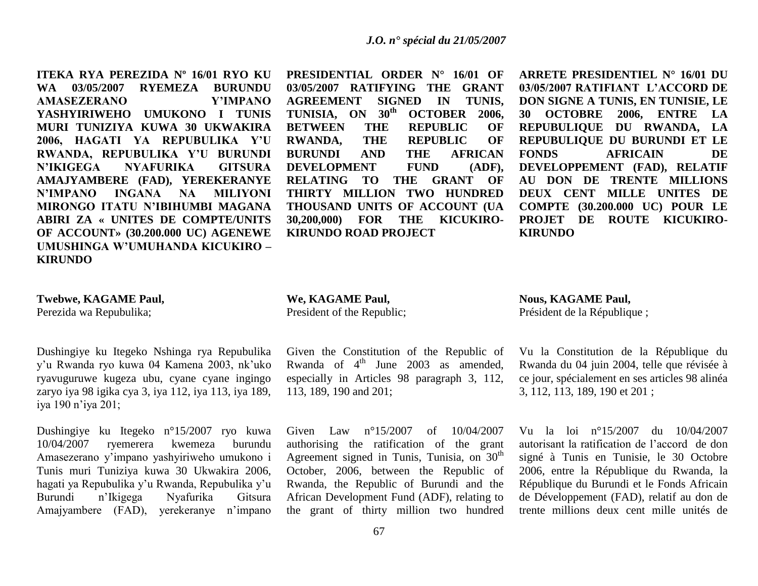**ITEKA RYA PEREZIDA Nº 16/01 RYO KU WA 03/05/2007 RYEMEZA BURUNDU AMASEZERANO Y'IMPANO YASHYIRIWEHO UMUKONO I TUNIS MURI TUNIZIYA KUWA 30 UKWAKIRA 2006, HAGATI YA REPUBULIKA Y'U RWANDA, REPUBULIKA Y'U BURUNDI N'IKIGEGA NYAFURIKA GITSURA AMAJYAMBERE (FAD), YEREKERANYE N'IMPANO INGANA NA MILIYONI MIRONGO ITATU N'IBIHUMBI MAGANA ABIRI ZA « UNITES DE COMPTE/UNITS OF ACCOUNT» (30.200.000 UC) AGENEWE UMUSHINGA W'UMUHANDA KICUKIRO – KIRUNDO**

# **PRESIDENTIAL ORDER N° 16/01 OF 03/05/2007 RATIFYING THE GRANT AGREEMENT SIGNED IN TUNIS, TUNISIA, ON 30th OCTOBER 2006, BETWEEN THE REPUBLIC OF RWANDA, THE REPUBLIC OF BURUNDI AND THE AFRICAN DEVELOPMENT FUND (ADF), RELATING TO THE GRANT OF THIRTY MILLION TWO HUNDRED THOUSAND UNITS OF ACCOUNT (UA 30,200,000) FOR THE KICUKIRO-KIRUNDO ROAD PROJECT**

**ARRETE PRESIDENTIEL N° 16/01 DU 03/05/2007 RATIFIANT L'ACCORD DE DON SIGNE A TUNIS, EN TUNISIE, LE 30 OCTOBRE 2006, ENTRE LA REPUBULIQUE DU RWANDA, LA REPUBULIQUE DU BURUNDI ET LE FONDS AFRICAIN DE DEVELOPPEMENT (FAD), RELATIF AU DON DE TRENTE MILLIONS DEUX CENT MILLE UNITES DE COMPTE (30.200.000 UC) POUR LE PROJET DE ROUTE KICUKIRO-KIRUNDO**

#### **Twebwe, KAGAME Paul,**

Perezida wa Repubulika;

Dushingiye ku Itegeko Nshinga rya Repubulika y"u Rwanda ryo kuwa 04 Kamena 2003, nk"uko ryavuguruwe kugeza ubu, cyane cyane ingingo zaryo iya 98 igika cya 3, iya 112, iya 113, iya 189, iya 190 n"iya 201;

Dushingiye ku Itegeko n°15/2007 ryo kuwa 10/04/2007 ryemerera kwemeza burundu Amasezerano y"impano yashyiriweho umukono i Tunis muri Tuniziya kuwa 30 Ukwakira 2006, hagati ya Repubulika y"u Rwanda, Repubulika y"u Burundi n"Ikigega Nyafurika Gitsura Amajyambere (FAD), yerekeranye n"impano

### **We, KAGAME Paul,** President of the Republic;

Given the Constitution of the Republic of Rwanda of  $4<sup>th</sup>$  June 2003 as amended, especially in Articles 98 paragraph 3, 112, 113, 189, 190 and 201;

Given Law n°15/2007 of 10/04/2007 authorising the ratification of the grant Agreement signed in Tunis, Tunisia, on  $30<sup>th</sup>$ October, 2006, between the Republic of Rwanda, the Republic of Burundi and the African Development Fund (ADF), relating to the grant of thirty million two hundred **Nous, KAGAME Paul,** Président de la République ;

Vu la Constitution de la République du Rwanda du 04 juin 2004, telle que révisée à ce jour, spécialement en ses articles 98 alinéa 3, 112, 113, 189, 190 et 201 ;

Vu la loi n°15/2007 du 10/04/2007 autorisant la ratification de l"accord de don signé à Tunis en Tunisie, le 30 Octobre 2006, entre la République du Rwanda, la République du Burundi et le Fonds Africain de Développement (FAD), relatif au don de trente millions deux cent mille unités de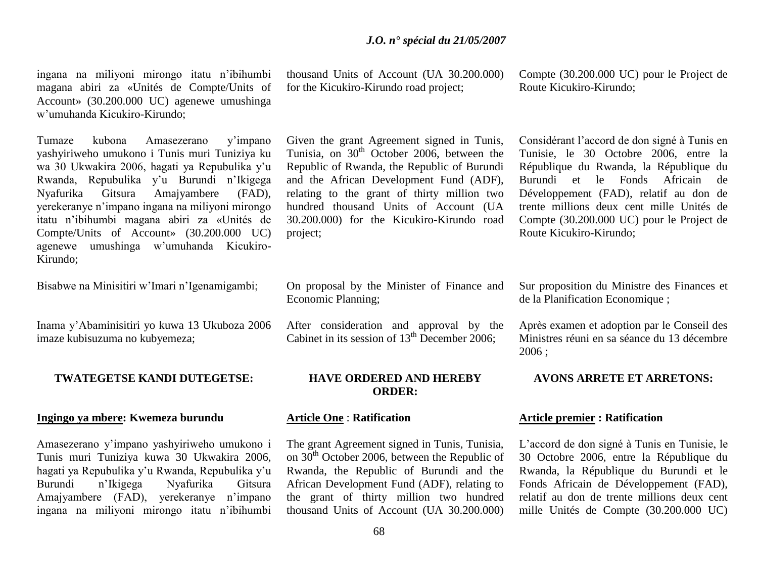ingana na miliyoni mirongo itatu n"ibihumbi magana abiri za «Unités de Compte/Units of Account» (30.200.000 UC) agenewe umushinga w"umuhanda Kicukiro-Kirundo;

Tumaze kubona Amasezerano y"impano yashyiriweho umukono i Tunis muri Tuniziya ku wa 30 Ukwakira 2006, hagati ya Repubulika y"u Rwanda, Repubulika y"u Burundi n"Ikigega Nyafurika Gitsura Amajyambere (FAD), yerekeranye n"impano ingana na miliyoni mirongo itatu n"ibihumbi magana abiri za «Unités de Compte/Units of Account» (30.200.000 UC) agenewe umushinga w"umuhanda Kicukiro-Kirundo;

Bisabwe na Minisitiri w"Imari n"Igenamigambi;

Inama y"Abaminisitiri yo kuwa 13 Ukuboza 2006 imaze kubisuzuma no kubyemeza;

# **TWATEGETSE KANDI DUTEGETSE:**

# **Ingingo ya mbere: Kwemeza burundu**

Amasezerano y"impano yashyiriweho umukono i Tunis muri Tuniziya kuwa 30 Ukwakira 2006, hagati ya Repubulika y"u Rwanda, Repubulika y"u Burundi n"Ikigega Nyafurika Gitsura Amajyambere (FAD), yerekeranye n"impano ingana na miliyoni mirongo itatu n"ibihumbi thousand Units of Account (UA 30.200.000) for the Kicukiro-Kirundo road project;

Given the grant Agreement signed in Tunis, Tunisia, on  $30<sup>th</sup>$  October 2006, between the Republic of Rwanda, the Republic of Burundi and the African Development Fund (ADF), relating to the grant of thirty million two hundred thousand Units of Account (UA 30.200.000) for the Kicukiro-Kirundo road project;

On proposal by the Minister of Finance and Economic Planning;

After consideration and approval by the Cabinet in its session of  $13<sup>th</sup>$  December 2006;

# **HAVE ORDERED AND HEREBY ORDER:**

# **Article One** : **Ratification**

The grant Agreement signed in Tunis, Tunisia, on 30th October 2006, between the Republic of Rwanda, the Republic of Burundi and the African Development Fund (ADF), relating to the grant of thirty million two hundred thousand Units of Account (UA 30.200.000) Compte (30.200.000 UC) pour le Project de Route Kicukiro-Kirundo;

Considérant l"accord de don signé à Tunis en Tunisie, le 30 Octobre 2006, entre la République du Rwanda, la République du Burundi et le Fonds Africain de Développement (FAD), relatif au don de trente millions deux cent mille Unités de Compte (30.200.000 UC) pour le Project de Route Kicukiro-Kirundo;

Sur proposition du Ministre des Finances et de la Planification Economique ;

Après examen et adoption par le Conseil des Ministres réuni en sa séance du 13 décembre 2006 ;

### **AVONS ARRETE ET ARRETONS:**

# **Article premier : Ratification**

L"accord de don signé à Tunis en Tunisie, le 30 Octobre 2006, entre la République du Rwanda, la République du Burundi et le Fonds Africain de Développement (FAD), relatif au don de trente millions deux cent mille Unités de Compte (30.200.000 UC)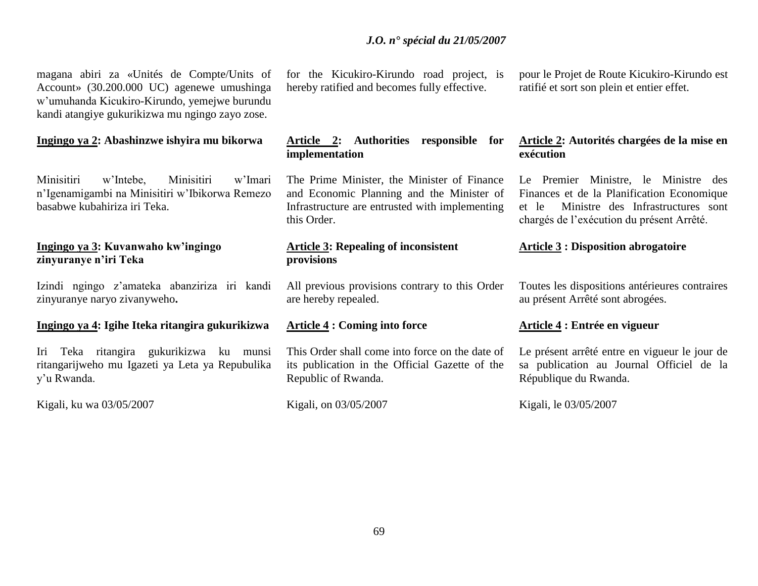magana abiri za «Unités de Compte/Units of Account» (30.200.000 UC) agenewe umushinga w"umuhanda Kicukiro-Kirundo, yemejwe burundu kandi atangiye gukurikizwa mu ngingo zayo zose.

### **Ingingo ya 2: Abashinzwe ishyira mu bikorwa**

Minisitiri w"Intebe, Minisitiri w"Imari n"Igenamigambi na Minisitiri w"Ibikorwa Remezo basabwe kubahiriza iri Teka.

# **Ingingo ya 3: Kuvanwaho kw'ingingo zinyuranye n'iri Teka**

Izindi ngingo z"amateka abanziriza iri kandi zinyuranye naryo zivanyweho**.**

# **Ingingo ya 4: Igihe Iteka ritangira gukurikizwa**

Iri Teka ritangira gukurikizwa ku munsi ritangarijweho mu Igazeti ya Leta ya Repubulika y"u Rwanda.

Kigali, ku wa 03/05/2007

for the Kicukiro-Kirundo road project, is hereby ratified and becomes fully effective.

# **Article 2: Authorities responsible for implementation**

The Prime Minister, the Minister of Finance and Economic Planning and the Minister of Infrastructure are entrusted with implementing this Order.

# **Article 3: Repealing of inconsistent provisions**

All previous provisions contrary to this Order are hereby repealed.

### **Article 4 : Coming into force**

This Order shall come into force on the date of its publication in the Official Gazette of the Republic of Rwanda.

Kigali, on 03/05/2007

pour le Projet de Route Kicukiro-Kirundo est ratifié et sort son plein et entier effet.

# **Article 2: Autorités chargées de la mise en exécution**

Le Premier Ministre, le Ministre des Finances et de la Planification Economique et le Ministre des Infrastructures sont chargés de l"exécution du présent Arrêté.

# **Article 3 : Disposition abrogatoire**

Toutes les dispositions antérieures contraires au présent Arrêté sont abrogées.

### **Article 4 : Entrée en vigueur**

Le présent arrêté entre en vigueur le jour de sa publication au Journal Officiel de la République du Rwanda.

Kigali, le 03/05/2007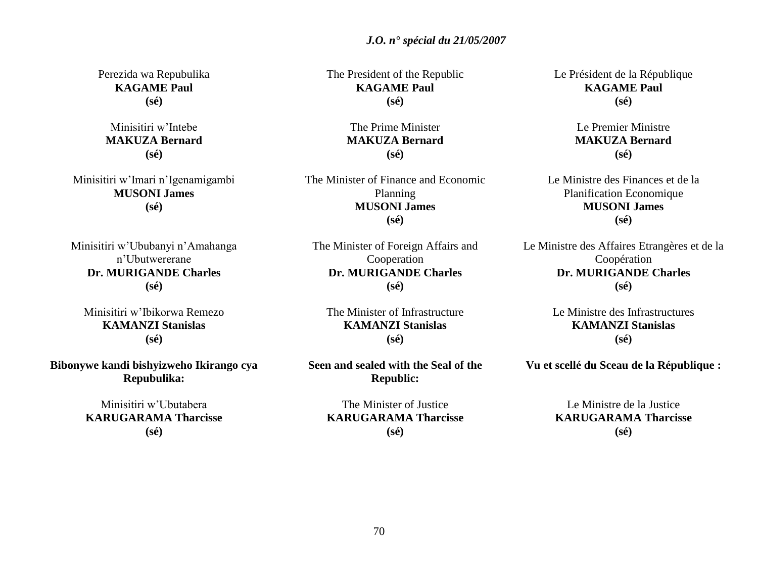Perezida wa Repubulika **KAGAME Paul (sé)**

Minisitiri w"Intebe **MAKUZA Bernard (sé)**

Minisitiri w"Imari n"Igenamigambi **MUSONI James (sé)**

Minisitiri w"Ububanyi n"Amahanga n"Ubutwererane **Dr. MURIGANDE Charles (sé)**

Minisitiri w"Ibikorwa Remezo **KAMANZI Stanislas (sé)**

**Bibonywe kandi bishyizweho Ikirango cya Repubulika:**

> Minisitiri w"Ubutabera **KARUGARAMA Tharcisse (sé)**

The President of the Republic **KAGAME Paul (sé)**

> The Prime Minister **MAKUZA Bernard (sé)**

The Minister of Finance and Economic Planning **MUSONI James (sé)**

The Minister of Foreign Affairs and Cooperation **Dr. MURIGANDE Charles (sé)**

The Minister of Infrastructure **KAMANZI Stanislas (sé)**

**Seen and sealed with the Seal of the Republic:**

The Minister of Justice **KARUGARAMA Tharcisse (sé)**

Le Président de la République **KAGAME Paul (sé)**

> Le Premier Ministre **MAKUZA Bernard (sé)**

Le Ministre des Finances et de la Planification Economique **MUSONI James (sé)**

Le Ministre des Affaires Etrangères et de la Coopération **Dr. MURIGANDE Charles (sé)**

> Le Ministre des Infrastructures **KAMANZI Stanislas (sé)**

**Vu et scellé du Sceau de la République :**

Le Ministre de la Justice **KARUGARAMA Tharcisse (sé)**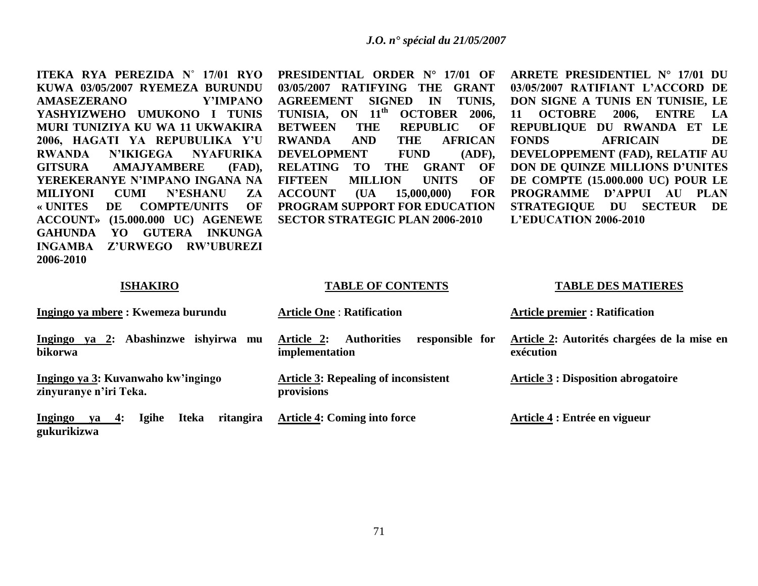**ITEKA RYA PEREZIDA N˚ 17/01 RYO KUWA 03/05/2007 RYEMEZA BURUNDU AMASEZERANO Y'IMPANO YASHYIZWEHO UMUKONO I TUNIS MURI TUNIZIYA KU WA 11 UKWAKIRA 2006, HAGATI YA REPUBULIKA Y'U RWANDA N'IKIGEGA NYAFURIKA GITSURA AMAJYAMBERE (FAD), YEREKERANYE N'IMPANO INGANA NA MILIYONI CUMI N'ESHANU ZA « UNITES DE COMPTE/UNITS OF ACCOUNT» (15.000.000 UC) AGENEWE GAHUNDA YO GUTERA INKUNGA INGAMBA Z'URWEGO RW'UBUREZI 2006-2010**

**PRESIDENTIAL ORDER N° 17/01 OF 03/05/2007 RATIFYING THE GRANT AGREEMENT SIGNED IN TUNIS, TUNISIA, ON 11th OCTOBER 2006, BETWEEN THE REPUBLIC OF RWANDA AND THE AFRICAN DEVELOPMENT FUND (ADF), RELATING TO THE GRANT OF FIFTEEN MILLION UNITS OF ACCOUNT (UA 15,000,000) FOR PROGRAM SUPPORT FOR EDUCATION SECTOR STRATEGIC PLAN 2006-2010**

**ARRETE PRESIDENTIEL N° 17/01 DU 03/05/2007 RATIFIANT L'ACCORD DE DON SIGNE A TUNIS EN TUNISIE, LE 11 OCTOBRE 2006, ENTRE LA REPUBLIQUE DU RWANDA ET LE FONDS AFRICAIN DE DEVELOPPEMENT (FAD), RELATIF AU DON DE QUINZE MILLIONS D'UNITES DE COMPTE (15.000.000 UC) POUR LE PROGRAMME D'APPUI AU PLAN STRATEGIQUE DU SECTEUR DE L'EDUCATION 2006-2010**

#### **ISHAKIRO**

#### **TABLE OF CONTENTS**

### **TABLE DES MATIERES**

| Ingingo ya mbere : Kwemeza burundu                                             | <b>Article One: Ratification</b>                                      | <b>Article premier : Ratification</b>                    |
|--------------------------------------------------------------------------------|-----------------------------------------------------------------------|----------------------------------------------------------|
| Ingingo ya 2: Abashinzwe ishvirwa<br>mu<br>bikorwa                             | Article 2:<br><b>Authorities</b><br>responsible for<br>implementation | Article 2: Autorités chargées de la mise en<br>exécution |
| Ingingo ya 3: Kuvanwaho kw'ingingo<br>zinyuranye n'iri Teka.                   | <b>Article 3: Repealing of inconsistent</b><br>provisions             | <b>Article 3 : Disposition abrogatoire</b>               |
| ritangira<br><b>Igihe</b><br><b>Iteka</b><br>ya $4:$<br>Ingingo<br>gukurikizwa | <b>Article 4: Coming into force</b>                                   | Article 4 : Entrée en vigueur                            |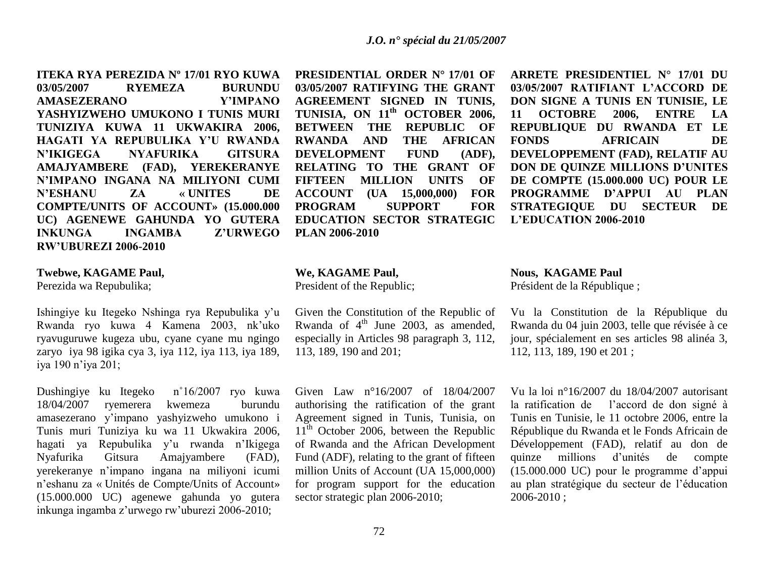**ITEKA RYA PEREZIDA Nº 17/01 RYO KUWA 03/05/2007 RYEMEZA BURUNDU AMASEZERANO Y'IMPANO YASHYIZWEHO UMUKONO I TUNIS MURI TUNIZIYA KUWA 11 UKWAKIRA 2006, HAGATI YA REPUBULIKA Y'U RWANDA N'IKIGEGA NYAFURIKA GITSURA AMAJYAMBERE (FAD), YEREKERANYE N'IMPANO INGANA NA MILIYONI CUMI N'ESHANU ZA « UNITES DE COMPTE/UNITS OF ACCOUNT» (15.000.000 UC) AGENEWE GAHUNDA YO GUTERA INKUNGA INGAMBA Z'URWEGO RW'UBUREZI 2006-2010**

#### **Twebwe, KAGAME Paul,**

Perezida wa Repubulika;

Ishingiye ku Itegeko Nshinga rya Repubulika y"u Rwanda ryo kuwa 4 Kamena 2003, nk"uko ryavuguruwe kugeza ubu, cyane cyane mu ngingo zaryo iya 98 igika cya 3, iya 112, iya 113, iya 189, iya 190 n"iya 201;

Dushingiye ku Itegeko n˚16/2007 ryo kuwa 18/04/2007 ryemerera kwemeza burundu amasezerano y"impano yashyizweho umukono i Tunis muri Tuniziya ku wa 11 Ukwakira 2006, hagati ya Repubulika y"u rwanda n"Ikigega Nyafurika Gitsura Amajyambere (FAD), yerekeranye n"impano ingana na miliyoni icumi n"eshanu za « Unités de Compte/Units of Account» (15.000.000 UC) agenewe gahunda yo gutera inkunga ingamba z"urwego rw"uburezi 2006-2010;

**PRESIDENTIAL ORDER N° 17/01 OF 03/05/2007 RATIFYING THE GRANT AGREEMENT SIGNED IN TUNIS, TUNISIA, ON 11th OCTOBER 2006, BETWEEN THE REPUBLIC OF RWANDA AND THE AFRICAN DEVELOPMENT FUND (ADF), RELATING TO THE GRANT OF FIFTEEN MILLION UNITS OF ACCOUNT (UA 15,000,000) FOR PROGRAM SUPPORT FOR EDUCATION SECTOR STRATEGIC PLAN 2006-2010**

#### **We, KAGAME Paul,**

President of the Republic;

Given the Constitution of the Republic of Rwanda of  $4<sup>th</sup>$  June 2003, as amended, especially in Articles 98 paragraph 3, 112, 113, 189, 190 and 201;

Given Law n°16/2007 of 18/04/2007 authorising the ratification of the grant Agreement signed in Tunis, Tunisia, on  $11<sup>th</sup>$  October 2006, between the Republic of Rwanda and the African Development Fund (ADF), relating to the grant of fifteen million Units of Account (UA 15,000,000) for program support for the education sector strategic plan 2006-2010;

**ARRETE PRESIDENTIEL N° 17/01 DU 03/05/2007 RATIFIANT L'ACCORD DE DON SIGNE A TUNIS EN TUNISIE, LE 11 OCTOBRE 2006, ENTRE LA REPUBLIQUE DU RWANDA ET LE FONDS AFRICAIN DE DEVELOPPEMENT (FAD), RELATIF AU DON DE QUINZE MILLIONS D'UNITES DE COMPTE (15.000.000 UC) POUR LE PROGRAMME D'APPUI AU PLAN STRATEGIQUE DU SECTEUR DE L'EDUCATION 2006-2010**

**Nous, KAGAME Paul** Président de la République ;

Vu la Constitution de la République du Rwanda du 04 juin 2003, telle que révisée à ce jour, spécialement en ses articles 98 alinéa 3, 112, 113, 189, 190 et 201 ;

Vu la loi n°16/2007 du 18/04/2007 autorisant la ratification de l"accord de don signé à Tunis en Tunisie, le 11 octobre 2006, entre la République du Rwanda et le Fonds Africain de Développement (FAD), relatif au don de quinze millions d"unités de compte (15.000.000 UC) pour le programme d"appui au plan stratégique du secteur de l"éducation 2006-2010 ;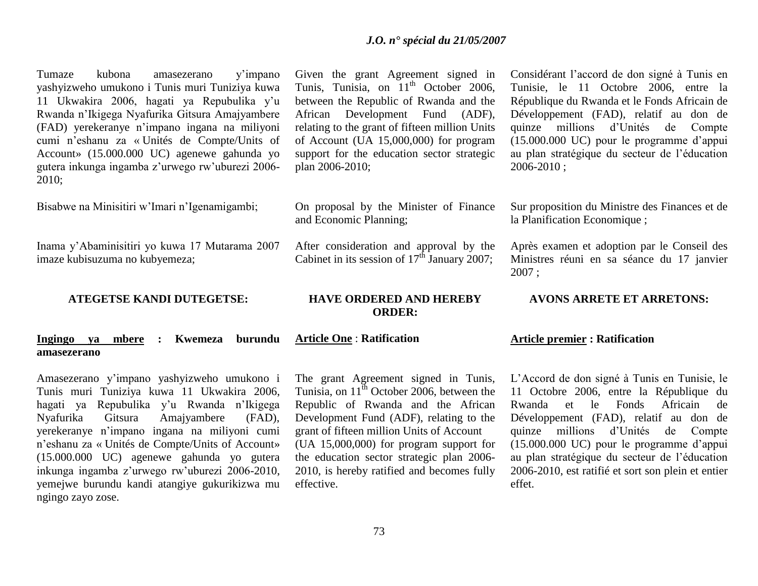Tumaze kubona amasezerano y"impano yashyizweho umukono i Tunis muri Tuniziya kuwa 11 Ukwakira 2006, hagati ya Repubulika y"u Rwanda n"Ikigega Nyafurika Gitsura Amajyambere (FAD) yerekeranye n"impano ingana na miliyoni cumi n"eshanu za « Unités de Compte/Units of Account» (15.000.000 UC) agenewe gahunda yo gutera inkunga ingamba z"urwego rw"uburezi 2006- 2010;

Bisabwe na Minisitiri w"Imari n"Igenamigambi;

Inama y"Abaminisitiri yo kuwa 17 Mutarama 2007 imaze kubisuzuma no kubyemeza;

### **ATEGETSE KANDI DUTEGETSE:**

### **Ingingo ya mbere : Kwemeza burundu amasezerano**

Amasezerano y"impano yashyizweho umukono i Tunis muri Tuniziya kuwa 11 Ukwakira 2006, hagati ya Repubulika y'u Rwanda n'Ikigega Nyafurika Gitsura Amajyambere (FAD), yerekeranye n"impano ingana na miliyoni cumi n"eshanu za « Unités de Compte/Units of Account» (15.000.000 UC) agenewe gahunda yo gutera inkunga ingamba z"urwego rw"uburezi 2006-2010, yemejwe burundu kandi atangiye gukurikizwa mu ngingo zayo zose.

Given the grant Agreement signed in Tunis, Tunisia, on 11<sup>th</sup> October 2006, between the Republic of Rwanda and the African Development Fund (ADF), relating to the grant of fifteen million Units of Account (UA 15,000,000) for program support for the education sector strategic plan 2006-2010;

On proposal by the Minister of Finance and Economic Planning;

After consideration and approval by the Cabinet in its session of  $17<sup>th</sup>$  January 2007;

#### **HAVE ORDERED AND HEREBY ORDER:**

### **Article One** : **Ratification**

The grant Agreement signed in Tunis, Tunisia, on  $11^{th}$  October 2006, between the Republic of Rwanda and the African Development Fund (ADF), relating to the grant of fifteen million Units of Account (UA 15,000,000) for program support for the education sector strategic plan 2006- 2010, is hereby ratified and becomes fully effective.

Considérant l"accord de don signé à Tunis en Tunisie, le 11 Octobre 2006, entre la République du Rwanda et le Fonds Africain de Développement (FAD), relatif au don de quinze millions d"Unités de Compte (15.000.000 UC) pour le programme d"appui au plan stratégique du secteur de l"éducation 2006-2010 ;

Sur proposition du Ministre des Finances et de la Planification Economique ;

Après examen et adoption par le Conseil des Ministres réuni en sa séance du 17 janvier 2007 ;

#### **AVONS ARRETE ET ARRETONS:**

#### **Article premier : Ratification**

L"Accord de don signé à Tunis en Tunisie, le 11 Octobre 2006, entre la République du Rwanda et le Fonds Africain de Développement (FAD), relatif au don de quinze millions d"Unités de Compte (15.000.000 UC) pour le programme d"appui au plan stratégique du secteur de l"éducation 2006-2010, est ratifié et sort son plein et entier effet.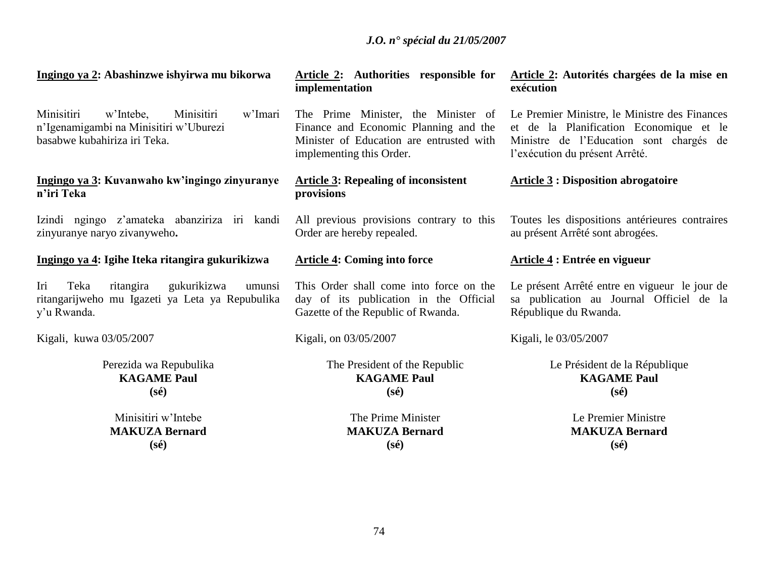**Ingingo ya 2: Abashinzwe ishyirwa mu bikorwa**

Minisitiri w"Intebe, Minisitiri w"Imari n"Igenamigambi na Minisitiri w"Uburezi basabwe kubahiriza iri Teka.

### **Ingingo ya 3: Kuvanwaho kw'ingingo zinyuranye n'iri Teka**

Izindi ngingo z"amateka abanziriza iri kandi zinyuranye naryo zivanyweho**.**

# **Ingingo ya 4: Igihe Iteka ritangira gukurikizwa**

Iri Teka ritangira gukurikizwa umunsi ritangarijweho mu Igazeti ya Leta ya Repubulika y"u Rwanda.

Kigali, kuwa 03/05/2007

Perezida wa Repubulika **KAGAME Paul (sé)**

Minisitiri w"Intebe **MAKUZA Bernard (sé)**

# **Article 2: Authorities responsible for implementation**

The Prime Minister, the Minister of Finance and Economic Planning and the Minister of Education are entrusted with implementing this Order.

# **Article 3: Repealing of inconsistent provisions**

All previous provisions contrary to this Order are hereby repealed.

# **Article 4: Coming into force**

This Order shall come into force on the day of its publication in the Official Gazette of the Republic of Rwanda.

Kigali, on 03/05/2007

The President of the Republic **KAGAME Paul (sé)**

> The Prime Minister **MAKUZA Bernard (sé)**

# **Article 2: Autorités chargées de la mise en exécution**

Le Premier Ministre, le Ministre des Finances et de la Planification Economique et le Ministre de l"Education sont chargés de l"exécution du présent Arrêté.

# **Article 3 : Disposition abrogatoire**

Toutes les dispositions antérieures contraires au présent Arrêté sont abrogées.

## **Article 4 : Entrée en vigueur**

Le présent Arrêté entre en vigueur le jour de sa publication au Journal Officiel de la République du Rwanda.

Kigali, le 03/05/2007

Le Président de la République **KAGAME Paul (sé)**

> Le Premier Ministre **MAKUZA Bernard (sé)**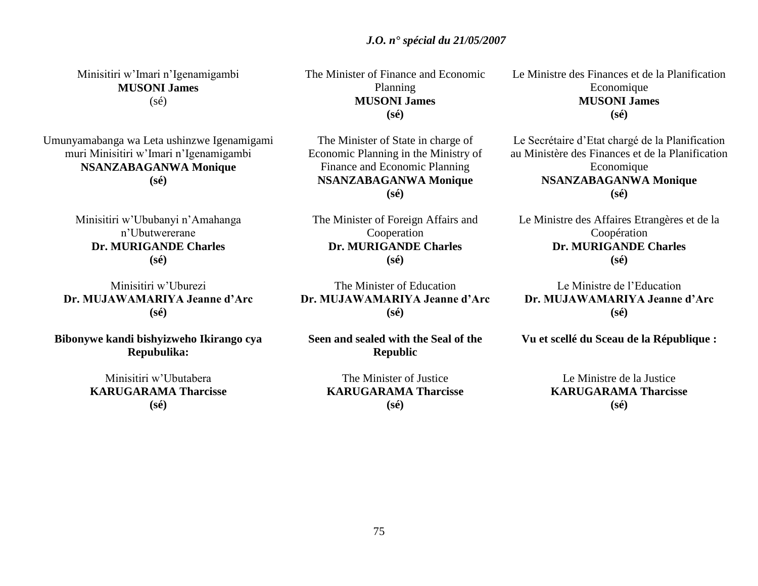**KARUGARAMA Tharcisse (sé)**

Le Ministre des Finances et de la Planification **Economique MUSONI James (sé)**

Le Secrétaire d"Etat chargé de la Planification au Ministère des Finances et de la Planification Economique **NSANZABAGANWA Monique (sé)**

Le Ministre des Affaires Etrangères et de la Coopération **Dr. MURIGANDE Charles (sé)**

Le Ministre de l"Education **Dr. MUJAWAMARIYA Jeanne d'Arc (sé)**

**Vu et scellé du Sceau de la République :**

Le Ministre de la Justice **KARUGARAMA Tharcisse (sé)**

### Minisitiri w"Imari n"Igenamigambi **MUSONI James**  $(sé)$

Umunyamabanga wa Leta ushinzwe Igenamigami muri Minisitiri w"Imari n"Igenamigambi **NSANZABAGANWA Monique (sé)**

> Minisitiri w"Ububanyi n"Amahanga n"Ubutwererane **Dr. MURIGANDE Charles (sé)**

Minisitiri w"Uburezi **Dr. MUJAWAMARIYA Jeanne d'Arc (sé)**

**Bibonywe kandi bishyizweho Ikirango cya Repubulika:**

> Minisitiri w"Ubutabera **KARUGARAMA Tharcisse (sé)**

The Minister of Finance and Economic Planning **MUSONI James (sé)**

 *J.O. n° spécial du 21/05/2007*

The Minister of State in charge of Economic Planning in the Ministry of Finance and Economic Planning **NSANZABAGANWA Monique (sé)**

The Minister of Foreign Affairs and Cooperation **Dr. MURIGANDE Charles (sé)**

The Minister of Education **Dr. MUJAWAMARIYA Jeanne d'Arc (sé)**

**Seen and sealed with the Seal of the Republic**

The Minister of Justice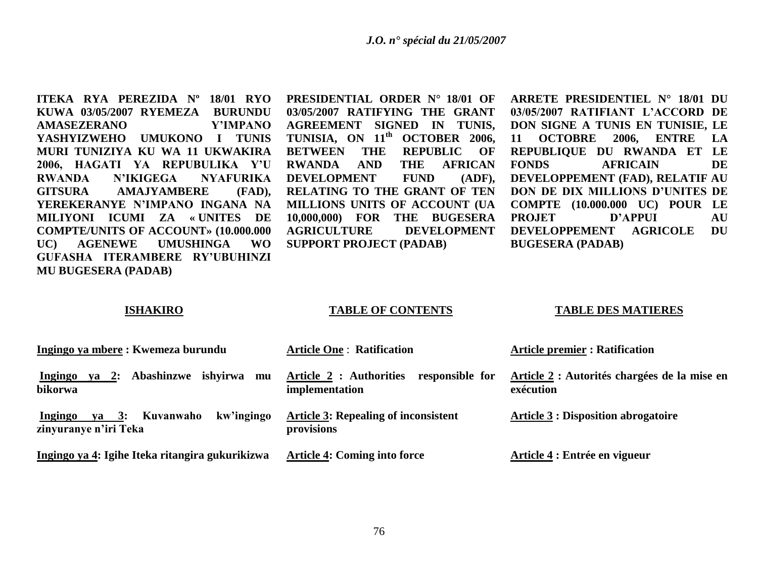**ITEKA RYA PEREZIDA Nº 18/01 RYO KUWA 03/05/2007 RYEMEZA BURUNDU AMASEZERANO Y'IMPANO YASHYIZWEHO UMUKONO I TUNIS MURI TUNIZIYA KU WA 11 UKWAKIRA 2006, HAGATI YA REPUBULIKA Y'U RWANDA N'IKIGEGA NYAFURIKA GITSURA AMAJYAMBERE (FAD), YEREKERANYE N'IMPANO INGANA NA MILIYONI ICUMI ZA « UNITES DE COMPTE/UNITS OF ACCOUNT» (10.000.000 UC) AGENEWE UMUSHINGA WO GUFASHA ITERAMBERE RY'UBUHINZI MU BUGESERA (PADAB)**

**PRESIDENTIAL ORDER N° 18/01 OF 03/05/2007 RATIFYING THE GRANT AGREEMENT SIGNED IN TUNIS, TUNISIA, ON 11th OCTOBER 2006, BETWEEN THE REPUBLIC OF RWANDA AND THE AFRICAN DEVELOPMENT FUND (ADF), RELATING TO THE GRANT OF TEN MILLIONS UNITS OF ACCOUNT (UA 10,000,000) FOR THE BUGESERA AGRICULTURE DEVELOPMENT SUPPORT PROJECT (PADAB)**

**ARRETE PRESIDENTIEL N° 18/01 DU 03/05/2007 RATIFIANT L'ACCORD DE DON SIGNE A TUNIS EN TUNISIE, LE 11 OCTOBRE 2006, ENTRE LA REPUBLIQUE DU RWANDA ET LE FONDS AFRICAIN DE DEVELOPPEMENT (FAD), RELATIF AU DON DE DIX MILLIONS D'UNITES DE COMPTE (10.000.000 UC) POUR LE PROJET D'APPUI AU DEVELOPPEMENT AGRICOLE DU BUGESERA (PADAB)**

#### **ISHAKIRO**

#### **TABLE OF CONTENTS**

#### **TABLE DES MATIERES**

| Ingingo ya mbere : Kwemeza burundu                                           | <b>Article One: Ratification</b>                             | <b>Article premier : Ratification</b>                     |
|------------------------------------------------------------------------------|--------------------------------------------------------------|-----------------------------------------------------------|
| ishvirwa<br>Abashinzwe<br>Ingingo<br><b>2:</b><br>va<br>mu<br>bikorwa        | Article 2 : Authorities<br>responsible for<br>implementation | Article 2 : Autorités chargées de la mise en<br>exécution |
| kw'ingingo<br>$ya \quad 3:$<br>Kuvanwaho<br>Ingingo<br>zinyuranye n'iri Teka | <b>Article 3: Repealing of inconsistent</b><br>provisions    | <b>Article 3 : Disposition abrogatoire</b>                |
| Ingingo ya 4: Igihe Iteka ritangira gukurikizwa                              | Article 4: Coming into force                                 | Article 4 : Entrée en vigueur                             |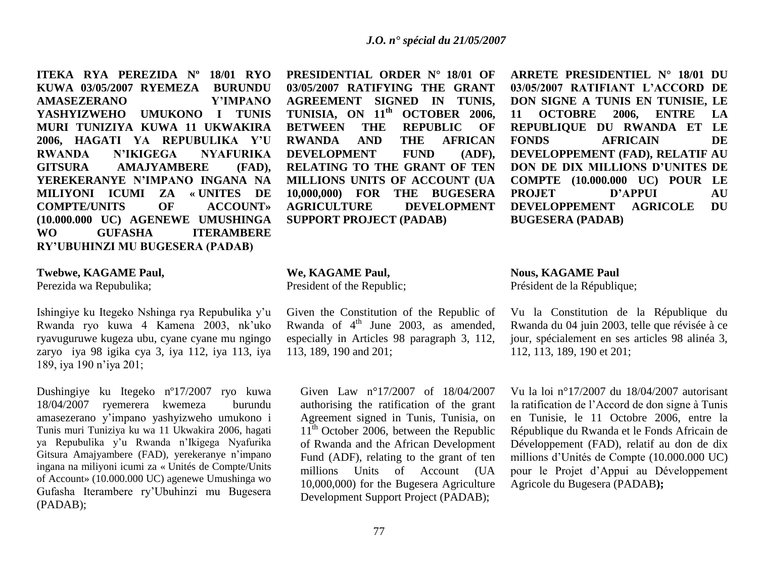**ITEKA RYA PEREZIDA Nº 18/01 RYO KUWA 03/05/2007 RYEMEZA BURUNDU AMASEZERANO Y'IMPANO YASHYIZWEHO UMUKONO I TUNIS MURI TUNIZIYA KUWA 11 UKWAKIRA 2006, HAGATI YA REPUBULIKA Y'U RWANDA N'IKIGEGA NYAFURIKA GITSURA AMAJYAMBERE (FAD), YEREKERANYE N'IMPANO INGANA NA MILIYONI ICUMI ZA « UNITES DE COMPTE/UNITS OF ACCOUNT» (10.000.000 UC) AGENEWE UMUSHINGA WO GUFASHA ITERAMBERE RY'UBUHINZI MU BUGESERA (PADAB)**

#### **Twebwe, KAGAME Paul,**

Perezida wa Repubulika;

Ishingiye ku Itegeko Nshinga rya Repubulika y"u Rwanda ryo kuwa 4 Kamena 2003, nk"uko ryavuguruwe kugeza ubu, cyane cyane mu ngingo zaryo iya 98 igika cya 3, iya 112, iya 113, iya 189, iya 190 n"iya 201;

Dushingiye ku Itegeko nº17/2007 ryo kuwa 18/04/2007 ryemerera kwemeza burundu amasezerano y"impano yashyizweho umukono i Tunis muri Tuniziya ku wa 11 Ukwakira 2006, hagati ya Repubulika y"u Rwanda n"Ikigega Nyafurika Gitsura Amajyambere (FAD), yerekeranye n"impano ingana na miliyoni icumi za « Unités de Compte/Units of Account» (10.000.000 UC) agenewe Umushinga wo Gufasha Iterambere ry"Ubuhinzi mu Bugesera (PADAB);

**PRESIDENTIAL ORDER N° 18/01 OF 03/05/2007 RATIFYING THE GRANT AGREEMENT SIGNED IN TUNIS, TUNISIA, ON 11th OCTOBER 2006, BETWEEN THE REPUBLIC OF RWANDA AND THE AFRICAN DEVELOPMENT FUND (ADF), RELATING TO THE GRANT OF TEN MILLIONS UNITS OF ACCOUNT (UA 10,000,000) FOR THE BUGESERA AGRICULTURE DEVELOPMENT SUPPORT PROJECT (PADAB)**

**We, KAGAME Paul,**

President of the Republic;

Given the Constitution of the Republic of Rwanda of  $4<sup>th</sup>$  June 2003, as amended, especially in Articles 98 paragraph 3, 112, 113, 189, 190 and 201;

Given Law n°17/2007 of 18/04/2007 authorising the ratification of the grant Agreement signed in Tunis, Tunisia, on  $11<sup>th</sup>$  October 2006, between the Republic of Rwanda and the African Development Fund (ADF), relating to the grant of ten millions Units of Account (UA 10,000,000) for the Bugesera Agriculture Development Support Project (PADAB);

**ARRETE PRESIDENTIEL N° 18/01 DU 03/05/2007 RATIFIANT L'ACCORD DE DON SIGNE A TUNIS EN TUNISIE, LE 11 OCTOBRE 2006, ENTRE LA REPUBLIQUE DU RWANDA ET LE FONDS AFRICAIN DE DEVELOPPEMENT (FAD), RELATIF AU DON DE DIX MILLIONS D'UNITES DE COMPTE (10.000.000 UC) POUR LE PROJET D'APPUI AU DEVELOPPEMENT AGRICOLE DU BUGESERA (PADAB)**

**Nous, KAGAME Paul**

Président de la République;

Vu la Constitution de la République du Rwanda du 04 juin 2003, telle que révisée à ce jour, spécialement en ses articles 98 alinéa 3, 112, 113, 189, 190 et 201;

Vu la loi n°17/2007 du 18/04/2007 autorisant la ratification de l"Accord de don signe à Tunis en Tunisie, le 11 Octobre 2006, entre la République du Rwanda et le Fonds Africain de Développement (FAD), relatif au don de dix millions d"Unités de Compte (10.000.000 UC) pour le Projet d"Appui au Développement Agricole du Bugesera (PADAB**);**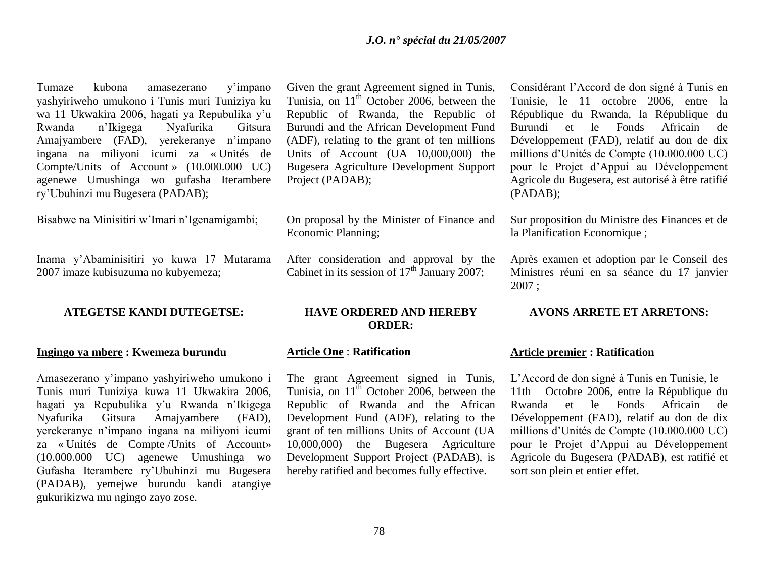Tumaze kubona amasezerano y"impano yashyiriweho umukono i Tunis muri Tuniziya ku wa 11 Ukwakira 2006, hagati ya Repubulika y"u Rwanda n"Ikigega Nyafurika Gitsura Amajyambere (FAD), yerekeranye n"impano ingana na miliyoni icumi za « Unités de Compte/Units of Account » (10.000.000 UC) agenewe Umushinga wo gufasha Iterambere ry"Ubuhinzi mu Bugesera (PADAB);

Bisabwe na Minisitiri w"Imari n"Igenamigambi;

Inama y"Abaminisitiri yo kuwa 17 Mutarama 2007 imaze kubisuzuma no kubyemeza;

#### **ATEGETSE KANDI DUTEGETSE:**

#### **Ingingo ya mbere : Kwemeza burundu**

Amasezerano y"impano yashyiriweho umukono i Tunis muri Tuniziya kuwa 11 Ukwakira 2006, hagati ya Repubulika y"u Rwanda n"Ikigega Nyafurika Gitsura Amajyambere (FAD), yerekeranye n"impano ingana na miliyoni icumi za « Unités de Compte /Units of Account» (10.000.000 UC) agenewe Umushinga wo Gufasha Iterambere ry"Ubuhinzi mu Bugesera (PADAB), yemejwe burundu kandi atangiye gukurikizwa mu ngingo zayo zose.

Given the grant Agreement signed in Tunis, Tunisia, on  $11<sup>th</sup>$  October 2006, between the Republic of Rwanda, the Republic of Burundi and the African Development Fund (ADF), relating to the grant of ten millions Units of Account (UA 10,000,000) the Bugesera Agriculture Development Support Project (PADAB);

On proposal by the Minister of Finance and Economic Planning;

After consideration and approval by the Cabinet in its session of  $17<sup>th</sup>$  January 2007;

#### **HAVE ORDERED AND HEREBY ORDER:**

#### **Article One** : **Ratification**

The grant Agreement signed in Tunis, Tunisia, on  $11^{\text{th}}$  October 2006, between the Republic of Rwanda and the African Development Fund (ADF), relating to the grant of ten millions Units of Account (UA 10,000,000) the Bugesera Agriculture Development Support Project (PADAB), is hereby ratified and becomes fully effective.

Considérant l"Accord de don signé à Tunis en Tunisie, le 11 octobre 2006, entre la République du Rwanda, la République du Burundi et le Fonds Africain de Développement (FAD), relatif au don de dix millions d"Unités de Compte (10.000.000 UC) pour le Projet d"Appui au Développement Agricole du Bugesera, est autorisé à être ratifié (PADAB);

Sur proposition du Ministre des Finances et de la Planification Economique ;

Après examen et adoption par le Conseil des Ministres réuni en sa séance du 17 janvier 2007 ;

### **AVONS ARRETE ET ARRETONS:**

#### **Article premier : Ratification**

L"Accord de don signé à Tunis en Tunisie, le 11th Octobre 2006, entre la République du Rwanda et le Fonds Africain de Développement (FAD), relatif au don de dix millions d"Unités de Compte (10.000.000 UC) pour le Projet d"Appui au Développement Agricole du Bugesera (PADAB), est ratifié et sort son plein et entier effet.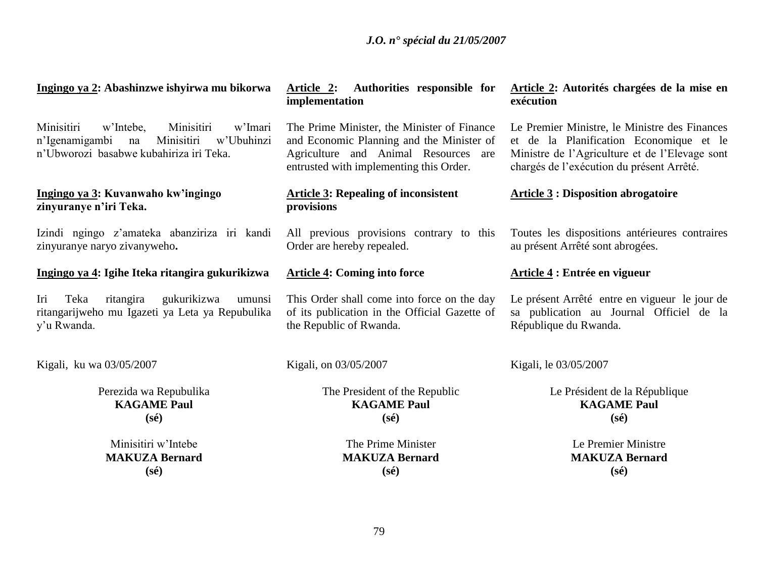| Ingingo ya 2: Abashinzwe ishyirwa mu bikorwa                                                                                                    | Authorities responsible for<br>Article 2:<br>implementation                                                                                                                 | Article 2: Autorités chargées de la mise en<br>exécution                                                                                                                                |
|-------------------------------------------------------------------------------------------------------------------------------------------------|-----------------------------------------------------------------------------------------------------------------------------------------------------------------------------|-----------------------------------------------------------------------------------------------------------------------------------------------------------------------------------------|
| Minisitiri<br>w'Intebe,<br>Minisitiri<br>w'Imari<br>n'Igenamigambi<br>Minisitiri<br>w'Ubuhinzi<br>na<br>n'Ubworozi basabwe kubahiriza iri Teka. | The Prime Minister, the Minister of Finance<br>and Economic Planning and the Minister of<br>Agriculture and Animal Resources are<br>entrusted with implementing this Order. | Le Premier Ministre, le Ministre des Finances<br>et de la Planification Economique et le<br>Ministre de l'Agriculture et de l'Elevage sont<br>chargés de l'exécution du présent Arrêté. |
| Ingingo ya 3: Kuvanwaho kw'ingingo<br>zinyuranye n'iri Teka.                                                                                    | <b>Article 3: Repealing of inconsistent</b><br>provisions                                                                                                                   | <b>Article 3: Disposition abrogatoire</b>                                                                                                                                               |
| Izindi ngingo z'amateka abanziriza iri kandi<br>zinyuranye naryo zivanyweho.                                                                    | All previous provisions contrary to this<br>Order are hereby repealed.                                                                                                      | Toutes les dispositions antérieures contraires<br>au présent Arrêté sont abrogées.                                                                                                      |
| Ingingo ya 4: Igihe Iteka ritangira gukurikizwa                                                                                                 | <b>Article 4: Coming into force</b>                                                                                                                                         | Article 4 : Entrée en vigueur                                                                                                                                                           |
| Teka<br>ritangira<br>gukurikizwa<br>Iri<br>umunsi<br>ritangarijweho mu Igazeti ya Leta ya Repubulika<br>y'u Rwanda.                             | This Order shall come into force on the day<br>of its publication in the Official Gazette of<br>the Republic of Rwanda.                                                     | Le présent Arrêté entre en vigueur le jour de<br>sa publication au Journal Officiel de la<br>République du Rwanda.                                                                      |
| Kigali, ku wa 03/05/2007                                                                                                                        | Kigali, on 03/05/2007                                                                                                                                                       | Kigali, le 03/05/2007                                                                                                                                                                   |
| Perezida wa Repubulika<br><b>KAGAME Paul</b><br>$(s\acute{e})$                                                                                  | The President of the Republic<br><b>KAGAME Paul</b><br>$(s\acute{e})$                                                                                                       | Le Président de la République<br><b>KAGAME Paul</b><br>$(s\acute{e})$                                                                                                                   |
| Minisitiri w'Intebe<br><b>MAKUZA Bernard</b><br>$(s\acute{e})$                                                                                  | The Prime Minister<br><b>MAKUZA Bernard</b><br>$(s\acute{e})$                                                                                                               | Le Premier Ministre<br><b>MAKUZA Bernard</b><br>$(s\acute{e})$                                                                                                                          |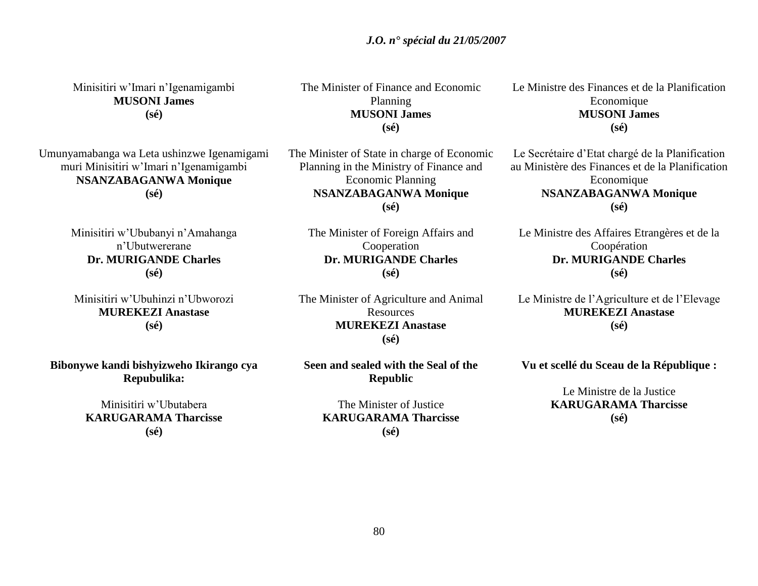Minisitiri w"Imari n"Igenamigambi **MUSONI James (sé)**

Umunyamabanga wa Leta ushinzwe Igenamigami muri Minisitiri w"Imari n"Igenamigambi **NSANZABAGANWA Monique (sé)**

> Minisitiri w"Ububanyi n"Amahanga n"Ubutwererane **Dr. MURIGANDE Charles (sé)**

Minisitiri w"Ubuhinzi n"Ubworozi **MUREKEZI Anastase (sé)**

**Bibonywe kandi bishyizweho Ikirango cya Repubulika:**

> Minisitiri w"Ubutabera **KARUGARAMA Tharcisse (sé)**

The Minister of Finance and Economic Planning **MUSONI James (sé)**

The Minister of State in charge of Economic Planning in the Ministry of Finance and Economic Planning **NSANZABAGANWA Monique (sé)**

The Minister of Foreign Affairs and Cooperation **Dr. MURIGANDE Charles (sé)**

The Minister of Agriculture and Animal Resources **MUREKEZI Anastase (sé)**

**Seen and sealed with the Seal of the Republic**

> The Minister of Justice **KARUGARAMA Tharcisse (sé)**

Le Ministre des Finances et de la Planification Economique **MUSONI James (sé)**

Le Secrétaire d"Etat chargé de la Planification au Ministère des Finances et de la Planification Economique **NSANZABAGANWA Monique (sé)**

Le Ministre des Affaires Etrangères et de la Coopération **Dr. MURIGANDE Charles (sé)**

Le Ministre de l"Agriculture et de l"Elevage **MUREKEZI Anastase (sé)**

**Vu et scellé du Sceau de la République :**

Le Ministre de la Justice **KARUGARAMA Tharcisse (sé)**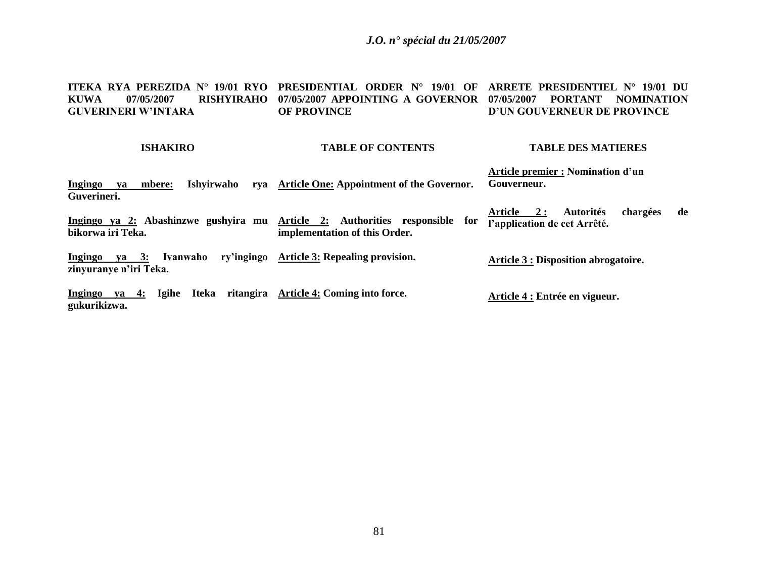### *J.O. n° spécial du 21/05/2007*

#### **ITEKA RYA PEREZIDA N° 19/01 RYO PRESIDENTIAL ORDER N° 19/01 OF ARRETE PRESIDENTIEL N° 19/01 DU KUWA 07/05/2007 RISHYIRAHO 07/05/2007 APPOINTING A GOVERNOR 07/05/2007 PORTANT NOMINATION GUVERINERI W'INTARA OF PROVINCE D'UN GOUVERNEUR DE PROVINCE**

#### **ISHAKIRO**

#### **TABLE OF CONTENTS**

#### **TABLE DES MATIERES**

**Ingingo ya mbere: Ishyirwaho rya Article One: Appointment of the Governor. Guverineri. Article premier : Nomination d'un Gouverneur.**

**Ingingo ya 2: Abashinzwe gushyira mu Article 2: Authorities responsible for bikorwa iri Teka. implementation of this Order. Article 2 : Autorités chargées de l'application de cet Arrêté.**

**Ingingo ya 3: Ivanwaho ry'ingingo Article 3: Repealing provision. zinyuranye n'iri Teka. Article 3 : Disposition abrogatoire.**

**Ingingo ya 4: Igihe Iteka ritangira Article 4: Coming into force. gukurikizwa. Article 4 : Entrée en vigueur.**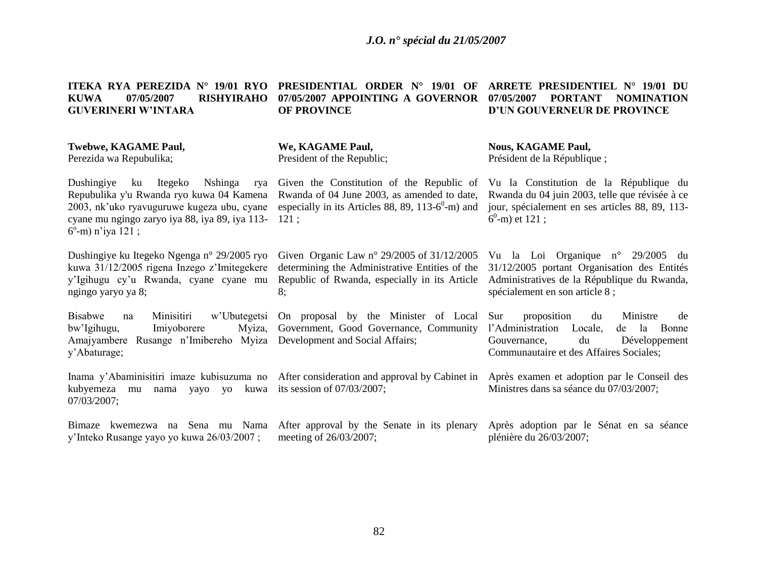| <b>KUWA</b><br>07/05/2007<br><b>RISHYIRAHO</b><br><b>GUVERINERI W'INTARA</b>                                                                                                                                         | 07/05/2007 APPOINTING A GOVERNOR<br><b>OF PROVINCE</b>                                                                                                            | 07/05/2007<br><b>PORTANT</b><br><b>NOMINATION</b><br>D'UN GOUVERNEUR DE PROVINCE                                                                                           |
|----------------------------------------------------------------------------------------------------------------------------------------------------------------------------------------------------------------------|-------------------------------------------------------------------------------------------------------------------------------------------------------------------|----------------------------------------------------------------------------------------------------------------------------------------------------------------------------|
| Twebwe, KAGAME Paul,<br>Perezida wa Repubulika;                                                                                                                                                                      | We, KAGAME Paul,<br>President of the Republic;                                                                                                                    | <b>Nous, KAGAME Paul,</b><br>Président de la République;                                                                                                                   |
| Dushingiye<br>ku Itegeko<br>Nshinga<br>rya<br>Repubulika y'u Rwanda ryo kuwa 04 Kamena<br>2003, nk'uko ryavuguruwe kugeza ubu, cyane<br>cyane mu ngingo zaryo iya 88, iya 89, iya 113-<br>$6^{\circ}$ -m) n'iya 121; | Given the Constitution of the Republic of<br>Rwanda of 04 June 2003, as amended to date,<br>especially in its Articles 88, 89, 113-6 <sup>0</sup> -m) and<br>121: | Vu la Constitution de la République du<br>Rwanda du 04 juin 2003, telle que révisée à ce<br>jour, spécialement en ses articles 88, 89, 113-<br>$6^0$ -m) et 121;           |
| Dushingiye ku Itegeko Ngenga n° 29/2005 ryo<br>kuwa 31/12/2005 rigena Inzego z'Imitegekere<br>y'Igihugu cy'u Rwanda, cyane cyane mu<br>ngingo yaryo ya 8;                                                            | Given Organic Law $n^{\circ}$ 29/2005 of 31/12/2005<br>determining the Administrative Entities of the<br>Republic of Rwanda, especially in its Article<br>8;      | Vu la Loi Organique nº 29/2005 du<br>31/12/2005 portant Organisation des Entités<br>Administratives de la République du Rwanda,<br>spécialement en son article 8 ;         |
| <b>Bisabwe</b><br>Minisitiri<br>na<br>bw'Igihugu,<br>Imiyoborere<br>Myiza,<br>Amajyambere Rusange n'Imibereho Myiza<br>y'Abaturage;                                                                                  | w'Ubutegetsi On proposal by the Minister of Local<br>Government, Good Governance, Community<br>Development and Social Affairs;                                    | proposition<br>Sur<br>Ministre<br>du<br>de<br>l'Administration Locale,<br>Bonne<br>de la<br>Gouvernance,<br>du<br>Développement<br>Communautaire et des Affaires Sociales; |
| kubyemeza<br>kuwa<br>mu<br>nama<br>yayo<br><b>VO</b><br>07/03/2007;                                                                                                                                                  | Inama y'Abaminisitiri imaze kubisuzuma no After consideration and approval by Cabinet in<br>its session of $07/03/2007$ ;                                         | Après examen et adoption par le Conseil des<br>Ministres dans sa séance du 07/03/2007;                                                                                     |
| Bimaze<br>y'Inteko Rusange yayo yo kuwa 26/03/2007;                                                                                                                                                                  | kwemezwa na Sena mu Nama After approval by the Senate in its plenary Après adoption par le Sénat en sa séance<br>meeting of 26/03/2007;                           | plénière du 26/03/2007;                                                                                                                                                    |

**ITEKA RYA PEREZIDA N° 19/01 RYO PRESIDENTIAL ORDER N° 19/01 OF ARRETE PRESIDENTIEL N° 19/01 DU**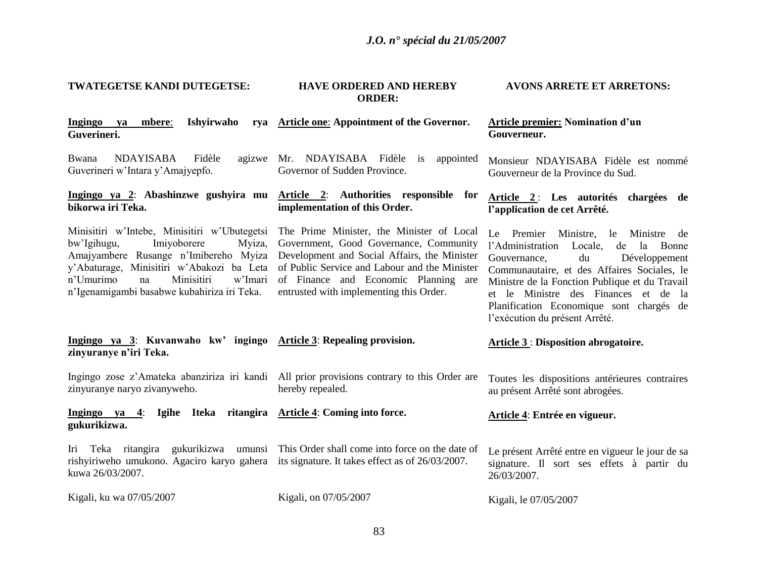| TWATEGETSE KANDI DUTEGETSE:                                                                                                                                                                                                                                           | <b>HAVE ORDERED AND HEREBY</b><br><b>ORDER:</b>                                                                                                                                                                                                                         | <b>AVONS ARRETE ET ARRETONS:</b>                                                                                                                                                                                                                                                                                                                |
|-----------------------------------------------------------------------------------------------------------------------------------------------------------------------------------------------------------------------------------------------------------------------|-------------------------------------------------------------------------------------------------------------------------------------------------------------------------------------------------------------------------------------------------------------------------|-------------------------------------------------------------------------------------------------------------------------------------------------------------------------------------------------------------------------------------------------------------------------------------------------------------------------------------------------|
| Ishyirwaho<br><b>Ingingo</b><br>mbere:<br>ya<br>Guverineri.                                                                                                                                                                                                           | rya Article one: Appointment of the Governor.                                                                                                                                                                                                                           | <b>Article premier: Nomination d'un</b><br>Gouverneur.                                                                                                                                                                                                                                                                                          |
| <b>NDAYISABA</b><br>Bwana<br>Fidèle<br>Guverineri w'Intara y'Amajyepfo.                                                                                                                                                                                               | agizwe Mr. NDAYISABA Fidèle is<br>appointed<br>Governor of Sudden Province.                                                                                                                                                                                             | Monsieur NDAYISABA Fidèle est nommé<br>Gouverneur de la Province du Sud.                                                                                                                                                                                                                                                                        |
| bikorwa iri Teka.                                                                                                                                                                                                                                                     | Ingingo ya 2: Abashinzwe gushyira mu Article 2: Authorities responsible for<br>implementation of this Order.                                                                                                                                                            | Article 2: Les autorités chargées de<br>l'application de cet Arrêté.                                                                                                                                                                                                                                                                            |
| Minisitiri w'Intebe, Minisitiri w'Ubutegetsi<br>bw'Igihugu,<br>Imiyoborere<br>Myiza,<br>Amajyambere Rusange n'Imibereho Myiza<br>y'Abaturage, Minisitiri w'Abakozi ba Leta<br>n'Umurimo<br>Minisitiri<br>w'Imari<br>na<br>n'Igenamigambi basabwe kubahiriza iri Teka. | The Prime Minister, the Minister of Local<br>Government, Good Governance, Community<br>Development and Social Affairs, the Minister<br>of Public Service and Labour and the Minister<br>of Finance and Economic Planning are<br>entrusted with implementing this Order. | Premier Ministre, le Ministre de<br>Le<br>l'Administration Locale,<br>de la Bonne<br>Gouvernance,<br>du<br>Développement<br>Communautaire, et des Affaires Sociales, le<br>Ministre de la Fonction Publique et du Travail<br>et le Ministre des Finances et de la<br>Planification Economique sont chargés de<br>l'exécution du présent Arrêté. |
| Ingingo ya 3: Kuvanwaho kw' ingingo Article 3: Repealing provision.<br>zinyuranye n'iri Teka.                                                                                                                                                                         |                                                                                                                                                                                                                                                                         | <b>Article 3: Disposition abrogatoire.</b>                                                                                                                                                                                                                                                                                                      |
| zinyuranye naryo zivanyweho.                                                                                                                                                                                                                                          | Ingingo zose z'Amateka abanziriza iri kandi All prior provisions contrary to this Order are<br>hereby repealed.                                                                                                                                                         | Toutes les dispositions antérieures contraires<br>au présent Arrêté sont abrogées.                                                                                                                                                                                                                                                              |
| Ingingo ya 4: Igihe Iteka ritangira Article 4: Coming into force.<br>gukurikizwa.                                                                                                                                                                                     |                                                                                                                                                                                                                                                                         | Article 4: Entrée en vigueur.                                                                                                                                                                                                                                                                                                                   |
| Iri Teka ritangira<br>rishyiriweho umukono. Agaciro karyo gahera its signature. It takes effect as of 26/03/2007.<br>kuwa 26/03/2007.                                                                                                                                 | gukurikizwa umunsi This Order shall come into force on the date of                                                                                                                                                                                                      | Le présent Arrêté entre en vigueur le jour de sa<br>signature. Il sort ses effets à partir du<br>26/03/2007.                                                                                                                                                                                                                                    |
| Kigali, ku wa 07/05/2007                                                                                                                                                                                                                                              | Kigali, on 07/05/2007                                                                                                                                                                                                                                                   | Kigali, le 07/05/2007                                                                                                                                                                                                                                                                                                                           |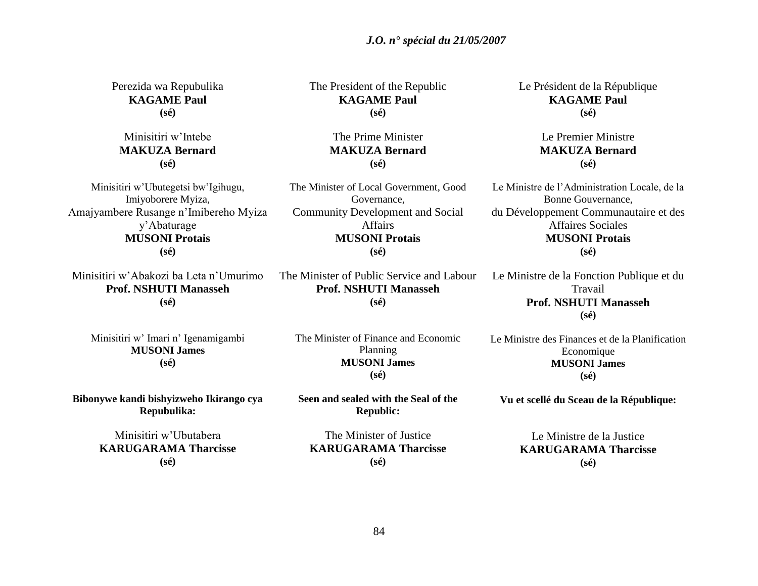*J.O. n° spécial du 21/05/2007*

Perezida wa Repubulika **KAGAME Paul (sé)** Minisitiri w"Intebe **MAKUZA Bernard (sé)** Minisitiri w"Ubutegetsi bw"Igihugu, Imiyoborere Myiza, Amajyambere Rusange n"Imibereho Myiza y"Abaturage **MUSONI Protais (sé)** Minisitiri w"Abakozi ba Leta n"Umurimo **Prof. NSHUTI Manasseh (sé)** Minisitiri w' Imari n' Igenamigambi **MUSONI James (sé) Bibonywe kandi bishyizweho Ikirango cya Repubulika:** Minisitiri w"Ubutabera **KARUGARAMA Tharcisse (sé)** The President of the Republic **KAGAME Paul (sé)** The Prime Minister **MAKUZA Bernard (sé)** The Minister of Local Government, Good Governance, Community Development and Social Affairs **MUSONI Protais (sé)** The Minister of Public Service and Labour **Prof. NSHUTI Manasseh (sé)** The Minister of Finance and Economic Planning **MUSONI James (sé) Seen and sealed with the Seal of the Republic:** The Minister of Justice **KARUGARAMA Tharcisse** Le Président de la République **KAGAME Paul (sé)** Le Premier Ministre **MAKUZA Bernard (sé)** Le Ministre de l"Administration Locale, de la Bonne Gouvernance, du Développement Communautaire et des Affaires Sociales **MUSONI Protais (sé)** Le Ministre de la Fonction Publique et du Travail **Prof. NSHUTI Manasseh (sé)** Le Ministre des Finances et de la Planification Economique **MUSONI James (sé) Vu et scellé du Sceau de la République:** Le Ministre de la Justice **KARUGARAMA Tharcisse (sé)**

**(sé)**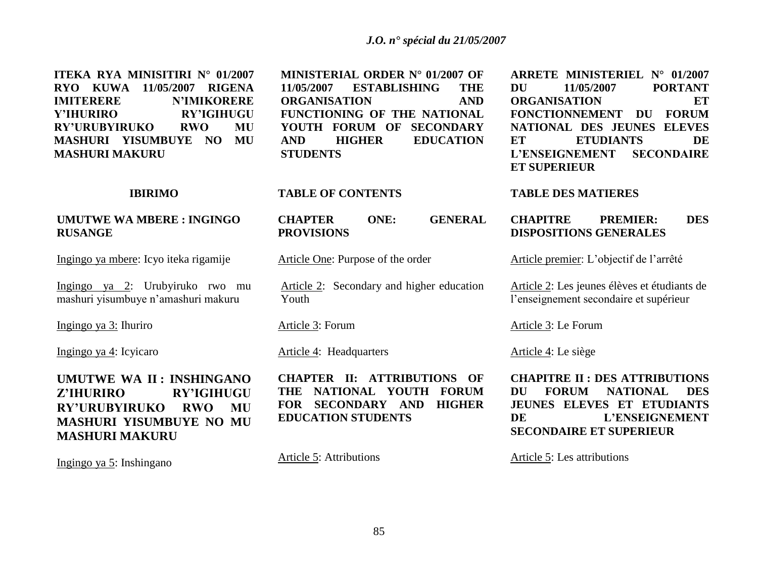**ITEKA RYA MINISITIRI N° 01/2007 RYO KUWA 11/05/2007 RIGENA IMITERERE N'IMIKORERE Y'IHURIRO RY'IGIHUGU RY'URUBYIRUKO RWO MU MASHURI YISUMBUYE NO MU MASHURI MAKURU**

#### **IBIRIMO**

### **UMUTWE WA MBERE : INGINGO RUSANGE**

Ingingo ya mbere: Icyo iteka rigamije

Ingingo ya 2: Urubyiruko rwo mu mashuri yisumbuye n"amashuri makuru

Ingingo ya 3: Ihuriro

Ingingo ya 4: Icyicaro

**UMUTWE WA II : INSHINGANO Z'IHURIRO RY'IGIHUGU RY'URUBYIRUKO RWO MU MASHURI YISUMBUYE NO MU MASHURI MAKURU**

Ingingo ya 5: Inshingano

**MINISTERIAL ORDER N° 01/2007 OF 11/05/2007 ESTABLISHING THE ORGANISATION AND FUNCTIONING OF THE NATIONAL YOUTH FORUM OF SECONDARY AND HIGHER EDUCATION STUDENTS**

#### **TABLE OF CONTENTS**

**CHAPTER ONE: GENERAL PROVISIONS** 

Article One: Purpose of the order

Article 2: Secondary and higher education Youth

Article 3: Forum

Article 4: Headquarters

**CHAPTER II: ATTRIBUTIONS OF THE NATIONAL YOUTH FORUM FOR SECONDARY AND HIGHER EDUCATION STUDENTS**

Article 5: Attributions

**ARRETE MINISTERIEL N° 01/2007 DU 11/05/2007 PORTANT ORGANISATION ET FONCTIONNEMENT DU FORUM NATIONAL DES JEUNES ELEVES ET ETUDIANTS DE L'ENSEIGNEMENT SECONDAIRE ET SUPERIEUR** 

#### **TABLE DES MATIERES**

### **CHAPITRE PREMIER: DES DISPOSITIONS GENERALES**

Article premier: L'objectif de l'arrêté

Article 2: Les jeunes élèves et étudiants de l"enseignement secondaire et supérieur

Article 3: Le Forum

Article 4: Le siège

**CHAPITRE II : DES ATTRIBUTIONS DU FORUM NATIONAL DES JEUNES ELEVES ET ETUDIANTS DE L'ENSEIGNEMENT SECONDAIRE ET SUPERIEUR** 

Article 5: Les attributions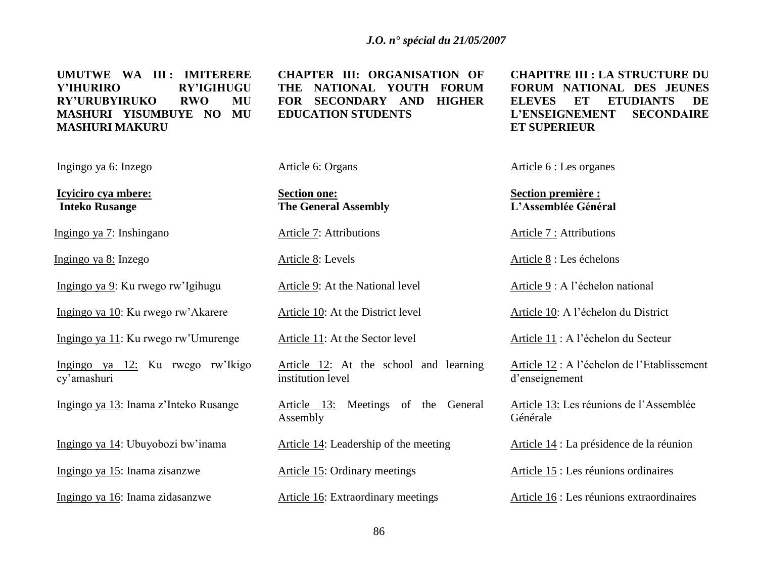**UMUTWE WA III : IMITERERE Y'IHURIRO RY'IGIHUGU RY'URUBYIRUKO RWO MU MASHURI YISUMBUYE NO MU MASHURI MAKURU** 

Ingingo ya 6: Inzego

**Icyiciro cya mbere: Inteko Rusange**

Ingingo ya 7: Inshingano

Ingingo ya 8: Inzego

Ingingo ya 9: Ku rwego rw"Igihugu

Ingingo ya 10: Ku rwego rw"Akarere

Ingingo ya 11: Ku rwego rw"Umurenge

Ingingo ya 12: Ku rwego rw"Ikigo cy"amashuri

Ingingo ya 13: Inama z"Inteko Rusange

Ingingo ya 14: Ubuyobozi bw"inama

Ingingo ya 15: Inama zisanzwe

Ingingo ya 16: Inama zidasanzwe

**CHAPTER III: ORGANISATION OF THE NATIONAL YOUTH FORUM FOR SECONDARY AND HIGHER EDUCATION STUDENTS**

Article 6: Organs

**Section one: The General Assembly** 

Article 7: Attributions

Article 8: Levels

Article 9: At the National level

Article 10: At the District level

Article 11: At the Sector level

Article 12: At the school and learning institution level

Article 13: Meetings of the General Assembly

Article 14: Leadership of the meeting

Article 15: Ordinary meetings

Article 16: Extraordinary meetings

**CHAPITRE III : LA STRUCTURE DU FORUM NATIONAL DES JEUNES ELEVES ET ETUDIANTS DE L'ENSEIGNEMENT SECONDAIRE ET SUPERIEUR** 

Article 6 : Les organes

**Section première : L'Assemblée Général**

Article 7 : Attributions

Article 8 : Les échelons

Article 9 : A l"échelon national

Article 10: A l"échelon du District

Article 11 : A l"échelon du Secteur

Article 12 : A l"échelon de l"Etablissement d"enseignement

Article 13: Les réunions de l"Assemblée Générale

Article 14 : La présidence de la réunion

Article 15 : Les réunions ordinaires

Article 16 : Les réunions extraordinaires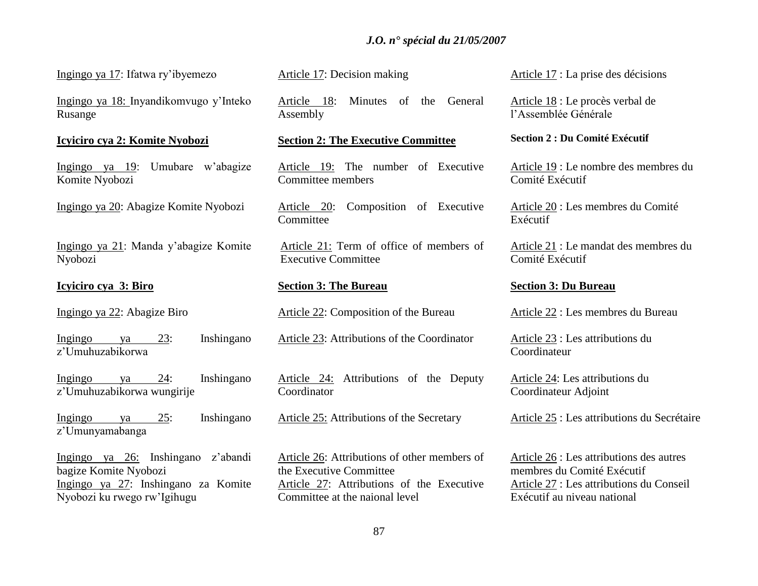# *J.O. n° spécial du 21/05/2007*

Ingingo ya 17: Ifatwa ry"ibyemezo

Ingingo ya 18: Inyandikomvugo y"Inteko Rusange

#### **Icyiciro cya 2: Komite Nyobozi**

Ingingo ya 19: Umubare w"abagize Komite Nyobozi

Ingingo ya 20: Abagize Komite Nyobozi

Ingingo ya 21: Manda y"abagize Komite Nyobozi

### **Icyiciro cya 3: Biro**

Ingingo ya 22: Abagize Biro

Ingingo ya 23: Inshingano z"Umuhuzabikorwa

Ingingo ya 24: Inshingano z"Umuhuzabikorwa wungirije

Ingingo ya 25: Inshingano z"Umunyamabanga

Ingingo ya 26: Inshingano z"abandi bagize Komite Nyobozi Ingingo ya 27: Inshingano za Komite Nyobozi ku rwego rw"Igihugu

Article 17: Decision making

Article 18: Minutes of the General Assembly

#### **Section 2: The Executive Committee**

Article 19: The number of Executive Committee members

Article 20: Composition of Executive **Committee** 

Article 21: Term of office of members of Executive Committee

#### **Section 3: The Bureau**

Article 22: Composition of the Bureau

Article 23: Attributions of the Coordinator

Article 24: Attributions of the Deputy Coordinator

Article 25: Attributions of the Secretary

Article 26: Attributions of other members of the Executive Committee Article 27: Attributions of the Executive Committee at the naional level

Article 17 : La prise des décisions

Article 18 : Le procès verbal de l"Assemblée Générale

#### **Section 2 : Du Comité Exécutif**

Article 19 : Le nombre des membres du Comité Exécutif

Article 20 : Les membres du Comité Exécutif

Article 21 : Le mandat des membres du Comité Exécutif

#### **Section 3: Du Bureau**

Article 22 : Les membres du Bureau

Article 23 : Les attributions du **Coordinateur** 

Article 24: Les attributions du Coordinateur Adjoint

Article 25 : Les attributions du Secrétaire

Article 26 : Les attributions des autres membres du Comité Exécutif Article 27 : Les attributions du Conseil Exécutif au niveau national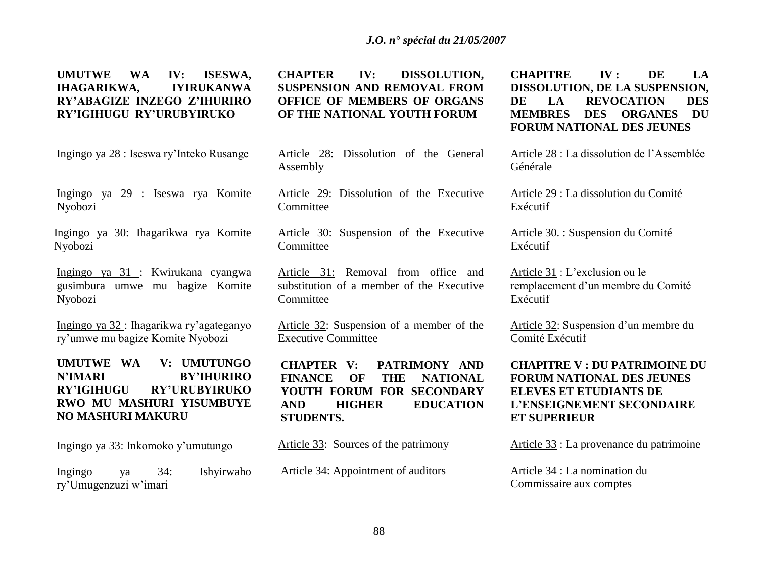# **UMUTWE WA IV: ISESWA, IHAGARIKWA, IYIRUKANWA RY'ABAGIZE INZEGO Z'IHURIRO RY'IGIHUGU RY'URUBYIRUKO**

Ingingo ya 28 : Iseswa ry"Inteko Rusange

Ingingo ya 29 : Iseswa rya Komite Nyobozi

Ingingo ya 30: Ihagarikwa rya Komite Nyobozi

Ingingo ya 31 : Kwirukana cyangwa gusimbura umwe mu bagize Komite Nyobozi

Ingingo ya 32 : Ihagarikwa ry"agateganyo ry"umwe mu bagize Komite Nyobozi

# **UMUTWE WA V: UMUTUNGO N'IMARI BY'IHURIRO RY'IGIHUGU RY'URUBYIRUKO RWO MU MASHURI YISUMBUYE NO MASHURI MAKURU**

Ingingo ya 33: Inkomoko y"umutungo

Ingingo ya 34: Ishyirwaho ry"Umugenzuzi w"imari

**CHAPTER IV: DISSOLUTION, SUSPENSION AND REMOVAL FROM OFFICE OF MEMBERS OF ORGANS OF THE NATIONAL YOUTH FORUM** 

Article 28: Dissolution of the General Assembly

Article 29: Dissolution of the Executive **Committee** 

Article 30: Suspension of the Executive **Committee** 

Article 31: Removal from office and substitution of a member of the Executive Committee

Article 32: Suspension of a member of the Executive Committee

**CHAPTER V: PATRIMONY AND FINANCE OF THE NATIONAL YOUTH FORUM FOR SECONDARY AND HIGHER EDUCATION STUDENTS.** 

Article 33: Sources of the patrimony

Article 34: Appointment of auditors

**CHAPITRE IV : DE LA DISSOLUTION, DE LA SUSPENSION, DE LA REVOCATION DES MEMBRES DES ORGANES DU FORUM NATIONAL DES JEUNES**

Article 28 : La dissolution de l"Assemblée Générale

Article 29 : La dissolution du Comité Exécutif

Article 30. : Suspension du Comité Exécutif

Article 31 : L"exclusion ou le remplacement d"un membre du Comité Exécutif

Article 32: Suspension d'un membre du Comité Exécutif

# **CHAPITRE V : DU PATRIMOINE DU FORUM NATIONAL DES JEUNES ELEVES ET ETUDIANTS DE L'ENSEIGNEMENT SECONDAIRE ET SUPERIEUR**

Article 33 : La provenance du patrimoine

Article 34 : La nomination du Commissaire aux comptes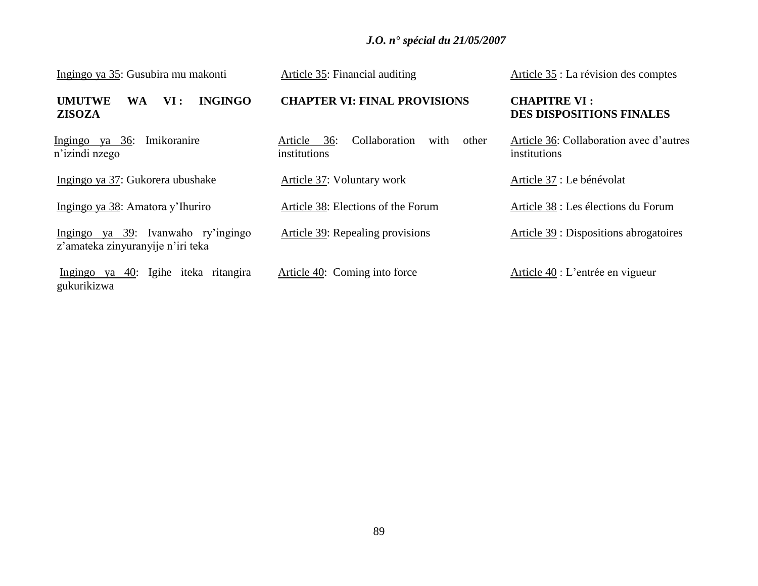# *J.O. n° spécial du 21/05/2007*

| Ingingo ya 35: Gusubira mu makonti                                      | Article 35: Financial auditing                                | Article 35 : La révision des comptes                    |
|-------------------------------------------------------------------------|---------------------------------------------------------------|---------------------------------------------------------|
| <b>INGINGO</b><br><b>UMUTWE</b><br>VI:<br><b>WA</b><br><b>ZISOZA</b>    | <b>CHAPTER VI: FINAL PROVISIONS</b>                           | <b>CHAPITRE VI:</b><br><b>DES DISPOSITIONS FINALES</b>  |
| Ingingo ya 36:<br>Imikoranire<br>n'izindi nzego                         | Collaboration<br>Article 36:<br>other<br>with<br>institutions | Article 36: Collaboration avec d'autres<br>institutions |
| Ingingo ya 37: Gukorera ubushake                                        | Article 37: Voluntary work                                    | Article 37 : Le bénévolat                               |
| Ingingo ya 38: Amatora y'Ihuriro                                        | Article 38: Elections of the Forum                            | Article 38 : Les élections du Forum                     |
| Ingingo ya 39: Ivanwaho ry'ingingo<br>z'amateka zinyuranyije n'iri teka | Article 39: Repealing provisions                              | Article 39 : Dispositions abrogatoires                  |
| Ingingo ya 40: Igihe iteka ritangira<br>gukurikizwa                     | Article 40: Coming into force                                 | Article 40 : L'entrée en vigueur                        |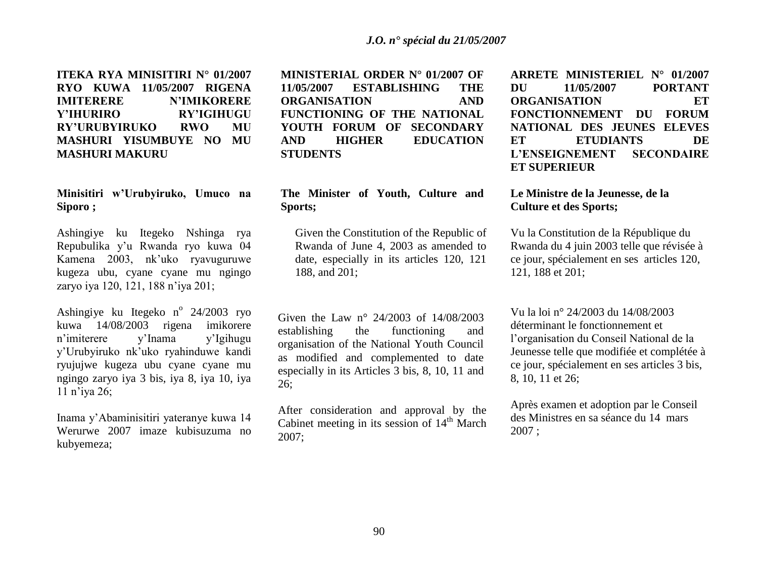**ITEKA RYA MINISITIRI N° 01/2007 RYO KUWA 11/05/2007 RIGENA IMITERERE N'IMIKORERE Y'IHURIRO RY'IGIHUGU RY'URUBYIRUKO RWO MU MASHURI YISUMBUYE NO MU MASHURI MAKURU**

# **Minisitiri w'Urubyiruko, Umuco na Siporo ;**

Ashingiye ku Itegeko Nshinga rya Repubulika y"u Rwanda ryo kuwa 04 Kamena 2003, nk"uko ryavuguruwe kugeza ubu, cyane cyane mu ngingo zaryo iya 120, 121, 188 n"iya 201;

Ashingiye ku Itegeko n<sup>o</sup> 24/2003 ryo kuwa 14/08/2003 rigena imikorere n"imiterere y"Inama y"Igihugu y"Urubyiruko nk"uko ryahinduwe kandi ryujujwe kugeza ubu cyane cyane mu ngingo zaryo iya 3 bis, iya 8, iya 10, iya 11 n"iya 26;

Inama y"Abaminisitiri yateranye kuwa 14 Werurwe 2007 imaze kubisuzuma no kubyemeza;

**MINISTERIAL ORDER N° 01/2007 OF 11/05/2007 ESTABLISHING THE ORGANISATION AND FUNCTIONING OF THE NATIONAL YOUTH FORUM OF SECONDARY AND HIGHER EDUCATION STUDENTS**

# **The Minister of Youth, Culture and Sports;**

Given the Constitution of the Republic of Rwanda of June 4, 2003 as amended to date, especially in its articles 120, 121 188, and 201;

Given the Law n° 24/2003 of 14/08/2003 establishing the functioning and organisation of the National Youth Council as modified and complemented to date especially in its Articles 3 bis, 8, 10, 11 and 26;

After consideration and approval by the Cabinet meeting in its session of  $14<sup>th</sup>$  March 2007;

**ARRETE MINISTERIEL N° 01/2007 DU 11/05/2007 PORTANT ORGANISATION ET FONCTIONNEMENT DU FORUM NATIONAL DES JEUNES ELEVES ET ETUDIANTS DE L'ENSEIGNEMENT SECONDAIRE ET SUPERIEUR** 

### **Le Ministre de la Jeunesse, de la Culture et des Sports;**

Vu la Constitution de la République du Rwanda du 4 juin 2003 telle que révisée à ce jour, spécialement en ses articles 120, 121, 188 et 201;

Vu la loi n° 24/2003 du 14/08/2003 déterminant le fonctionnement et l"organisation du Conseil National de la Jeunesse telle que modifiée et complétée à ce jour, spécialement en ses articles 3 bis, 8, 10, 11 et 26;

Après examen et adoption par le Conseil des Ministres en sa séance du 14 mars 2007 ;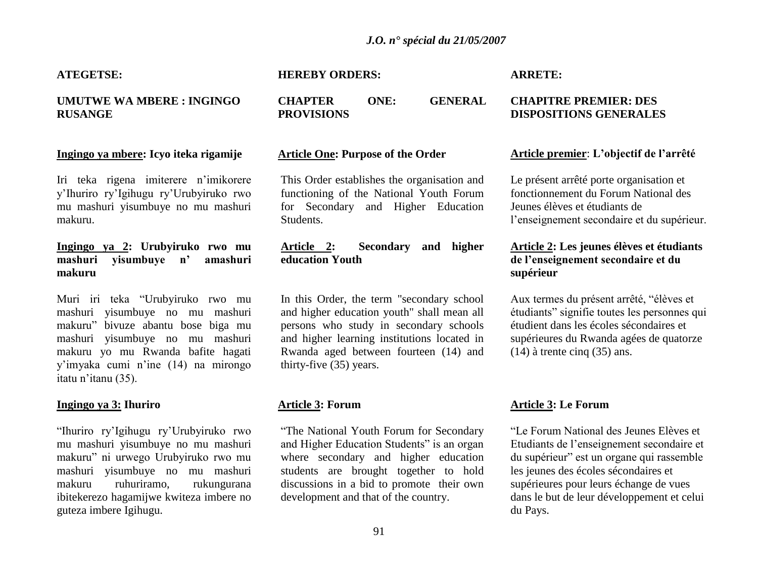### *J.O. n° spécial du 21/05/2007*

#### **ATEGETSE:**

# **UMUTWE WA MBERE : INGINGO RUSANGE**

#### **Ingingo ya mbere: Icyo iteka rigamije**

Iri teka rigena imiterere n"imikorere y"Ihuriro ry"Igihugu ry"Urubyiruko rwo mu mashuri yisumbuye no mu mashuri makuru.

# **Ingingo ya 2: Urubyiruko rwo mu mashuri yisumbuye n' amashuri makuru**

Muri iri teka "Urubyiruko rwo mu mashuri yisumbuye no mu mashuri makuru" bivuze abantu bose biga mu mashuri yisumbuye no mu mashuri makuru yo mu Rwanda bafite hagati y"imyaka cumi n"ine (14) na mirongo itatu n"itanu (35).

### **Ingingo ya 3: Ihuriro**

"Ihuriro ry"Igihugu ry"Urubyiruko rwo mu mashuri yisumbuye no mu mashuri makuru" ni urwego Urubyiruko rwo mu mashuri yisumbuye no mu mashuri makuru ruhuriramo, rukungurana ibitekerezo hagamijwe kwiteza imbere no guteza imbere Igihugu.

**HEREBY ORDERS:**

**CHAPTER ONE: GENERAL PROVISIONS** 

#### **Article One: Purpose of the Order**

This Order establishes the organisation and functioning of the National Youth Forum for Secondary and Higher Education Students.

# **Article 2: Secondary and higher education Youth**

In this Order, the term "secondary school and higher education youth" shall mean all persons who study in secondary schools and higher learning institutions located in Rwanda aged between fourteen (14) and thirty-five (35) years.

### **Article 3: Forum**

"The National Youth Forum for Secondary and Higher Education Students" is an organ where secondary and higher education students are brought together to hold discussions in a bid to promote their own development and that of the country.

#### **ARRETE:**

### **CHAPITRE PREMIER: DES DISPOSITIONS GENERALES**

#### **Article premier**: **L'objectif de l'arrêté**

Le présent arrêté porte organisation et fonctionnement du Forum National des Jeunes élèves et étudiants de l"enseignement secondaire et du supérieur.

# **Article 2: Les jeunes élèves et étudiants de l'enseignement secondaire et du supérieur**

Aux termes du présent arrêté, "élèves et étudiants" signifie toutes les personnes qui étudient dans les écoles sécondaires et supérieures du Rwanda agées de quatorze (14) à trente cinq (35) ans.

### **Article 3: Le Forum**

"Le Forum National des Jeunes Elèves et Etudiants de l"enseignement secondaire et du supérieur" est un organe qui rassemble les jeunes des écoles sécondaires et supérieures pour leurs échange de vues dans le but de leur développement et celui du Pays.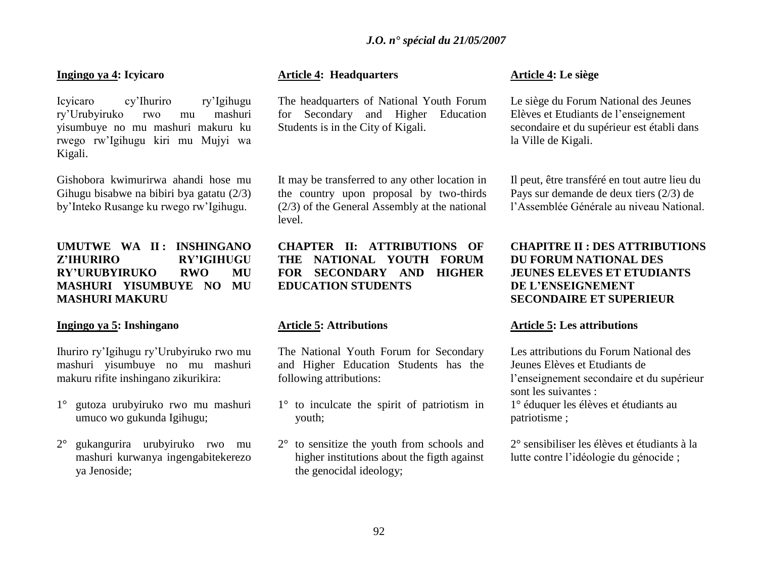### **Ingingo ya 4: Icyicaro**

Icyicaro cy"Ihuriro ry"Igihugu ry"Urubyiruko rwo mu mashuri yisumbuye no mu mashuri makuru ku rwego rw"Igihugu kiri mu Mujyi wa Kigali.

Gishobora kwimurirwa ahandi hose mu Gihugu bisabwe na bibiri bya gatatu (2/3) by"Inteko Rusange ku rwego rw"Igihugu.

# **UMUTWE WA II : INSHINGANO Z'IHURIRO RY'IGIHUGU RY'URUBYIRUKO RWO MU MASHURI YISUMBUYE NO MU MASHURI MAKURU**

### **Ingingo ya 5: Inshingano**

Ihuriro ry"Igihugu ry"Urubyiruko rwo mu mashuri yisumbuye no mu mashuri makuru rifite inshingano zikurikira:

- 1° gutoza urubyiruko rwo mu mashuri umuco wo gukunda Igihugu;
- 2° gukangurira urubyiruko rwo mu mashuri kurwanya ingengabitekerezo ya Jenoside;

# **Article 4: Headquarters**

The headquarters of National Youth Forum for Secondary and Higher Education Students is in the City of Kigali.

It may be transferred to any other location in the country upon proposal by two-thirds (2/3) of the General Assembly at the national level.

# **CHAPTER II: ATTRIBUTIONS OF THE NATIONAL YOUTH FORUM FOR SECONDARY AND HIGHER EDUCATION STUDENTS**

### **Article 5: Attributions**

The National Youth Forum for Secondary and Higher Education Students has the following attributions:

- 1° to inculcate the spirit of patriotism in youth;
- 2° to sensitize the youth from schools and higher institutions about the figth against the genocidal ideology;

### **Article 4: Le siège**

Le siège du Forum National des Jeunes Elèves et Etudiants de l"enseignement secondaire et du supérieur est établi dans la Ville de Kigali.

Il peut, être transféré en tout autre lieu du Pays sur demande de deux tiers (2/3) de l"Assemblée Générale au niveau National.

# **CHAPITRE II : DES ATTRIBUTIONS DU FORUM NATIONAL DES JEUNES ELEVES ET ETUDIANTS DE L'ENSEIGNEMENT SECONDAIRE ET SUPERIEUR**

### **Article 5: Les attributions**

Les attributions du Forum National des Jeunes Elèves et Etudiants de l"enseignement secondaire et du supérieur sont les suivantes :

1° éduquer les élèves et étudiants au patriotisme ;

2° sensibiliser les élèves et étudiants à la lutte contre l"idéologie du génocide ;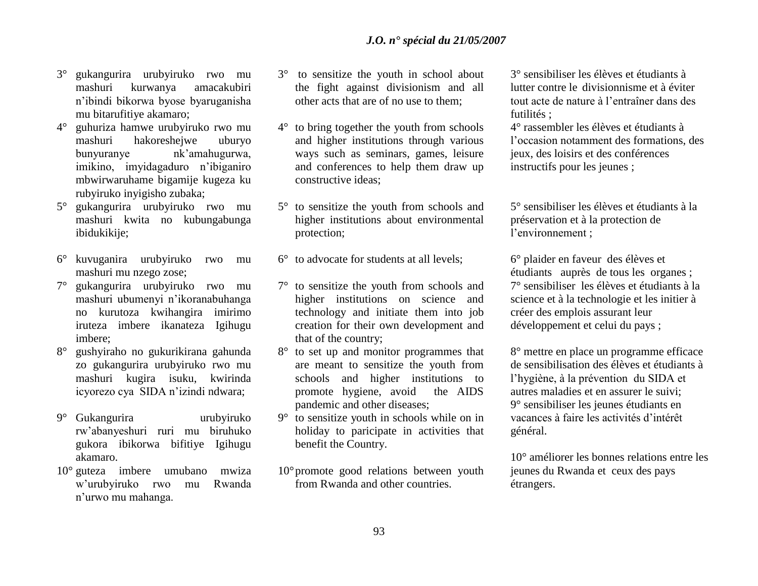- 3° gukangurira urubyiruko rwo mu mashuri kurwanya amacakubiri n"ibindi bikorwa byose byaruganisha mu bitarufitiye akamaro;
- 4° guhuriza hamwe urubyiruko rwo mu mashuri hakoreshejwe uburyo bunyuranye nk"amahugurwa, imikino, imyidagaduro n"ibiganiro mbwirwaruhame bigamije kugeza ku rubyiruko inyigisho zubaka;
- 5° gukangurira urubyiruko rwo mu mashuri kwita no kubungabunga ibidukikije;
- 6° kuvuganira urubyiruko rwo mu mashuri mu nzego zose;
- 7° gukangurira urubyiruko rwo mu mashuri ubumenyi n"ikoranabuhanga no kurutoza kwihangira imirimo iruteza imbere ikanateza Igihugu imbere;
- 8° gushyiraho no gukurikirana gahunda zo gukangurira urubyiruko rwo mu mashuri kugira isuku, kwirinda icyorezo cya SIDA n"izindi ndwara;
- 9° Gukangurira urubyiruko rw"abanyeshuri ruri mu biruhuko gukora ibikorwa bifitiye Igihugu akamaro.
- 10° guteza imbere umubano mwiza w"urubyiruko rwo mu Rwanda n"urwo mu mahanga.
- 3° to sensitize the youth in school about the fight against divisionism and all other acts that are of no use to them;
- 4° to bring together the youth from schools and higher institutions through various ways such as seminars, games, leisure and conferences to help them draw up constructive ideas;
- 5° to sensitize the youth from schools and higher institutions about environmental protection;
- 6° to advocate for students at all levels;
- 7° to sensitize the youth from schools and higher institutions on science and technology and initiate them into job creation for their own development and that of the country;
- 8° to set up and monitor programmes that are meant to sensitize the youth from schools and higher institutions to promote hygiene, avoid the AIDS pandemic and other diseases;
- 9° to sensitize youth in schools while on in holiday to paricipate in activities that benefit the Country.
- 10°promote good relations between youth from Rwanda and other countries.

3° sensibiliser les élèves et étudiants à lutter contre le divisionnisme et à éviter tout acte de nature à l"entraîner dans des futilités ;

4° rassembler les élèves et étudiants à l"occasion notamment des formations, des jeux, des loisirs et des conférences instructifs pour les jeunes ;

5° sensibiliser les élèves et étudiants à la préservation et à la protection de l"environnement ;

6° plaider en faveur des élèves et étudiants auprès de tous les organes ; 7° sensibiliser les élèves et étudiants à la science et à la technologie et les initier à créer des emplois assurant leur développement et celui du pays ;

8° mettre en place un programme efficace de sensibilisation des élèves et étudiants à l"hygiène, à la prévention du SIDA et autres maladies et en assurer le suivi; 9° sensibiliser les jeunes étudiants en vacances à faire les activités d"intérêt général.

10° améliorer les bonnes relations entre les jeunes du Rwanda et ceux des pays étrangers.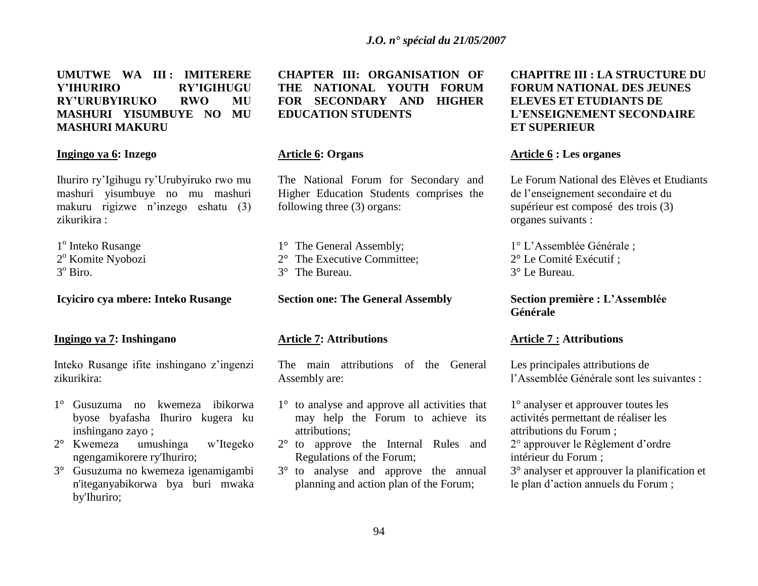**UMUTWE WA III : IMITERERE Y'IHURIRO RY'IGIHUGU RY'URUBYIRUKO RWO MU MASHURI YISUMBUYE NO MU MASHURI MAKURU** 

#### **Ingingo ya 6: Inzego**

Ihuriro ry"Igihugu ry"Urubyiruko rwo mu mashuri yisumbuye no mu mashuri makuru rigizwe n"inzego eshatu (3) zikurikira :

1<sup>°</sup> Inteko Rusange 2<sup>°</sup> Komite Nyobozi 3<sup>°</sup> Biro.

### **Icyiciro cya mbere: Inteko Rusange**

#### **Ingingo ya 7: Inshingano**

Inteko Rusange ifite inshingano z"ingenzi zikurikira:

- 1° Gusuzuma no kwemeza ibikorwa byose byafasha Ihuriro kugera ku inshingano zayo ;
- 2° Kwemeza umushinga w"Itegeko ngengamikorere ry'Ihuriro;
- 3° Gusuzuma no kwemeza igenamigambi n'iteganyabikorwa bya buri mwaka by'Ihuriro;

**CHAPTER III: ORGANISATION OF THE NATIONAL YOUTH FORUM FOR SECONDARY AND HIGHER EDUCATION STUDENTS**

#### **Article 6: Organs**

The National Forum for Secondary and Higher Education Students comprises the following three (3) organs:

1° The General Assembly; 2° The Executive Committee; 3° The Bureau.

**Section one: The General Assembly** 

#### **Article 7: Attributions**

The main attributions of the General Assembly are:

- 1° to analyse and approve all activities that may help the Forum to achieve its attributions;
- 2° to approve the Internal Rules and Regulations of the Forum;
- 3° to analyse and approve the annual planning and action plan of the Forum;

# **CHAPITRE III : LA STRUCTURE DU FORUM NATIONAL DES JEUNES ELEVES ET ETUDIANTS DE L'ENSEIGNEMENT SECONDAIRE ET SUPERIEUR**

### **Article 6 : Les organes**

Le Forum National des Elèves et Etudiants de l"enseignement secondaire et du supérieur est composé des trois (3) organes suivants :

1° L"Assemblée Générale ; 2° Le Comité Exécutif ; 3° Le Bureau.

**Section première : L'Assemblée Générale**

#### **Article 7 : Attributions**

Les principales attributions de l"Assemblée Générale sont les suivantes :

1° analyser et approuver toutes les activités permettant de réaliser les attributions du Forum ;

2° approuver le Règlement d"ordre intérieur du Forum ;

3° analyser et approuver la planification et le plan d"action annuels du Forum ;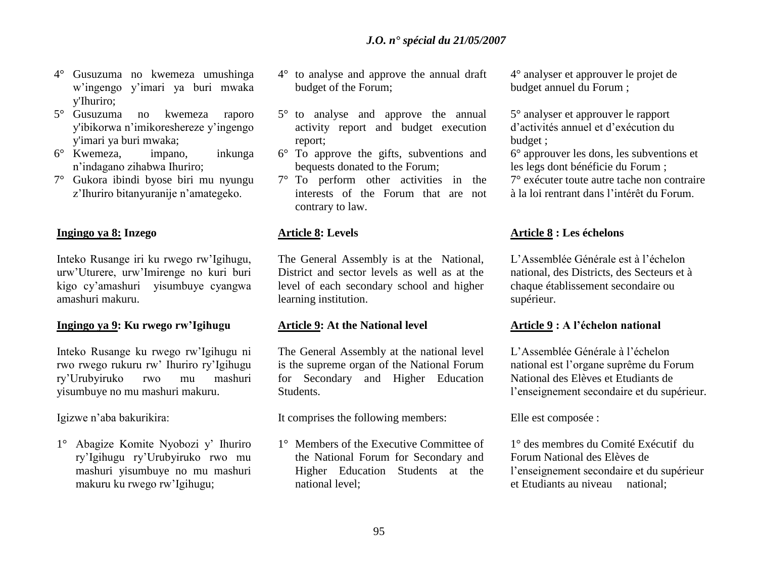- 4° Gusuzuma no kwemeza umushinga w"ingengo y"imari ya buri mwaka y'Ihuriro;
- 5° Gusuzuma no kwemeza raporo y'ibikorwa n"imikoreshereze y"ingengo y'imari ya buri mwaka;
- 6° Kwemeza, impano, inkunga n"indagano zihabwa Ihuriro;
- 7° Gukora ibindi byose biri mu nyungu z"Ihuriro bitanyuranije n"amategeko.

### **Ingingo ya 8: Inzego**

Inteko Rusange iri ku rwego rw"Igihugu, urw"Uturere, urw"Imirenge no kuri buri kigo cy"amashuri yisumbuye cyangwa amashuri makuru.

# **Ingingo ya 9: Ku rwego rw'Igihugu**

Inteko Rusange ku rwego rw"Igihugu ni rwo rwego rukuru rw" Ihuriro ry"Igihugu ry"Urubyiruko rwo mu mashuri yisumbuye no mu mashuri makuru.

Igizwe n"aba bakurikira:

1° Abagize Komite Nyobozi y" Ihuriro ry"Igihugu ry"Urubyiruko rwo mu mashuri yisumbuye no mu mashuri makuru ku rwego rw"Igihugu;

- 4° to analyse and approve the annual draft budget of the Forum;
- 5° to analyse and approve the annual activity report and budget execution report;
- 6° To approve the gifts, subventions and bequests donated to the Forum;
- 7° To perform other activities in the interests of the Forum that are not contrary to law.

### **Article 8: Levels**

The General Assembly is at the National, District and sector levels as well as at the level of each secondary school and higher learning institution.

### **Article 9: At the National level**

The General Assembly at the national level is the supreme organ of the National Forum for Secondary and Higher Education Students.

It comprises the following members:

1° Members of the Executive Committee of the National Forum for Secondary and Higher Education Students at the national level;

4° analyser et approuver le projet de budget annuel du Forum ;

5° analyser et approuver le rapport d"activités annuel et d"exécution du budget ;

6° approuver les dons, les subventions et les legs dont bénéficie du Forum ; 7° exécuter toute autre tache non contraire

à la loi rentrant dans l"intérêt du Forum.

### **Article 8 : Les échelons**

L"Assemblée Générale est à l"échelon national, des Districts, des Secteurs et à chaque établissement secondaire ou supérieur.

# **Article 9 : A l'échelon national**

L"Assemblée Générale à l"échelon national est l"organe suprême du Forum National des Elèves et Etudiants de l"enseignement secondaire et du supérieur.

Elle est composée :

1° des membres du Comité Exécutif du Forum National des Elèves de l"enseignement secondaire et du supérieur et Etudiants au niveau national;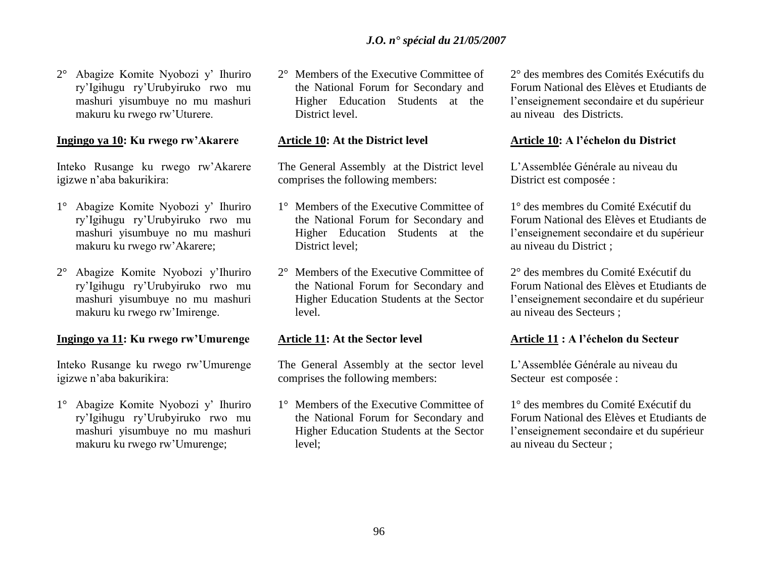2° Abagize Komite Nyobozi y" Ihuriro ry"Igihugu ry"Urubyiruko rwo mu mashuri yisumbuye no mu mashuri makuru ku rwego rw"Uturere.

#### **Ingingo ya 10: Ku rwego rw'Akarere**

Inteko Rusange ku rwego rw"Akarere igizwe n"aba bakurikira:

- 1° Abagize Komite Nyobozi y" Ihuriro ry"Igihugu ry"Urubyiruko rwo mu mashuri yisumbuye no mu mashuri makuru ku rwego rw"Akarere;
- 2° Abagize Komite Nyobozi y"Ihuriro ry"Igihugu ry"Urubyiruko rwo mu mashuri yisumbuye no mu mashuri makuru ku rwego rw"Imirenge.

### **Ingingo ya 11: Ku rwego rw'Umurenge**

Inteko Rusange ku rwego rw"Umurenge igizwe n"aba bakurikira:

1° Abagize Komite Nyobozi y" Ihuriro ry"Igihugu ry"Urubyiruko rwo mu mashuri yisumbuye no mu mashuri makuru ku rwego rw"Umurenge;

2° Members of the Executive Committee of the National Forum for Secondary and Higher Education Students at the District level.

### **Article 10: At the District level**

The General Assembly at the District level comprises the following members:

- 1° Members of the Executive Committee of the National Forum for Secondary and Higher Education Students at the District level;
- 2° Members of the Executive Committee of the National Forum for Secondary and Higher Education Students at the Sector level.

#### **Article 11: At the Sector level**

The General Assembly at the sector level comprises the following members:

1° Members of the Executive Committee of the National Forum for Secondary and Higher Education Students at the Sector level;

2° des membres des Comités Exécutifs du Forum National des Elèves et Etudiants de l"enseignement secondaire et du supérieur au niveau des Districts.

### **Article 10: A l'échelon du District**

L"Assemblée Générale au niveau du District est composée :

1° des membres du Comité Exécutif du Forum National des Elèves et Etudiants de l"enseignement secondaire et du supérieur au niveau du District ;

2° des membres du Comité Exécutif du Forum National des Elèves et Etudiants de l"enseignement secondaire et du supérieur au niveau des Secteurs ;

## **Article 11 : A l'échelon du Secteur**

L"Assemblée Générale au niveau du Secteur est composée :

1° des membres du Comité Exécutif du Forum National des Elèves et Etudiants de l"enseignement secondaire et du supérieur au niveau du Secteur ;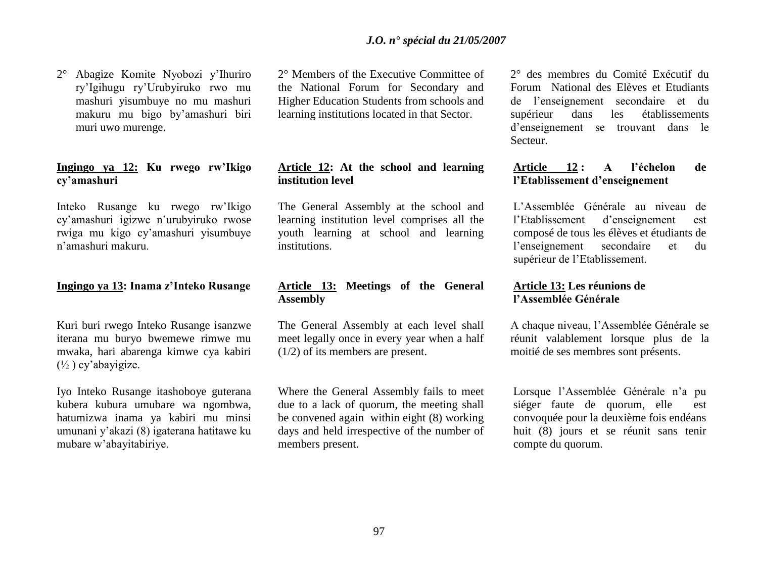2° Abagize Komite Nyobozi y"Ihuriro ry"Igihugu ry"Urubyiruko rwo mu mashuri yisumbuye no mu mashuri makuru mu bigo by"amashuri biri muri uwo murenge.

# **Ingingo ya 12: Ku rwego rw'Ikigo cy'amashuri**

Inteko Rusange ku rwego rw"Ikigo cy"amashuri igizwe n"urubyiruko rwose rwiga mu kigo cy"amashuri yisumbuye n"amashuri makuru.

#### **Ingingo ya 13: Inama z'Inteko Rusange**

Kuri buri rwego Inteko Rusange isanzwe iterana mu buryo bwemewe rimwe mu mwaka, hari abarenga kimwe cya kabiri  $(\frac{1}{2})$  cy'abayigize.

Iyo Inteko Rusange itashoboye guterana kubera kubura umubare wa ngombwa, hatumizwa inama ya kabiri mu minsi umunani y"akazi (8) igaterana hatitawe ku mubare w"abayitabiriye.

2° Members of the Executive Committee of the National Forum for Secondary and Higher Education Students from schools and learning institutions located in that Sector.

# **Article 12: At the school and learning institution level**

The General Assembly at the school and learning institution level comprises all the youth learning at school and learning institutions.

# **Article 13: Meetings of the General Assembly**

The General Assembly at each level shall meet legally once in every year when a half (1/2) of its members are present.

Where the General Assembly fails to meet due to a lack of quorum, the meeting shall be convened again within eight (8) working days and held irrespective of the number of members present.

2° des membres du Comité Exécutif du Forum National des Elèves et Etudiants de l"enseignement secondaire et du supérieur dans les établissements d"enseignement se trouvant dans le Secteur.

# **Article 12 : A l'échelon de l'Etablissement d'enseignement**

L"Assemblée Générale au niveau de l"Etablissement d"enseignement est composé de tous les élèves et étudiants de l"enseignement secondaire et du supérieur de l"Etablissement.

### **Article 13: Les réunions de l'Assemblée Générale**

A chaque niveau, l"Assemblée Générale se réunit valablement lorsque plus de la moitié de ses membres sont présents.

Lorsque l'Assemblée Générale n'a pu siéger faute de quorum, elle est convoquée pour la deuxième fois endéans huit (8) jours et se réunit sans tenir compte du quorum.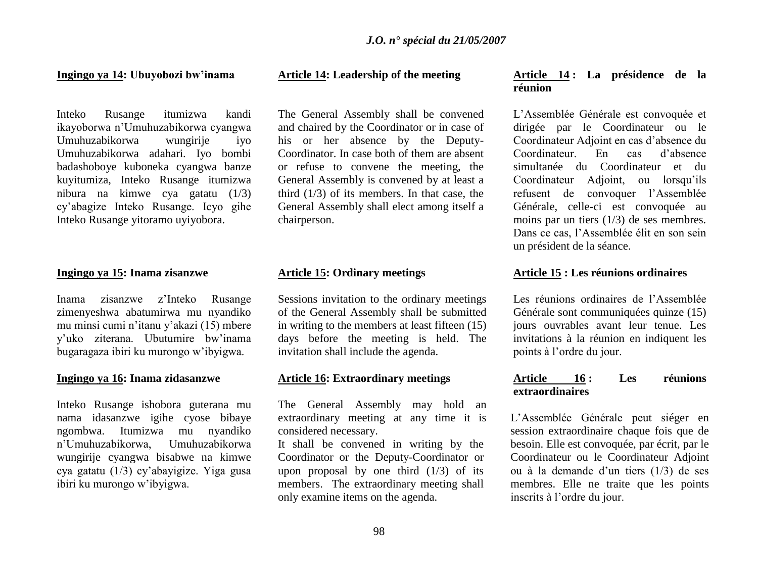#### **Ingingo ya 14: Ubuyobozi bw'inama**

Inteko Rusange itumizwa kandi ikayoborwa n"Umuhuzabikorwa cyangwa Umuhuzabikorwa wungirije iyo Umuhuzabikorwa adahari. Iyo bombi badashoboye kuboneka cyangwa banze kuyitumiza, Inteko Rusange itumizwa nibura na kimwe cya gatatu (1/3) cy"abagize Inteko Rusange. Icyo gihe Inteko Rusange yitoramo uyiyobora.

#### **Ingingo ya 15: Inama zisanzwe**

Inama zisanzwe z"Inteko Rusange zimenyeshwa abatumirwa mu nyandiko mu minsi cumi n"itanu y"akazi (15) mbere y"uko ziterana. Ubutumire bw"inama bugaragaza ibiri ku murongo w"ibyigwa.

#### **Ingingo ya 16: Inama zidasanzwe**

Inteko Rusange ishobora guterana mu nama idasanzwe igihe cyose bibaye ngombwa. Itumizwa mu nyandiko n"Umuhuzabikorwa, Umuhuzabikorwa wungirije cyangwa bisabwe na kimwe cya gatatu (1/3) cy"abayigize. Yiga gusa ibiri ku murongo w"ibyigwa.

### **Article 14: Leadership of the meeting**

The General Assembly shall be convened and chaired by the Coordinator or in case of his or her absence by the Deputy-Coordinator. In case both of them are absent or refuse to convene the meeting, the General Assembly is convened by at least a third (1/3) of its members. In that case, the General Assembly shall elect among itself a chairperson.

### **Article 15: Ordinary meetings**

Sessions invitation to the ordinary meetings of the General Assembly shall be submitted in writing to the members at least fifteen (15) days before the meeting is held. The invitation shall include the agenda.

### **Article 16: Extraordinary meetings**

The General Assembly may hold an extraordinary meeting at any time it is considered necessary.

It shall be convened in writing by the Coordinator or the Deputy-Coordinator or upon proposal by one third  $(1/3)$  of its members. The extraordinary meeting shall only examine items on the agenda.

### **Article 14 : La présidence de la réunion**

L"Assemblée Générale est convoquée et dirigée par le Coordinateur ou le Coordinateur Adjoint en cas d"absence du Coordinateur. En cas d"absence simultanée du Coordinateur et du Coordinateur Adjoint, ou lorsqu"ils refusent de convoquer l"Assemblée Générale, celle-ci est convoquée au moins par un tiers (1/3) de ses membres. Dans ce cas, l"Assemblée élit en son sein un président de la séance.

#### **Article 15 : Les réunions ordinaires**

Les réunions ordinaires de l'Assemblée Générale sont communiquées quinze (15) jours ouvrables avant leur tenue. Les invitations à la réunion en indiquent les points à l"ordre du jour.

## **Article 16 : Les réunions extraordinaires**

L"Assemblée Générale peut siéger en session extraordinaire chaque fois que de besoin. Elle est convoquée, par écrit, par le Coordinateur ou le Coordinateur Adjoint ou à la demande d"un tiers (1/3) de ses membres. Elle ne traite que les points inscrits à l"ordre du jour.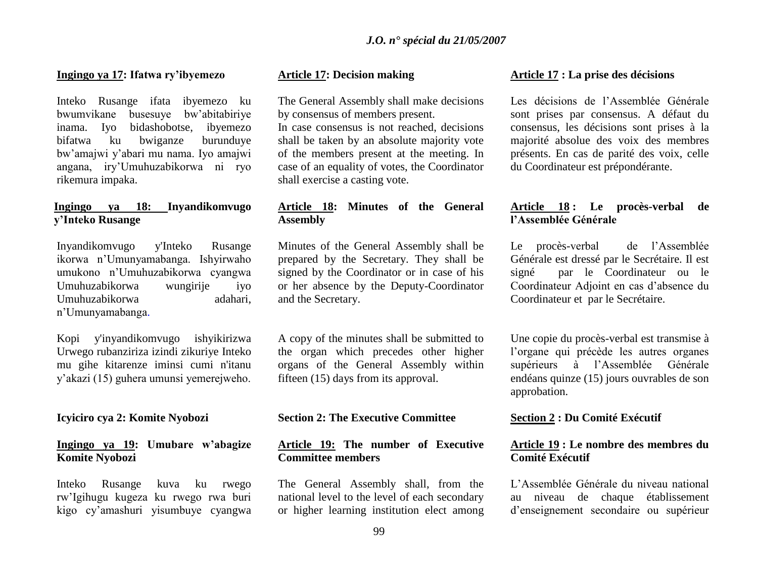#### **Ingingo ya 17: Ifatwa ry'ibyemezo**

Inteko Rusange ifata ibyemezo ku bwumvikane busesuye bw"abitabiriye inama. Iyo bidashobotse, ibyemezo bifatwa ku bwiganze burunduye bw"amajwi y"abari mu nama. Iyo amajwi angana, iry"Umuhuzabikorwa ni ryo rikemura impaka.

# **Ingingo ya 18: Inyandikomvugo y'Inteko Rusange**

Inyandikomvugo y'Inteko Rusange ikorwa n"Umunyamabanga. Ishyirwaho umukono n"Umuhuzabikorwa cyangwa Umuhuzabikorwa wungirije iyo Umuhuzabikorwa adahari, n"Umunyamabanga.

Kopi y'inyandikomvugo ishyikirizwa Urwego rubanziriza izindi zikuriye Inteko mu gihe kitarenze iminsi cumi n'itanu y"akazi (15) guhera umunsi yemerejweho.

# **Icyiciro cya 2: Komite Nyobozi**

### **Ingingo ya 19: Umubare w'abagize Komite Nyobozi**

Inteko Rusange kuva ku rwego rw"Igihugu kugeza ku rwego rwa buri kigo cy"amashuri yisumbuye cyangwa

### **Article 17: Decision making**

The General Assembly shall make decisions by consensus of members present.

In case consensus is not reached, decisions shall be taken by an absolute majority vote of the members present at the meeting. In case of an equality of votes, the Coordinator shall exercise a casting vote.

# **Article 18: Minutes of the General Assembly**

Minutes of the General Assembly shall be prepared by the Secretary. They shall be signed by the Coordinator or in case of his or her absence by the Deputy-Coordinator and the Secretary.

A copy of the minutes shall be submitted to the organ which precedes other higher organs of the General Assembly within fifteen (15) days from its approval.

### **Section 2: The Executive Committee**

### **Article 19: The number of Executive Committee members**

The General Assembly shall, from the national level to the level of each secondary or higher learning institution elect among

### **Article 17 : La prise des décisions**

Les décisions de l'Assemblée Générale sont prises par consensus. A défaut du consensus, les décisions sont prises à la majorité absolue des voix des membres présents. En cas de parité des voix, celle du Coordinateur est prépondérante.

# **Article 18 : Le procès-verbal de l'Assemblée Générale**

Le procès-verbal de l"Assemblée Générale est dressé par le Secrétaire. Il est signé par le Coordinateur ou le Coordinateur Adjoint en cas d"absence du Coordinateur et par le Secrétaire.

Une copie du procès-verbal est transmise à l"organe qui précède les autres organes supérieurs à l"Assemblée Générale endéans quinze (15) jours ouvrables de son approbation.

### **Section 2 : Du Comité Exécutif**

# **Article 19 : Le nombre des membres du Comité Exécutif**

L"Assemblée Générale du niveau national au niveau de chaque établissement d"enseignement secondaire ou supérieur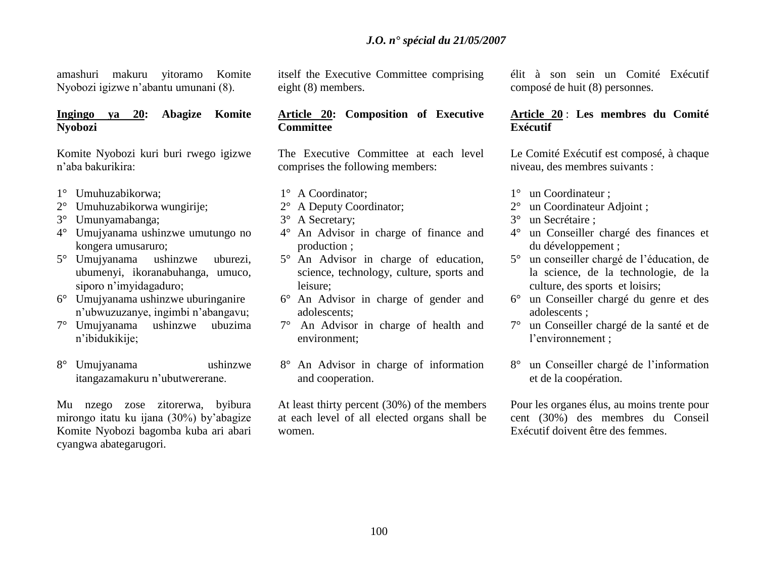# *J.O. n° spécial du 21/05/2007*

amashuri makuru yitoramo Komite Nyobozi igizwe n"abantu umunani (8).

# **Ingingo ya 20: Abagize Komite Nyobozi**

Komite Nyobozi kuri buri rwego igizwe n"aba bakurikira:

- 1° Umuhuzabikorwa;
- 2° Umuhuzabikorwa wungirije;
- 3° Umunyamabanga;
- 4° Umujyanama ushinzwe umutungo no kongera umusaruro;
- 5° Umujyanama ushinzwe uburezi, ubumenyi, ikoranabuhanga, umuco, siporo n"imyidagaduro;
- 6° Umujyanama ushinzwe uburinganire n"ubwuzuzanye, ingimbi n"abangavu;
- 7° Umujyanama ushinzwe ubuzima n"ibidukikije;
- 8° Umujyanama ushinzwe itangazamakuru n"ubutwererane.

Mu nzego zose zitorerwa, byibura mirongo itatu ku ijana (30%) by"abagize Komite Nyobozi bagomba kuba ari abari cyangwa abategarugori.

itself the Executive Committee comprising eight (8) members.

# **Article 20: Composition of Executive Committee**

The Executive Committee at each level comprises the following members:

- 1° A Coordinator;
- 2° A Deputy Coordinator;
- 3° A Secretary;
- 4° An Advisor in charge of finance and production ;
- 5° An Advisor in charge of education, science, technology, culture, sports and leisure;
- 6° An Advisor in charge of gender and adolescents;
- 7° An Advisor in charge of health and environment;
- 8° An Advisor in charge of information and cooperation.

At least thirty percent (30%) of the members at each level of all elected organs shall be women.

élit à son sein un Comité Exécutif composé de huit (8) personnes.

# **Article 20** : **Les membres du Comité Exécutif**

Le Comité Exécutif est composé, à chaque niveau, des membres suivants :

- 1° un Coordinateur ;
- 2° un Coordinateur Adjoint ;
- 3° un Secrétaire ;
- 4° un Conseiller chargé des finances et du développement ;
- 5° un conseiller chargé de l"éducation, de la science, de la technologie, de la culture, des sports et loisirs;
- 6° un Conseiller chargé du genre et des adolescents ;
- 7° un Conseiller chargé de la santé et de l"environnement ;
- 8° un Conseiller chargé de l"information et de la coopération.

Pour les organes élus, au moins trente pour cent (30%) des membres du Conseil Exécutif doivent être des femmes.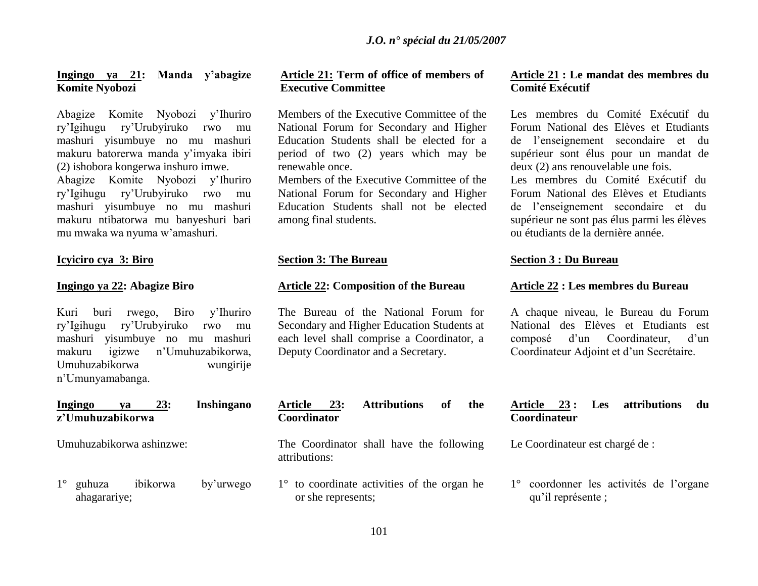# **Ingingo ya 21: Manda y'abagize Komite Nyobozi**

Abagize Komite Nyobozi y"Ihuriro ry"Igihugu ry"Urubyiruko rwo mu mashuri yisumbuye no mu mashuri makuru batorerwa manda y"imyaka ibiri (2) ishobora kongerwa inshuro imwe. Abagize Komite Nyobozi y"Ihuriro ry"Igihugu ry"Urubyiruko rwo mu mashuri yisumbuye no mu mashuri makuru ntibatorwa mu banyeshuri bari mu mwaka wa nyuma w"amashuri.

### **Icyiciro cya 3: Biro**

### **Ingingo ya 22: Abagize Biro**

Kuri buri rwego, Biro y"Ihuriro ry"Igihugu ry"Urubyiruko rwo mu mashuri yisumbuye no mu mashuri makuru igizwe n"Umuhuzabikorwa, Umuhuzabikorwa wungirije n"Umunyamabanga.

### **Ingingo ya 23: Inshingano z'Umuhuzabikorwa**

Umuhuzabikorwa ashinzwe:

1° guhuza ibikorwa by"urwego ahagarariye;

# **Article 21: Term of office of members of Executive Committee**

Members of the Executive Committee of the National Forum for Secondary and Higher Education Students shall be elected for a period of two (2) years which may be renewable once.

Members of the Executive Committee of the National Forum for Secondary and Higher Education Students shall not be elected among final students.

# **Section 3: The Bureau**

### **Article 22: Composition of the Bureau**

The Bureau of the National Forum for Secondary and Higher Education Students at each level shall comprise a Coordinator, a Deputy Coordinator and a Secretary.

# **Article 23: Attributions of the Coordinator**

The Coordinator shall have the following attributions:

1° to coordinate activities of the organ he or she represents;

# **Article 21 : Le mandat des membres du Comité Exécutif**

Les membres du Comité Exécutif du Forum National des Elèves et Etudiants de l"enseignement secondaire et du supérieur sont élus pour un mandat de deux (2) ans renouvelable une fois.

Les membres du Comité Exécutif du Forum National des Elèves et Etudiants de l"enseignement secondaire et du supérieur ne sont pas élus parmi les élèves ou étudiants de la dernière année.

#### **Section 3 : Du Bureau**

#### **Article 22 : Les membres du Bureau**

A chaque niveau, le Bureau du Forum National des Elèves et Etudiants est composé d"un Coordinateur, d"un Coordinateur Adjoint et d"un Secrétaire.

# **Article 23 : Les attributions du Coordinateur**

Le Coordinateur est chargé de :

1° coordonner les activités de l"organe qu"il représente ;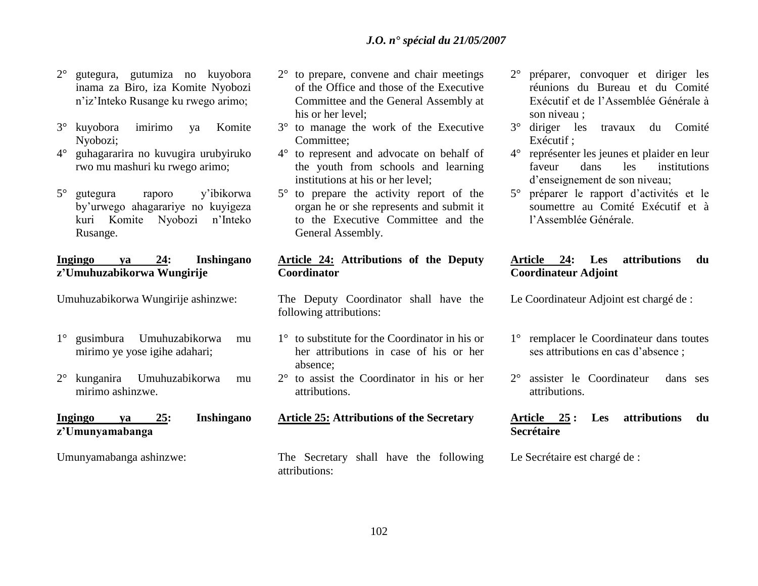- 2° gutegura, gutumiza no kuyobora inama za Biro, iza Komite Nyobozi n"iz"Inteko Rusange ku rwego arimo;
- 3° kuyobora imirimo ya Komite Nyobozi;
- 4° guhagararira no kuvugira urubyiruko rwo mu mashuri ku rwego arimo;
- 5° gutegura raporo y"ibikorwa by"urwego ahagarariye no kuyigeza kuri Komite Nyobozi n"Inteko Rusange.

### **Ingingo ya 24: Inshingano z'Umuhuzabikorwa Wungirije**

Umuhuzabikorwa Wungirije ashinzwe:

- 1° gusimbura Umuhuzabikorwa mu mirimo ye yose igihe adahari;
- 2° kunganira Umuhuzabikorwa mu mirimo ashinzwe.

# **Ingingo ya 25: Inshingano z'Umunyamabanga**

Umunyamabanga ashinzwe:

- 2° to prepare, convene and chair meetings of the Office and those of the Executive Committee and the General Assembly at his or her level;
- 3° to manage the work of the Executive Committee;
- 4° to represent and advocate on behalf of the youth from schools and learning institutions at his or her level;
- 5° to prepare the activity report of the organ he or she represents and submit it to the Executive Committee and the General Assembly.

# **Article 24: Attributions of the Deputy Coordinator**

The Deputy Coordinator shall have the following attributions:

- 1° to substitute for the Coordinator in his or her attributions in case of his or her absence;
- 2° to assist the Coordinator in his or her attributions.

### **Article 25: Attributions of the Secretary**

The Secretary shall have the following attributions:

- 2° préparer, convoquer et diriger les réunions du Bureau et du Comité Exécutif et de l"Assemblée Générale à son niveau ;
- 3° diriger les travaux du Comité Exécutif ;
- 4° représenter les jeunes et plaider en leur faveur dans les institutions d"enseignement de son niveau;
- 5° préparer le rapport d"activités et le soumettre au Comité Exécutif et à l"Assemblée Générale.

# **Article 24: Les attributions du Coordinateur Adjoint**

Le Coordinateur Adjoint est chargé de :

- 1° remplacer le Coordinateur dans toutes ses attributions en cas d"absence ;
- 2° assister le Coordinateur dans ses attributions.

# **Article 25 : Les attributions du Secrétaire**

Le Secrétaire est chargé de :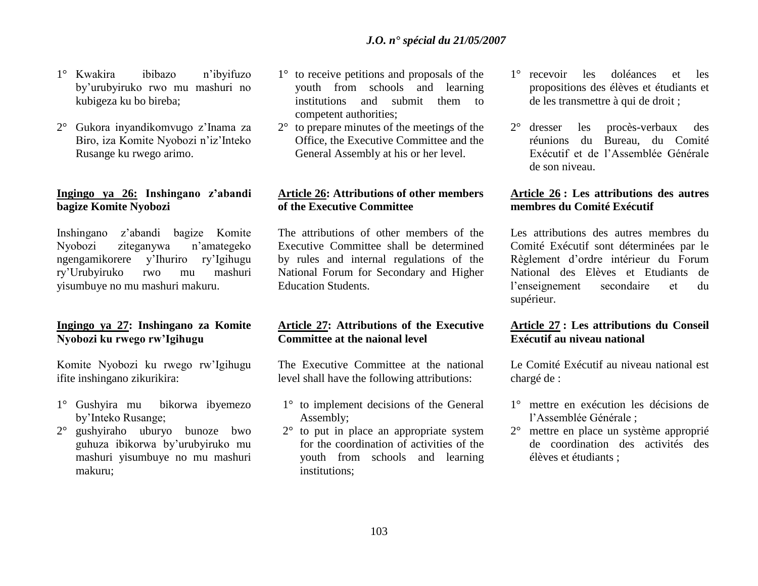- 1° Kwakira ibibazo n"ibyifuzo by"urubyiruko rwo mu mashuri no kubigeza ku bo bireba;
- 2° Gukora inyandikomvugo z"Inama za Biro, iza Komite Nyobozi n"iz"Inteko Rusange ku rwego arimo.

# **Ingingo ya 26: Inshingano z'abandi bagize Komite Nyobozi**

Inshingano z"abandi bagize Komite Nyobozi ziteganywa n"amategeko ngengamikorere y"Ihuriro ry"Igihugu ry"Urubyiruko rwo mu mashuri yisumbuye no mu mashuri makuru.

# **Ingingo ya 27: Inshingano za Komite Nyobozi ku rwego rw'Igihugu**

Komite Nyobozi ku rwego rw"Igihugu ifite inshingano zikurikira:

- 1° Gushyira mu bikorwa ibyemezo by"Inteko Rusange;
- 2° gushyiraho uburyo bunoze bwo guhuza ibikorwa by"urubyiruko mu mashuri yisumbuye no mu mashuri makuru;
- 1° to receive petitions and proposals of the youth from schools and learning institutions and submit them to competent authorities;
- 2° to prepare minutes of the meetings of the Office, the Executive Committee and the General Assembly at his or her level.

# **Article 26: Attributions of other members of the Executive Committee**

The attributions of other members of the Executive Committee shall be determined by rules and internal regulations of the National Forum for Secondary and Higher Education Students.

# **Article 27: Attributions of the Executive Committee at the naional level**

The Executive Committee at the national level shall have the following attributions:

- 1° to implement decisions of the General Assembly;
- 2° to put in place an appropriate system for the coordination of activities of the youth from schools and learning institutions;
- 1° recevoir les doléances et les propositions des élèves et étudiants et de les transmettre à qui de droit ;
- 2° dresser les procès-verbaux des réunions du Bureau, du Comité Exécutif et de l"Assemblée Générale de son niveau.

# **Article 26 : Les attributions des autres membres du Comité Exécutif**

Les attributions des autres membres du Comité Exécutif sont déterminées par le Règlement d"ordre intérieur du Forum National des Elèves et Etudiants de l"enseignement secondaire et du supérieur.

# **Article 27 : Les attributions du Conseil Exécutif au niveau national**

Le Comité Exécutif au niveau national est chargé de :

- 1° mettre en exécution les décisions de l"Assemblée Générale ;
- 2° mettre en place un système approprié de coordination des activités des élèves et étudiants ;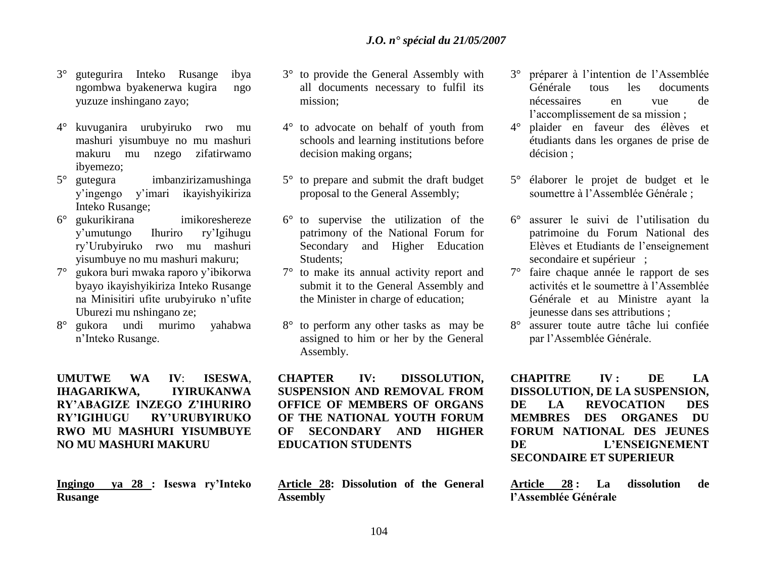- 3° gutegurira Inteko Rusange ibya ngombwa byakenerwa kugira ngo yuzuze inshingano zayo;
- 4° kuvuganira urubyiruko rwo mu mashuri yisumbuye no mu mashuri makuru mu nzego zifatirwamo ibyemezo;
- 5° gutegura imbanzirizamushinga y"ingengo y"imari ikayishyikiriza Inteko Rusange;
- 6° gukurikirana imikoreshereze y"umutungo Ihuriro ry"Igihugu ry"Urubyiruko rwo mu mashuri yisumbuye no mu mashuri makuru;
- 7° gukora buri mwaka raporo y"ibikorwa byayo ikayishyikiriza Inteko Rusange na Minisitiri ufite urubyiruko n"ufite Uburezi mu nshingano ze;
- 8° gukora undi murimo yahabwa n"Inteko Rusange.

# **UMUTWE WA IV**: **ISESWA**, **IHAGARIKWA, IYIRUKANWA RY'ABAGIZE INZEGO Z'IHURIRO RY'IGIHUGU RY'URUBYIRUKO RWO MU MASHURI YISUMBUYE NO MU MASHURI MAKURU**

**Ingingo ya 28 : Iseswa ry'Inteko Rusange**

- 3° to provide the General Assembly with all documents necessary to fulfil its mission;
- 4° to advocate on behalf of youth from schools and learning institutions before decision making organs;
- 5° to prepare and submit the draft budget proposal to the General Assembly;
- 6° to supervise the utilization of the patrimony of the National Forum for Secondary and Higher Education Students;
- 7° to make its annual activity report and submit it to the General Assembly and the Minister in charge of education;
- 8° to perform any other tasks as may be assigned to him or her by the General Assembly.

**CHAPTER IV: DISSOLUTION, SUSPENSION AND REMOVAL FROM OFFICE OF MEMBERS OF ORGANS OF THE NATIONAL YOUTH FORUM OF SECONDARY AND HIGHER EDUCATION STUDENTS**

**Article 28: Dissolution of the General Assembly** 

- 3° préparer à l"intention de l"Assemblée Générale tous les documents nécessaires en vue de l"accomplissement de sa mission ;
- 4° plaider en faveur des élèves et étudiants dans les organes de prise de décision ;
- 5° élaborer le projet de budget et le soumettre à l"Assemblée Générale ;
- 6° assurer le suivi de l"utilisation du patrimoine du Forum National des Elèves et Etudiants de l"enseignement secondaire et supérieur ;
- 7° faire chaque année le rapport de ses activités et le soumettre à l"Assemblée Générale et au Ministre ayant la jeunesse dans ses attributions ;
- 8° assurer toute autre tâche lui confiée par l"Assemblée Générale.

**CHAPITRE IV : DE LA DISSOLUTION, DE LA SUSPENSION, DE LA REVOCATION DES MEMBRES DES ORGANES DU FORUM NATIONAL DES JEUNES DE L'ENSEIGNEMENT SECONDAIRE ET SUPERIEUR** 

**Article 28 : La dissolution de l'Assemblée Générale**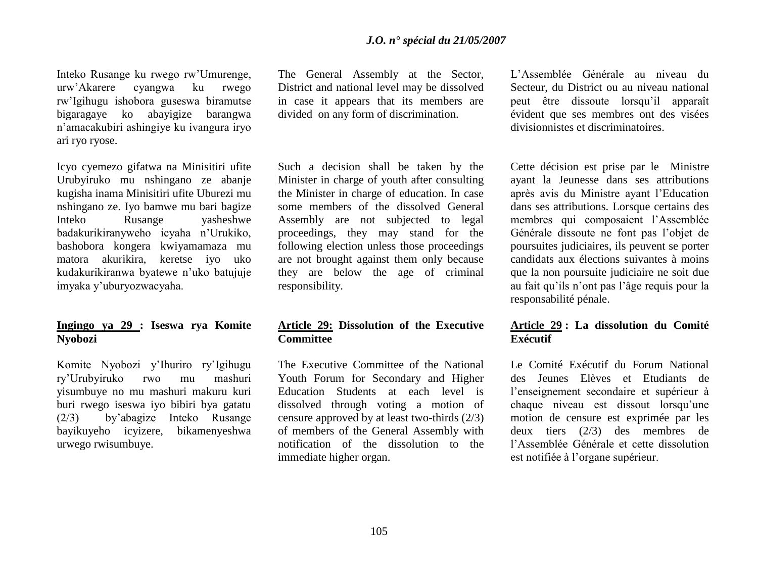Inteko Rusange ku rwego rw"Umurenge, urw"Akarere cyangwa ku rwego rw"Igihugu ishobora guseswa biramutse bigaragaye ko abayigize barangwa n"amacakubiri ashingiye ku ivangura iryo ari ryo ryose.

Icyo cyemezo gifatwa na Minisitiri ufite Urubyiruko mu nshingano ze abanje kugisha inama Minisitiri ufite Uburezi mu nshingano ze. Iyo bamwe mu bari bagize Inteko Rusange yasheshwe badakurikiranyweho icyaha n"Urukiko, bashobora kongera kwiyamamaza mu matora akurikira, keretse iyo uko kudakurikiranwa byatewe n"uko batujuje imyaka y"uburyozwacyaha.

# **Ingingo ya 29 : Iseswa rya Komite Nyobozi**

Komite Nyobozi y"Ihuriro ry"Igihugu ry"Urubyiruko rwo mu mashuri yisumbuye no mu mashuri makuru kuri buri rwego iseswa iyo bibiri bya gatatu (2/3) by"abagize Inteko Rusange bayikuyeho icyizere, bikamenyeshwa urwego rwisumbuye.

The General Assembly at the Sector, District and national level may be dissolved in case it appears that its members are divided on any form of discrimination.

Such a decision shall be taken by the Minister in charge of youth after consulting the Minister in charge of education. In case some members of the dissolved General Assembly are not subjected to legal proceedings, they may stand for the following election unless those proceedings are not brought against them only because they are below the age of criminal responsibility.

### **Article 29: Dissolution of the Executive Committee**

The Executive Committee of the National Youth Forum for Secondary and Higher Education Students at each level is dissolved through voting a motion of censure approved by at least two-thirds (2/3) of members of the General Assembly with notification of the dissolution to the immediate higher organ.

L"Assemblée Générale au niveau du Secteur, du District ou au niveau national peut être dissoute lorsqu"il apparaît évident que ses membres ont des visées divisionnistes et discriminatoires.

Cette décision est prise par le Ministre ayant la Jeunesse dans ses attributions après avis du Ministre ayant l"Education dans ses attributions. Lorsque certains des membres qui composaient l"Assemblée Générale dissoute ne font pas l"objet de poursuites judiciaires, ils peuvent se porter candidats aux élections suivantes à moins que la non poursuite judiciaire ne soit due au fait qu"ils n"ont pas l"âge requis pour la responsabilité pénale.

# **Article 29 : La dissolution du Comité Exécutif**

Le Comité Exécutif du Forum National des Jeunes Elèves et Etudiants de l"enseignement secondaire et supérieur à chaque niveau est dissout lorsqu"une motion de censure est exprimée par les deux tiers (2/3) des membres de l"Assemblée Générale et cette dissolution est notifiée à l'organe supérieur.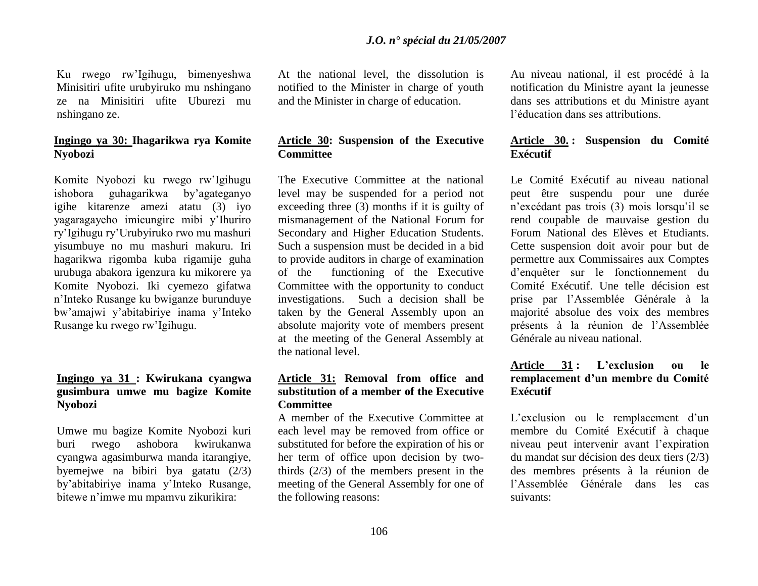Ku rwego rw"Igihugu, bimenyeshwa Minisitiri ufite urubyiruko mu nshingano ze na Minisitiri ufite Uburezi mu nshingano ze.

# **Ingingo ya 30: Ihagarikwa rya Komite Nyobozi**

Komite Nyobozi ku rwego rw"Igihugu ishobora guhagarikwa by"agateganyo igihe kitarenze amezi atatu (3) iyo yagaragayeho imicungire mibi y"Ihuriro ry"Igihugu ry"Urubyiruko rwo mu mashuri yisumbuye no mu mashuri makuru. Iri hagarikwa rigomba kuba rigamije guha urubuga abakora igenzura ku mikorere ya Komite Nyobozi. Iki cyemezo gifatwa n"Inteko Rusange ku bwiganze burunduye bw"amajwi y"abitabiriye inama y"Inteko Rusange ku rwego rw"Igihugu.

# **Ingingo ya 31 : Kwirukana cyangwa gusimbura umwe mu bagize Komite Nyobozi**

Umwe mu bagize Komite Nyobozi kuri buri rwego ashobora kwirukanwa cyangwa agasimburwa manda itarangiye, byemejwe na bibiri bya gatatu (2/3) by"abitabiriye inama y"Inteko Rusange, bitewe n"imwe mu mpamvu zikurikira:

At the national level, the dissolution is notified to the Minister in charge of youth and the Minister in charge of education.

# **Article 30: Suspension of the Executive Committee**

The Executive Committee at the national level may be suspended for a period not exceeding three (3) months if it is guilty of mismanagement of the National Forum for Secondary and Higher Education Students. Such a suspension must be decided in a bid to provide auditors in charge of examination of the functioning of the Executive Committee with the opportunity to conduct investigations. Such a decision shall be taken by the General Assembly upon an absolute majority vote of members present at the meeting of the General Assembly at the national level.

# **Article 31: Removal from office and substitution of a member of the Executive Committee**

A member of the Executive Committee at each level may be removed from office or substituted for before the expiration of his or her term of office upon decision by twothirds (2/3) of the members present in the meeting of the General Assembly for one of the following reasons:

Au niveau national, il est procédé à la notification du Ministre ayant la jeunesse dans ses attributions et du Ministre ayant l"éducation dans ses attributions.

# **Article 30. : Suspension du Comité Exécutif**

Le Comité Exécutif au niveau national peut être suspendu pour une durée n"excédant pas trois (3) mois lorsqu"il se rend coupable de mauvaise gestion du Forum National des Elèves et Etudiants. Cette suspension doit avoir pour but de permettre aux Commissaires aux Comptes d"enquêter sur le fonctionnement du Comité Exécutif. Une telle décision est prise par l"Assemblée Générale à la majorité absolue des voix des membres présents à la réunion de l"Assemblée Générale au niveau national.

# **Article 31 : L'exclusion ou le remplacement d'un membre du Comité Exécutif**

L'exclusion ou le remplacement d'un membre du Comité Exécutif à chaque niveau peut intervenir avant l"expiration du mandat sur décision des deux tiers (2/3) des membres présents à la réunion de l"Assemblée Générale dans les cas suivants: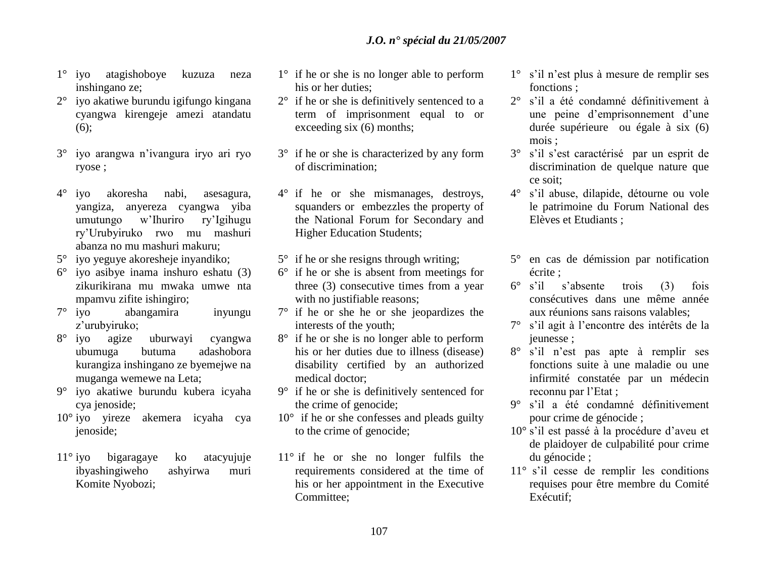- 1° iyo atagishoboye kuzuza neza inshingano ze;
- 2° iyo akatiwe burundu igifungo kingana cyangwa kirengeje amezi atandatu (6);
- 3° iyo arangwa n"ivangura iryo ari ryo ryose ;
- 4° iyo akoresha nabi, asesagura, yangiza, anyereza cyangwa yiba umutungo w"Ihuriro ry"Igihugu ry"Urubyiruko rwo mu mashuri abanza no mu mashuri makuru;
- 5° iyo yeguye akoresheje inyandiko;
- 6° iyo asibye inama inshuro eshatu (3) zikurikirana mu mwaka umwe nta mpamvu zifite ishingiro;
- 7° iyo abangamira inyungu z"urubyiruko;
- 8° iyo agize uburwayi cyangwa ubumuga butuma adashobora kurangiza inshingano ze byemejwe na muganga wemewe na Leta;
- 9° iyo akatiwe burundu kubera icyaha cya jenoside;
- 10° iyo yireze akemera icyaha cya jenoside;
- 11° iyo bigaragaye ko atacyujuje ibyashingiweho ashyirwa muri Komite Nyobozi;
- 1° if he or she is no longer able to perform his or her duties:
- 2° if he or she is definitively sentenced to a term of imprisonment equal to or exceeding six (6) months;
- 3° if he or she is characterized by any form of discrimination;
- 4° if he or she mismanages, destroys, squanders or embezzles the property of the National Forum for Secondary and Higher Education Students;
- $5^\circ$  if he or she resigns through writing;
- 6° if he or she is absent from meetings for three (3) consecutive times from a year with no justifiable reasons;
- 7° if he or she he or she jeopardizes the interests of the youth;
- 8° if he or she is no longer able to perform his or her duties due to illness (disease) disability certified by an authorized medical doctor;
- 9° if he or she is definitively sentenced for the crime of genocide;
- 10° if he or she confesses and pleads guilty to the crime of genocide;
- 11° if he or she no longer fulfils the requirements considered at the time of his or her appointment in the Executive Committee;
- 1° s"il n"est plus à mesure de remplir ses fonctions ;
- 2° s"il a été condamné définitivement à une peine d"emprisonnement d"une durée supérieure ou égale à six (6) mois ;
- 3° s"il s"est caractérisé par un esprit de discrimination de quelque nature que ce soit;
- 4° s"il abuse, dilapide, détourne ou vole le patrimoine du Forum National des Elèves et Etudiants ;
- 5° en cas de démission par notification écrite ;
- 6° s"il s"absente trois (3) fois consécutives dans une même année aux réunions sans raisons valables;
- 7° s"il agit à l"encontre des intérêts de la jeunesse ;
- 8° s"il n"est pas apte à remplir ses fonctions suite à une maladie ou une infirmité constatée par un médecin reconnu par l"Etat ;
- 9° s"il a été condamné définitivement pour crime de génocide ;
- 10° s'il est passé à la procédure d'aveu et de plaidoyer de culpabilité pour crime du génocide ;
- 11° s"il cesse de remplir les conditions requises pour être membre du Comité Exécutif;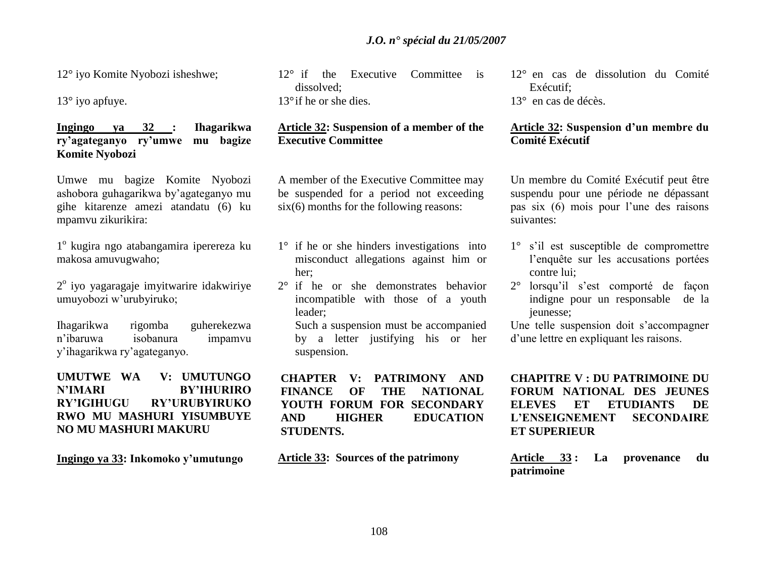12° iyo Komite Nyobozi isheshwe;

13° iyo apfuye.

# **Ingingo ya 32 : Ihagarikwa ry'agateganyo ry'umwe mu bagize Komite Nyobozi**

Umwe mu bagize Komite Nyobozi ashobora guhagarikwa by"agateganyo mu gihe kitarenze amezi atandatu (6) ku mpamvu zikurikira:

1º kugira ngo atabangamira iperereza ku makosa amuvugwaho;

2<sup>°</sup> iyo yagaragaje imyitwarire idakwiriye umuyobozi w"urubyiruko;

Ihagarikwa rigomba guherekezwa n"ibaruwa isobanura impamvu y"ihagarikwa ry"agateganyo.

# **UMUTWE WA V: UMUTUNGO N'IMARI BY'IHURIRO RY'IGIHUGU RY'URUBYIRUKO RWO MU MASHURI YISUMBUYE NO MU MASHURI MAKURU**

**Ingingo ya 33: Inkomoko y'umutungo**

12° if the Executive Committee is dissolved; 13°if he or she dies.

# **Article 32: Suspension of a member of the Executive Committee**

A member of the Executive Committee may be suspended for a period not exceeding six(6) months for the following reasons:

- 1° if he or she hinders investigations into misconduct allegations against him or her;
- 2° if he or she demonstrates behavior incompatible with those of a youth leader;

Such a suspension must be accompanied by a letter justifying his or her suspension.

**CHAPTER V: PATRIMONY AND FINANCE OF THE NATIONAL YOUTH FORUM FOR SECONDARY AND HIGHER EDUCATION STUDENTS.** 

**Article 33: Sources of the patrimony** 

12° en cas de dissolution du Comité Exécutif;

13° en cas de décès.

# **Article 32: Suspension d'un membre du Comité Exécutif**

Un membre du Comité Exécutif peut être suspendu pour une période ne dépassant pas six (6) mois pour l"une des raisons suivantes:

- 1° s"il est susceptible de compromettre l"enquête sur les accusations portées contre lui;
- 2° lorsqu"il s"est comporté de façon indigne pour un responsable de la jeunesse;

Une telle suspension doit s"accompagner d"une lettre en expliquant les raisons.

**CHAPITRE V : DU PATRIMOINE DU FORUM NATIONAL DES JEUNES ELEVES ET ETUDIANTS DE L'ENSEIGNEMENT SECONDAIRE ET SUPERIEUR** 

**Article 33 : La provenance du patrimoine**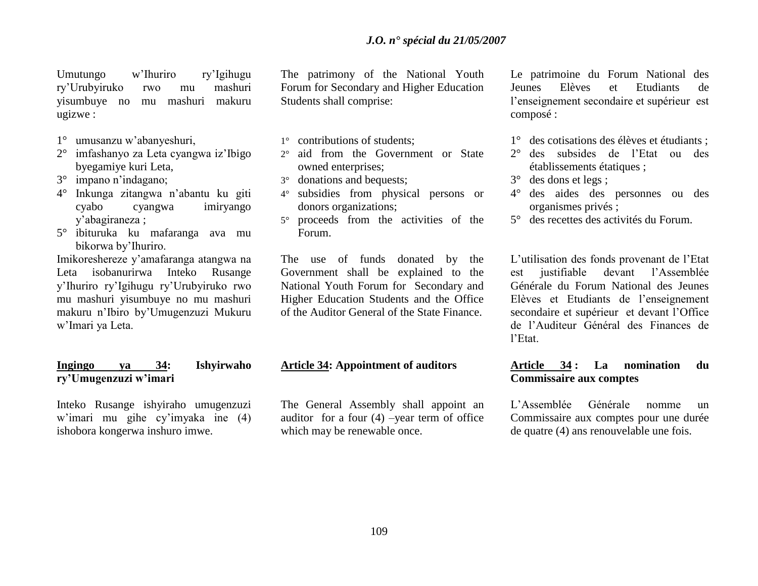Umutungo w"Ihuriro ry"Igihugu ry"Urubyiruko rwo mu mashuri yisumbuye no mu mashuri makuru ugizwe :

- 1° umusanzu w"abanyeshuri,
- 2° imfashanyo za Leta cyangwa iz"Ibigo byegamiye kuri Leta,
- 3° impano n"indagano;
- 4° Inkunga zitangwa n"abantu ku giti cyabo cyangwa imiryango y"abagiraneza ;
- 5° ibituruka ku mafaranga ava mu bikorwa by"Ihuriro.

Imikoreshereze y"amafaranga atangwa na Leta isobanurirwa Inteko Rusange y"Ihuriro ry"Igihugu ry"Urubyiruko rwo mu mashuri yisumbuye no mu mashuri makuru n"Ibiro by"Umugenzuzi Mukuru w"Imari ya Leta.

# **Ingingo ya 34: Ishyirwaho ry'Umugenzuzi w'imari**

Inteko Rusange ishyiraho umugenzuzi w"imari mu gihe cy"imyaka ine (4) ishobora kongerwa inshuro imwe.

The patrimony of the National Youth Forum for Secondary and Higher Education Students shall comprise:

- 1° contributions of students;
- 2° aid from the Government or State owned enterprises;
- 3° donations and bequests;
- 4° subsidies from physical persons or donors organizations;
- 5° proceeds from the activities of the Forum.

The use of funds donated by the Government shall be explained to the National Youth Forum for Secondary and Higher Education Students and the Office of the Auditor General of the State Finance.

#### **Article 34: Appointment of auditors**

The General Assembly shall appoint an auditor for a four  $(4)$  –year term of office which may be renewable once.

Le patrimoine du Forum National des Jeunes Elèves et Etudiants de l"enseignement secondaire et supérieur est composé :

- 1° des cotisations des élèves et étudiants ;
- 2° des subsides de l"Etat ou des établissements étatiques ;
- 3° des dons et legs ;
- 4° des aides des personnes ou des organismes privés ;
- 5° des recettes des activités du Forum.

L"utilisation des fonds provenant de l"Etat est justifiable devant l"Assemblée Générale du Forum National des Jeunes Elèves et Etudiants de l"enseignement secondaire et supérieur et devant l"Office de l"Auditeur Général des Finances de l"Etat.

# **Article 34 : La nomination du Commissaire aux comptes**

L"Assemblée Générale nomme un Commissaire aux comptes pour une durée de quatre (4) ans renouvelable une fois.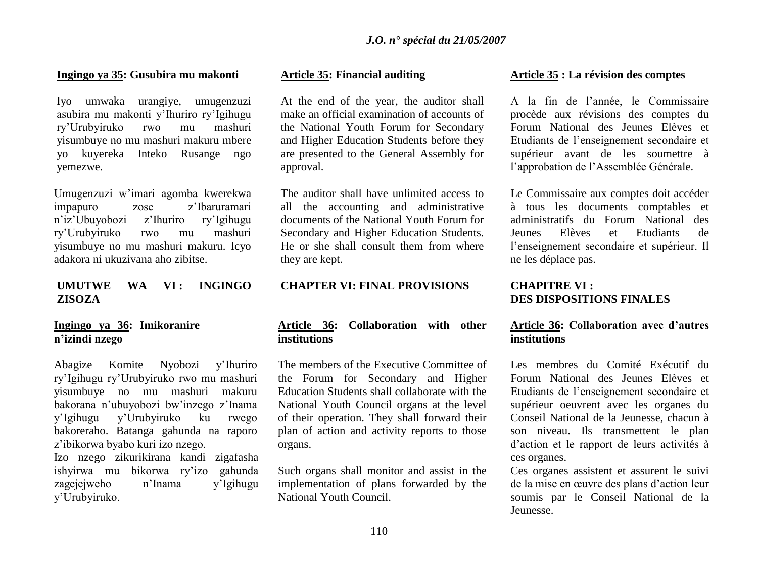#### **Ingingo ya 35: Gusubira mu makonti**

Iyo umwaka urangiye, umugenzuzi asubira mu makonti y"Ihuriro ry"Igihugu ry"Urubyiruko rwo mu mashuri yisumbuye no mu mashuri makuru mbere yo kuyereka Inteko Rusange ngo yemezwe.

Umugenzuzi w"imari agomba kwerekwa impapuro zose z"Ibaruramari n"iz"Ubuyobozi z"Ihuriro ry"Igihugu ry"Urubyiruko rwo mu mashuri yisumbuye no mu mashuri makuru. Icyo adakora ni ukuzivana aho zibitse.

# **UMUTWE WA VI : INGINGO ZISOZA**

# **Ingingo ya 36: Imikoranire n'izindi nzego**

Abagize Komite Nyobozi y"Ihuriro ry"Igihugu ry"Urubyiruko rwo mu mashuri yisumbuye no mu mashuri makuru bakorana n"ubuyobozi bw"inzego z"Inama y"Igihugu y"Urubyiruko ku rwego bakoreraho. Batanga gahunda na raporo z"ibikorwa byabo kuri izo nzego. Izo nzego zikurikirana kandi zigafasha ishyirwa mu bikorwa ry"izo gahunda zagejejweho n"Inama y"Igihugu y"Urubyiruko.

### **Article 35: Financial auditing**

At the end of the year, the auditor shall make an official examination of accounts of the National Youth Forum for Secondary and Higher Education Students before they are presented to the General Assembly for approval.

The auditor shall have unlimited access to all the accounting and administrative documents of the National Youth Forum for Secondary and Higher Education Students. He or she shall consult them from where they are kept.

### **CHAPTER VI: FINAL PROVISIONS**

# **Article 36: Collaboration with other institutions**

The members of the Executive Committee of the Forum for Secondary and Higher Education Students shall collaborate with the National Youth Council organs at the level of their operation. They shall forward their plan of action and activity reports to those organs.

Such organs shall monitor and assist in the implementation of plans forwarded by the National Youth Council.

#### **Article 35 : La révision des comptes**

A la fin de l"année, le Commissaire procède aux révisions des comptes du Forum National des Jeunes Elèves et Etudiants de l"enseignement secondaire et supérieur avant de les soumettre à l"approbation de l"Assemblée Générale.

Le Commissaire aux comptes doit accéder à tous les documents comptables et administratifs du Forum National des Jeunes Elèves et Etudiants de l"enseignement secondaire et supérieur. Il ne les déplace pas.

### **CHAPITRE VI : DES DISPOSITIONS FINALES**

# **Article 36: Collaboration avec d'autres institutions**

Les membres du Comité Exécutif du Forum National des Jeunes Elèves et Etudiants de l"enseignement secondaire et supérieur oeuvrent avec les organes du Conseil National de la Jeunesse, chacun à son niveau. Ils transmettent le plan d"action et le rapport de leurs activités à ces organes.

Ces organes assistent et assurent le suivi de la mise en œuvre des plans d"action leur soumis par le Conseil National de la Jeunesse.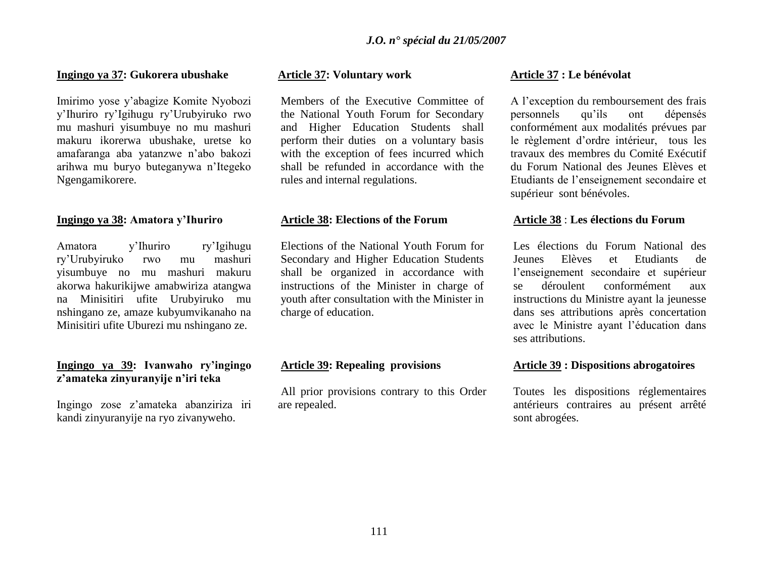#### **Ingingo ya 37: Gukorera ubushake**

Imirimo yose y"abagize Komite Nyobozi y"Ihuriro ry"Igihugu ry"Urubyiruko rwo mu mashuri yisumbuye no mu mashuri makuru ikorerwa ubushake, uretse ko amafaranga aba yatanzwe n"abo bakozi arihwa mu buryo buteganywa n"Itegeko Ngengamikorere.

#### **Ingingo ya 38: Amatora y'Ihuriro**

Amatora y"Ihuriro ry"Igihugu ry"Urubyiruko rwo mu mashuri yisumbuye no mu mashuri makuru akorwa hakurikijwe amabwiriza atangwa na Minisitiri ufite Urubyiruko mu nshingano ze, amaze kubyumvikanaho na Minisitiri ufite Uburezi mu nshingano ze.

# **Ingingo ya 39: Ivanwaho ry'ingingo z'amateka zinyuranyije n'iri teka**

Ingingo zose z"amateka abanziriza iri kandi zinyuranyije na ryo zivanyweho.

### **Article 37: Voluntary work**

Members of the Executive Committee of the National Youth Forum for Secondary and Higher Education Students shall perform their duties on a voluntary basis with the exception of fees incurred which shall be refunded in accordance with the rules and internal regulations.

#### **Article 38: Elections of the Forum**

Elections of the National Youth Forum for Secondary and Higher Education Students shall be organized in accordance with instructions of the Minister in charge of youth after consultation with the Minister in charge of education.

# **Article 39: Repealing provisions**

All prior provisions contrary to this Order are repealed.

#### **Article 37 : Le bénévolat**

A l"exception du remboursement des frais personnels qu"ils ont dépensés conformément aux modalités prévues par le règlement d"ordre intérieur, tous les travaux des membres du Comité Exécutif du Forum National des Jeunes Elèves et Etudiants de l"enseignement secondaire et supérieur sont bénévoles.

#### **Article 38** : **Les élections du Forum**

Les élections du Forum National des Jeunes Elèves et Etudiants de l"enseignement secondaire et supérieur se déroulent conformément aux instructions du Ministre ayant la jeunesse dans ses attributions après concertation avec le Ministre ayant l"éducation dans ses attributions.

# **Article 39 : Dispositions abrogatoires**

Toutes les dispositions réglementaires antérieurs contraires au présent arrêté sont abrogées.